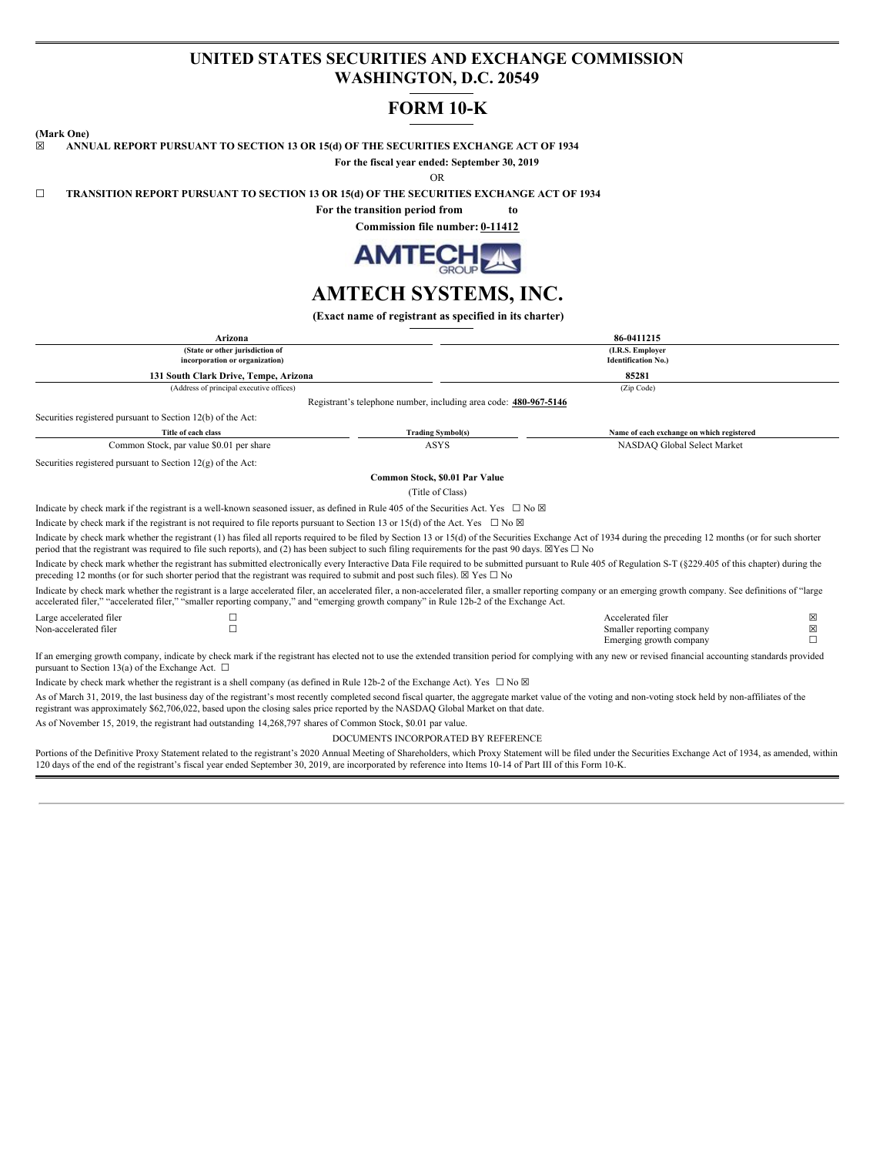# **UNITED STATES SECURITIES AND EXCHANGE COMMISSION WASHINGTON, D.C. 20549**

# **FORM 10-K**

**(Mark One)**

**☒ ANNUAL REPORT PURSUANT TO SECTION 13 OR 15(d) OF THE SECURITIES EXCHANGE ACT OF 1934**

**For the fiscal year ended: September 30, 2019**

OR

**☐ TRANSITION REPORT PURSUANT TO SECTION 13 OR 15(d) OF THE SECURITIES EXCHANGE ACT OF 1934**

**For the transition period from to**

**Commission file number: 0-11412**



# **AMTECH SYSTEMS, INC.**

**(Exact name of registrant as specified in its charter)**

| Arizona                                                                                                                                                                                                                                                                                                                                                                               |                                                                  | 86-0411215                                                                |             |  |  |  |  |  |
|---------------------------------------------------------------------------------------------------------------------------------------------------------------------------------------------------------------------------------------------------------------------------------------------------------------------------------------------------------------------------------------|------------------------------------------------------------------|---------------------------------------------------------------------------|-------------|--|--|--|--|--|
| (State or other jurisdiction of                                                                                                                                                                                                                                                                                                                                                       |                                                                  | (I.R.S. Employer                                                          |             |  |  |  |  |  |
| incorporation or organization)                                                                                                                                                                                                                                                                                                                                                        |                                                                  | <b>Identification No.)</b>                                                |             |  |  |  |  |  |
| 131 South Clark Drive, Tempe, Arizona                                                                                                                                                                                                                                                                                                                                                 |                                                                  | 85281                                                                     |             |  |  |  |  |  |
| (Address of principal executive offices)                                                                                                                                                                                                                                                                                                                                              |                                                                  | (Zip Code)                                                                |             |  |  |  |  |  |
|                                                                                                                                                                                                                                                                                                                                                                                       | Registrant's telephone number, including area code: 480-967-5146 |                                                                           |             |  |  |  |  |  |
| Securities registered pursuant to Section 12(b) of the Act:                                                                                                                                                                                                                                                                                                                           |                                                                  |                                                                           |             |  |  |  |  |  |
| Title of each class                                                                                                                                                                                                                                                                                                                                                                   | <b>Trading Symbol(s)</b>                                         | Name of each exchange on which registered                                 |             |  |  |  |  |  |
| Common Stock, par value \$0.01 per share                                                                                                                                                                                                                                                                                                                                              | <b>ASYS</b>                                                      | NASDAQ Global Select Market                                               |             |  |  |  |  |  |
| Securities registered pursuant to Section $12(g)$ of the Act:                                                                                                                                                                                                                                                                                                                         |                                                                  |                                                                           |             |  |  |  |  |  |
|                                                                                                                                                                                                                                                                                                                                                                                       | Common Stock, \$0.01 Par Value                                   |                                                                           |             |  |  |  |  |  |
|                                                                                                                                                                                                                                                                                                                                                                                       | (Title of Class)                                                 |                                                                           |             |  |  |  |  |  |
| Indicate by check mark if the registrant is a well-known seasoned issuer, as defined in Rule 405 of the Securities Act. Yes $\Box$ No $\boxtimes$                                                                                                                                                                                                                                     |                                                                  |                                                                           |             |  |  |  |  |  |
| Indicate by check mark if the registrant is not required to file reports pursuant to Section 13 or 15(d) of the Act. Yes $\Box$ No $\boxtimes$                                                                                                                                                                                                                                        |                                                                  |                                                                           |             |  |  |  |  |  |
| Indicate by check mark whether the registrant (1) has filed all reports required to be filed by Section 13 or 15(d) of the Securities Exchange Act of 1934 during the preceding 12 months (or for such shorter<br>period that the registrant was required to file such reports), and (2) has been subject to such filing requirements for the past 90 days. $\boxtimes$ Yes $\Box$ No |                                                                  |                                                                           |             |  |  |  |  |  |
| Indicate by check mark whether the registrant has submitted electronically every Interactive Data File required to be submitted pursuant to Rule 405 of Regulation S-T (§229.405 of this chapter) during the<br>preceding 12 months (or for such shorter period that the registrant was required to submit and post such files). $\boxtimes$ Yes $\Box$ No                            |                                                                  |                                                                           |             |  |  |  |  |  |
| Indicate by check mark whether the registrant is a large accelerated filer, an accelerated filer, a non-accelerated filer, a smaller reporting company or an emerging growth company. See definitions of "large<br>accelerated filer," "accelerated filer," "smaller reporting company," and "emerging growth company" in Rule 12b-2 of the Exchange Act.                             |                                                                  |                                                                           |             |  |  |  |  |  |
| Large accelerated filer<br>□<br>$\Box$<br>Non-accelerated filer                                                                                                                                                                                                                                                                                                                       |                                                                  | Accelerated filer<br>Smaller reporting company<br>Emerging growth company | ⊠<br>X<br>п |  |  |  |  |  |
| If an emerging growth company, indicate by check mark if the registrant has elected not to use the extended transition period for complying with any new or revised financial accounting standards provided<br>pursuant to Section 13(a) of the Exchange Act. $\Box$                                                                                                                  |                                                                  |                                                                           |             |  |  |  |  |  |
| Indicate by check mark whether the registrant is a shell company (as defined in Rule 12b-2 of the Exchange Act). Yes $\Box$ No $\boxtimes$                                                                                                                                                                                                                                            |                                                                  |                                                                           |             |  |  |  |  |  |
| As of March 31, 2019, the last business day of the registrant's most recently completed second fiscal quarter, the aggregate market value of the voting and non-voting stock held by non-affiliates of the<br>registrant was approximately \$62,706,022, based upon the closing sales price reported by the NASDAQ Global Market on that date.                                        |                                                                  |                                                                           |             |  |  |  |  |  |
| As of November 15, 2019, the registrant had outstanding 14,268,797 shares of Common Stock, \$0.01 par value.                                                                                                                                                                                                                                                                          |                                                                  |                                                                           |             |  |  |  |  |  |
|                                                                                                                                                                                                                                                                                                                                                                                       | DOCUMENTS INCORPORATED BY REFERENCE                              |                                                                           |             |  |  |  |  |  |
| Portions of the Definitive Proxy Statement related to the registrant's 2020 Annual Meeting of Shareholders, which Proxy Statement will be filed under the Securities Exchange Act of 1934, as amended, within<br>120 days of the end of the registrant's fiscal year ended September 30, 2019, are incorporated by reference into Items 10-14 of Part III of this Form 10-K.          |                                                                  |                                                                           |             |  |  |  |  |  |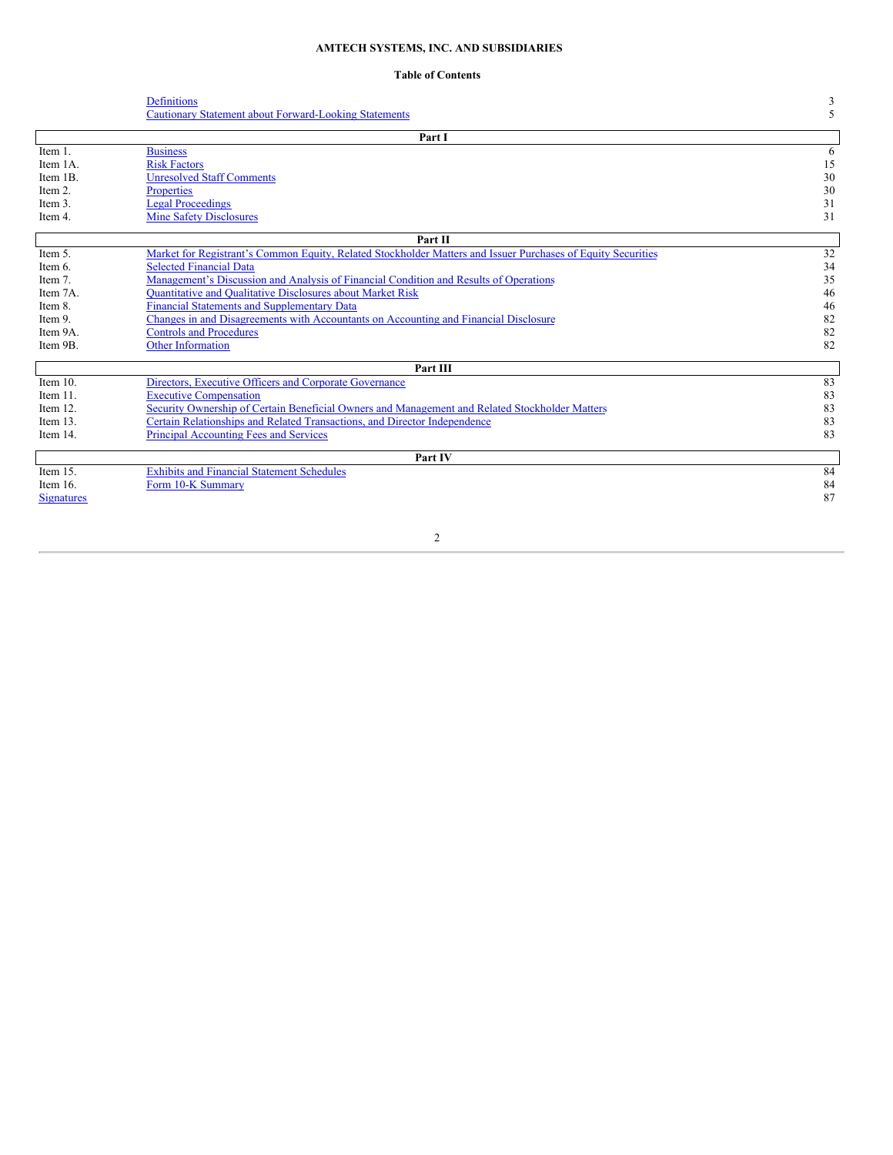# **AMTECH SYSTEMS, INC. AND SUBSIDIARIES**

# **Table of Contents**

|                   | Definitions<br><b>Cautionary Statement about Forward-Looking Statements</b>                                  | 3<br>5 |
|-------------------|--------------------------------------------------------------------------------------------------------------|--------|
|                   | Part I                                                                                                       |        |
| Item 1.           | <b>Business</b>                                                                                              | 6      |
| Item 1A.          | <b>Risk Factors</b>                                                                                          | 15     |
| Item 1B.          | <b>Unresolved Staff Comments</b>                                                                             | 30     |
| Item 2.           | Properties                                                                                                   | 30     |
| Item 3.           | <b>Legal Proceedings</b>                                                                                     | 31     |
| Item 4.           | <b>Mine Safety Disclosures</b>                                                                               | 31     |
|                   | Part II                                                                                                      |        |
| Item 5.           | Market for Registrant's Common Equity, Related Stockholder Matters and Issuer Purchases of Equity Securities | 32     |
| Item 6.           | <b>Selected Financial Data</b>                                                                               | 34     |
| Item 7.           | Management's Discussion and Analysis of Financial Condition and Results of Operations                        | 35     |
| Item 7A.          | <b>Ouantitative and Qualitative Disclosures about Market Risk</b>                                            | 46     |
| Item 8.           | <b>Financial Statements and Supplementary Data</b>                                                           | 46     |
| Item 9.           | Changes in and Disagreements with Accountants on Accounting and Financial Disclosure                         | 82     |
| Item 9A.          | <b>Controls and Procedures</b>                                                                               | 82     |
| Item 9B.          | <b>Other Information</b>                                                                                     | 82     |
|                   | Part III                                                                                                     |        |
| Item 10.          | Directors, Executive Officers and Corporate Governance                                                       | 83     |
| Item 11.          | <b>Executive Compensation</b>                                                                                | 83     |
| Item 12.          | Security Ownership of Certain Beneficial Owners and Management and Related Stockholder Matters               | 83     |
| Item 13.          | Certain Relationships and Related Transactions, and Director Independence                                    | 83     |
| Item 14.          | <b>Principal Accounting Fees and Services</b>                                                                | 83     |
|                   | Part IV                                                                                                      |        |
| Item 15.          | <b>Exhibits and Financial Statement Schedules</b>                                                            | 84     |
| Item 16.          | Form 10-K Summary                                                                                            | 84     |
| <u>Signatures</u> |                                                                                                              | 87     |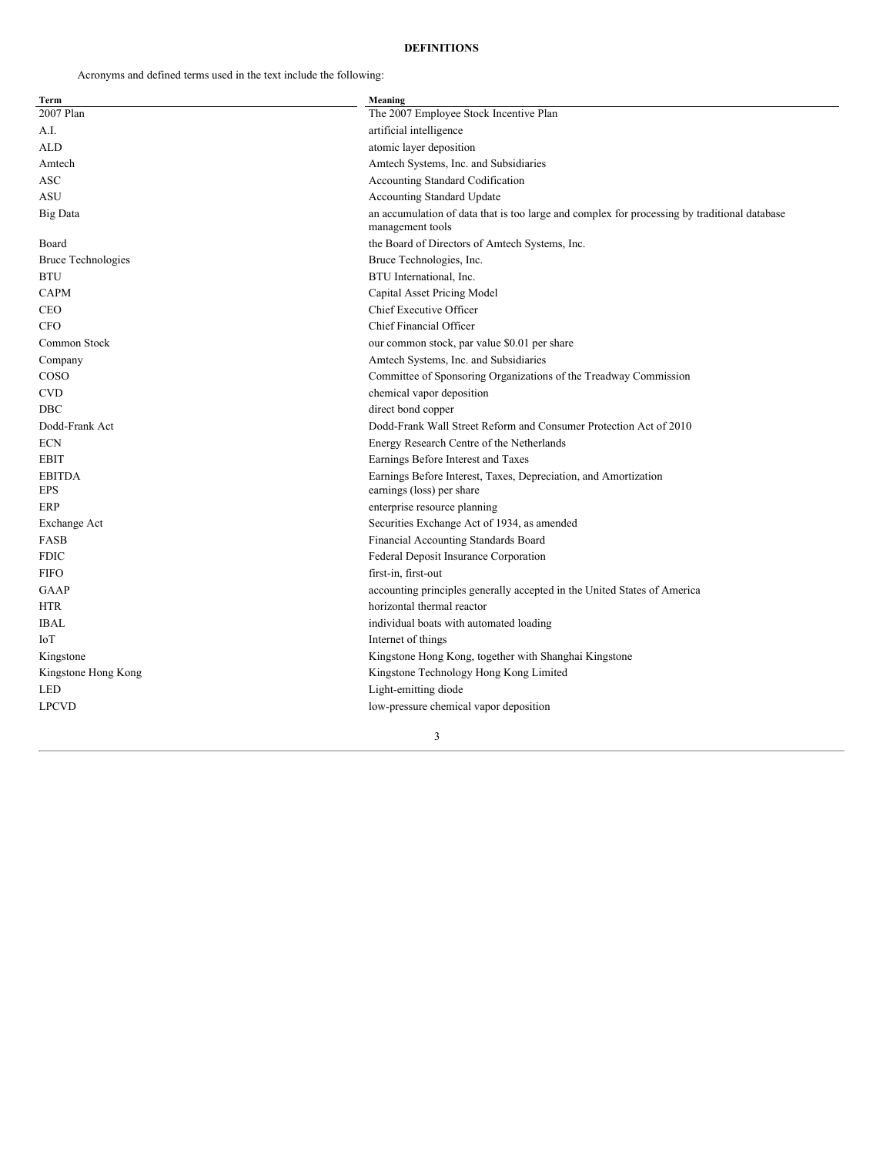# <span id="page-2-0"></span>**DEFINITIONS**

Acronyms and defined terms used in the text include the following:

| Term                      | Meaning                                                                                                          |
|---------------------------|------------------------------------------------------------------------------------------------------------------|
| 2007 Plan                 | The 2007 Employee Stock Incentive Plan                                                                           |
| A.I.                      | artificial intelligence                                                                                          |
| ALD                       | atomic layer deposition                                                                                          |
| Amtech                    | Amtech Systems, Inc. and Subsidiaries                                                                            |
| <b>ASC</b>                | Accounting Standard Codification                                                                                 |
| ASU                       | <b>Accounting Standard Update</b>                                                                                |
| <b>Big Data</b>           | an accumulation of data that is too large and complex for processing by traditional database<br>management tools |
| Board                     | the Board of Directors of Amtech Systems, Inc.                                                                   |
| <b>Bruce Technologies</b> | Bruce Technologies, Inc.                                                                                         |
| <b>BTU</b>                | BTU International, Inc.                                                                                          |
| <b>CAPM</b>               | Capital Asset Pricing Model                                                                                      |
| <b>CEO</b>                | Chief Executive Officer                                                                                          |
| <b>CFO</b>                | Chief Financial Officer                                                                                          |
| Common Stock              | our common stock, par value \$0.01 per share                                                                     |
| Company                   | Amtech Systems, Inc. and Subsidiaries                                                                            |
| <b>COSO</b>               | Committee of Sponsoring Organizations of the Treadway Commission                                                 |
| <b>CVD</b>                | chemical vapor deposition                                                                                        |
| DBC                       | direct bond copper                                                                                               |
| Dodd-Frank Act            | Dodd-Frank Wall Street Reform and Consumer Protection Act of 2010                                                |
| <b>ECN</b>                | Energy Research Centre of the Netherlands                                                                        |
| <b>EBIT</b>               | Earnings Before Interest and Taxes                                                                               |
| <b>EBITDA</b>             | Earnings Before Interest, Taxes, Depreciation, and Amortization                                                  |
| <b>EPS</b>                | earnings (loss) per share                                                                                        |
| <b>ERP</b>                | enterprise resource planning                                                                                     |
| Exchange Act              | Securities Exchange Act of 1934, as amended                                                                      |
| FASB                      | Financial Accounting Standards Board                                                                             |
| <b>FDIC</b>               | Federal Deposit Insurance Corporation                                                                            |
| <b>FIFO</b>               | first-in, first-out                                                                                              |
| GAAP                      | accounting principles generally accepted in the United States of America                                         |
| <b>HTR</b>                | horizontal thermal reactor                                                                                       |
| <b>IBAL</b>               | individual boats with automated loading                                                                          |
| IoT                       | Internet of things                                                                                               |
| Kingstone                 | Kingstone Hong Kong, together with Shanghai Kingstone                                                            |
| Kingstone Hong Kong       | Kingstone Technology Hong Kong Limited                                                                           |
| <b>LED</b>                | Light-emitting diode                                                                                             |
| <b>LPCVD</b>              | low-pressure chemical vapor deposition                                                                           |
|                           |                                                                                                                  |
|                           | 3                                                                                                                |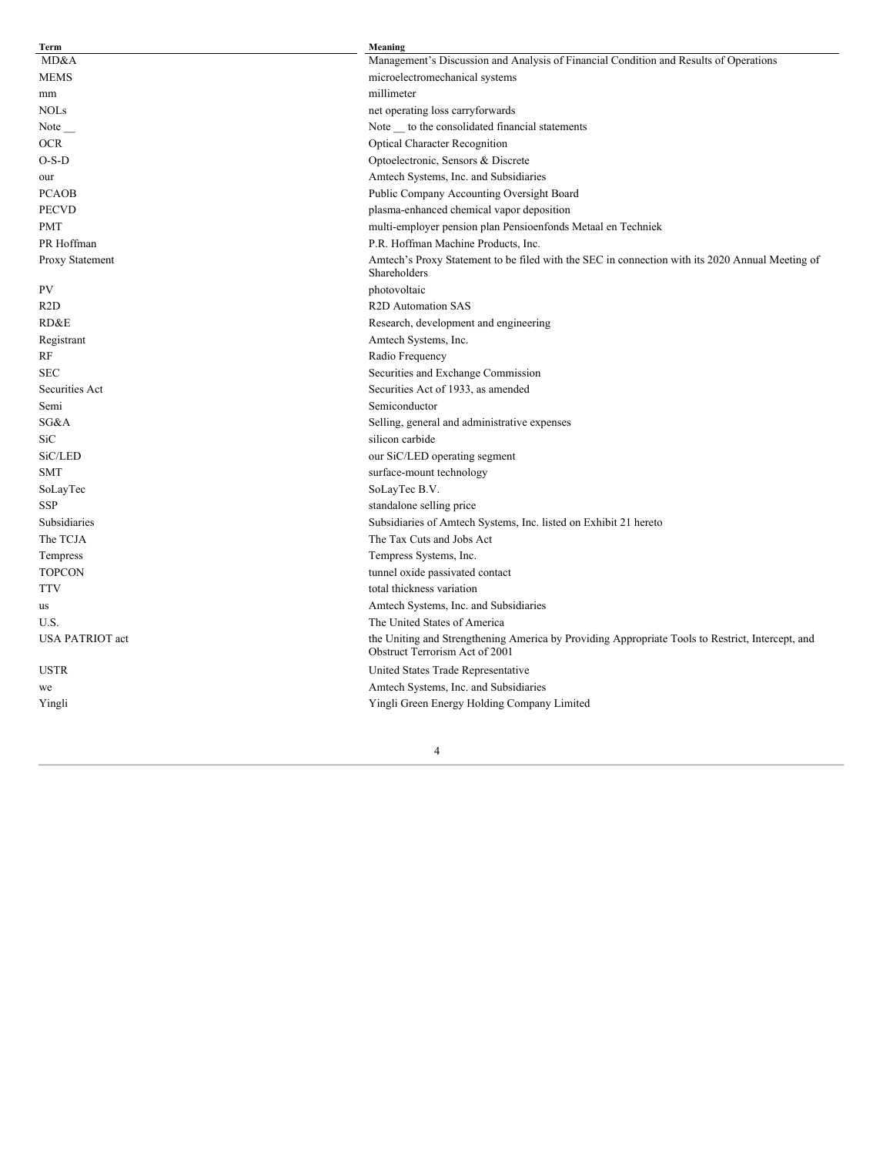| Term                   | Meaning                                                                                                                            |
|------------------------|------------------------------------------------------------------------------------------------------------------------------------|
| MD&A                   | Management's Discussion and Analysis of Financial Condition and Results of Operations                                              |
| <b>MEMS</b>            | microelectromechanical systems                                                                                                     |
| mm                     | millimeter                                                                                                                         |
| <b>NOLs</b>            | net operating loss carryforwards                                                                                                   |
| Note $\mathcal{\_}$    | Note to the consolidated financial statements                                                                                      |
| <b>OCR</b>             | <b>Optical Character Recognition</b>                                                                                               |
| $O-S-D$                | Optoelectronic, Sensors & Discrete                                                                                                 |
| our                    | Amtech Systems, Inc. and Subsidiaries                                                                                              |
| <b>PCAOB</b>           | Public Company Accounting Oversight Board                                                                                          |
| <b>PECVD</b>           | plasma-enhanced chemical vapor deposition                                                                                          |
| <b>PMT</b>             | multi-employer pension plan Pensioenfonds Metaal en Techniek                                                                       |
| PR Hoffman             | P.R. Hoffman Machine Products, Inc.                                                                                                |
| Proxy Statement        | Amtech's Proxy Statement to be filed with the SEC in connection with its 2020 Annual Meeting of<br>Shareholders                    |
| PV                     | photovoltaic                                                                                                                       |
| R2D                    | <b>R2D Automation SAS</b>                                                                                                          |
| RD&E                   | Research, development and engineering                                                                                              |
| Registrant             | Amtech Systems, Inc.                                                                                                               |
| RF                     | Radio Frequency                                                                                                                    |
| <b>SEC</b>             | Securities and Exchange Commission                                                                                                 |
| Securities Act         | Securities Act of 1933, as amended                                                                                                 |
| Semi                   | Semiconductor                                                                                                                      |
| SG&A                   | Selling, general and administrative expenses                                                                                       |
| SiC                    | silicon carbide                                                                                                                    |
| SiC/LED                | our SiC/LED operating segment                                                                                                      |
| <b>SMT</b>             | surface-mount technology                                                                                                           |
| SoLayTec               | SoLayTec B.V.                                                                                                                      |
| <b>SSP</b>             | standalone selling price                                                                                                           |
| Subsidiaries           | Subsidiaries of Amtech Systems, Inc. listed on Exhibit 21 hereto                                                                   |
| The TCJA               | The Tax Cuts and Jobs Act                                                                                                          |
| Tempress               | Tempress Systems, Inc.                                                                                                             |
| <b>TOPCON</b>          | tunnel oxide passivated contact                                                                                                    |
| <b>TTV</b>             | total thickness variation                                                                                                          |
| us                     | Amtech Systems, Inc. and Subsidiaries                                                                                              |
| U.S.                   | The United States of America                                                                                                       |
| <b>USA PATRIOT</b> act | the Uniting and Strengthening America by Providing Appropriate Tools to Restrict, Intercept, and<br>Obstruct Terrorism Act of 2001 |
| <b>USTR</b>            | United States Trade Representative                                                                                                 |
| we                     | Amtech Systems, Inc. and Subsidiaries                                                                                              |
| Yingli                 | Yingli Green Energy Holding Company Limited                                                                                        |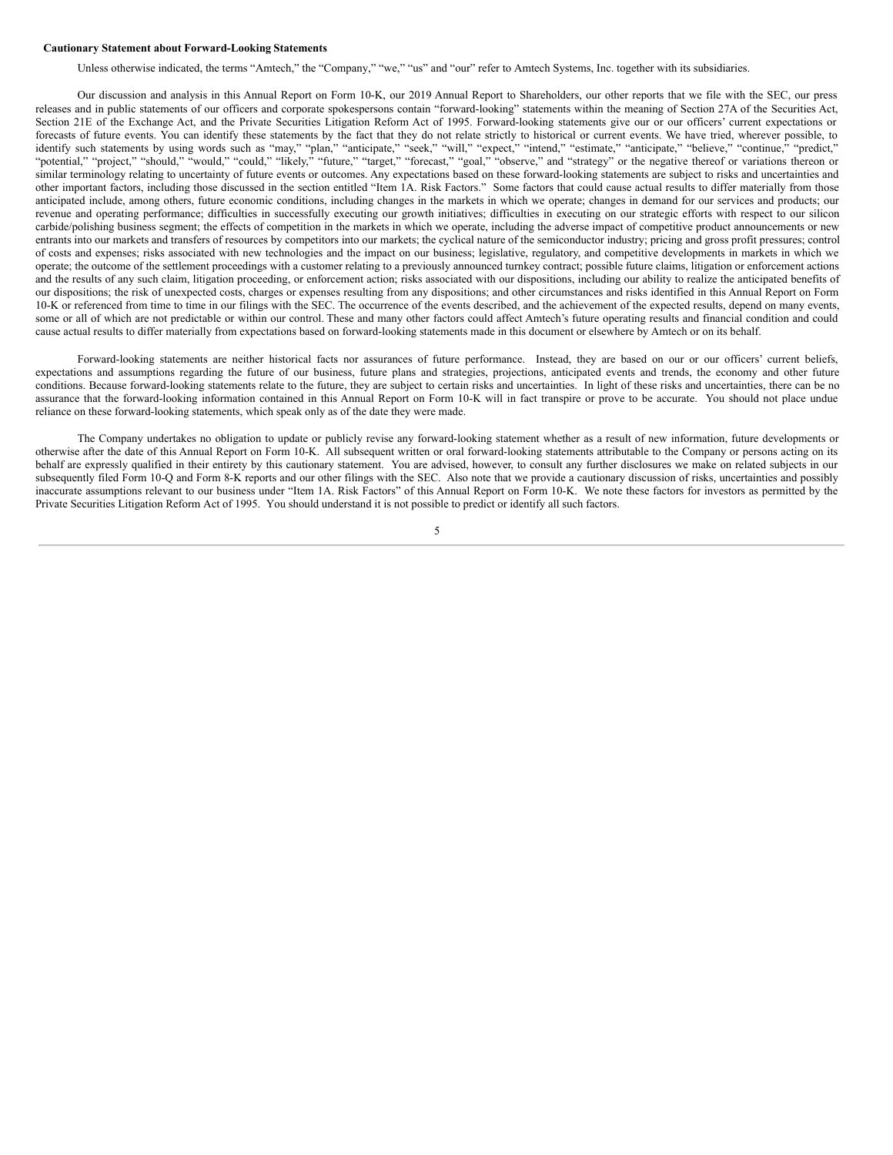#### <span id="page-4-0"></span>**Cautionary Statement about Forward-Looking Statements**

Unless otherwise indicated, the terms "Amtech," the "Company," "we," "us" and "our" refer to Amtech Systems, Inc. together with its subsidiaries.

Our discussion and analysis in this Annual Report on Form 10-K, our 2019 Annual Report to Shareholders, our other reports that we file with the SEC, our press releases and in public statements of our officers and corporate spokespersons contain "forward-looking" statements within the meaning of Section 27A of the Securities Act, Section 21E of the Exchange Act, and the Private Securities Litigation Reform Act of 1995. Forward-looking statements give our or our officers' current expectations or forecasts of future events. You can identify these statements by the fact that they do not relate strictly to historical or current events. We have tried, wherever possible, to identify such statements by using words such as "may," "plan," "anticipate," "seek," "will," "expect," "intend," "estimate," "anticipate," "believe," "continue," "predict," "potential," "project," "should," "would," "could," "likely," "future," "target," "forecast," "goal," "observe," and "strategy" or the negative thereof or variations thereon or similar terminology relating to uncertainty of future events or outcomes. Any expectations based on these forward-looking statements are subject to risks and uncertainties and other important factors, including those discussed in the section entitled "Item 1A. Risk Factors." Some factors that could cause actual results to differ materially from those anticipated include, among others, future economic conditions, including changes in the markets in which we operate; changes in demand for our services and products; our revenue and operating performance; difficulties in successfully executing our growth initiatives; difficulties in executing on our strategic efforts with respect to our silicon carbide/polishing business segment; the effects of competition in the markets in which we operate, including the adverse impact of competitive product announcements or new entrants into our markets and transfers of resources by competitors into our markets; the cyclical nature of the semiconductor industry; pricing and gross profit pressures; control of costs and expenses; risks associated with new technologies and the impact on our business; legislative, regulatory, and competitive developments in markets in which we operate; the outcome of the settlement proceedings with a customer relating to a previously announced turnkey contract; possible future claims, litigation or enforcement actions and the results of any such claim, litigation proceeding, or enforcement action; risks associated with our dispositions, including our ability to realize the anticipated benefits of our dispositions; the risk of unexpected costs, charges or expenses resulting from any dispositions; and other circumstances and risks identified in this Annual Report on Form 10-K or referenced from time to time in our filings with the SEC. The occurrence of the events described, and the achievement of the expected results, depend on many events, some or all of which are not predictable or within our control. These and many other factors could affect Amtech's future operating results and financial condition and could cause actual results to differ materially from expectations based on forward-looking statements made in this document or elsewhere by Amtech or on its behalf.

Forward-looking statements are neither historical facts nor assurances of future performance. Instead, they are based on our or our officers' current beliefs, expectations and assumptions regarding the future of our business, future plans and strategies, projections, anticipated events and trends, the economy and other future conditions. Because forward-looking statements relate to the future, they are subject to certain risks and uncertainties. In light of these risks and uncertainties, there can be no assurance that the forward-looking information contained in this Annual Report on Form 10-K will in fact transpire or prove to be accurate. You should not place undue reliance on these forward-looking statements, which speak only as of the date they were made.

The Company undertakes no obligation to update or publicly revise any forward-looking statement whether as a result of new information, future developments or otherwise after the date of this Annual Report on Form 10-K. All subsequent written or oral forward-looking statements attributable to the Company or persons acting on its behalf are expressly qualified in their entirety by this cautionary statement. You are advised, however, to consult any further disclosures we make on related subjects in our subsequently filed Form 10-O and Form 8-K reports and our other filings with the SEC. Also note that we provide a cautionary discussion of risks, uncertainties and possibly inaccurate assumptions relevant to our business under "Item 1A. Risk Factors" of this Annual Report on Form 10-K. We note these factors for investors as permitted by the Private Securities Litigation Reform Act of 1995. You should understand it is not possible to predict or identify all such factors.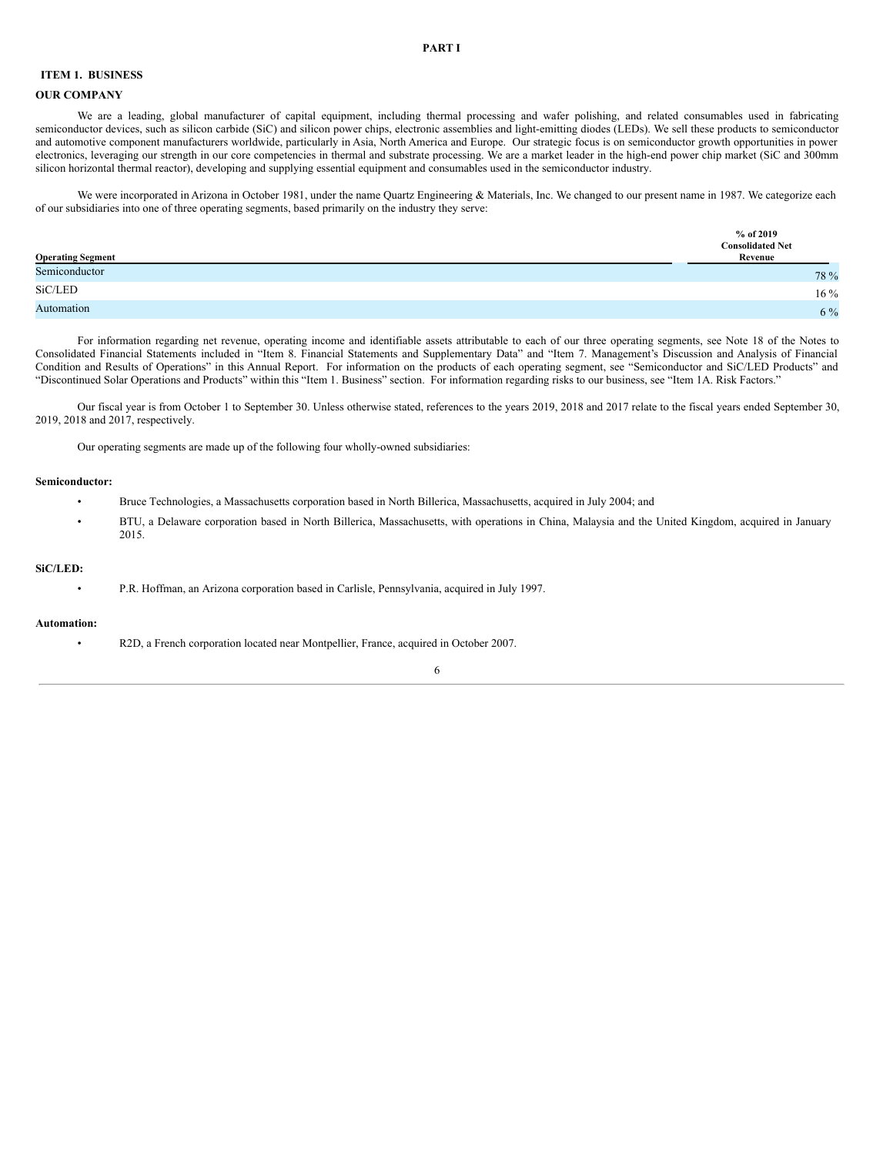# <span id="page-5-0"></span>**ITEM 1. BUSINESS**

#### **OUR COMPANY**

We are a leading, global manufacturer of capital equipment, including thermal processing and wafer polishing, and related consumables used in fabricating semiconductor devices, such as silicon carbide (SiC) and silicon power chips, electronic assemblies and light-emitting diodes (LEDs). We sell these products to semiconductor and automotive component manufacturers worldwide, particularly in Asia, North America and Europe. Our strategic focus is on semiconductor growth opportunities in power electronics, leveraging our strength in our core competencies in thermal and substrate processing. We are a market leader in the high-end power chip market (SiC and 300mm silicon horizontal thermal reactor), developing and supplying essential equipment and consumables used in the semiconductor industry.

We were incorporated in Arizona in October 1981, under the name Quartz Engineering & Materials, Inc. We changed to our present name in 1987. We categorize each of our subsidiaries into one of three operating segments, based primarily on the industry they serve:

| <b>Operating Segment</b> | $%$ of 2019<br><b>Consolidated Net</b><br>Revenue |
|--------------------------|---------------------------------------------------|
| Semiconductor            | 78 %                                              |
| SiC/LED                  | $16\%$                                            |
| Automation               | $6\%$                                             |

For information regarding net revenue, operating income and identifiable assets attributable to each of our three operating segments, see Note 18 of the Notes to Consolidated Financial Statements included in "Item 8. Financial Statements and Supplementary Data" and "Item 7. Management's Discussion and Analysis of Financial Condition and Results of Operations" in this Annual Report. For information on the products of each operating segment, see "Semiconductor and SiC/LED Products" and "Discontinued Solar Operations and Products" within this "Item 1. Business" section. For information regarding risks to our business, see "Item 1A. Risk Factors."

Our fiscal year is from October 1 to September 30. Unless otherwise stated, references to the years 2019, 2018 and 2017 relate to the fiscal years ended September 30, 2019, 2018 and 2017, respectively.

Our operating segments are made up of the following four wholly-owned subsidiaries:

#### **Semiconductor:**

- Bruce Technologies, a Massachusetts corporation based in North Billerica, Massachusetts, acquired in July 2004; and
- BTU, a Delaware corporation based in North Billerica, Massachusetts, with operations in China, Malaysia and the United Kingdom, acquired in January 2015.

#### **SiC/LED:**

• P.R. Hoffman, an Arizona corporation based in Carlisle, Pennsylvania, acquired in July 1997.

#### **Automation:**

• R2D, a French corporation located near Montpellier, France, acquired in October 2007.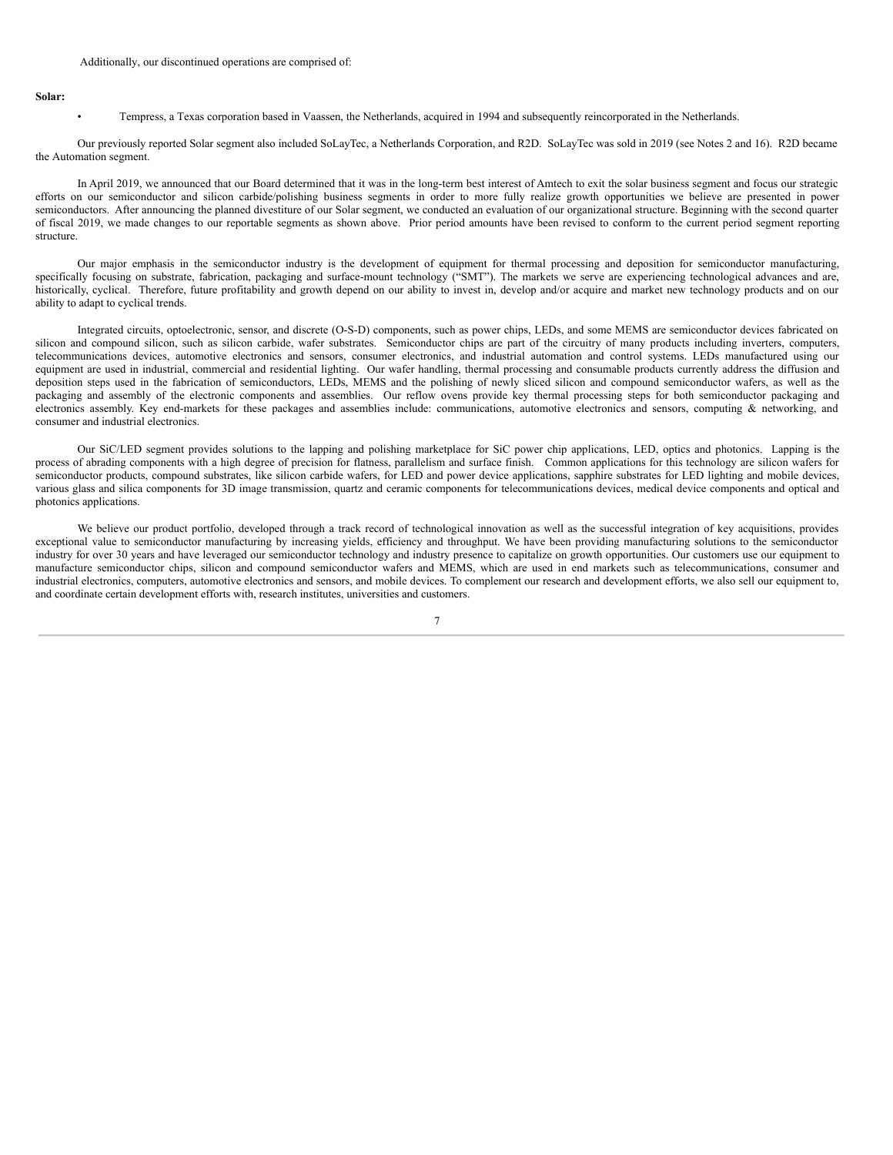### **Solar:**

• Tempress, a Texas corporation based in Vaassen, the Netherlands, acquired in 1994 and subsequently reincorporated in the Netherlands.

Our previously reported Solar segment also included SoLayTec, a Netherlands Corporation, and R2D. SoLayTec was sold in 2019 (see Notes 2 and 16). R2D became the Automation segment.

In April 2019, we announced that our Board determined that it was in the long-term best interest of Amtech to exit the solar business segment and focus our strategic efforts on our semiconductor and silicon carbide/polishing business segments in order to more fully realize growth opportunities we believe are presented in power semiconductors. After announcing the planned divestiture of our Solar segment, we conducted an evaluation of our organizational structure. Beginning with the second quarter of fiscal 2019, we made changes to our reportable segments as shown above. Prior period amounts have been revised to conform to the current period segment reporting structure.

Our major emphasis in the semiconductor industry is the development of equipment for thermal processing and deposition for semiconductor manufacturing, specifically focusing on substrate, fabrication, packaging and surface-mount technology ("SMT"). The markets we serve are experiencing technological advances and are, historically, cyclical. Therefore, future profitability and growth depend on our ability to invest in, develop and/or acquire and market new technology products and on our ability to adapt to cyclical trends.

Integrated circuits, optoelectronic, sensor, and discrete (O-S-D) components, such as power chips, LEDs, and some MEMS are semiconductor devices fabricated on silicon and compound silicon, such as silicon carbide, wafer substrates. Semiconductor chips are part of the circuitry of many products including inverters, computers, telecommunications devices, automotive electronics and sensors, consumer electronics, and industrial automation and control systems. LEDs manufactured using our equipment are used in industrial, commercial and residential lighting. Our wafer handling, thermal processing and consumable products currently address the diffusion and deposition steps used in the fabrication of semiconductors, LEDs, MEMS and the polishing of newly sliced silicon and compound semiconductor wafers, as well as the packaging and assembly of the electronic components and assemblies. Our reflow ovens provide key thermal processing steps for both semiconductor packaging and electronics assembly. Key end-markets for these packages and assemblies include: communications, automotive electronics and sensors, computing & networking, and consumer and industrial electronics.

Our SiC/LED segment provides solutions to the lapping and polishing marketplace for SiC power chip applications, LED, optics and photonics. Lapping is the process of abrading components with a high degree of precision for flatness, parallelism and surface finish. Common applications for this technology are silicon wafers for semiconductor products, compound substrates, like silicon carbide wafers, for LED and power device applications, sapphire substrates for LED lighting and mobile devices, various glass and silica components for 3D image transmission, quartz and ceramic components for telecommunications devices, medical device components and optical and photonics applications.

We believe our product portfolio, developed through a track record of technological innovation as well as the successful integration of key acquisitions, provides exceptional value to semiconductor manufacturing by increasing yields, efficiency and throughput. We have been providing manufacturing solutions to the semiconductor industry for over 30 years and have leveraged our semiconductor technology and industry presence to capitalize on growth opportunities. Our customers use our equipment to manufacture semiconductor chips, silicon and compound semiconductor wafers and MEMS, which are used in end markets such as telecommunications, consumer and industrial electronics, computers, automotive electronics and sensors, and mobile devices. To complement our research and development efforts, we also sell our equipment to, and coordinate certain development efforts with, research institutes, universities and customers.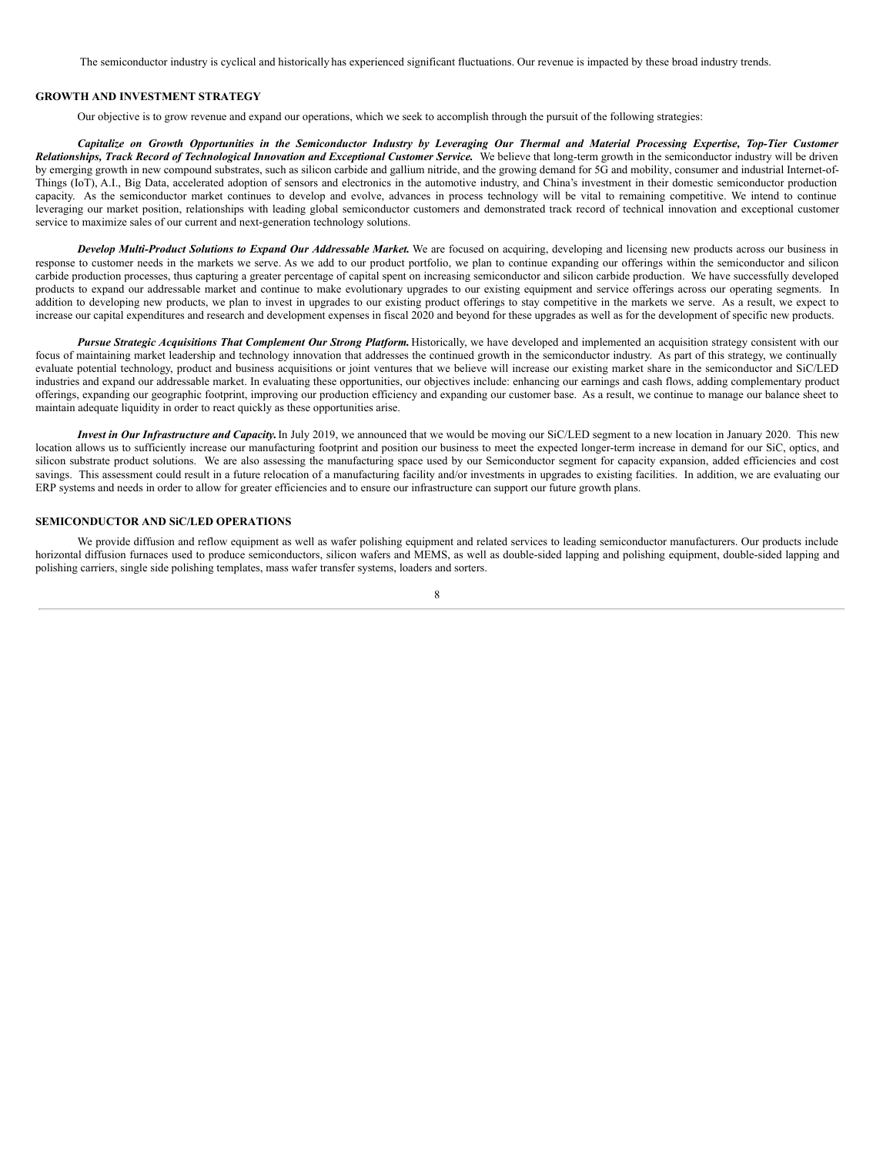The semiconductor industry is cyclical and historically has experienced significant fluctuations. Our revenue is impacted by these broad industry trends.

#### **GROWTH AND INVESTMENT STRATEGY**

Our objective is to grow revenue and expand our operations, which we seek to accomplish through the pursuit of the following strategies:

Capitalize on Growth Opportunities in the Semiconductor Industry by Leveraging Our Thermal and Material Processing Expertise, Top-Tier Customer Relationships, Track Record of Technological Innovation and Exceptional Customer Service. We believe that long-term growth in the semiconductor industry will be driven by emerging growth in new compound substrates, such as silicon carbide and gallium nitride, and the growing demand for 5G and mobility, consumer and industrial Internet-of-Things (IoT), A.I., Big Data, accelerated adoption of sensors and electronics in the automotive industry, and China's investment in their domestic semiconductor production capacity. As the semiconductor market continues to develop and evolve, advances in process technology will be vital to remaining competitive. We intend to continue leveraging our market position, relationships with leading global semiconductor customers and demonstrated track record of technical innovation and exceptional customer service to maximize sales of our current and next-generation technology solutions.

*Develop Multi-Product Solutions to Expand Our Addressable Market.* We are focused on acquiring, developing and licensing new products across our business in response to customer needs in the markets we serve. As we add to our product portfolio, we plan to continue expanding our offerings within the semiconductor and silicon carbide production processes, thus capturing a greater percentage of capital spent on increasing semiconductor and silicon carbide production. We have successfully developed products to expand our addressable market and continue to make evolutionary upgrades to our existing equipment and service offerings across our operating segments. In addition to developing new products, we plan to invest in upgrades to our existing product offerings to stay competitive in the markets we serve. As a result, we expect to increase our capital expenditures and research and development expenses in fiscal 2020 and beyond for these upgrades as well as for the development of specific new products.

*Pursue Strategic Acquisitions That Complement Our Strong Platform.* Historically, we have developed and implemented an acquisition strategy consistent with our focus of maintaining market leadership and technology innovation that addresses the continued growth in the semiconductor industry. As part of this strategy, we continually evaluate potential technology, product and business acquisitions or joint ventures that we believe will increase our existing market share in the semiconductor and SiC/LED industries and expand our addressable market. In evaluating these opportunities, our objectives include: enhancing our earnings and cash flows, adding complementary product offerings, expanding our geographic footprint, improving our production efficiency and expanding our customer base. As a result, we continue to manage our balance sheet to maintain adequate liquidity in order to react quickly as these opportunities arise.

*Invest in Our Infrastructure and Capacity.*In July 2019, we announced that we would be moving our SiC/LED segment to a new location in January 2020. This new location allows us to sufficiently increase our manufacturing footprint and position our business to meet the expected longer-term increase in demand for our SiC, optics, and silicon substrate product solutions. We are also assessing the manufacturing space used by our Semiconductor segment for capacity expansion, added efficiencies and cost savings. This assessment could result in a future relocation of a manufacturing facility and/or investments in upgrades to existing facilities. In addition, we are evaluating our ERP systems and needs in order to allow for greater efficiencies and to ensure our infrastructure can support our future growth plans.

# **SEMICONDUCTOR AND SiC/LED OPERATIONS**

We provide diffusion and reflow equipment as well as wafer polishing equipment and related services to leading semiconductor manufacturers. Our products include horizontal diffusion furnaces used to produce semiconductors, silicon wafers and MEMS, as well as double-sided lapping and polishing equipment, double-sided lapping and polishing carriers, single side polishing templates, mass wafer transfer systems, loaders and sorters.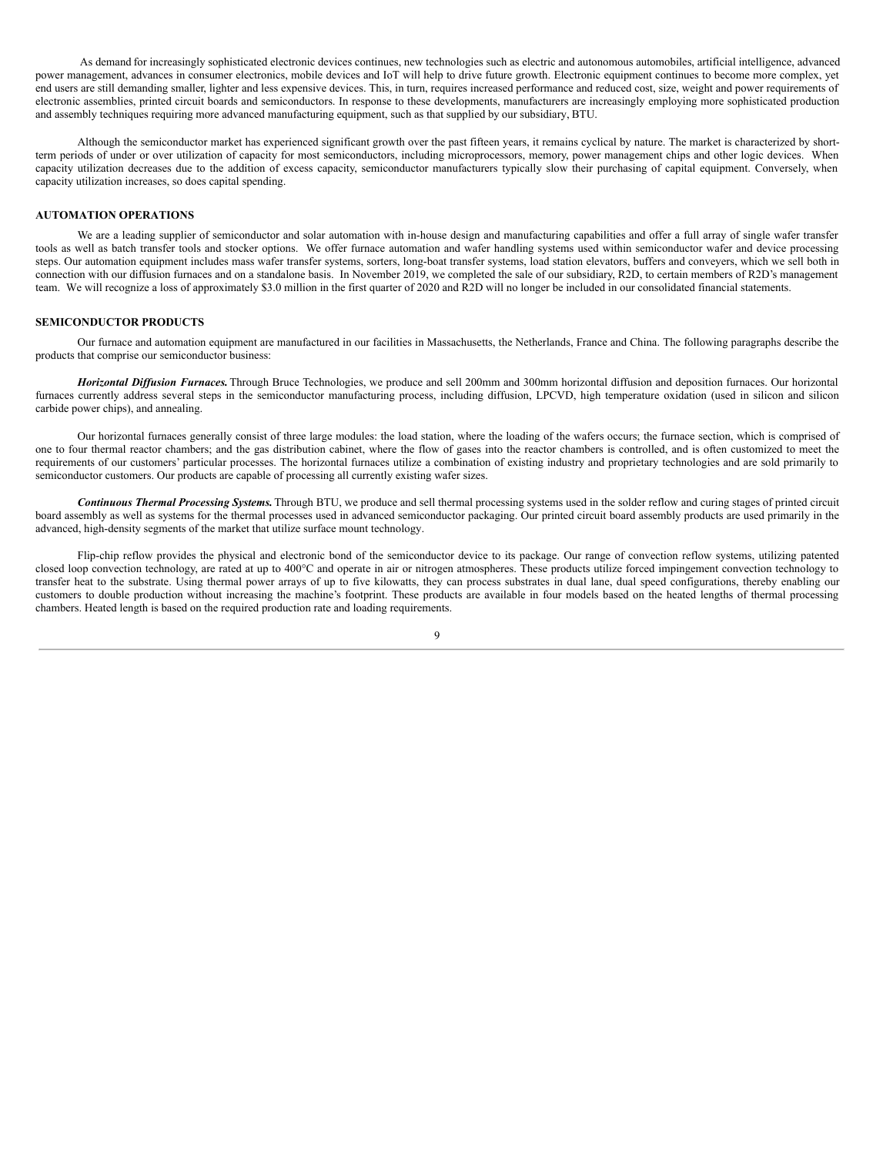As demand for increasingly sophisticated electronic devices continues, new technologies such as electric and autonomous automobiles, artificial intelligence, advanced power management, advances in consumer electronics, mobile devices and IoT will help to drive future growth. Electronic equipment continues to become more complex, yet end users are still demanding smaller, lighter and less expensive devices. This, in turn, requires increased performance and reduced cost, size, weight and power requirements of electronic assemblies, printed circuit boards and semiconductors. In response to these developments, manufacturers are increasingly employing more sophisticated production and assembly techniques requiring more advanced manufacturing equipment, such as that supplied by our subsidiary, BTU.

Although the semiconductor market has experienced significant growth over the past fifteen years, it remains cyclical by nature. The market is characterized by shortterm periods of under or over utilization of capacity for most semiconductors, including microprocessors, memory, power management chips and other logic devices. When capacity utilization decreases due to the addition of excess capacity, semiconductor manufacturers typically slow their purchasing of capital equipment. Conversely, when capacity utilization increases, so does capital spending.

# **AUTOMATION OPERATIONS**

We are a leading supplier of semiconductor and solar automation with in-house design and manufacturing capabilities and offer a full array of single wafer transfer tools as well as batch transfer tools and stocker options. We offer furnace automation and wafer handling systems used within semiconductor wafer and device processing steps. Our automation equipment includes mass wafer transfer systems, sorters, long-boat transfer systems, load station elevators, buffers and conveyers, which we sell both in connection with our diffusion furnaces and on a standalone basis. In November 2019, we completed the sale of our subsidiary, R2D, to certain members of R2D's management team. We will recognize a loss of approximately \$3.0 million in the first quarter of 2020 and R2D will no longer be included in our consolidated financial statements.

# **SEMICONDUCTOR PRODUCTS**

Our furnace and automation equipment are manufactured in our facilities in Massachusetts, the Netherlands, France and China. The following paragraphs describe the products that comprise our semiconductor business:

*Horizontal Dif usion Furnaces.* Through Bruce Technologies, we produce and sell 200mm and 300mm horizontal diffusion and deposition furnaces. Our horizontal furnaces currently address several steps in the semiconductor manufacturing process, including diffusion, LPCVD, high temperature oxidation (used in silicon and silicon carbide power chips), and annealing.

Our horizontal furnaces generally consist of three large modules: the load station, where the loading of the wafers occurs; the furnace section, which is comprised of one to four thermal reactor chambers; and the gas distribution cabinet, where the flow of gases into the reactor chambers is controlled, and is often customized to meet the requirements of our customers' particular processes. The horizontal furnaces utilize a combination of existing industry and proprietary technologies and are sold primarily to semiconductor customers. Our products are capable of processing all currently existing wafer sizes.

*Continuous Thermal Processing Systems.* Through BTU, we produce and sell thermal processing systems used in the solder reflow and curing stages of printed circuit board assembly as well as systems for the thermal processes used in advanced semiconductor packaging. Our printed circuit board assembly products are used primarily in the advanced, high-density segments of the market that utilize surface mount technology.

Flip-chip reflow provides the physical and electronic bond of the semiconductor device to its package. Our range of convection reflow systems, utilizing patented closed loop convection technology, are rated at up to 400°C and operate in air or nitrogen atmospheres. These products utilize forced impingement convection technology to transfer heat to the substrate. Using thermal power arrays of up to five kilowatts, they can process substrates in dual lane, dual speed configurations, thereby enabling our customers to double production without increasing the machine's footprint. These products are available in four models based on the heated lengths of thermal processing chambers. Heated length is based on the required production rate and loading requirements.

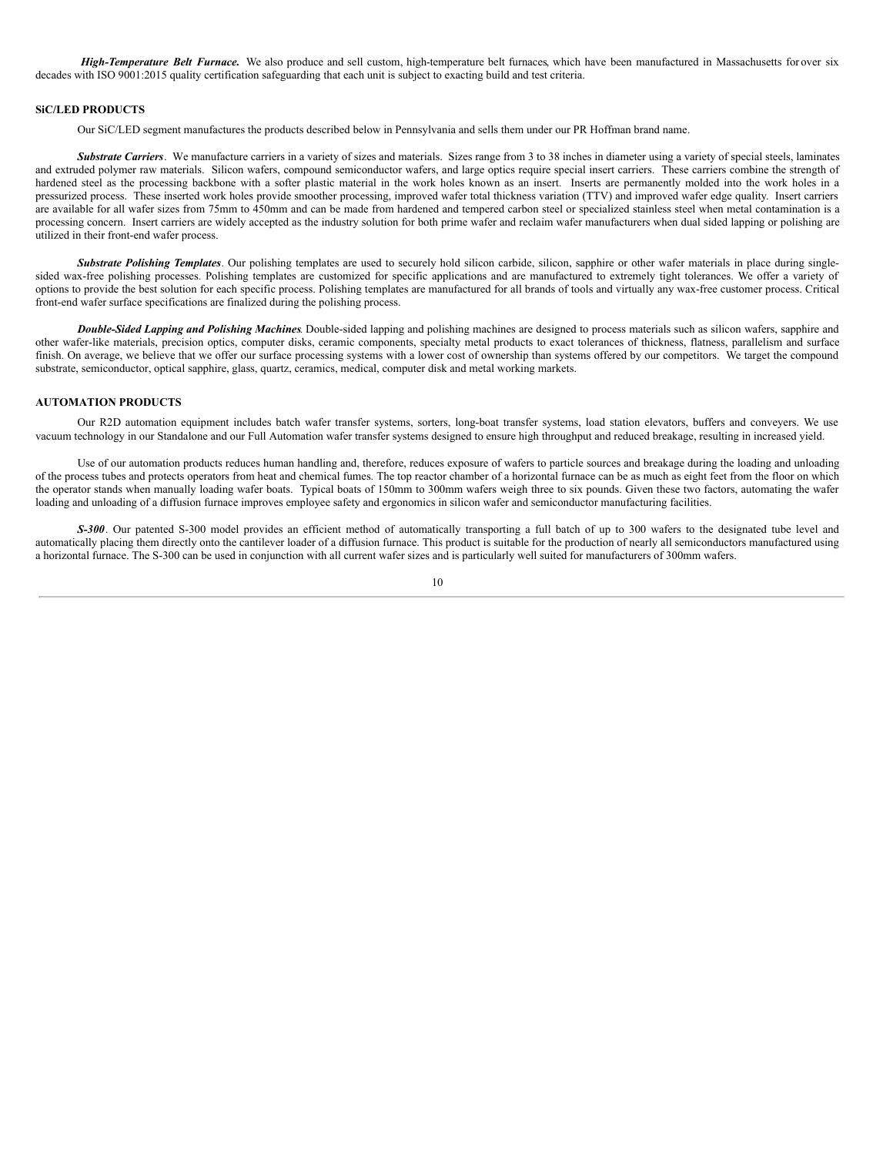*High-Temperature Belt Furnace.* We also produce and sell custom, high-temperature belt furnaces, which have been manufactured in Massachusetts for over six decades with ISO 9001:2015 quality certification safeguarding that each unit is subject to exacting build and test criteria.

# **SiC/LED PRODUCTS**

Our SiC/LED segment manufactures the products described below in Pennsylvania and sells them under our PR Hoffman brand name.

*Substrate Carriers*. We manufacture carriers in a variety of sizes and materials. Sizes range from 3 to 38 inches in diameter using a variety of special steels, laminates and extruded polymer raw materials. Silicon wafers, compound semiconductor wafers, and large optics require special insert carriers. These carriers combine the strength of hardened steel as the processing backbone with a softer plastic material in the work holes known as an insert. Inserts are permanently molded into the work holes in a pressurized process. These inserted work holes provide smoother processing, improved wafer total thickness variation (TTV) and improved wafer edge quality. Insert carriers are available for all wafer sizes from 75mm to 450mm and can be made from hardened and tempered carbon steel or specialized stainless steel when metal contamination is a processing concern. Insert carriers are widely accepted as the industry solution for both prime wafer and reclaim wafer manufacturers when dual sided lapping or polishing are utilized in their front-end wafer process.

*Substrate Polishing Templates.* Our polishing templates are used to securely hold silicon carbide, silicon, sapphire or other wafer materials in place during singlesided wax-free polishing processes. Polishing templates are customized for specific applications and are manufactured to extremely tight tolerances. We offer a variety of options to provide the best solution for each specific process. Polishing templates are manufactured for all brands of tools and virtually any wax-free customer process. Critical front-end wafer surface specifications are finalized during the polishing process.

*Double-Sided Lapping and Polishing Machines.* Double-sided lapping and polishing machines are designed to process materials such as silicon wafers, sapphire and other wafer-like materials, precision optics, computer disks, ceramic components, specialty metal products to exact tolerances of thickness, flatness, parallelism and surface finish. On average, we believe that we offer our surface processing systems with a lower cost of ownership than systems offered by our competitors. We target the compound substrate, semiconductor, optical sapphire, glass, quartz, ceramics, medical, computer disk and metal working markets.

#### **AUTOMATION PRODUCTS**

Our R2D automation equipment includes batch wafer transfer systems, sorters, long-boat transfer systems, load station elevators, buffers and conveyers. We use vacuum technology in our Standalone and our Full Automation wafer transfer systems designed to ensure high throughput and reduced breakage, resulting in increased yield.

Use of our automation products reduces human handling and, therefore, reduces exposure of wafers to particle sources and breakage during the loading and unloading of the process tubes and protects operators from heat and chemical fumes. The top reactor chamber of a horizontal furnace can be as much as eight feet from the floor on which the operator stands when manually loading wafer boats. Typical boats of 150mm to 300mm wafers weigh three to six pounds. Given these two factors, automating the wafer loading and unloading of a diffusion furnace improves employee safety and ergonomics in silicon wafer and semiconductor manufacturing facilities.

*S-300*. Our patented S-300 model provides an efficient method of automatically transporting a full batch of up to 300 wafers to the designated tube level and automatically placing them directly onto the cantilever loader of a diffusion furnace. This product is suitable for the production of nearly all semiconductors manufactured using a horizontal furnace. The S-300 can be used in conjunction with all current wafer sizes and is particularly well suited for manufacturers of 300mm wafers.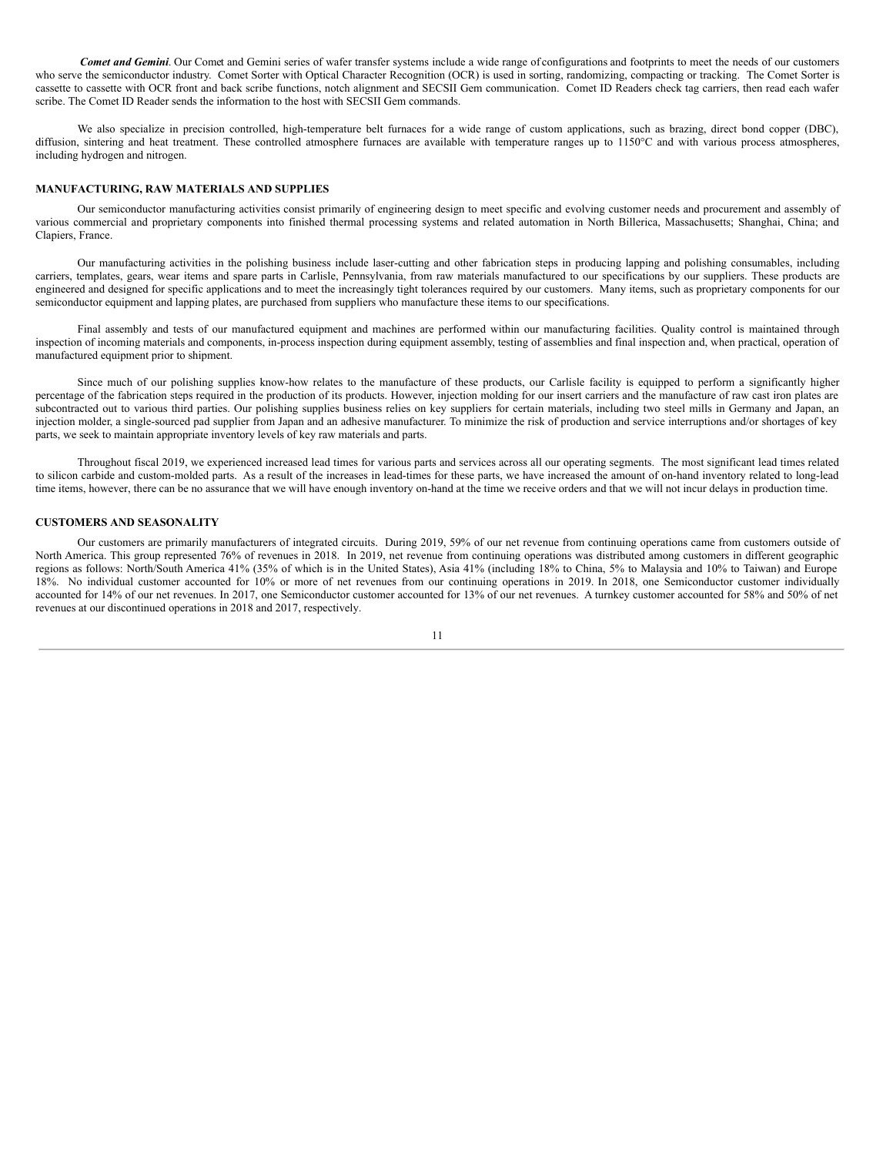*Comet and Gemini*. Our Comet and Gemini series of wafer transfer systems include a wide range of configurations and footprints to meet the needs of our customers who serve the semiconductor industry. Comet Sorter with Optical Character Recognition (OCR) is used in sorting, randomizing, compacting or tracking. The Comet Sorter is cassette to cassette with OCR front and back scribe functions, notch alignment and SECSII Gem communication. Comet ID Readers check tag carriers, then read each wafer scribe. The Comet ID Reader sends the information to the host with SECSII Gem commands.

We also specialize in precision controlled, high-temperature belt furnaces for a wide range of custom applications, such as brazing, direct bond copper (DBC), diffusion, sintering and heat treatment. These controlled atmosphere furnaces are available with temperature ranges up to 1150°C and with various process atmospheres, including hydrogen and nitrogen.

#### **MANUFACTURING, RAW MATERIALS AND SUPPLIES**

Our semiconductor manufacturing activities consist primarily of engineering design to meet specific and evolving customer needs and procurement and assembly of various commercial and proprietary components into finished thermal processing systems and related automation in North Billerica, Massachusetts; Shanghai, China; and Clapiers, France.

Our manufacturing activities in the polishing business include laser-cutting and other fabrication steps in producing lapping and polishing consumables, including carriers, templates, gears, wear items and spare parts in Carlisle, Pennsylvania, from raw materials manufactured to our specifications by our suppliers. These products are engineered and designed for specific applications and to meet the increasingly tight tolerances required by our customers. Many items, such as proprietary components for our semiconductor equipment and lapping plates, are purchased from suppliers who manufacture these items to our specifications.

Final assembly and tests of our manufactured equipment and machines are performed within our manufacturing facilities. Quality control is maintained through inspection of incoming materials and components, in-process inspection during equipment assembly, testing of assemblies and final inspection and, when practical, operation of manufactured equipment prior to shipment.

Since much of our polishing supplies know-how relates to the manufacture of these products, our Carlisle facility is equipped to perform a significantly higher percentage of the fabrication steps required in the production of its products. However, injection molding for our insert carriers and the manufacture of raw cast iron plates are subcontracted out to various third parties. Our polishing supplies business relies on key suppliers for certain materials, including two steel mills in Germany and Japan, an injection molder, a single-sourced pad supplier from Japan and an adhesive manufacturer. To minimize the risk of production and service interruptions and/or shortages of key parts, we seek to maintain appropriate inventory levels of key raw materials and parts.

Throughout fiscal 2019, we experienced increased lead times for various parts and services across all our operating segments. The most significant lead times related to silicon carbide and custom-molded parts. As a result of the increases in lead-times for these parts, we have increased the amount of on-hand inventory related to long-lead time items, however, there can be no assurance that we will have enough inventory on-hand at the time we receive orders and that we will not incur delays in production time.

# **CUSTOMERS AND SEASONALITY**

Our customers are primarily manufacturers of integrated circuits. During 2019, 59% of our net revenue from continuing operations came from customers outside of North America. This group represented 76% of revenues in 2018. In 2019, net revenue from continuing operations was distributed among customers in different geographic regions as follows: North/South America 41% (35% of which is in the United States), Asia 41% (including 18% to China, 5% to Malaysia and 10% to Taiwan) and Europe 18%. No individual customer accounted for 10% or more of net revenues from our continuing operations in 2019. In 2018, one Semiconductor customer individually accounted for 14% of our net revenues. In 2017, one Semiconductor customer accounted for 13% of our net revenues. A turnkey customer accounted for 58% and 50% of net revenues at our discontinued operations in 2018 and 2017, respectively.

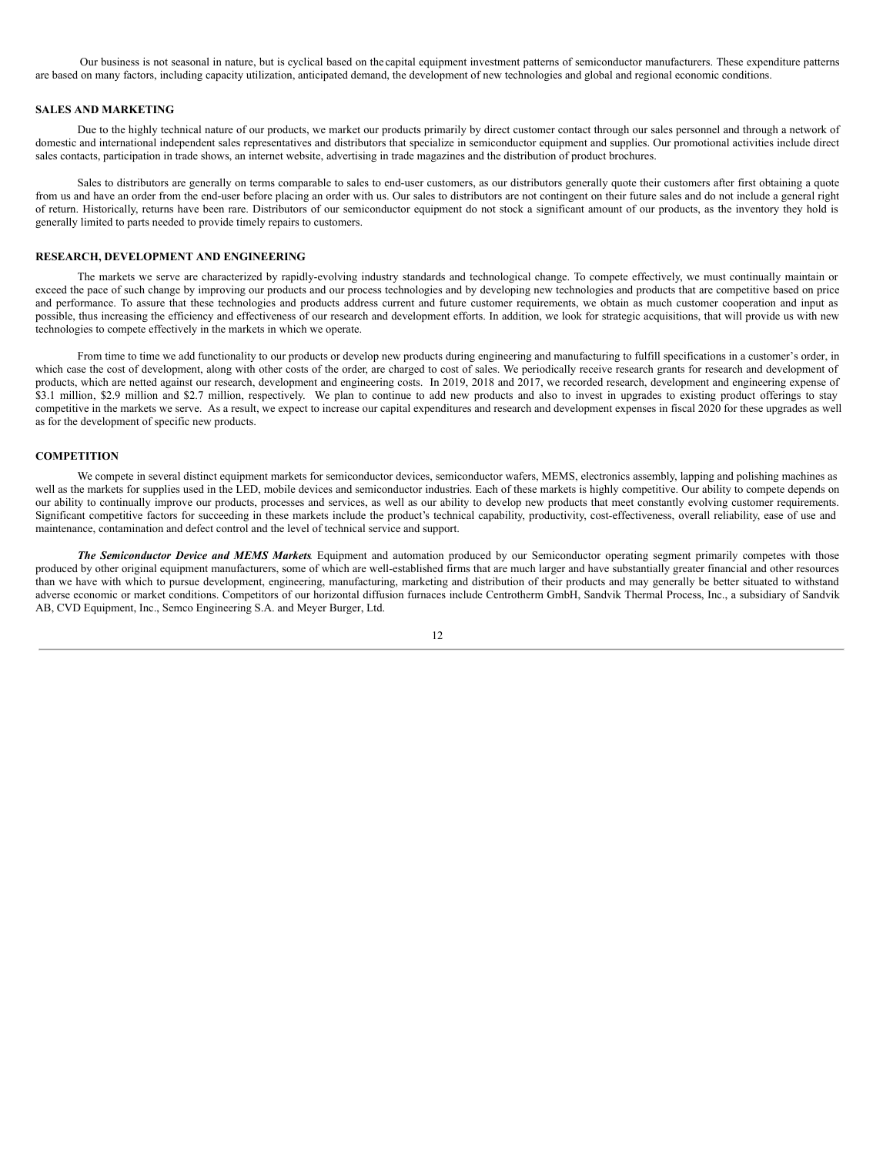Our business is not seasonal in nature, but is cyclical based on the capital equipment investment patterns of semiconductor manufacturers. These expenditure patterns are based on many factors, including capacity utilization, anticipated demand, the development of new technologies and global and regional economic conditions.

### **SALES AND MARKETING**

Due to the highly technical nature of our products, we market our products primarily by direct customer contact through our sales personnel and through a network of domestic and international independent sales representatives and distributors that specialize in semiconductor equipment and supplies. Our promotional activities include direct sales contacts, participation in trade shows, an internet website, advertising in trade magazines and the distribution of product brochures.

Sales to distributors are generally on terms comparable to sales to end-user customers, as our distributors generally quote their customers after first obtaining a quote from us and have an order from the end-user before placing an order with us. Our sales to distributors are not contingent on their future sales and do not include a general right of return. Historically, returns have been rare. Distributors of our semiconductor equipment do not stock a significant amount of our products, as the inventory they hold is generally limited to parts needed to provide timely repairs to customers.

#### **RESEARCH, DEVELOPMENT AND ENGINEERING**

The markets we serve are characterized by rapidly-evolving industry standards and technological change. To compete effectively, we must continually maintain or exceed the pace of such change by improving our products and our process technologies and by developing new technologies and products that are competitive based on price and performance. To assure that these technologies and products address current and future customer requirements, we obtain as much customer cooperation and input as possible, thus increasing the efficiency and effectiveness of our research and development efforts. In addition, we look for strategic acquisitions, that will provide us with new technologies to compete effectively in the markets in which we operate.

From time to time we add functionality to our products or develop new products during engineering and manufacturing to fulfill specifications in a customer's order, in which case the cost of development, along with other costs of the order, are charged to cost of sales. We periodically receive research grants for research and development of products, which are netted against our research, development and engineering costs. In 2019, 2018 and 2017, we recorded research, development and engineering expense of \$3.1 million, \$2.9 million and \$2.7 million, respectively. We plan to continue to add new products and also to invest in upgrades to existing product offerings to stay competitive in the markets we serve. As a result, we expect to increase our capital expenditures and research and development expenses in fiscal 2020 for these upgrades as well as for the development of specific new products.

# **COMPETITION**

We compete in several distinct equipment markets for semiconductor devices, semiconductor wafers, MEMS, electronics assembly, lapping and polishing machines as well as the markets for supplies used in the LED, mobile devices and semiconductor industries. Each of these markets is highly competitive. Our ability to compete depends on our ability to continually improve our products, processes and services, as well as our ability to develop new products that meet constantly evolving customer requirements. Significant competitive factors for succeeding in these markets include the product's technical capability, productivity, cost-effectiveness, overall reliability, ease of use and maintenance, contamination and defect control and the level of technical service and support.

*The Semiconductor Device and MEMS Markets.* Equipment and automation produced by our Semiconductor operating segment primarily competes with those produced by other original equipment manufacturers, some of which are well-established firms that are much larger and have substantially greater financial and other resources than we have with which to pursue development, engineering, manufacturing, marketing and distribution of their products and may generally be better situated to withstand adverse economic or market conditions. Competitors of our horizontal diffusion furnaces include Centrotherm GmbH, Sandvik Thermal Process, Inc., a subsidiary of Sandvik AB, CVD Equipment, Inc., Semco Engineering S.A. and Meyer Burger, Ltd.

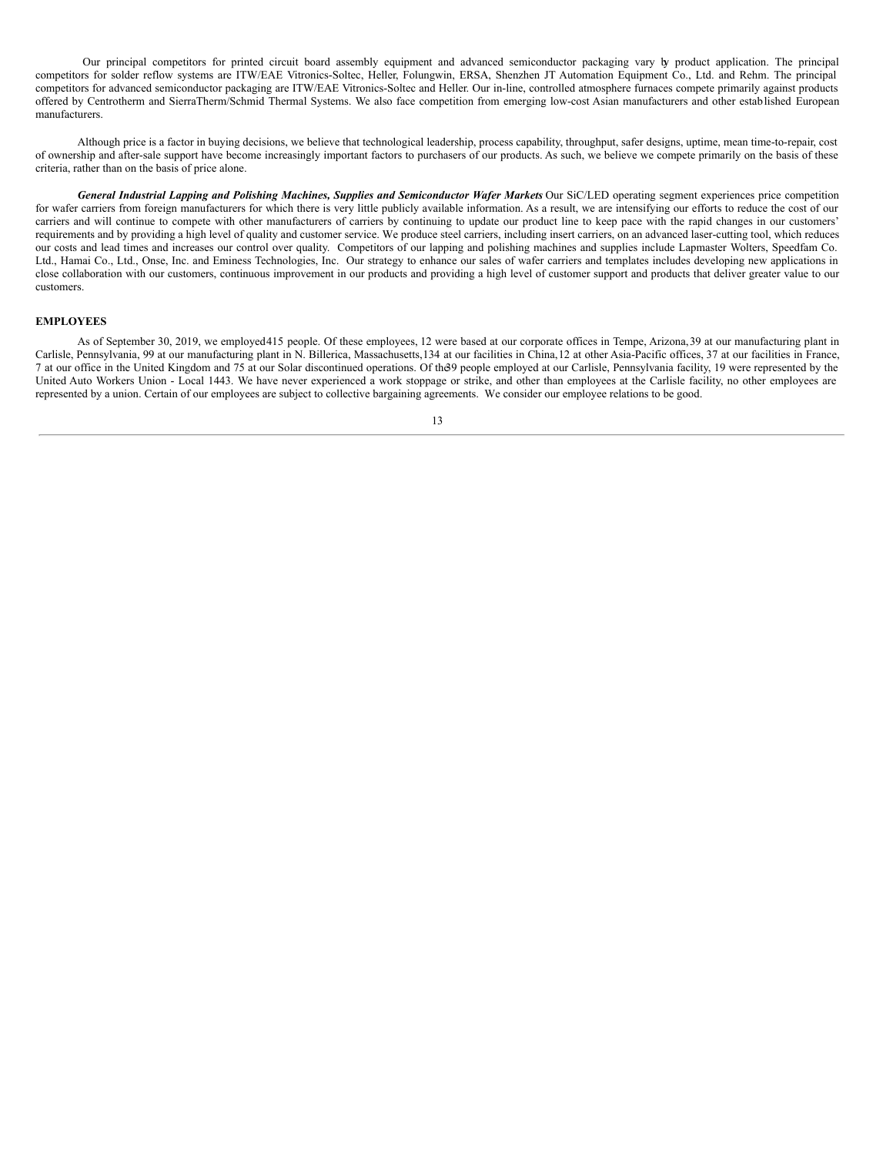Our principal competitors for printed circuit board assembly equipment and advanced semiconductor packaging vary by product application. The principal competitors for solder reflow systems are ITW/EAE Vitronics-Soltec, Heller, Folungwin, ERSA, Shenzhen JT Automation Equipment Co., Ltd. and Rehm. The principal competitors for advanced semiconductor packaging are ITW/EAE Vitronics-Soltec and Heller. Our in-line, controlled atmosphere furnaces compete primarily against products offered by Centrotherm and SierraTherm/Schmid Thermal Systems. We also face competition from emerging low-cost Asian manufacturers and other established European manufacturers.

Although price is a factor in buying decisions, we believe that technological leadership, process capability, throughput, safer designs, uptime, mean time-to-repair, cost of ownership and after-sale support have become increasingly important factors to purchasers of our products. As such, we believe we compete primarily on the basis of these criteria, rather than on the basis of price alone.

General Industrial Lapping and Polishing Machines, Supplies and Semiconductor Wafer Markets Our SiC/LED operating segment experiences price competition for wafer carriers from foreign manufacturers for which there is very little publicly available information. As a result, we are intensifying our efforts to reduce the cost of our carriers and will continue to compete with other manufacturers of carriers by continuing to update our product line to keep pace with the rapid changes in our customers' requirements and by providing a high level of quality and customer service. We produce steel carriers, including insert carriers, on an advanced laser-cutting tool, which reduces our costs and lead times and increases our control over quality. Competitors of our lapping and polishing machines and supplies include Lapmaster Wolters, Speedfam Co. Ltd., Hamai Co., Ltd., Onse, Inc. and Eminess Technologies, Inc. Our strategy to enhance our sales of wafer carriers and templates includes developing new applications in close collaboration with our customers, continuous improvement in our products and providing a high level of customer support and products that deliver greater value to our customers.

# **EMPLOYEES**

As of September 30, 2019, we employed415 people. Of these employees, 12 were based at our corporate offices in Tempe, Arizona,39 at our manufacturing plant in Carlisle, Pennsylvania, 99 at our manufacturing plant in N. Billerica, Massachusetts,134 at our facilities in China,12 at other Asia-Pacific offices, 37 at our facilities in France, 7 at our office in the United Kingdom and 75 at our Solar discontinued operations. Of the39 people employed at our Carlisle, Pennsylvania facility, 19 were represented by the United Auto Workers Union - Local 1443. We have never experienced a work stoppage or strike, and other than employees at the Carlisle facility, no other employees are represented by a union. Certain of our employees are subject to collective bargaining agreements. We consider our employee relations to be good.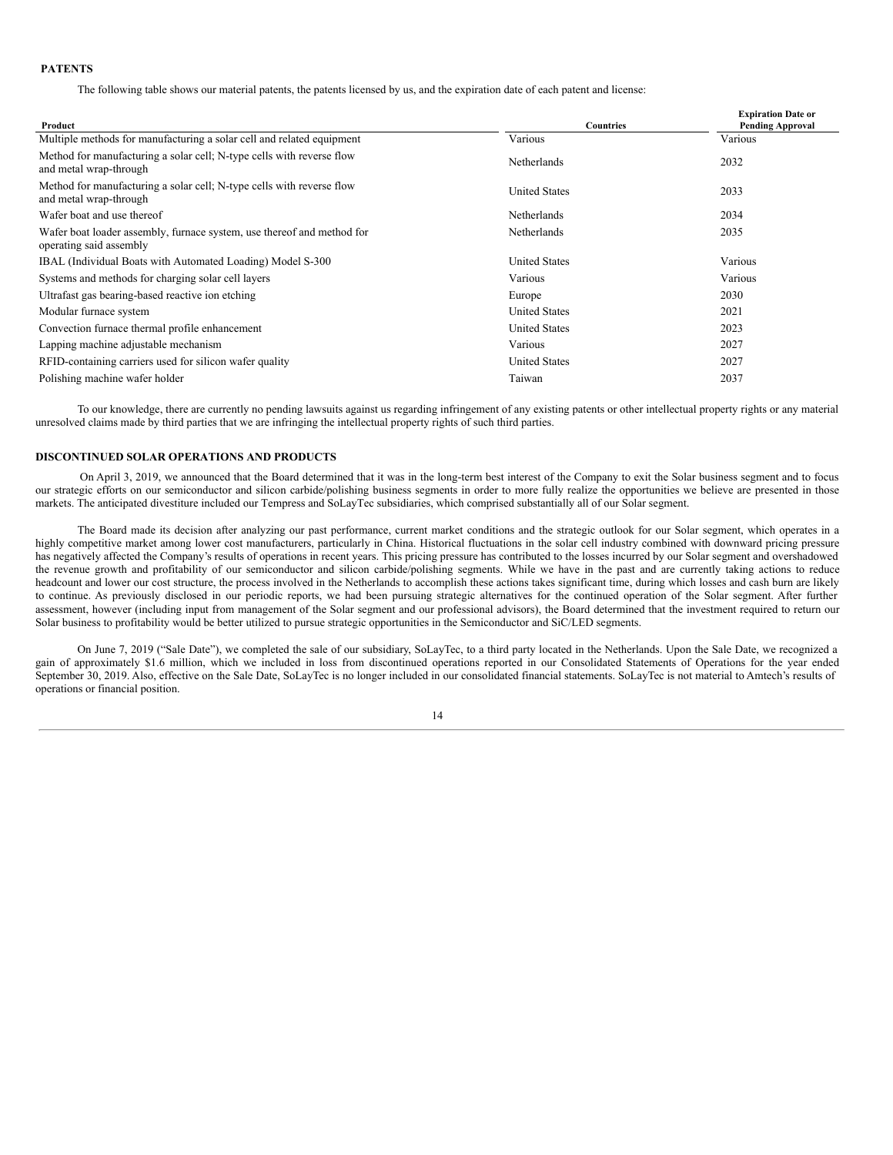# **PATENTS**

The following table shows our material patents, the patents licensed by us, and the expiration date of each patent and license:

| Product                                                                                           | <b>Countries</b>     | <b>Expiration Date or</b><br><b>Pending Approval</b> |
|---------------------------------------------------------------------------------------------------|----------------------|------------------------------------------------------|
| Multiple methods for manufacturing a solar cell and related equipment                             | Various              | Various                                              |
| Method for manufacturing a solar cell; N-type cells with reverse flow<br>and metal wrap-through   | Netherlands          | 2032                                                 |
| Method for manufacturing a solar cell; N-type cells with reverse flow<br>and metal wrap-through   | <b>United States</b> | 2033                                                 |
| Wafer boat and use thereof                                                                        | Netherlands          | 2034                                                 |
| Wafer boat loader assembly, furnace system, use thereof and method for<br>operating said assembly | Netherlands          | 2035                                                 |
| IBAL (Individual Boats with Automated Loading) Model S-300                                        | <b>United States</b> | Various                                              |
| Systems and methods for charging solar cell layers                                                | Various              | Various                                              |
| Ultrafast gas bearing-based reactive ion etching                                                  | Europe               | 2030                                                 |
| Modular furnace system                                                                            | <b>United States</b> | 2021                                                 |
| Convection furnace thermal profile enhancement                                                    | <b>United States</b> | 2023                                                 |
| Lapping machine adjustable mechanism                                                              | Various              | 2027                                                 |
| RFID-containing carriers used for silicon wafer quality                                           | <b>United States</b> | 2027                                                 |
| Polishing machine wafer holder                                                                    | Taiwan               | 2037                                                 |

To our knowledge, there are currently no pending lawsuits against us regarding infringement of any existing patents or other intellectual property rights or any material unresolved claims made by third parties that we are infringing the intellectual property rights of such third parties.

# **DISCONTINUED SOLAR OPERATIONS AND PRODUCTS**

On April 3, 2019, we announced that the Board determined that it was in the long-term best interest of the Company to exit the Solar business segment and to focus our strategic efforts on our semiconductor and silicon carbide/polishing business segments in order to more fully realize the opportunities we believe are presented in those markets. The anticipated divestiture included our Tempress and SoLayTec subsidiaries, which comprised substantially all of our Solar segment.

The Board made its decision after analyzing our past performance, current market conditions and the strategic outlook for our Solar segment, which operates in a highly competitive market among lower cost manufacturers, particularly in China. Historical fluctuations in the solar cell industry combined with downward pricing pressure has negatively affected the Company's results of operations in recent years. This pricing pressure has contributed to the losses incurred by our Solar segment and overshadowed the revenue growth and profitability of our semiconductor and silicon carbide/polishing segments. While we have in the past and are currently taking actions to reduce headcount and lower our cost structure, the process involved in the Netherlands to accomplish these actions takes significant time, during which losses and cash burn are likely to continue. As previously disclosed in our periodic reports, we had been pursuing strategic alternatives for the continued operation of the Solar segment. After further assessment, however (including input from management of the Solar segment and our professional advisors), the Board determined that the investment required to return our Solar business to profitability would be better utilized to pursue strategic opportunities in the Semiconductor and SiC/LED segments.

On June 7, 2019 ("Sale Date"), we completed the sale of our subsidiary, SoLayTec, to a third party located in the Netherlands. Upon the Sale Date, we recognized a gain of approximately \$1.6 million, which we included in loss from discontinued operations reported in our Consolidated Statements of Operations for the year ended September 30, 2019. Also, effective on the Sale Date, SoLayTec is no longer included in our consolidated financial statements. SoLayTec is not material to Amtech's results of operations or financial position.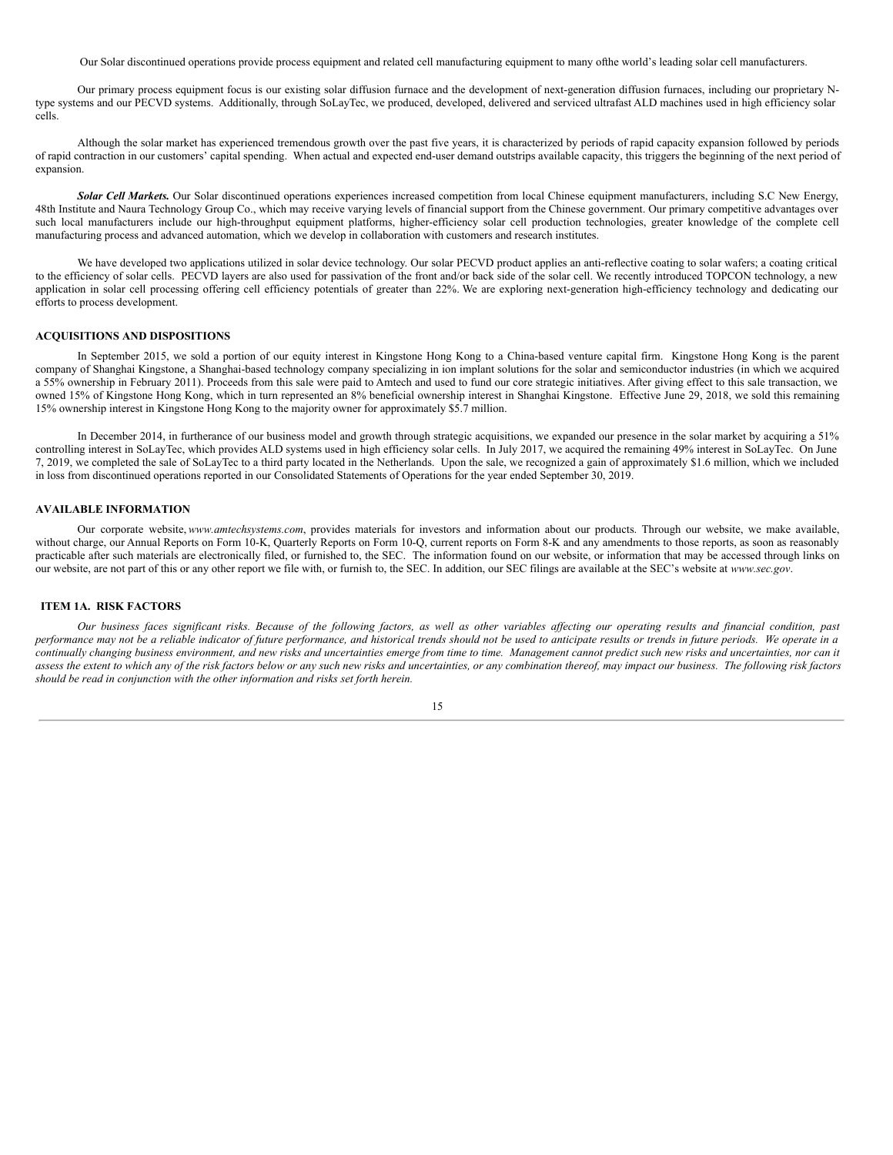Our Solar discontinued operations provide process equipment and related cell manufacturing equipment to many ofthe world's leading solar cell manufacturers.

Our primary process equipment focus is our existing solar diffusion furnace and the development of next-generation diffusion furnaces, including our proprietary Ntype systems and our PECVD systems. Additionally, through SoLayTec, we produced, developed, delivered and serviced ultrafast ALD machines used in high efficiency solar cells.

Although the solar market has experienced tremendous growth over the past five years, it is characterized by periods of rapid capacity expansion followed by periods of rapid contraction in our customers' capital spending. When actual and expected end-user demand outstrips available capacity, this triggers the beginning of the next period of expansion.

*Solar Cell Markets.* Our Solar discontinued operations experiences increased competition from local Chinese equipment manufacturers, including S.C New Energy, 48th Institute and Naura Technology Group Co., which may receive varying levels of financial support from the Chinese government. Our primary competitive advantages over such local manufacturers include our high-throughput equipment platforms, higher-efficiency solar cell production technologies, greater knowledge of the complete cell manufacturing process and advanced automation, which we develop in collaboration with customers and research institutes.

We have developed two applications utilized in solar device technology. Our solar PECVD product applies an anti-reflective coating to solar wafers; a coating critical to the efficiency of solar cells. PECVD layers are also used for passivation of the front and/or back side of the solar cell. We recently introduced TOPCON technology, a new application in solar cell processing offering cell efficiency potentials of greater than 22%. We are exploring next-generation high-efficiency technology and dedicating our efforts to process development.

# **ACQUISITIONS AND DISPOSITIONS**

In September 2015, we sold a portion of our equity interest in Kingstone Hong Kong to a China-based venture capital firm. Kingstone Hong Kong is the parent company of Shanghai Kingstone, a Shanghai-based technology company specializing in ion implant solutions for the solar and semiconductor industries (in which we acquired a 55% ownership in February 2011). Proceeds from this sale were paid to Amtech and used to fund our core strategic initiatives. After giving effect to this sale transaction, we owned 15% of Kingstone Hong Kong, which in turn represented an 8% beneficial ownership interest in Shanghai Kingstone. Effective June 29, 2018, we sold this remaining 15% ownership interest in Kingstone Hong Kong to the majority owner for approximately \$5.7 million.

In December 2014, in furtherance of our business model and growth through strategic acquisitions, we expanded our presence in the solar market by acquiring a 51% controlling interest in SoLayTec, which provides ALD systems used in high efficiency solar cells. In July 2017, we acquired the remaining 49% interest in SoLayTec. On June 7, 2019, we completed the sale of SoLayTec to a third party located in the Netherlands. Upon the sale, we recognized a gain of approximately \$1.6 million, which we included in loss from discontinued operations reported in our Consolidated Statements of Operations for the year ended September 30, 2019.

# **AVAILABLE INFORMATION**

Our corporate website, *www.amtechsystems.com*, provides materials for investors and information about our products. Through our website, we make available, without charge, our Annual Reports on Form 10-K, Quarterly Reports on Form 10-Q, current reports on Form 8-K and any amendments to those reports, as soon as reasonably practicable after such materials are electronically filed, or furnished to, the SEC. The information found on our website, or information that may be accessed through links on our website, are not part of this or any other report we file with, or furnish to, the SEC. In addition, our SEC filings are available at the SEC's website at *www.sec.gov*.

#### <span id="page-14-0"></span>**ITEM 1A. RISK FACTORS**

Our business faces significant risks. Because of the following factors, as well as other variables affecting our operating results and financial condition, past performance may not be a reliable indicator of future performance, and historical trends should not be used to anticipate results or trends in future periods. We operate in a continually changing business environment, and new risks and uncertainties emerge from time to time. Management cannot predict such new risks and uncertainties, nor can it assess the extent to which any of the risk factors below or any such new risks and uncertainties, or any combination thereof, may impact our business. The following risk factors *should be read in conjunction with the other information and risks set forth herein.*

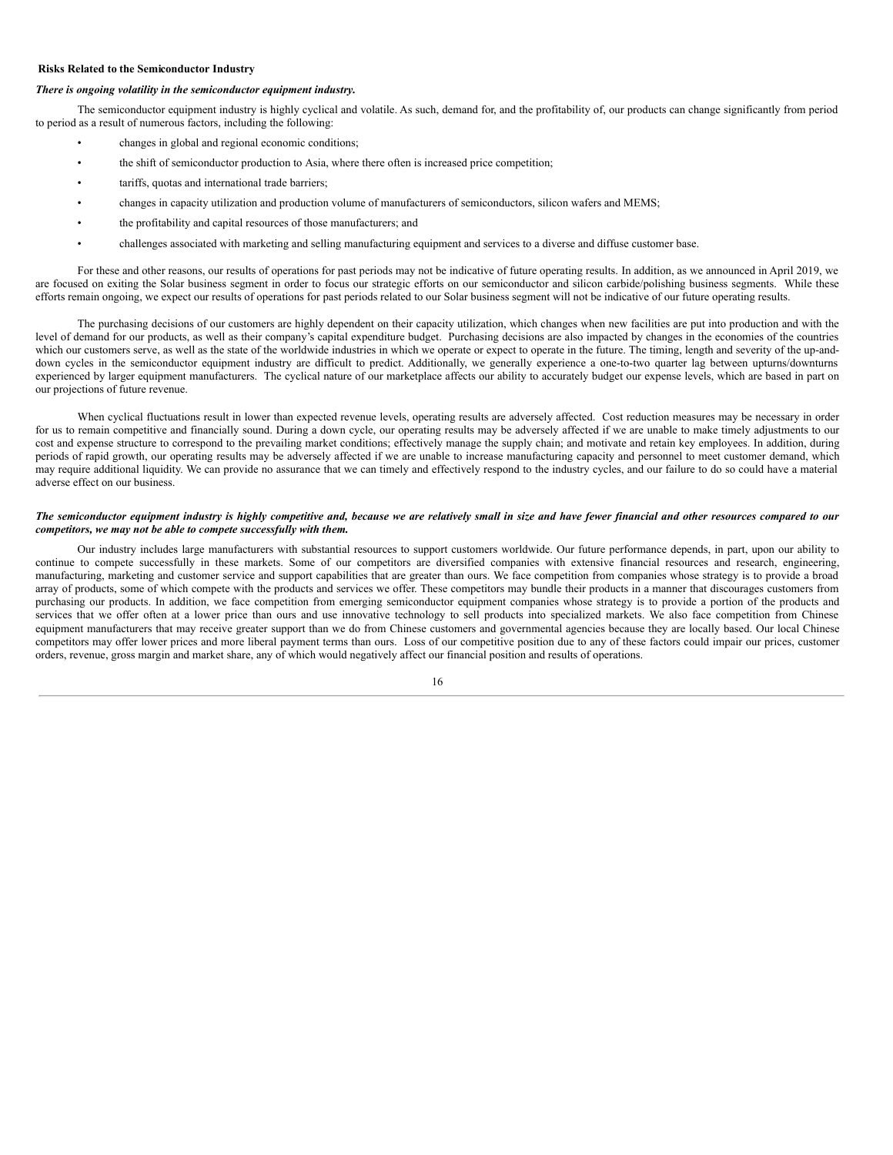# **Risks Related to the Semiconductor Industry**

# *There is ongoing volatility in the semiconductor equipment industry.*

The semiconductor equipment industry is highly cyclical and volatile. As such, demand for, and the profitability of, our products can change significantly from period to period as a result of numerous factors, including the following:

- changes in global and regional economic conditions;
- the shift of semiconductor production to Asia, where there often is increased price competition;
- tariffs, quotas and international trade barriers;
- changes in capacity utilization and production volume of manufacturers of semiconductors, silicon wafers and MEMS;
- the profitability and capital resources of those manufacturers; and
- challenges associated with marketing and selling manufacturing equipment and services to a diverse and diffuse customer base.

For these and other reasons, our results of operations for past periods may not be indicative of future operating results. In addition, as we announced in April 2019, we are focused on exiting the Solar business segment in order to focus our strategic efforts on our semiconductor and silicon carbide/polishing business segments. While these efforts remain ongoing, we expect our results of operations for past periods related to our Solar business segment will not be indicative of our future operating results.

The purchasing decisions of our customers are highly dependent on their capacity utilization, which changes when new facilities are put into production and with the level of demand for our products, as well as their company's capital expenditure budget. Purchasing decisions are also impacted by changes in the economies of the countries which our customers serve, as well as the state of the worldwide industries in which we operate or expect to operate in the future. The timing, length and severity of the up-anddown cycles in the semiconductor equipment industry are difficult to predict. Additionally, we generally experience a one-to-two quarter lag between upturns/downturns experienced by larger equipment manufacturers. The cyclical nature of our marketplace affects our ability to accurately budget our expense levels, which are based in part on our projections of future revenue.

When cyclical fluctuations result in lower than expected revenue levels, operating results are adversely affected. Cost reduction measures may be necessary in order for us to remain competitive and financially sound. During a down cycle, our operating results may be adversely affected if we are unable to make timely adjustments to our cost and expense structure to correspond to the prevailing market conditions; effectively manage the supply chain; and motivate and retain key employees. In addition, during periods of rapid growth, our operating results may be adversely affected if we are unable to increase manufacturing capacity and personnel to meet customer demand, which may require additional liquidity. We can provide no assurance that we can timely and effectively respond to the industry cycles, and our failure to do so could have a material adverse effect on our business.

#### The semiconductor equipment industry is highly competitive and, because we are relatively small in size and have fewer financial and other resources compared to our *competitors, we may not be able to compete successfully with them.*

Our industry includes large manufacturers with substantial resources to support customers worldwide. Our future performance depends, in part, upon our ability to continue to compete successfully in these markets. Some of our competitors are diversified companies with extensive financial resources and research, engineering, manufacturing, marketing and customer service and support capabilities that are greater than ours. We face competition from companies whose strategy is to provide a broad array of products, some of which compete with the products and services we offer. These competitors may bundle their products in a manner that discourages customers from purchasing our products. In addition, we face competition from emerging semiconductor equipment companies whose strategy is to provide a portion of the products and services that we offer often at a lower price than ours and use innovative technology to sell products into specialized markets. We also face competition from Chinese equipment manufacturers that may receive greater support than we do from Chinese customers and governmental agencies because they are locally based. Our local Chinese competitors may offer lower prices and more liberal payment terms than ours. Loss of our competitive position due to any of these factors could impair our prices, customer orders, revenue, gross margin and market share, any of which would negatively affect our financial position and results of operations.

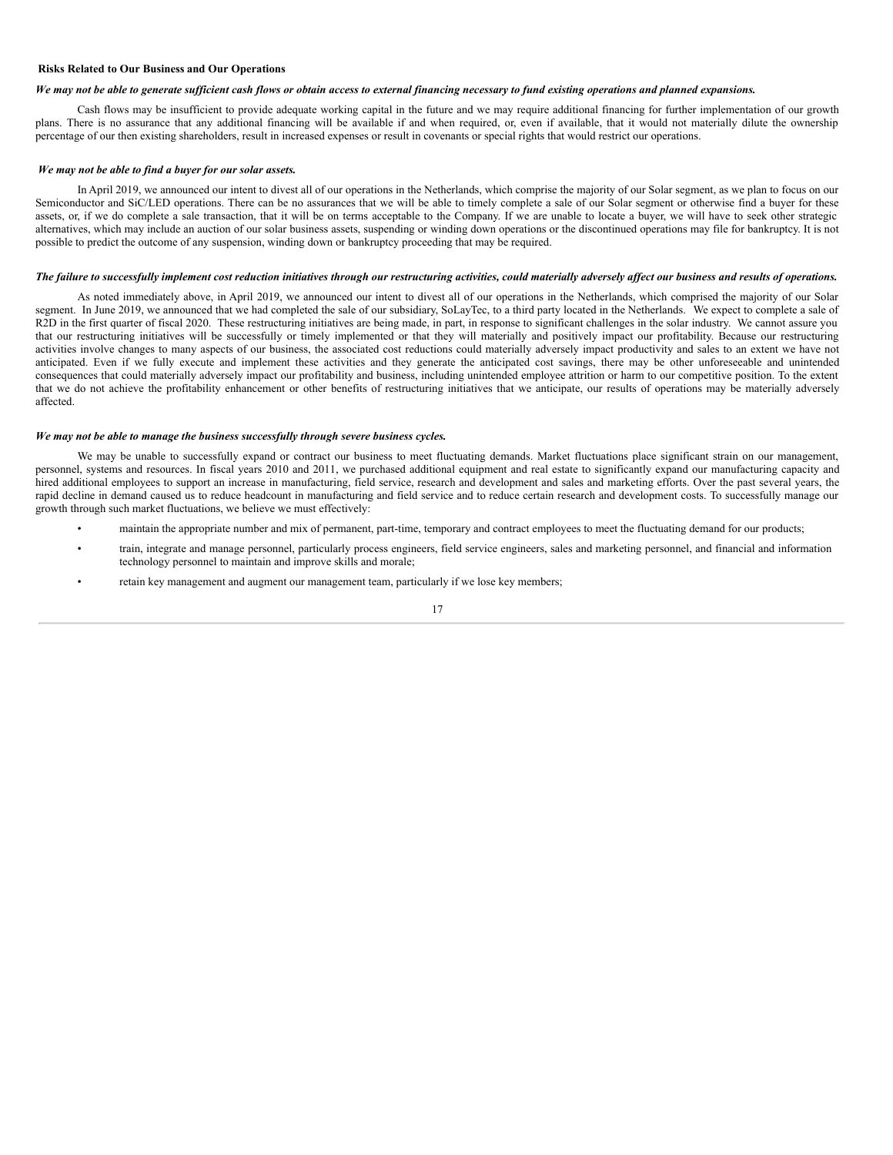# **Risks Related to Our Business and Our Operations**

### We may not be able to generate sufficient cash flows or obtain access to external financing necessary to fund existing operations and planned expansions.

Cash flows may be insufficient to provide adequate working capital in the future and we may require additional financing for further implementation of our growth plans. There is no assurance that any additional financing will be available if and when required, or, even if available, that it would not materially dilute the ownership percentage of our then existing shareholders, result in increased expenses or result in covenants or special rights that would restrict our operations.

# *We may not be able to find a buyer for our solar assets.*

In April 2019, we announced our intent to divest all of our operations in the Netherlands, which comprise the majority of our Solar segment, as we plan to focus on our Semiconductor and SiC/LED operations. There can be no assurances that we will be able to timely complete a sale of our Solar segment or otherwise find a buyer for these assets, or, if we do complete a sale transaction, that it will be on terms acceptable to the Company. If we are unable to locate a buyer, we will have to seek other strategic alternatives, which may include an auction of our solar business assets, suspending or winding down operations or the discontinued operations may file for bankruptcy. It is not possible to predict the outcome of any suspension, winding down or bankruptcy proceeding that may be required.

#### The failure to successfully implement cost reduction initiatives through our restructuring activities, could materially adversely affect our business and results of operations.

As noted immediately above, in April 2019, we announced our intent to divest all of our operations in the Netherlands, which comprised the majority of our Solar segment. In June 2019, we announced that we had completed the sale of our subsidiary, SoLayTec, to a third party located in the Netherlands. We expect to complete a sale of R2D in the first quarter of fiscal 2020. These restructuring initiatives are being made, in part, in response to significant challenges in the solar industry. We cannot assure you that our restructuring initiatives will be successfully or timely implemented or that they will materially and positively impact our profitability. Because our restructuring activities involve changes to many aspects of our business, the associated cost reductions could materially adversely impact productivity and sales to an extent we have not anticipated. Even if we fully execute and implement these activities and they generate the anticipated cost savings, there may be other unforeseeable and unintended consequences that could materially adversely impact our profitability and business, including unintended employee attrition or harm to our competitive position. To the extent that we do not achieve the profitability enhancement or other benefits of restructuring initiatives that we anticipate, our results of operations may be materially adversely affected.

#### *We may not be able to manage the business successfully through severe business cycles.*

We may be unable to successfully expand or contract our business to meet fluctuating demands. Market fluctuations place significant strain on our management, personnel, systems and resources. In fiscal years 2010 and 2011, we purchased additional equipment and real estate to significantly expand our manufacturing capacity and hired additional employees to support an increase in manufacturing, field service, research and development and sales and marketing efforts. Over the past several years, the rapid decline in demand caused us to reduce headcount in manufacturing and field service and to reduce certain research and development costs. To successfully manage our growth through such market fluctuations, we believe we must effectively:

- maintain the appropriate number and mix of permanent, part-time, temporary and contract employees to meet the fluctuating demand for our products;
- train, integrate and manage personnel, particularly process engineers, field service engineers, sales and marketing personnel, and financial and information technology personnel to maintain and improve skills and morale;
- retain key management and augment our management team, particularly if we lose key members;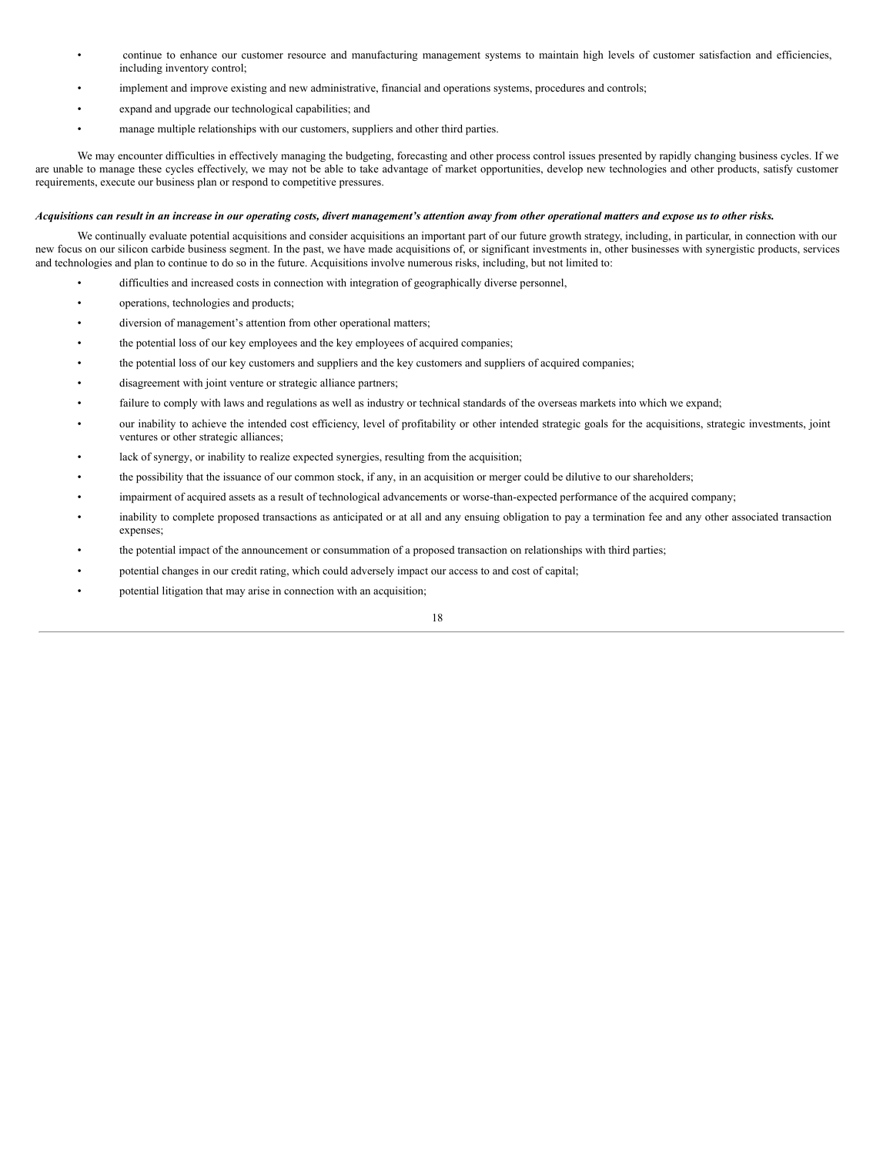- continue to enhance our customer resource and manufacturing management systems to maintain high levels of customer satisfaction and efficiencies, including inventory control;
- implement and improve existing and new administrative, financial and operations systems, procedures and controls;
- expand and upgrade our technological capabilities; and
- manage multiple relationships with our customers, suppliers and other third parties.

We may encounter difficulties in effectively managing the budgeting, forecasting and other process control issues presented by rapidly changing business cycles. If we are unable to manage these cycles effectively, we may not be able to take advantage of market opportunities, develop new technologies and other products, satisfy customer requirements, execute our business plan or respond to competitive pressures.

#### Acquisitions can result in an increase in our operating costs, divert management's attention away from other operational matters and expose us to other risks.

We continually evaluate potential acquisitions and consider acquisitions an important part of our future growth strategy, including, in particular, in connection with our new focus on our silicon carbide business segment. In the past, we have made acquisitions of, or significant investments in, other businesses with synergistic products, services and technologies and plan to continue to do so in the future. Acquisitions involve numerous risks, including, but not limited to:

- difficulties and increased costs in connection with integration of geographically diverse personnel,
- operations, technologies and products;
- diversion of management's attention from other operational matters;
- the potential loss of our key employees and the key employees of acquired companies;
- the potential loss of our key customers and suppliers and the key customers and suppliers of acquired companies;
- disagreement with joint venture or strategic alliance partners;
- failure to comply with laws and regulations as well as industry or technical standards of the overseas markets into which we expand;
- our inability to achieve the intended cost efficiency, level of profitability or other intended strategic goals for the acquisitions, strategic investments, joint ventures or other strategic alliances;
- lack of synergy, or inability to realize expected synergies, resulting from the acquisition;
- the possibility that the issuance of our common stock, if any, in an acquisition or merger could be dilutive to our shareholders;
- impairment of acquired assets as a result of technological advancements or worse-than-expected performance of the acquired company;
- inability to complete proposed transactions as anticipated or at all and any ensuing obligation to pay a termination fee and any other associated transaction expenses;
- the potential impact of the announcement or consummation of a proposed transaction on relationships with third parties;
- potential changes in our credit rating, which could adversely impact our access to and cost of capital;
- potential litigation that may arise in connection with an acquisition;

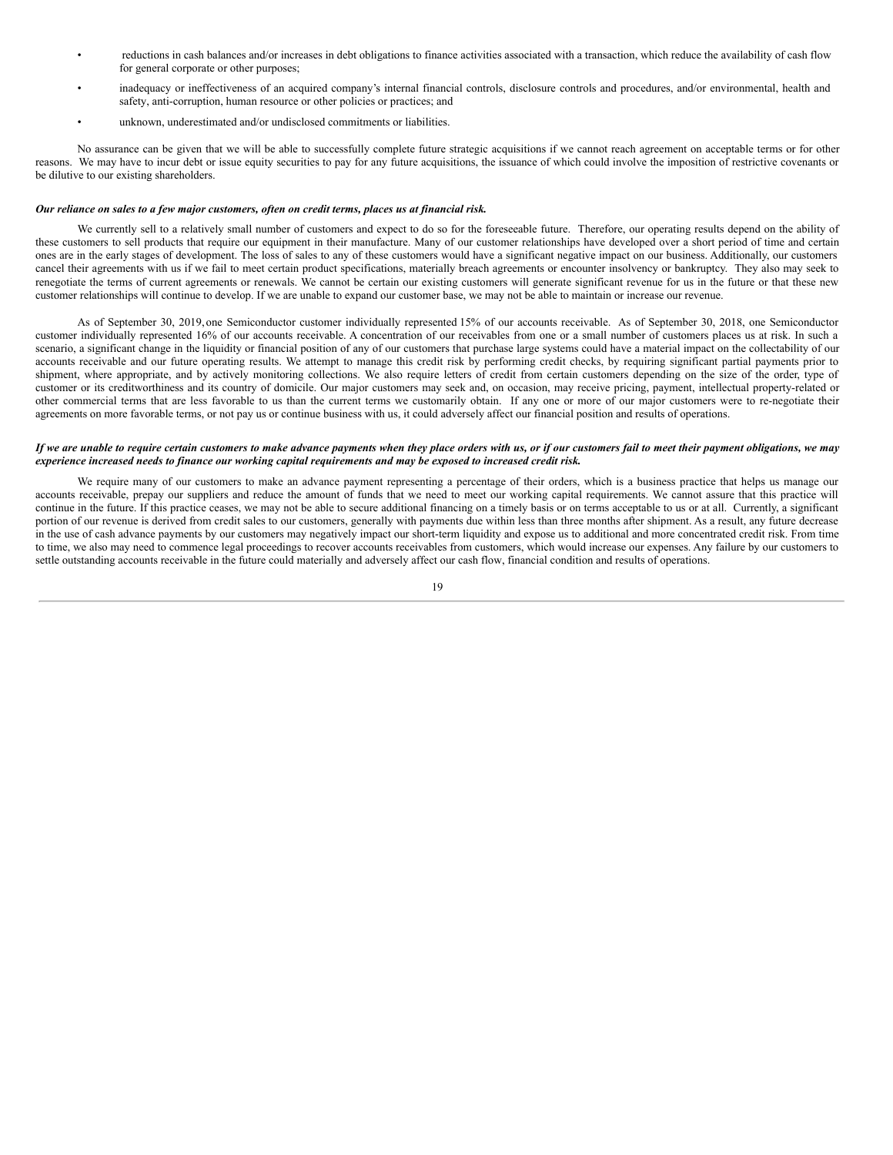- reductions in cash balances and/or increases in debt obligations to finance activities associated with a transaction, which reduce the availability of cash flow for general corporate or other purposes;
- inadequacy or ineffectiveness of an acquired company's internal financial controls, disclosure controls and procedures, and/or environmental, health and safety, anti-corruption, human resource or other policies or practices; and
- unknown, underestimated and/or undisclosed commitments or liabilities.

No assurance can be given that we will be able to successfully complete future strategic acquisitions if we cannot reach agreement on acceptable terms or for other reasons. We may have to incur debt or issue equity securities to pay for any future acquisitions, the issuance of which could involve the imposition of restrictive covenants or be dilutive to our existing shareholders.

#### Our reliance on sales to a few major customers, often on credit terms, places us at financial risk.

We currently sell to a relatively small number of customers and expect to do so for the foreseeable future. Therefore, our operating results depend on the ability of these customers to sell products that require our equipment in their manufacture. Many of our customer relationships have developed over a short period of time and certain ones are in the early stages of development. The loss of sales to any of these customers would have a significant negative impact on our business. Additionally, our customers cancel their agreements with us if we fail to meet certain product specifications, materially breach agreements or encounter insolvency or bankruptcy. They also may seek to renegotiate the terms of current agreements or renewals. We cannot be certain our existing customers will generate significant revenue for us in the future or that these new customer relationships will continue to develop. If we are unable to expand our customer base, we may not be able to maintain or increase our revenue.

As of September 30, 2019, one Semiconductor customer individually represented 15% of our accounts receivable. As of September 30, 2018, one Semiconductor customer individually represented 16% of our accounts receivable. A concentration of our receivables from one or a small number of customers places us at risk. In such a scenario, a significant change in the liquidity or financial position of any of our customers that purchase large systems could have a material impact on the collectability of our accounts receivable and our future operating results. We attempt to manage this credit risk by performing credit checks, by requiring significant partial payments prior to shipment, where appropriate, and by actively monitoring collections. We also require letters of credit from certain customers depending on the size of the order, type of customer or its creditworthiness and its country of domicile. Our major customers may seek and, on occasion, may receive pricing, payment, intellectual property-related or other commercial terms that are less favorable to us than the current terms we customarily obtain. If any one or more of our major customers were to re-negotiate their agreements on more favorable terms, or not pay us or continue business with us, it could adversely affect our financial position and results of operations.

# If we are unable to require certain customers to make advance payments when they place orders with us, or if our customers fail to meet their payment obligations, we may experience increased needs to finance our working capital requirements and may be exposed to increased credit risk.

We require many of our customers to make an advance payment representing a percentage of their orders, which is a business practice that helps us manage our accounts receivable, prepay our suppliers and reduce the amount of funds that we need to meet our working capital requirements. We cannot assure that this practice will continue in the future. If this practice ceases, we may not be able to secure additional financing on a timely basis or on terms acceptable to us or at all. Currently, a significant portion of our revenue is derived from credit sales to our customers, generally with payments due within less than three months after shipment. As a result, any future decrease in the use of cash advance payments by our customers may negatively impact our short-term liquidity and expose us to additional and more concentrated credit risk. From time to time, we also may need to commence legal proceedings to recover accounts receivables from customers, which would increase our expenses. Any failure by our customers to settle outstanding accounts receivable in the future could materially and adversely affect our cash flow, financial condition and results of operations.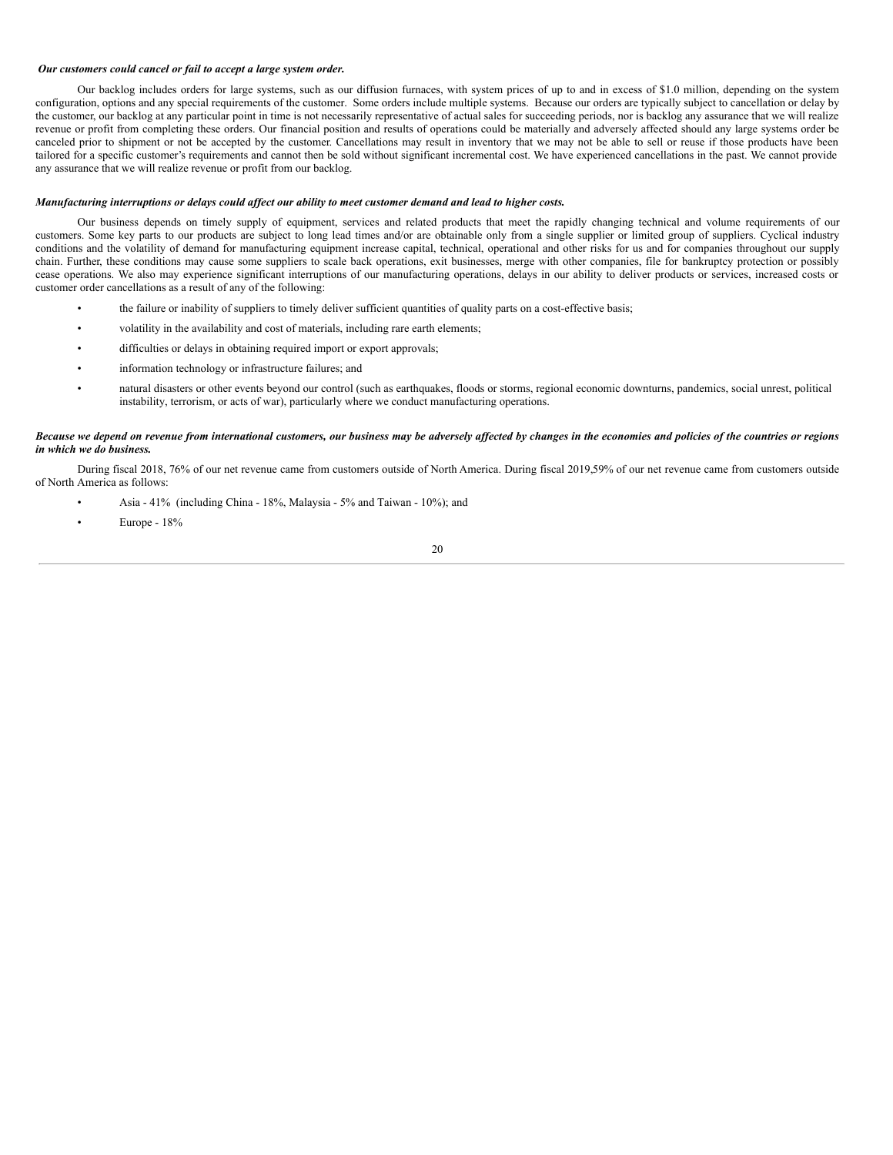# *Our customers could cancel or fail to accept a large system order.*

Our backlog includes orders for large systems, such as our diffusion furnaces, with system prices of up to and in excess of \$1.0 million, depending on the system configuration, options and any special requirements of the customer. Some orders include multiple systems. Because our orders are typically subject to cancellation or delay by the customer, our backlog at any particular point in time is not necessarily representative of actual sales for succeeding periods, nor is backlog any assurance that we will realize revenue or profit from completing these orders. Our financial position and results of operations could be materially and adversely affected should any large systems order be canceled prior to shipment or not be accepted by the customer. Cancellations may result in inventory that we may not be able to sell or reuse if those products have been tailored for a specific customer's requirements and cannot then be sold without significant incremental cost. We have experienced cancellations in the past. We cannot provide any assurance that we will realize revenue or profit from our backlog.

### Manufacturing interruptions or delays could affect our ability to meet customer demand and lead to higher costs.

Our business depends on timely supply of equipment, services and related products that meet the rapidly changing technical and volume requirements of our customers. Some key parts to our products are subject to long lead times and/or are obtainable only from a single supplier or limited group of suppliers. Cyclical industry conditions and the volatility of demand for manufacturing equipment increase capital, technical, operational and other risks for us and for companies throughout our supply chain. Further, these conditions may cause some suppliers to scale back operations, exit businesses, merge with other companies, file for bankruptcy protection or possibly cease operations. We also may experience significant interruptions of our manufacturing operations, delays in our ability to deliver products or services, increased costs or customer order cancellations as a result of any of the following:

- the failure or inability of suppliers to timely deliver sufficient quantities of quality parts on a cost-effective basis;
- volatility in the availability and cost of materials, including rare earth elements;
- difficulties or delays in obtaining required import or export approvals;
- information technology or infrastructure failures; and
- natural disasters or other events beyond our control (such as earthquakes, floods or storms, regional economic downturns, pandemics, social unrest, political instability, terrorism, or acts of war), particularly where we conduct manufacturing operations.

## Because we depend on revenue from international customers, our business may be adversely affected by changes in the economies and policies of the countries or regions *in which we do business.*

During fiscal 2018, 76% of our net revenue came from customers outside of North America. During fiscal 2019,59% of our net revenue came from customers outside of North America as follows:

- Asia 41% (including China 18%, Malaysia 5% and Taiwan 10%); and
- Europe 18%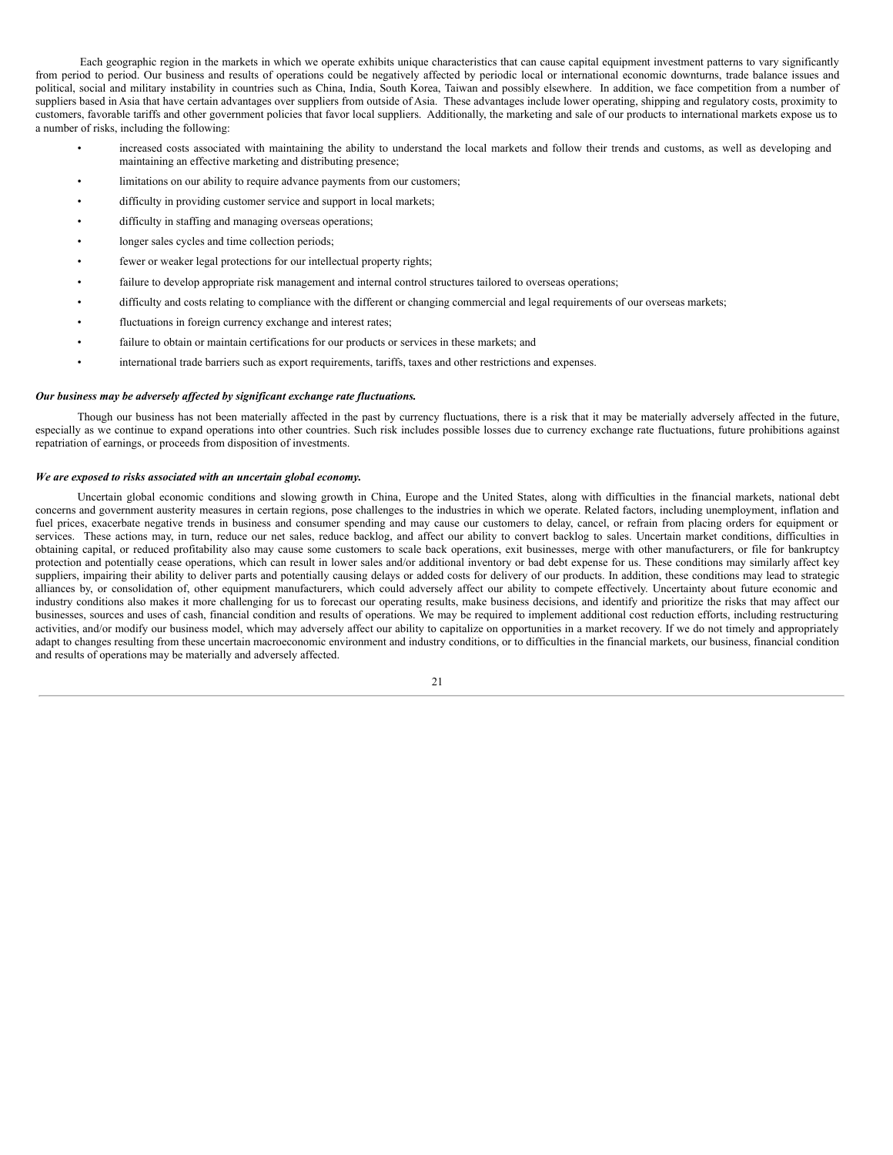Each geographic region in the markets in which we operate exhibits unique characteristics that can cause capital equipment investment patterns to vary significantly from period to period. Our business and results of operations could be negatively affected by periodic local or international economic downturns, trade balance issues and political, social and military instability in countries such as China, India, South Korea, Taiwan and possibly elsewhere. In addition, we face competition from a number of suppliers based in Asia that have certain advantages over suppliers from outside of Asia. These advantages include lower operating, shipping and regulatory costs, proximity to customers, favorable tariffs and other government policies that favor local suppliers. Additionally, the marketing and sale of our products to international markets expose us to a number of risks, including the following:

- increased costs associated with maintaining the ability to understand the local markets and follow their trends and customs, as well as developing and maintaining an effective marketing and distributing presence;
- limitations on our ability to require advance payments from our customers;
- difficulty in providing customer service and support in local markets;
- difficulty in staffing and managing overseas operations;
- longer sales cycles and time collection periods;
- fewer or weaker legal protections for our intellectual property rights;
- failure to develop appropriate risk management and internal control structures tailored to overseas operations;
- difficulty and costs relating to compliance with the different or changing commercial and legal requirements of our overseas markets;
- fluctuations in foreign currency exchange and interest rates;
- failure to obtain or maintain certifications for our products or services in these markets; and
- international trade barriers such as export requirements, tariffs, taxes and other restrictions and expenses.

#### *Our business may be adversely af ected by significant exchange rate fluctuations.*

Though our business has not been materially affected in the past by currency fluctuations, there is a risk that it may be materially adversely affected in the future, especially as we continue to expand operations into other countries. Such risk includes possible losses due to currency exchange rate fluctuations, future prohibitions against repatriation of earnings, or proceeds from disposition of investments.

#### *We are exposed to risks associated with an uncertain global economy.*

Uncertain global economic conditions and slowing growth in China, Europe and the United States, along with difficulties in the financial markets, national debt concerns and government austerity measures in certain regions, pose challenges to the industries in which we operate. Related factors, including unemployment, inflation and fuel prices, exacerbate negative trends in business and consumer spending and may cause our customers to delay, cancel, or refrain from placing orders for equipment or services. These actions may, in turn, reduce our net sales, reduce backlog, and affect our ability to convert backlog to sales. Uncertain market conditions, difficulties in obtaining capital, or reduced profitability also may cause some customers to scale back operations, exit businesses, merge with other manufacturers, or file for bankruptcy protection and potentially cease operations, which can result in lower sales and/or additional inventory or bad debt expense for us. These conditions may similarly affect key suppliers, impairing their ability to deliver parts and potentially causing delays or added costs for delivery of our products. In addition, these conditions may lead to strategic alliances by, or consolidation of, other equipment manufacturers, which could adversely affect our ability to compete effectively. Uncertainty about future economic and industry conditions also makes it more challenging for us to forecast our operating results, make business decisions, and identify and prioritize the risks that may affect our businesses, sources and uses of cash, financial condition and results of operations. We may be required to implement additional cost reduction efforts, including restructuring activities, and/or modify our business model, which may adversely affect our ability to capitalize on opportunities in a market recovery. If we do not timely and appropriately adapt to changes resulting from these uncertain macroeconomic environment and industry conditions, or to difficulties in the financial markets, our business, financial condition and results of operations may be materially and adversely affected.

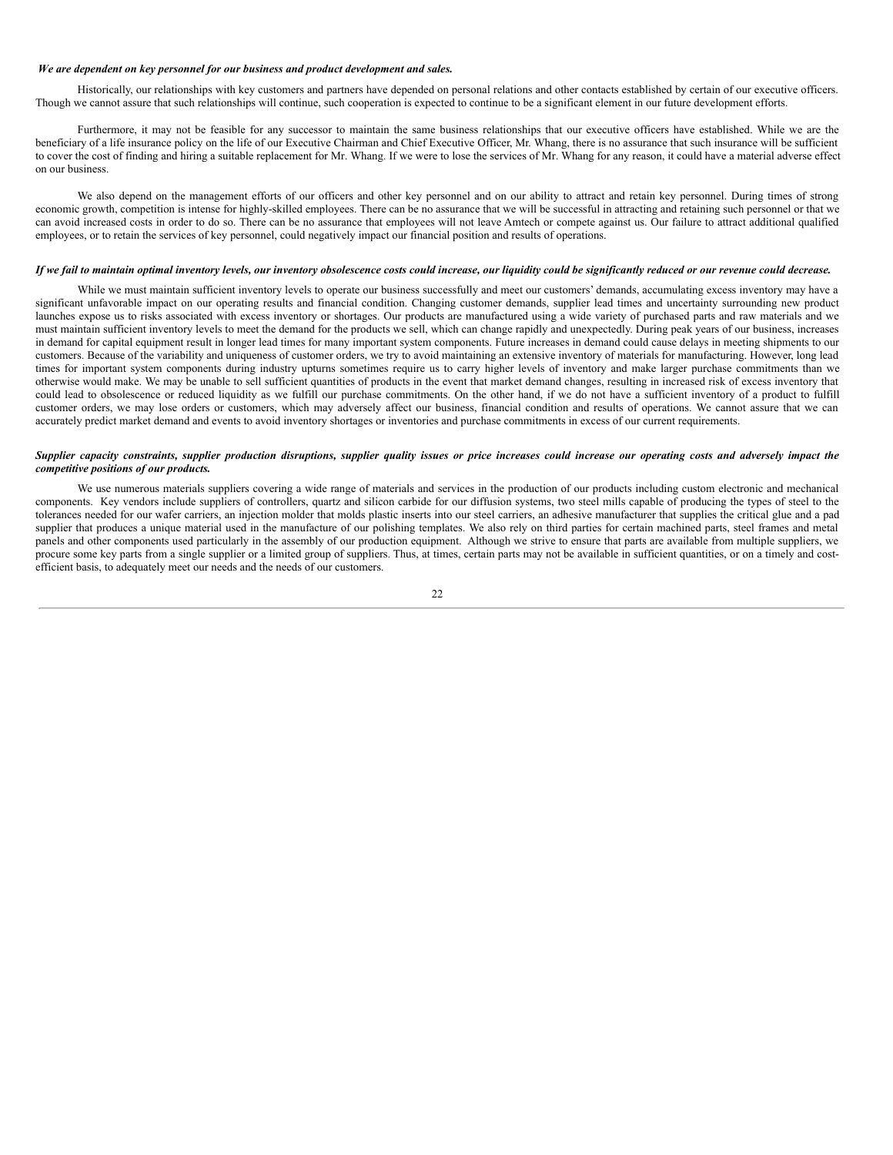### *We are dependent on key personnel for our business and product development and sales.*

Historically, our relationships with key customers and partners have depended on personal relations and other contacts established by certain of our executive officers. Though we cannot assure that such relationships will continue, such cooperation is expected to continue to be a significant element in our future development efforts.

Furthermore, it may not be feasible for any successor to maintain the same business relationships that our executive officers have established. While we are the beneficiary of a life insurance policy on the life of our Executive Chairman and Chief Executive Officer, Mr. Whang, there is no assurance that such insurance will be sufficient to cover the cost of finding and hiring a suitable replacement for Mr. Whang. If we were to lose the services of Mr. Whang for any reason, it could have a material adverse effect on our business.

We also depend on the management efforts of our officers and other key personnel and on our ability to attract and retain key personnel. During times of strong economic growth, competition is intense for highly-skilled employees. There can be no assurance that we will be successful in attracting and retaining such personnel or that we can avoid increased costs in order to do so. There can be no assurance that employees will not leave Amtech or compete against us. Our failure to attract additional qualified employees, or to retain the services of key personnel, could negatively impact our financial position and results of operations.

#### If we fail to maintain optimal inventory levels, our inventory obsolescence costs could increase, our liquidity could be significantly reduced or our revenue could decrease.

While we must maintain sufficient inventory levels to operate our business successfully and meet our customers' demands, accumulating excess inventory may have a significant unfavorable impact on our operating results and financial condition. Changing customer demands, supplier lead times and uncertainty surrounding new product launches expose us to risks associated with excess inventory or shortages. Our products are manufactured using a wide variety of purchased parts and raw materials and we must maintain sufficient inventory levels to meet the demand for the products we sell, which can change rapidly and unexpectedly. During peak years of our business, increases in demand for capital equipment result in longer lead times for many important system components. Future increases in demand could cause delays in meeting shipments to our customers. Because of the variability and uniqueness of customer orders, we try to avoid maintaining an extensive inventory of materials for manufacturing. However, long lead times for important system components during industry upturns sometimes require us to carry higher levels of inventory and make larger purchase commitments than we otherwise would make. We may be unable to sell sufficient quantities of products in the event that market demand changes, resulting in increased risk of excess inventory that could lead to obsolescence or reduced liquidity as we fulfill our purchase commitments. On the other hand, if we do not have a sufficient inventory of a product to fulfill customer orders, we may lose orders or customers, which may adversely affect our business, financial condition and results of operations. We cannot assure that we can accurately predict market demand and events to avoid inventory shortages or inventories and purchase commitments in excess of our current requirements.

#### Supplier capacity constraints, supplier production disruptions, supplier quality issues or price increases could increase our operating costs and adversely impact the *competitive positions of our products.*

We use numerous materials suppliers covering a wide range of materials and services in the production of our products including custom electronic and mechanical components. Key vendors include suppliers of controllers, quartz and silicon carbide for our diffusion systems, two steel mills capable of producing the types of steel to the tolerances needed for our wafer carriers, an injection molder that molds plastic inserts into our steel carriers, an adhesive manufacturer that supplies the critical glue and a pad supplier that produces a unique material used in the manufacture of our polishing templates. We also rely on third parties for certain machined parts, steel frames and metal panels and other components used particularly in the assembly of our production equipment. Although we strive to ensure that parts are available from multiple suppliers, we procure some key parts from a single supplier or a limited group of suppliers. Thus, at times, certain parts may not be available in sufficient quantities, or on a timely and costefficient basis, to adequately meet our needs and the needs of our customers.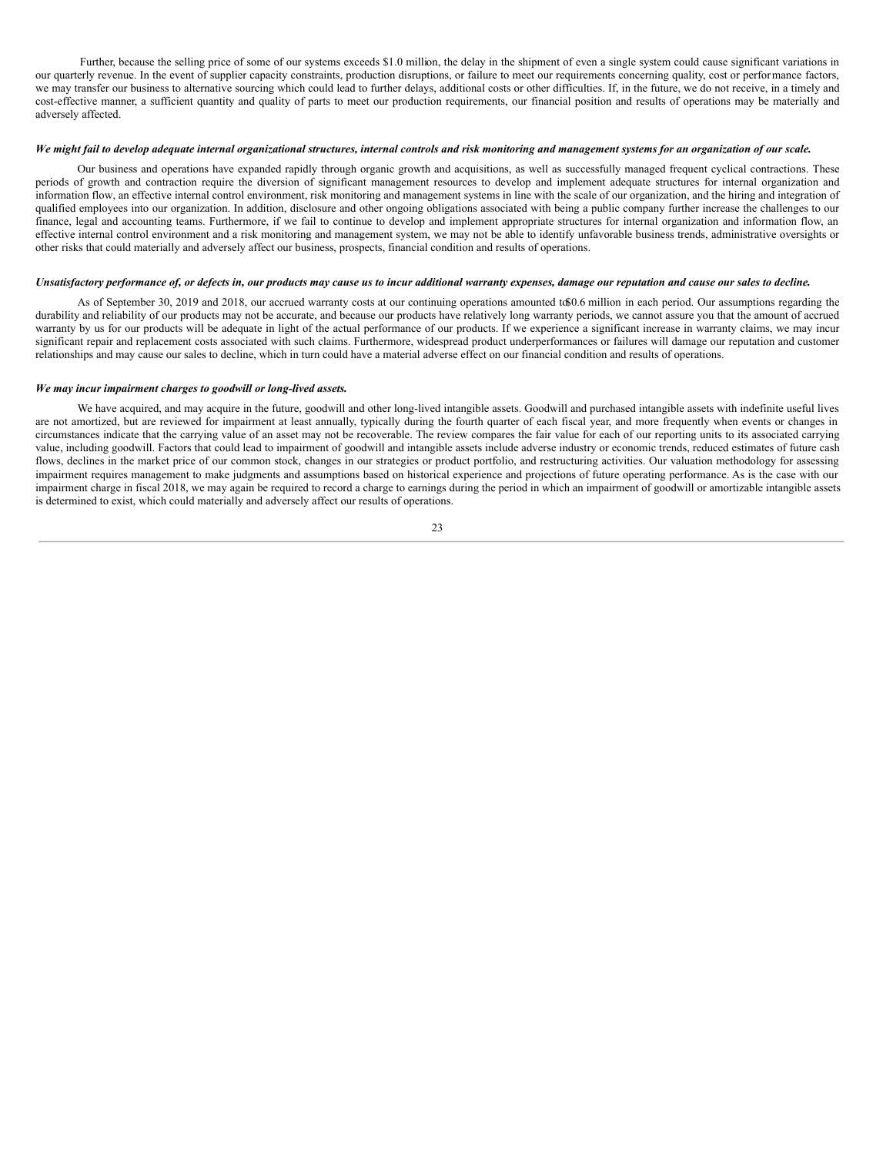Further, because the selling price of some of our systems exceeds \$1.0 million, the delay in the shipment of even a single system could cause significant variations in our quarterly revenue. In the event of supplier capacity constraints, production disruptions, or failure to meet our requirements concerning quality, cost or performance factors, we may transfer our business to alternative sourcing which could lead to further delays, additional costs or other difficulties. If, in the future, we do not receive, in a timely and cost-effective manner, a sufficient quantity and quality of parts to meet our production requirements, our financial position and results of operations may be materially and adversely affected.

# We might fail to develop adequate internal organizational structures, internal controls and risk monitoring and management systems for an organization of our scale.

Our business and operations have expanded rapidly through organic growth and acquisitions, as well as successfully managed frequent cyclical contractions. These periods of growth and contraction require the diversion of significant management resources to develop and implement adequate structures for internal organization and information flow, an effective internal control environment, risk monitoring and management systems in line with the scale of our organization, and the hiring and integration of qualified employees into our organization. In addition, disclosure and other ongoing obligations associated with being a public company further increase the challenges to our finance, legal and accounting teams. Furthermore, if we fail to continue to develop and implement appropriate structures for internal organization and information flow, an effective internal control environment and a risk monitoring and management system, we may not be able to identify unfavorable business trends, administrative oversights or other risks that could materially and adversely affect our business, prospects, financial condition and results of operations.

#### Unsatisfactory performance of, or defects in, our products may cause us to incur additional warranty expenses, damage our reputation and cause our sales to decline.

As of September 30, 2019 and 2018, our accrued warranty costs at our continuing operations amounted to \$0.6 million in each period. Our assumptions regarding the durability and reliability of our products may not be accurate, and because our products have relatively long warranty periods, we cannot assure you that the amount of accrued warranty by us for our products will be adequate in light of the actual performance of our products. If we experience a significant increase in warranty claims, we may incur significant repair and replacement costs associated with such claims. Furthermore, widespread product underperformances or failures will damage our reputation and customer relationships and may cause our sales to decline, which in turn could have a material adverse effect on our financial condition and results of operations.

#### *We may incur impairment charges to goodwill or long-lived assets.*

We have acquired, and may acquire in the future, goodwill and other long-lived intangible assets. Goodwill and purchased intangible assets with indefinite useful lives are not amortized, but are reviewed for impairment at least annually, typically during the fourth quarter of each fiscal year, and more frequently when events or changes in circumstances indicate that the carrying value of an asset may not be recoverable. The review compares the fair value for each of our reporting units to its associated carrying value, including goodwill. Factors that could lead to impairment of goodwill and intangible assets include adverse industry or economic trends, reduced estimates of future cash flows, declines in the market price of our common stock, changes in our strategies or product portfolio, and restructuring activities. Our valuation methodology for assessing impairment requires management to make judgments and assumptions based on historical experience and projections of future operating performance. As is the case with our impairment charge in fiscal 2018, we may again be required to record a charge to earnings during the period in which an impairment of goodwill or amortizable intangible assets is determined to exist, which could materially and adversely affect our results of operations.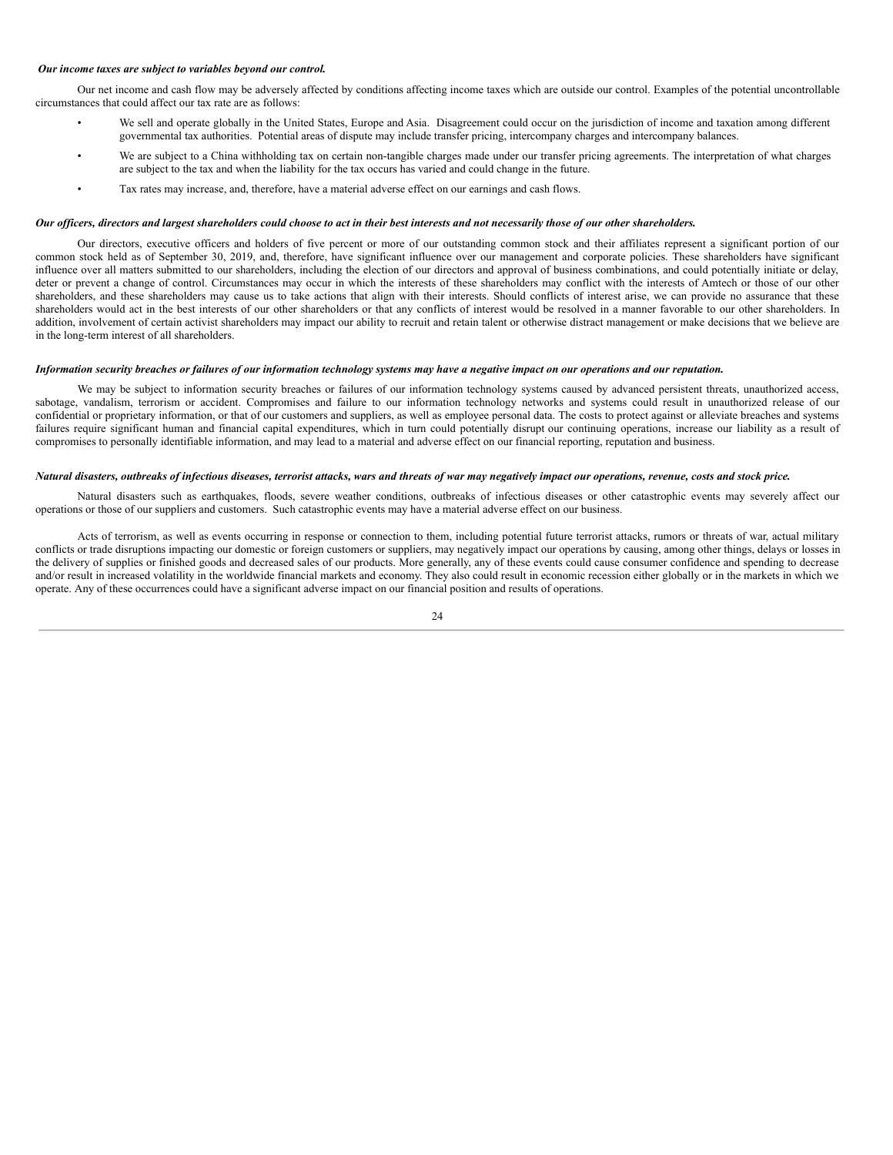# *Our income taxes are subject to variables beyond our control.*

Our net income and cash flow may be adversely affected by conditions affecting income taxes which are outside our control. Examples of the potential uncontrollable circumstances that could affect our tax rate are as follows:

- We sell and operate globally in the United States, Europe and Asia. Disagreement could occur on the jurisdiction of income and taxation among different governmental tax authorities. Potential areas of dispute may include transfer pricing, intercompany charges and intercompany balances.
- We are subject to a China withholding tax on certain non-tangible charges made under our transfer pricing agreements. The interpretation of what charges are subject to the tax and when the liability for the tax occurs has varied and could change in the future.
- Tax rates may increase, and, therefore, have a material adverse effect on our earnings and cash flows.

#### Our officers, directors and largest shareholders could choose to act in their best interests and not necessarily those of our other shareholders.

Our directors, executive officers and holders of five percent or more of our outstanding common stock and their affiliates represent a significant portion of our common stock held as of September 30, 2019, and, therefore, have significant influence over our management and corporate policies. These shareholders have significant influence over all matters submitted to our shareholders, including the election of our directors and approval of business combinations, and could potentially initiate or delay, deter or prevent a change of control. Circumstances may occur in which the interests of these shareholders may conflict with the interests of Amtech or those of our other shareholders, and these shareholders may cause us to take actions that align with their interests. Should conflicts of interest arise, we can provide no assurance that these shareholders would act in the best interests of our other shareholders or that any conflicts of interest would be resolved in a manner favorable to our other shareholders. In addition, involvement of certain activist shareholders may impact our ability to recruit and retain talent or otherwise distract management or make decisions that we believe are in the long-term interest of all shareholders.

#### Information security breaches or failures of our information technology systems may have a negative impact on our operations and our reputation.

We may be subject to information security breaches or failures of our information technology systems caused by advanced persistent threats, unauthorized access, sabotage, vandalism, terrorism or accident. Compromises and failure to our information technology networks and systems could result in unauthorized release of our confidential or proprietary information, or that of our customers and suppliers, as well as employee personal data. The costs to protect against or alleviate breaches and systems failures require significant human and financial capital expenditures, which in turn could potentially disrupt our continuing operations, increase our liability as a result of compromises to personally identifiable information, and may lead to a material and adverse effect on our financial reporting, reputation and business.

#### Natural disasters, outbreaks of infectious diseases, terrorist attacks, wars and threats of war may negatively impact our operations, revenue, costs and stock price.

Natural disasters such as earthquakes, floods, severe weather conditions, outbreaks of infectious diseases or other catastrophic events may severely affect our operations or those of our suppliers and customers. Such catastrophic events may have a material adverse effect on our business.

Acts of terrorism, as well as events occurring in response or connection to them, including potential future terrorist attacks, rumors or threats of war, actual military conflicts or trade disruptions impacting our domestic or foreign customers or suppliers, may negatively impact our operations by causing, among other things, delays or losses in the delivery of supplies or finished goods and decreased sales of our products. More generally, any of these events could cause consumer confidence and spending to decrease and/or result in increased volatility in the worldwide financial markets and economy. They also could result in economic recession either globally or in the markets in which we operate. Any of these occurrences could have a significant adverse impact on our financial position and results of operations.

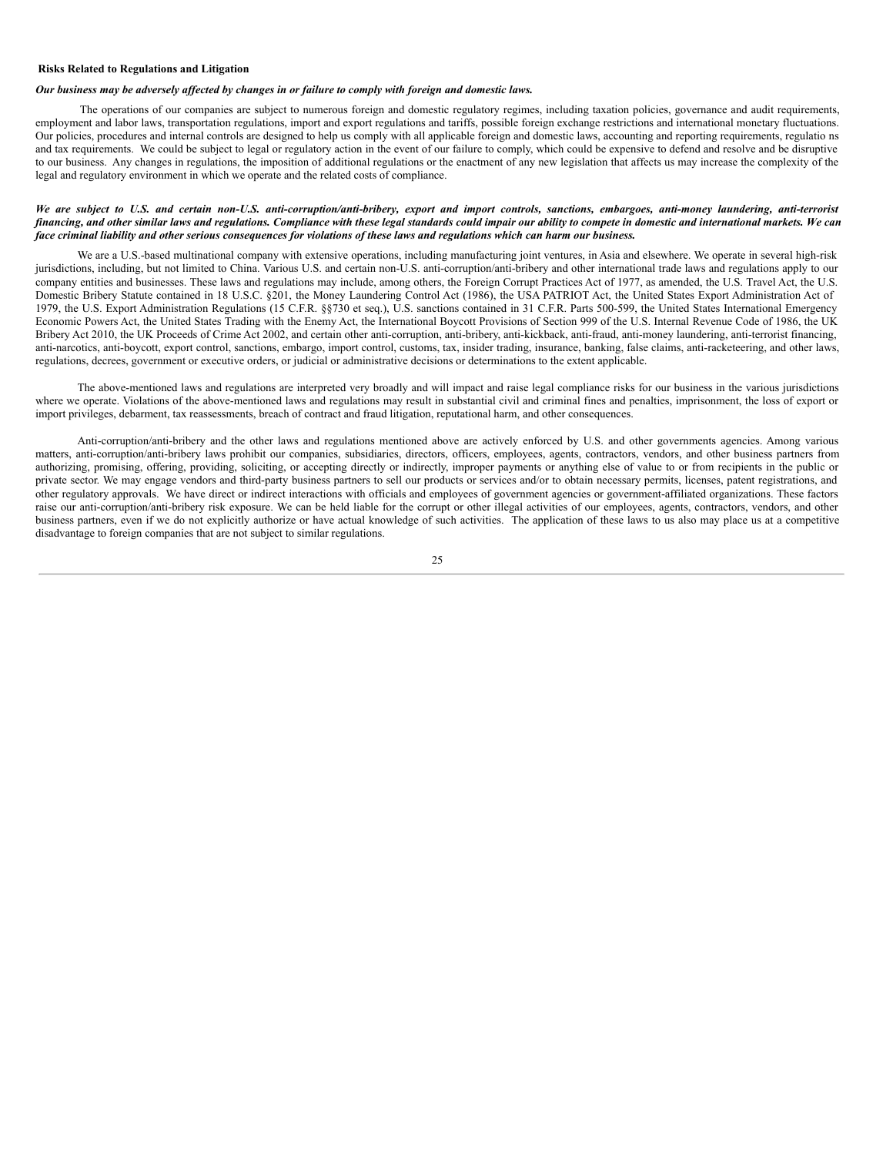### **Risks Related to Regulations and Litigation**

#### Our business may be adversely affected by changes in or failure to comply with foreign and domestic laws.

The operations of our companies are subject to numerous foreign and domestic regulatory regimes, including taxation policies, governance and audit requirements, employment and labor laws, transportation regulations, import and export regulations and tariffs, possible foreign exchange restrictions and international monetary fluctuations. Our policies, procedures and internal controls are designed to help us comply with all applicable foreign and domestic laws, accounting and reporting requirements, regulatio ns and tax requirements. We could be subject to legal or regulatory action in the event of our failure to comply, which could be expensive to defend and resolve and be disruptive to our business. Any changes in regulations, the imposition of additional regulations or the enactment of any new legislation that affects us may increase the complexity of the legal and regulatory environment in which we operate and the related costs of compliance.

#### We are subject to U.S. and certain non-U.S. anti-corruption/anti-bribery, export and import controls, sanctions, embargoes, anti-money laundering, anti-terrorist financing, and other similar laws and regulations. Compliance with these legal standards could impair our ability to compete in domestic and international markets. We can face criminal liability and other serious consequences for violations of these laws and regulations which can harm our business.

We are a U.S.-based multinational company with extensive operations, including manufacturing joint ventures, in Asia and elsewhere. We operate in several high-risk jurisdictions, including, but not limited to China. Various U.S. and certain non-U.S. anti-corruption/anti-bribery and other international trade laws and regulations apply to our company entities and businesses. These laws and regulations may include, among others, the Foreign Corrupt Practices Act of 1977, as amended, the U.S. Travel Act, the U.S. Domestic Bribery Statute contained in 18 U.S.C. §201, the Money Laundering Control Act (1986), the USA PATRIOT Act, the United States Export Administration Act of 1979, the U.S. Export Administration Regulations (15 C.F.R. §§730 et seq.), U.S. sanctions contained in 31 C.F.R. Parts 500-599, the United States International Emergency Economic Powers Act, the United States Trading with the Enemy Act, the International Boycott Provisions of Section 999 of the U.S. Internal Revenue Code of 1986, the UK Bribery Act 2010, the UK Proceeds of Crime Act 2002, and certain other anti-corruption, anti-bribery, anti-kickback, anti-fraud, anti-money laundering, anti-terrorist financing, anti-narcotics, anti-boycott, export control, sanctions, embargo, import control, customs, tax, insider trading, insurance, banking, false claims, anti-racketeering, and other laws, regulations, decrees, government or executive orders, or judicial or administrative decisions or determinations to the extent applicable.

The above-mentioned laws and regulations are interpreted very broadly and will impact and raise legal compliance risks for our business in the various jurisdictions where we operate. Violations of the above-mentioned laws and regulations may result in substantial civil and criminal fines and penalties, imprisonment, the loss of export or import privileges, debarment, tax reassessments, breach of contract and fraud litigation, reputational harm, and other consequences.

Anti-corruption/anti-bribery and the other laws and regulations mentioned above are actively enforced by U.S. and other governments agencies. Among various matters, anti-corruption/anti-bribery laws prohibit our companies, subsidiaries, directors, officers, employees, agents, contractors, vendors, and other business partners from authorizing, promising, offering, providing, soliciting, or accepting directly or indirectly, improper payments or anything else of value to or from recipients in the public or private sector. We may engage vendors and third-party business partners to sell our products or services and/or to obtain necessary permits, licenses, patent registrations, and other regulatory approvals. We have direct or indirect interactions with officials and employees of government agencies or government-affiliated organizations. These factors raise our anti-corruption/anti-bribery risk exposure. We can be held liable for the corrupt or other illegal activities of our employees, agents, contractors, vendors, and other business partners, even if we do not explicitly authorize or have actual knowledge of such activities. The application of these laws to us also may place us at a competitive disadvantage to foreign companies that are not subject to similar regulations.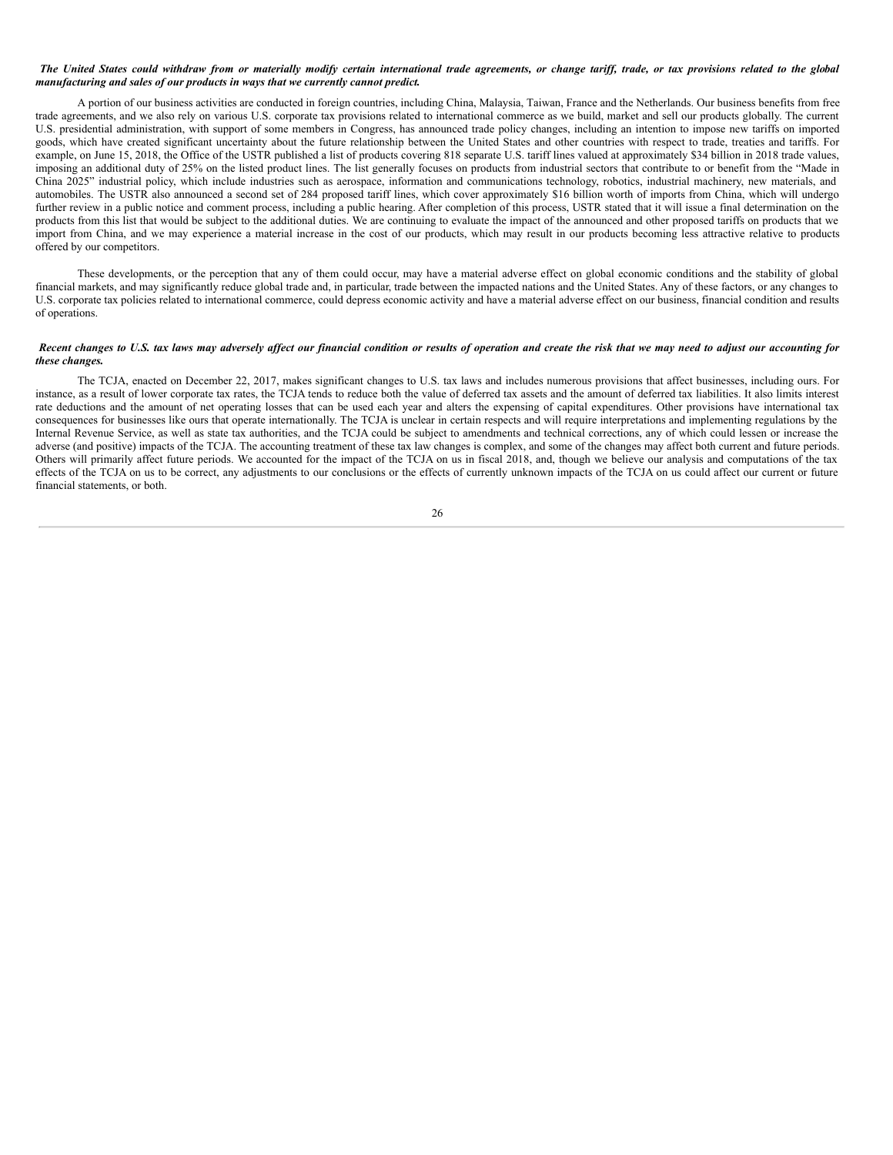# The United States could withdraw from or materially modify certain international trade agreements, or change tariff, trade, or tax provisions related to the global *manufacturing and sales of our products in ways that we currently cannot predict.*

A portion of our business activities are conducted in foreign countries, including China, Malaysia, Taiwan, France and the Netherlands. Our business benefits from free trade agreements, and we also rely on various U.S. corporate tax provisions related to international commerce as we build, market and sell our products globally. The current U.S. presidential administration, with support of some members in Congress, has announced trade policy changes, including an intention to impose new tariffs on imported goods, which have created significant uncertainty about the future relationship between the United States and other countries with respect to trade, treaties and tariffs. For example, on June 15, 2018, the Office of the USTR published a list of products covering 818 separate U.S. tariff lines valued at approximately \$34 billion in 2018 trade values, imposing an additional duty of 25% on the listed product lines. The list generally focuses on products from industrial sectors that contribute to or benefit from the "Made in China 2025" industrial policy, which include industries such as aerospace, information and communications technology, robotics, industrial machinery, new materials, and automobiles. The USTR also announced a second set of 284 proposed tariff lines, which cover approximately \$16 billion worth of imports from China, which will undergo further review in a public notice and comment process, including a public hearing. After completion of this process, USTR stated that it will issue a final determination on the products from this list that would be subject to the additional duties. We are continuing to evaluate the impact of the announced and other proposed tariffs on products that we import from China, and we may experience a material increase in the cost of our products, which may result in our products becoming less attractive relative to products offered by our competitors.

These developments, or the perception that any of them could occur, may have a material adverse effect on global economic conditions and the stability of global financial markets, and may significantly reduce global trade and, in particular, trade between the impacted nations and the United States. Any of these factors, or any changes to U.S. corporate tax policies related to international commerce, could depress economic activity and have a material adverse effect on our business, financial condition and results of operations.

#### Recent changes to U.S. tax laws may adversely affect our financial condition or results of operation and create the risk that we may need to adjust our accounting for *these changes.*

The TCJA, enacted on December 22, 2017, makes significant changes to U.S. tax laws and includes numerous provisions that affect businesses, including ours. For instance, as a result of lower corporate tax rates, the TCJA tends to reduce both the value of deferred tax assets and the amount of deferred tax liabilities. It also limits interest rate deductions and the amount of net operating losses that can be used each year and alters the expensing of capital expenditures. Other provisions have international tax consequences for businesses like ours that operate internationally. The TCJA is unclear in certain respects and will require interpretations and implementing regulations by the Internal Revenue Service, as well as state tax authorities, and the TCJA could be subject to amendments and technical corrections, any of which could lessen or increase the adverse (and positive) impacts of the TCJA. The accounting treatment of these tax law changes is complex, and some of the changes may affect both current and future periods. Others will primarily affect future periods. We accounted for the impact of the TCJA on us in fiscal 2018, and, though we believe our analysis and computations of the tax effects of the TCJA on us to be correct, any adjustments to our conclusions or the effects of currently unknown impacts of the TCJA on us could affect our current or future financial statements, or both.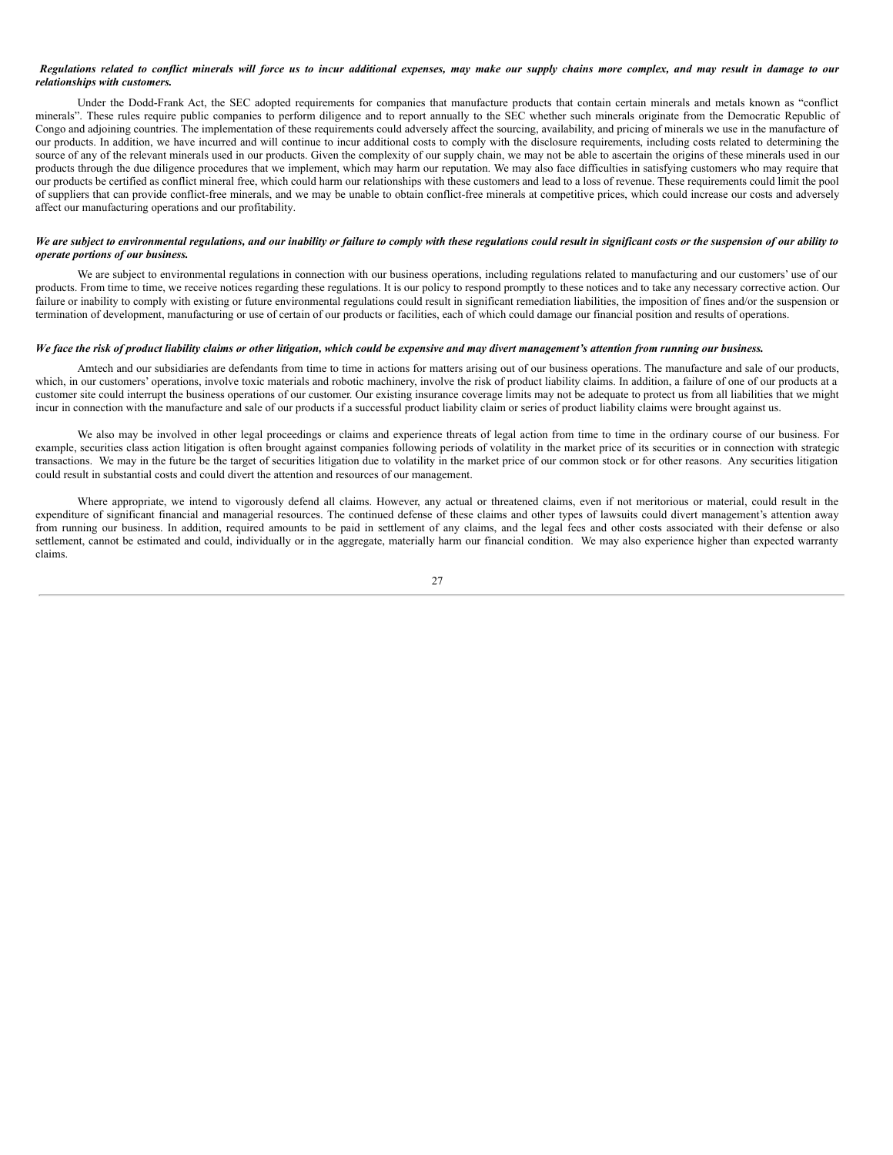#### Regulations related to conflict minerals will force us to incur additional expenses, may make our supply chains more complex, and may result in damage to our *relationships with customers.*

Under the Dodd-Frank Act, the SEC adopted requirements for companies that manufacture products that contain certain minerals and metals known as "conflict minerals". These rules require public companies to perform diligence and to report annually to the SEC whether such minerals originate from the Democratic Republic of Congo and adjoining countries. The implementation of these requirements could adversely affect the sourcing, availability, and pricing of minerals we use in the manufacture of our products. In addition, we have incurred and will continue to incur additional costs to comply with the disclosure requirements, including costs related to determining the source of any of the relevant minerals used in our products. Given the complexity of our supply chain, we may not be able to ascertain the origins of these minerals used in our products through the due diligence procedures that we implement, which may harm our reputation. We may also face difficulties in satisfying customers who may require that our products be certified as conflict mineral free, which could harm our relationships with these customers and lead to a loss of revenue. These requirements could limit the pool of suppliers that can provide conflict-free minerals, and we may be unable to obtain conflict-free minerals at competitive prices, which could increase our costs and adversely affect our manufacturing operations and our profitability.

# We are subject to environmental regulations, and our inability or failure to comply with these regulations could result in significant costs or the suspension of our ability to *operate portions of our business.*

We are subject to environmental regulations in connection with our business operations, including regulations related to manufacturing and our customers' use of our products. From time to time, we receive notices regarding these regulations. It is our policy to respond promptly to these notices and to take any necessary corrective action. Our failure or inability to comply with existing or future environmental regulations could result in significant remediation liabilities, the imposition of fines and/or the suspension or termination of development, manufacturing or use of certain of our products or facilities, each of which could damage our financial position and results of operations.

#### We face the risk of product liability claims or other litigation, which could be expensive and may divert management's attention from running our business.

Amtech and our subsidiaries are defendants from time to time in actions for matters arising out of our business operations. The manufacture and sale of our products, which, in our customers' operations, involve toxic materials and robotic machinery, involve the risk of product liability claims. In addition, a failure of one of our products at a customer site could interrupt the business operations of our customer. Our existing insurance coverage limits may not be adequate to protect us from all liabilities that we might incur in connection with the manufacture and sale of our products if a successful product liability claim or series of product liability claims were brought against us.

We also may be involved in other legal proceedings or claims and experience threats of legal action from time to time in the ordinary course of our business. For example, securities class action litigation is often brought against companies following periods of volatility in the market price of its securities or in connection with strategic transactions. We may in the future be the target of securities litigation due to volatility in the market price of our common stock or for other reasons. Any securities litigation could result in substantial costs and could divert the attention and resources of our management.

Where appropriate, we intend to vigorously defend all claims. However, any actual or threatened claims, even if not meritorious or material, could result in the expenditure of significant financial and managerial resources. The continued defense of these claims and other types of lawsuits could divert management's attention away from running our business. In addition, required amounts to be paid in settlement of any claims, and the legal fees and other costs associated with their defense or also settlement, cannot be estimated and could, individually or in the aggregate, materially harm our financial condition. We may also experience higher than expected warranty claims.

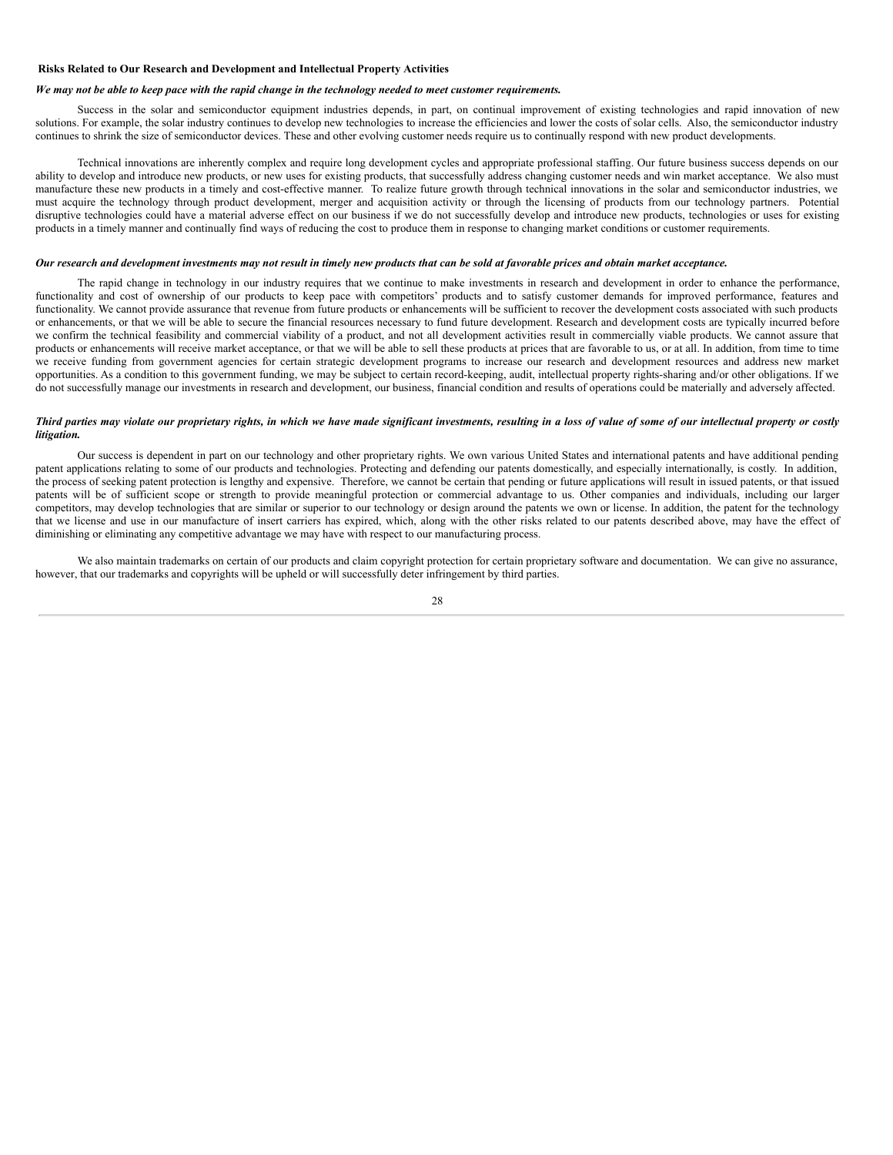#### **Risks Related to Our Research and Development and Intellectual Property Activities**

#### We may not be able to keep pace with the rapid change in the technology needed to meet customer requirements.

Success in the solar and semiconductor equipment industries depends, in part, on continual improvement of existing technologies and rapid innovation of new solutions. For example, the solar industry continues to develop new technologies to increase the efficiencies and lower the costs of solar cells. Also, the semiconductor industry continues to shrink the size of semiconductor devices. These and other evolving customer needs require us to continually respond with new product developments.

Technical innovations are inherently complex and require long development cycles and appropriate professional staffing. Our future business success depends on our ability to develop and introduce new products, or new uses for existing products, that successfully address changing customer needs and win market acceptance. We also must manufacture these new products in a timely and cost-effective manner. To realize future growth through technical innovations in the solar and semiconductor industries, we must acquire the technology through product development, merger and acquisition activity or through the licensing of products from our technology partners. Potential disruptive technologies could have a material adverse effect on our business if we do not successfully develop and introduce new products, technologies or uses for existing products in a timely manner and continually find ways of reducing the cost to produce them in response to changing market conditions or customer requirements.

#### Our research and development investments may not result in timely new products that can be sold at favorable prices and obtain market acceptance.

The rapid change in technology in our industry requires that we continue to make investments in research and development in order to enhance the performance, functionality and cost of ownership of our products to keep pace with competitors' products and to satisfy customer demands for improved performance, features and functionality. We cannot provide assurance that revenue from future products or enhancements will be sufficient to recover the development costs associated with such products or enhancements, or that we will be able to secure the financial resources necessary to fund future development. Research and development costs are typically incurred before we confirm the technical feasibility and commercial viability of a product, and not all development activities result in commercially viable products. We cannot assure that products or enhancements will receive market acceptance, or that we will be able to sell these products at prices that are favorable to us, or at all. In addition, from time to time we receive funding from government agencies for certain strategic development programs to increase our research and development resources and address new market opportunities. As a condition to this government funding, we may be subject to certain record-keeping, audit, intellectual property rights-sharing and/or other obligations. If we do not successfully manage our investments in research and development, our business, financial condition and results of operations could be materially and adversely affected.

# Third parties may violate our proprietary rights, in which we have made significant investments, resulting in a loss of value of some of our intellectual property or costly *litigation.*

Our success is dependent in part on our technology and other proprietary rights. We own various United States and international patents and have additional pending patent applications relating to some of our products and technologies. Protecting and defending our patents domestically, and especially internationally, is costly. In addition, the process of seeking patent protection is lengthy and expensive. Therefore, we cannot be certain that pending or future applications will result in issued patents, or that issued patents will be of sufficient scope or strength to provide meaningful protection or commercial advantage to us. Other companies and individuals, including our larger competitors, may develop technologies that are similar or superior to our technology or design around the patents we own or license. In addition, the patent for the technology that we license and use in our manufacture of insert carriers has expired, which, along with the other risks related to our patents described above, may have the effect of diminishing or eliminating any competitive advantage we may have with respect to our manufacturing process.

We also maintain trademarks on certain of our products and claim copyright protection for certain proprietary software and documentation. We can give no assurance, however, that our trademarks and copyrights will be upheld or will successfully deter infringement by third parties.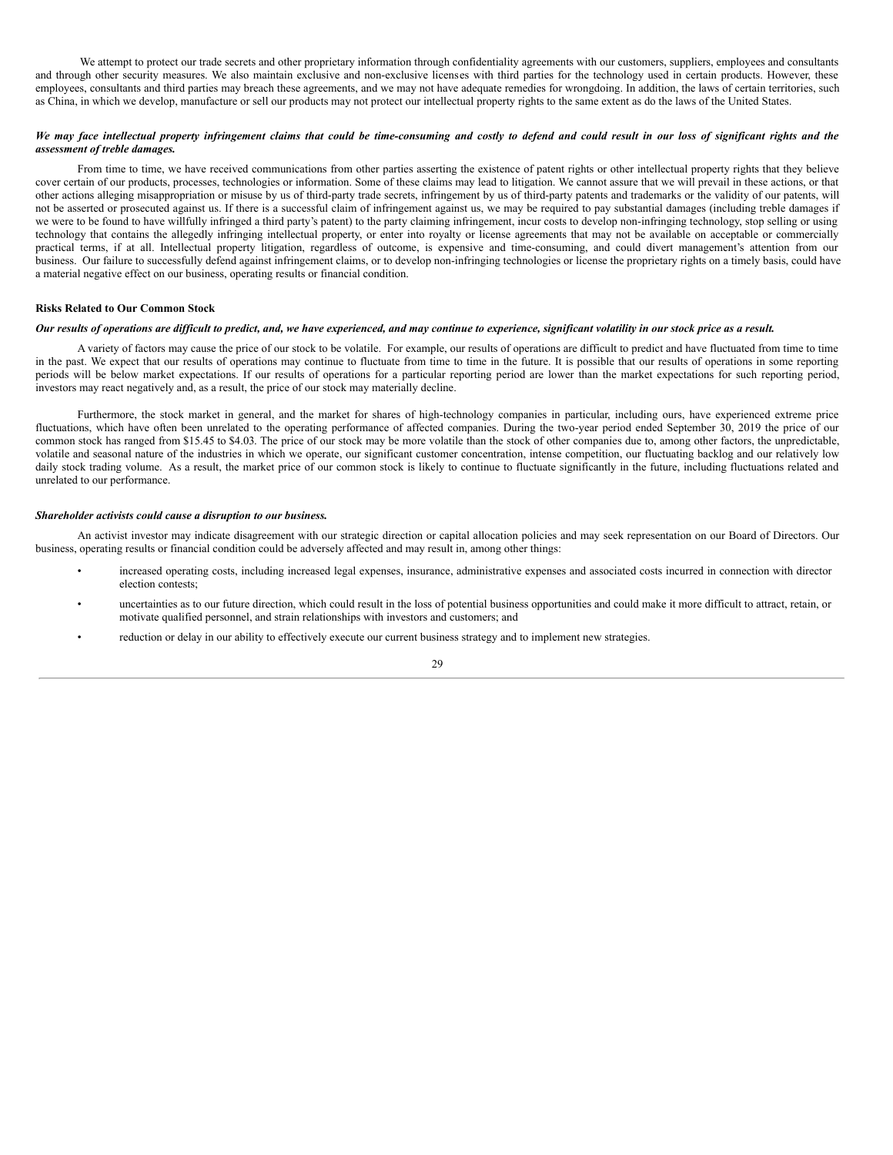We attempt to protect our trade secrets and other proprietary information through confidentiality agreements with our customers, suppliers, employees and consultants and through other security measures. We also maintain exclusive and non-exclusive licenses with third parties for the technology used in certain products. However, these employees, consultants and third parties may breach these agreements, and we may not have adequate remedies for wrongdoing. In addition, the laws of certain territories, such as China, in which we develop, manufacture or sell our products may not protect our intellectual property rights to the same extent as do the laws of the United States.

# We may face intellectual property infringement claims that could be time-consuming and costly to defend and could result in our loss of significant rights and the *assessment of treble damages.*

From time to time, we have received communications from other parties asserting the existence of patent rights or other intellectual property rights that they believe cover certain of our products, processes, technologies or information. Some of these claims may lead to litigation. We cannot assure that we will prevail in these actions, or that other actions alleging misappropriation or misuse by us of third-party trade secrets, infringement by us of third-party patents and trademarks or the validity of our patents, will not be asserted or prosecuted against us. If there is a successful claim of infringement against us, we may be required to pay substantial damages (including treble damages if we were to be found to have willfully infringed a third party's patent) to the party claiming infringement, incur costs to develop non-infringing technology, stop selling or using technology that contains the allegedly infringing intellectual property, or enter into royalty or license agreements that may not be available on acceptable or commercially practical terms, if at all. Intellectual property litigation, regardless of outcome, is expensive and time-consuming, and could divert management's attention from our business. Our failure to successfully defend against infringement claims, or to develop non-infringing technologies or license the proprietary rights on a timely basis, could have a material negative effect on our business, operating results or financial condition.

#### **Risks Related to Our Common Stock**

#### Our results of operations are difficult to predict, and, we have experienced, and may continue to experience, significant volatility in our stock price as a result.

A variety of factors may cause the price of our stock to be volatile. For example, our results of operations are difficult to predict and have fluctuated from time to time in the past. We expect that our results of operations may continue to fluctuate from time to time in the future. It is possible that our results of operations in some reporting periods will be below market expectations. If our results of operations for a particular reporting period are lower than the market expectations for such reporting period, investors may react negatively and, as a result, the price of our stock may materially decline.

Furthermore, the stock market in general, and the market for shares of high-technology companies in particular, including ours, have experienced extreme price fluctuations, which have often been unrelated to the operating performance of affected companies. During the two-year period ended September 30, 2019 the price of our common stock has ranged from \$15.45 to \$4.03. The price of our stock may be more volatile than the stock of other companies due to, among other factors, the unpredictable, volatile and seasonal nature of the industries in which we operate, our significant customer concentration, intense competition, our fluctuating backlog and our relatively low daily stock trading volume. As a result, the market price of our common stock is likely to continue to fluctuate significantly in the future, including fluctuations related and unrelated to our performance.

#### *Shareholder activists could cause a disruption to our business.*

An activist investor may indicate disagreement with our strategic direction or capital allocation policies and may seek representation on our Board of Directors. Our business, operating results or financial condition could be adversely affected and may result in, among other things:

- increased operating costs, including increased legal expenses, insurance, administrative expenses and associated costs incurred in connection with director election contests;
- uncertainties as to our future direction, which could result in the loss of potential business opportunities and could make it more difficult to attract, retain, or motivate qualified personnel, and strain relationships with investors and customers; and
- reduction or delay in our ability to effectively execute our current business strategy and to implement new strategies.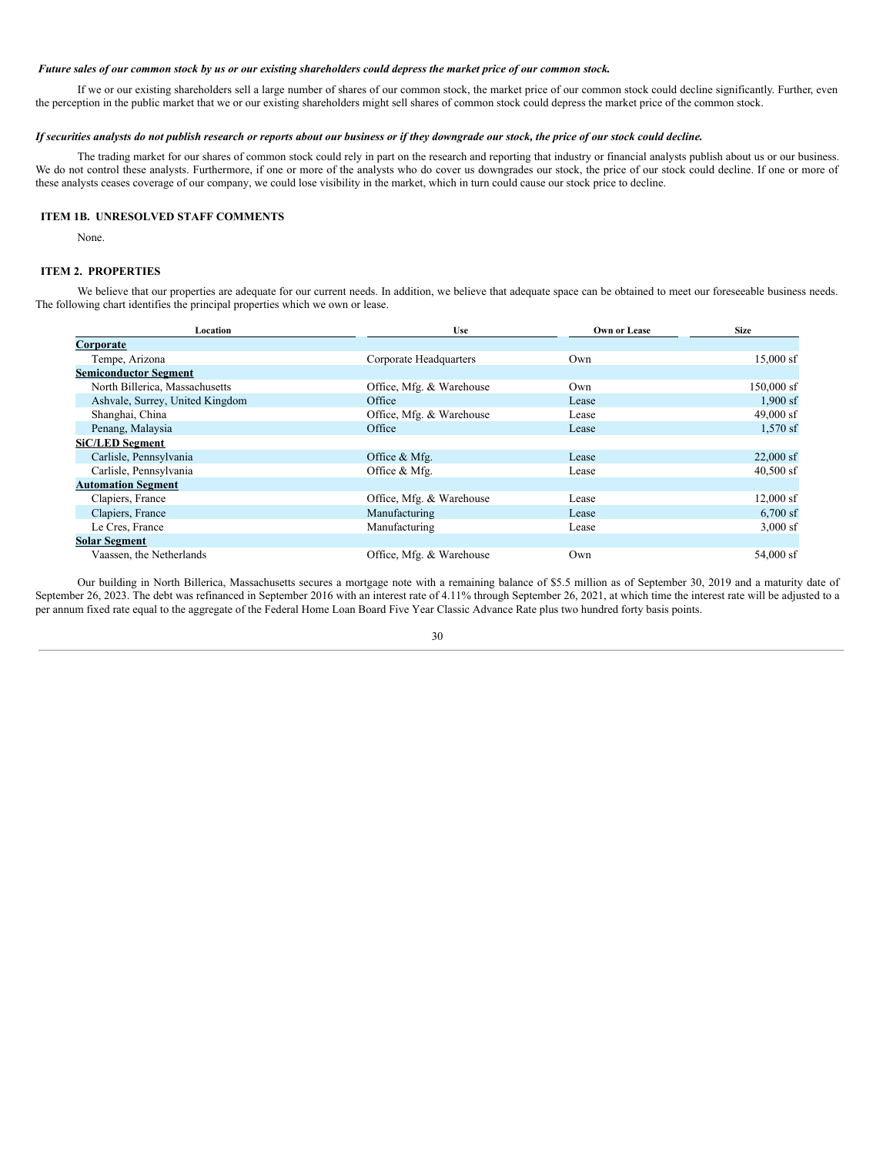# Future sales of our common stock by us or our existing shareholders could depress the market price of our common stock.

If we or our existing shareholders sell a large number of shares of our common stock, the market price of our common stock could decline significantly. Further, even the perception in the public market that we or our existing shareholders might sell shares of common stock could depress the market price of the common stock.

# If securities analysts do not publish research or reports about our business or if they downgrade our stock, the price of our stock could decline.

The trading market for our shares of common stock could rely in part on the research and reporting that industry or financial analysts publish about us or our business. We do not control these analysts. Furthermore, if one or more of the analysts who do cover us downgrades our stock, the price of our stock could decline. If one or more of these analysts ceases coverage of our company, we could lose visibility in the market, which in turn could cause our stock price to decline.

# <span id="page-29-0"></span>**ITEM 1B. UNRESOLVED STAFF COMMENTS**

None.

# <span id="page-29-1"></span>**ITEM 2. PROPERTIES**

We believe that our properties are adequate for our current needs. In addition, we believe that adequate space can be obtained to meet our foreseeable business needs. The following chart identifies the principal properties which we own or lease.

| Location                        | <b>Use</b>               | Own or Lease | <b>Size</b> |  |
|---------------------------------|--------------------------|--------------|-------------|--|
| <b>Corporate</b>                |                          |              |             |  |
| Tempe, Arizona                  | Corporate Headquarters   | Own          | $15,000$ sf |  |
| <b>Semiconductor Segment</b>    |                          |              |             |  |
| North Billerica, Massachusetts  | Office, Mfg. & Warehouse | Own          | 150,000 sf  |  |
| Ashvale, Surrey, United Kingdom | Office                   | Lease        | $1,900$ sf  |  |
| Shanghai, China                 | Office, Mfg. & Warehouse | Lease        | $49,000$ sf |  |
| Penang, Malaysia                | Office                   | Lease        | $1,570$ sf  |  |
| <b>SiC/LED Segment</b>          |                          |              |             |  |
| Carlisle, Pennsylvania          | Office & Mfg.            | Lease        | $22,000$ sf |  |
| Carlisle, Pennsylvania          | Office & Mfg.            | Lease        | $40,500$ sf |  |
| <b>Automation Segment</b>       |                          |              |             |  |
| Clapiers, France                | Office, Mfg. & Warehouse | Lease        | $12,000$ sf |  |
| Clapiers, France                | Manufacturing            | Lease        | $6,700$ sf  |  |
| Le Cres, France                 | Manufacturing            | Lease        | $3,000$ sf  |  |
| <b>Solar Segment</b>            |                          |              |             |  |
| Vaassen, the Netherlands        | Office, Mfg. & Warehouse | Own          | 54,000 sf   |  |

Our building in North Billerica, Massachusetts secures a mortgage note with a remaining balance of \$5.5 million as of September 30, 2019 and a maturity date of September 26, 2023. The debt was refinanced in September 2016 with an interest rate of 4.11% through September 26, 2021, at which time the interest rate will be adjusted to a per annum fixed rate equal to the aggregate of the Federal Home Loan Board Five Year Classic Advance Rate plus two hundred forty basis points.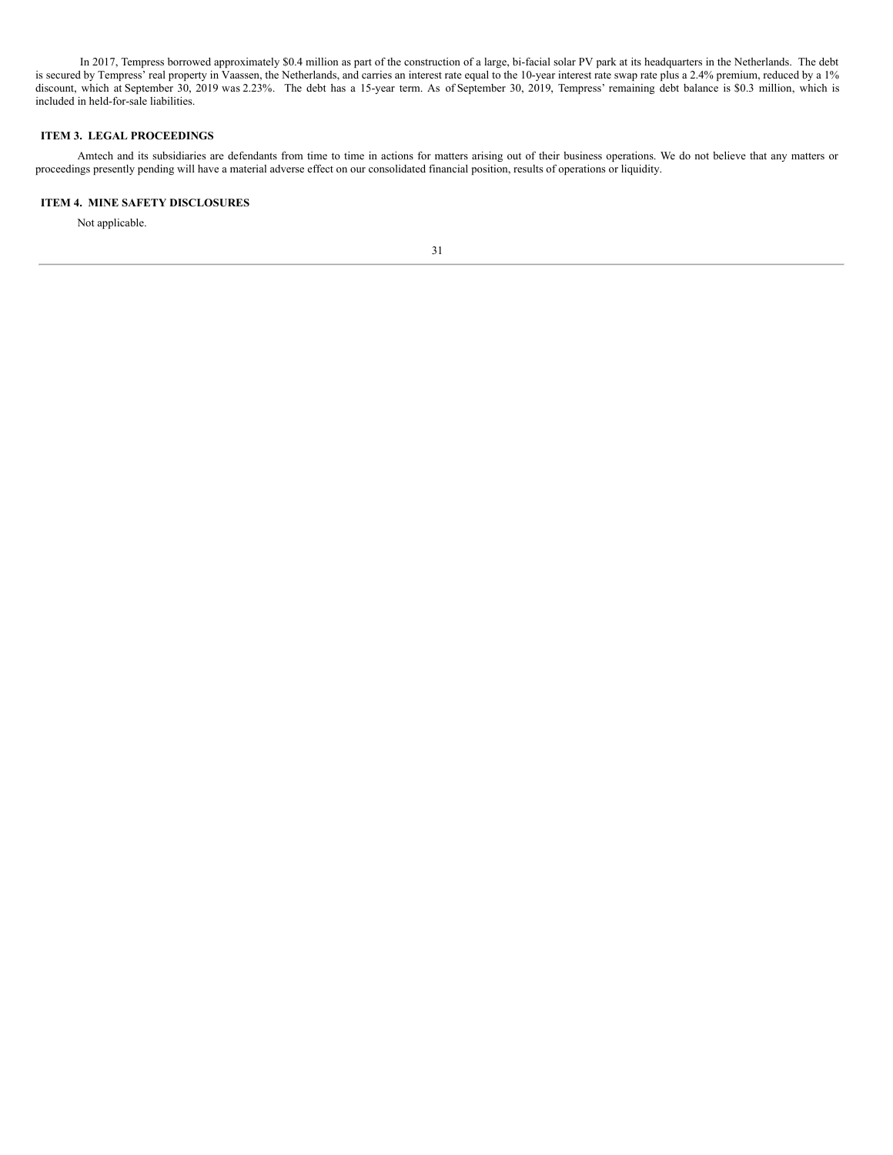In 2017, Tempress borrowed approximately \$0.4 million as part of the construction of a large, bi-facial solar PV park at its headquarters in the Netherlands. The debt is secured by Tempress' real property in Vaassen, the Netherlands, and carries an interest rate equal to the 10-year interest rate swap rate plus a 2.4% premium, reduced by a 1% discount, which at September 30, 2019 was 2.23%. The debt has a 15-year term. As of September 30, 2019, Tempress' remaining debt balance is \$0.3 million, which is included in held-for-sale liabilities.

# <span id="page-30-0"></span>**ITEM 3. LEGAL PROCEEDINGS**

Amtech and its subsidiaries are defendants from time to time in actions for matters arising out of their business operations. We do not believe that any matters or proceedings presently pending will have a material adverse effect on our consolidated financial position, results of operations or liquidity.

# <span id="page-30-1"></span>**ITEM 4. MINE SAFETY DISCLOSURES**

Not applicable.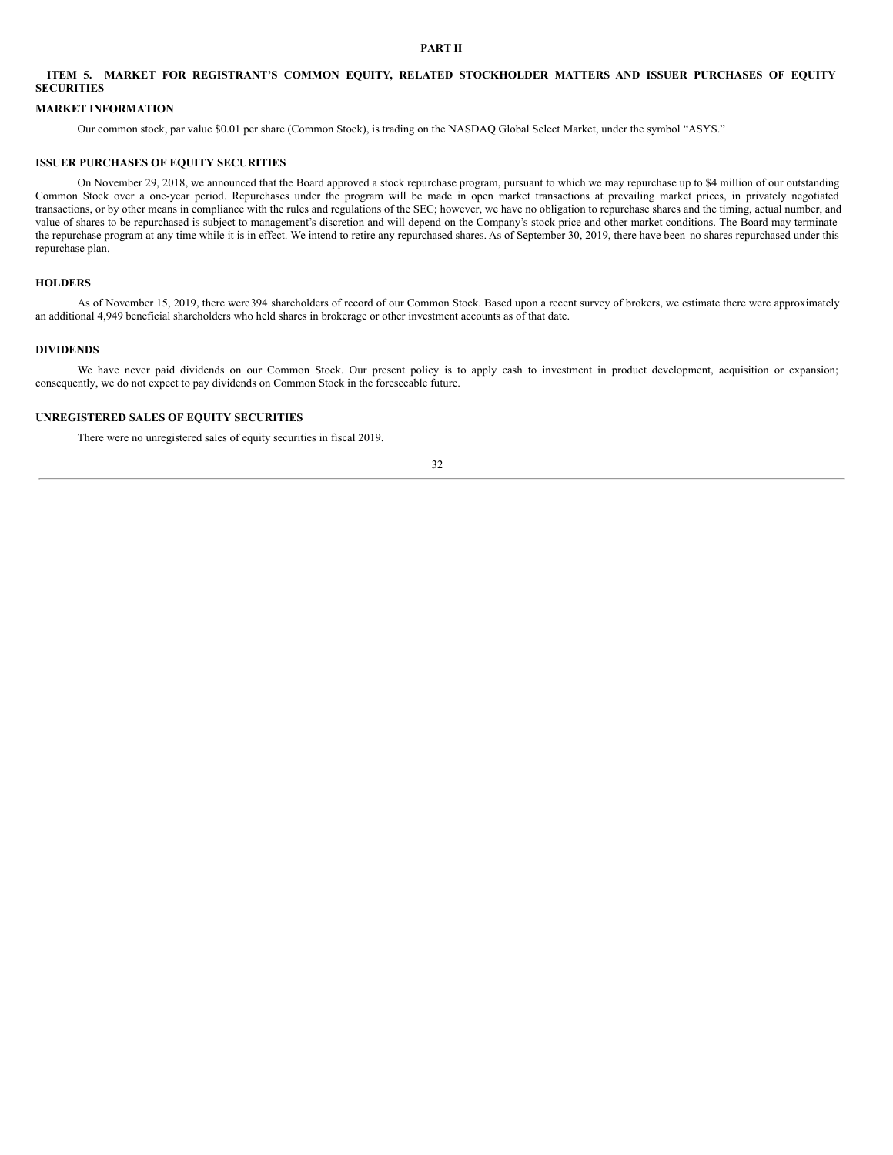# **PART II**

# <span id="page-31-0"></span>**ITEM 5. MARKET FOR REGISTRANT'S COMMON EQUITY, RELATED STOCKHOLDER MATTERS AND ISSUER PURCHASES OF EQUITY SECURITIES**

# **MARKET INFORMATION**

Our common stock, par value \$0.01 per share (Common Stock), is trading on the NASDAQ Global Select Market, under the symbol "ASYS."

#### **ISSUER PURCHASES OF EQUITY SECURITIES**

On November 29, 2018, we announced that the Board approved a stock repurchase program, pursuant to which we may repurchase up to \$4 million of our outstanding Common Stock over a one-year period. Repurchases under the program will be made in open market transactions at prevailing market prices, in privately negotiated transactions, or by other means in compliance with the rules and regulations of the SEC; however, we have no obligation to repurchase shares and the timing, actual number, and value of shares to be repurchased is subject to management's discretion and will depend on the Company's stock price and other market conditions. The Board may terminate the repurchase program at any time while it is in effect. We intend to retire any repurchased shares. As of September 30, 2019, there have been no shares repurchased under this repurchase plan.

#### **HOLDERS**

As of November 15, 2019, there were394 shareholders of record of our Common Stock. Based upon a recent survey of brokers, we estimate there were approximately an additional 4,949 beneficial shareholders who held shares in brokerage or other investment accounts as of that date.

#### **DIVIDENDS**

We have never paid dividends on our Common Stock. Our present policy is to apply cash to investment in product development, acquisition or expansion; consequently, we do not expect to pay dividends on Common Stock in the foreseeable future.

# **UNREGISTERED SALES OF EQUITY SECURITIES**

There were no unregistered sales of equity securities in fiscal 2019.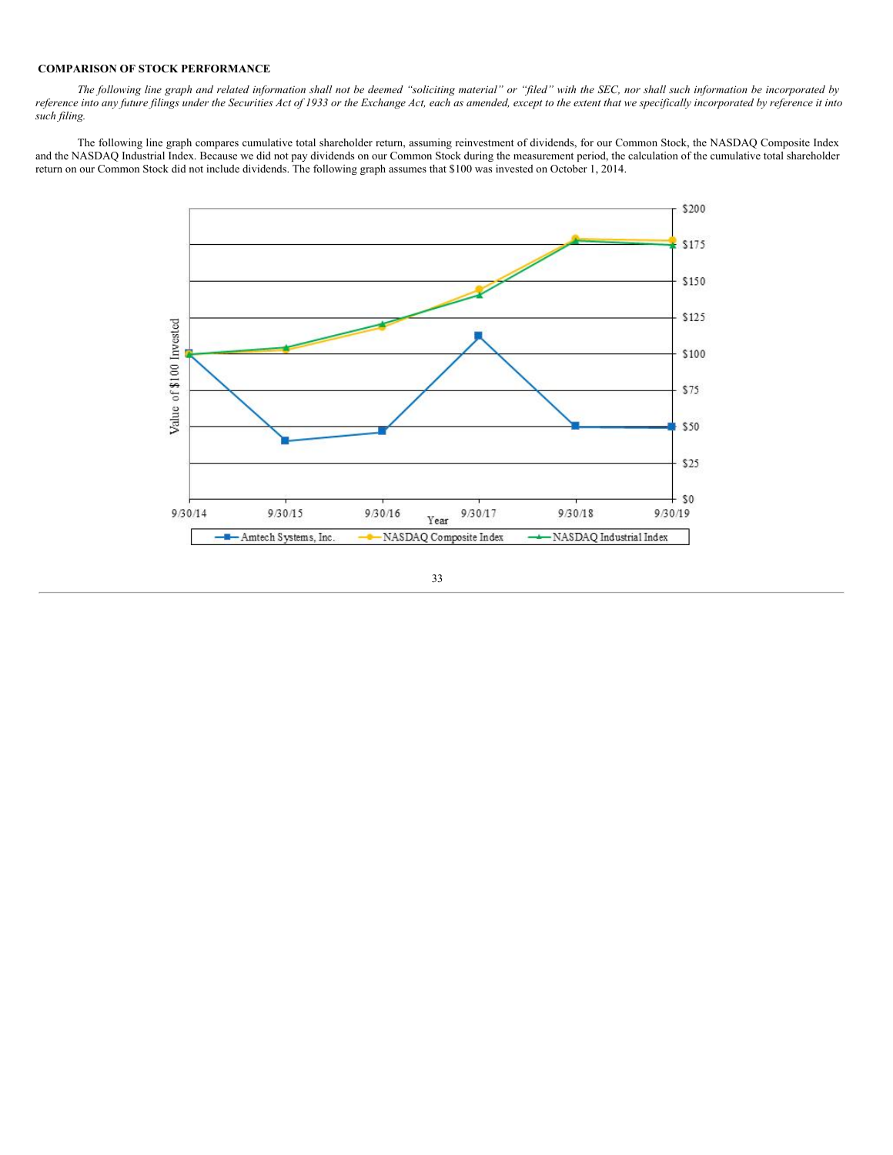# **COMPARISON OF STOCK PERFORMANCE**

The following line graph and related information shall not be deemed "soliciting material" or "filed" with the SEC, nor shall such information be incorporated by reference into any future filings under the Securities Act of 1933 or the Exchange Act, each as amended, except to the extent that we specifically incorporated by reference it into *such filing.*

The following line graph compares cumulative total shareholder return, assuming reinvestment of dividends, for our Common Stock, the NASDAQ Composite Index and the NASDAQ Industrial Index. Because we did not pay dividends on our Common Stock during the measurement period, the calculation of the cumulative total shareholder return on our Common Stock did not include dividends. The following graph assumes that \$100 was invested on October 1, 2014.

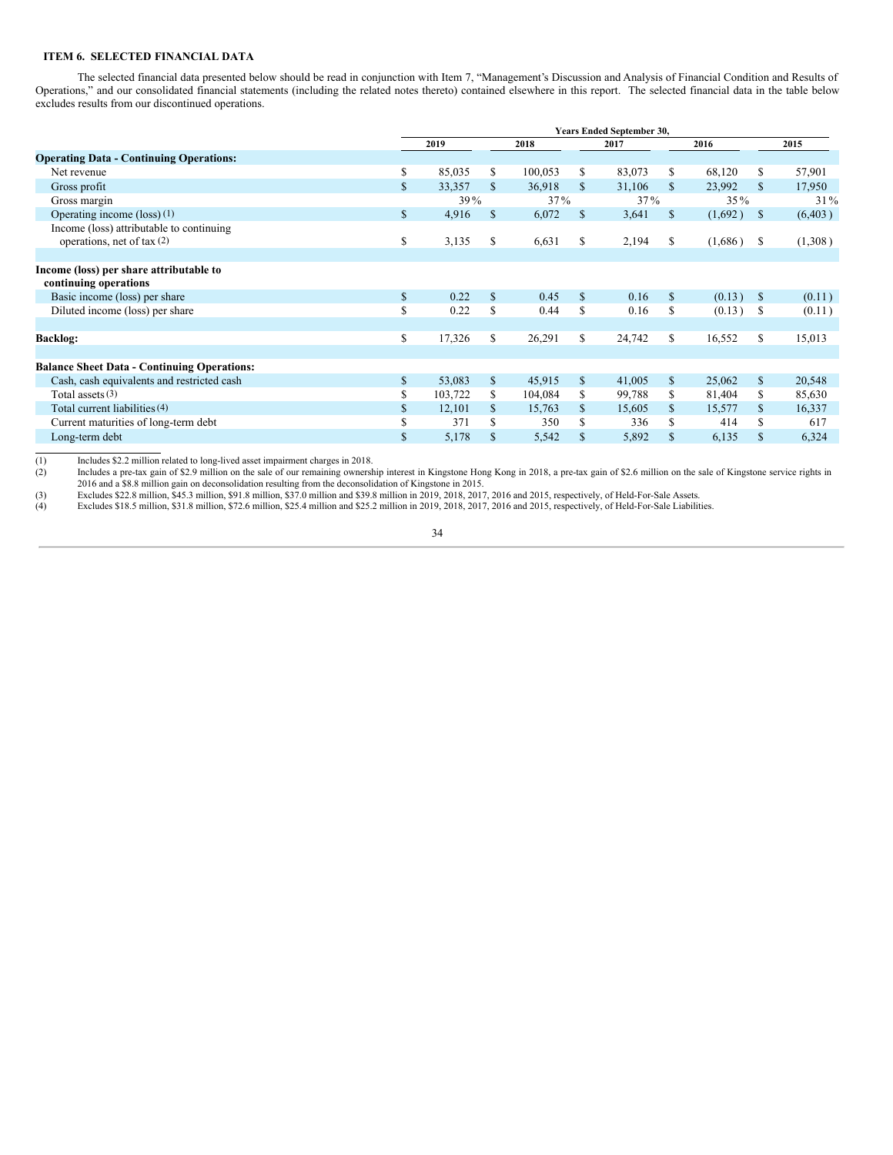# <span id="page-33-0"></span>**ITEM 6. SELECTED FINANCIAL DATA**

The selected financial data presented below should be read in conjunction with Item 7, "Management's Discussion and Analysis of Financial Condition and Results of Operations," and our consolidated financial statements (including the related notes thereto) contained elsewhere in this report. The selected financial data in the table below excludes results from our discontinued operations.

|                                                    |              | Years Ended September 30, |    |         |     |        |               |         |               |         |
|----------------------------------------------------|--------------|---------------------------|----|---------|-----|--------|---------------|---------|---------------|---------|
|                                                    |              | 2019                      |    | 2018    |     | 2017   |               | 2016    |               | 2015    |
| <b>Operating Data - Continuing Operations:</b>     |              |                           |    |         |     |        |               |         |               |         |
| Net revenue                                        | \$           | 85,035                    | \$ | 100,053 | S   | 83,073 | S.            | 68,120  | \$            | 57,901  |
| Gross profit                                       | $\mathbb{S}$ | 33,357                    | \$ | 36,918  | \$. | 31,106 | \$.           | 23,992  | \$            | 17,950  |
| Gross margin                                       |              | 39%                       |    | 37%     |     | 37%    |               | $35\%$  |               | 31%     |
| Operating income $(\text{loss})$ (1)               | \$           | 4,916                     | \$ | 6,072   | S   | 3,641  | \$            | (1,692) | <sup>\$</sup> | (6,403) |
| Income (loss) attributable to continuing           |              |                           |    |         |     |        |               |         |               |         |
| operations, net of tax $(2)$                       | \$           | 3,135                     | \$ | 6,631   | \$  | 2,194  | S             | (1,686) | -S            | (1,308) |
|                                                    |              |                           |    |         |     |        |               |         |               |         |
| Income (loss) per share attributable to            |              |                           |    |         |     |        |               |         |               |         |
| continuing operations                              |              |                           |    |         |     |        |               |         |               |         |
| Basic income (loss) per share                      | $\mathbb{S}$ | 0.22                      | \$ | 0.45    | \$. | 0.16   | \$.           | (0.13)  | <sup>\$</sup> | (0.11)  |
| Diluted income (loss) per share                    | \$           | 0.22                      | \$ | 0.44    | S   | 0.16   | S             | (0.13)  | -S            | (0.11)  |
|                                                    |              |                           |    |         |     |        |               |         |               |         |
| Backlog:                                           | \$           | 17,326                    | \$ | 26,291  | S   | 24,742 | S             | 16,552  | \$            | 15,013  |
|                                                    |              |                           |    |         |     |        |               |         |               |         |
| <b>Balance Sheet Data - Continuing Operations:</b> |              |                           |    |         |     |        |               |         |               |         |
| Cash, cash equivalents and restricted cash         | $\mathbb{S}$ | 53,083                    | \$ | 45,915  | S   | 41,005 | <sup>\$</sup> | 25,062  | \$            | 20,548  |
| Total assets $(3)$                                 | S            | 103,722                   | \$ | 104,084 | S   | 99,788 | S             | 81,404  | \$            | 85,630  |
| Total current liabilities (4)                      | \$           | 12,101                    | \$ | 15,763  | S   | 15,605 | S             | 15,577  | \$            | 16,337  |
| Current maturities of long-term debt               | \$           | 371                       | \$ | 350     | S   | 336    | S             | 414     | S             | 617     |
| Long-term debt                                     | \$           | 5,178                     | \$ | 5,542   | S   | 5,892  | \$            | 6,135   | \$            | 6,324   |
|                                                    |              |                           |    |         |     |        |               |         |               |         |

(1) Includes \$2.2 million related to long-lived asset impairment charges in 2018. (2) Includes a pre-tax gain of \$2.9 million on the sale of our remaining ownership interest in Kingstone Hong Kong in 2018, a pre-tax gain of \$2.6 million on the sale of Kingstone service rights in 2016 and a \$8.8 million

(3) Excludes \$22.8 million, \$45.3 million, \$91.8 million, \$37.0 million and \$39.8 million in 2019, 2018, 2017, 2016 and 2015, respectively, of Held-For-Sale Assets.<br>(4) Excludes \$18.5 million, \$31.8 million, \$72.6 million,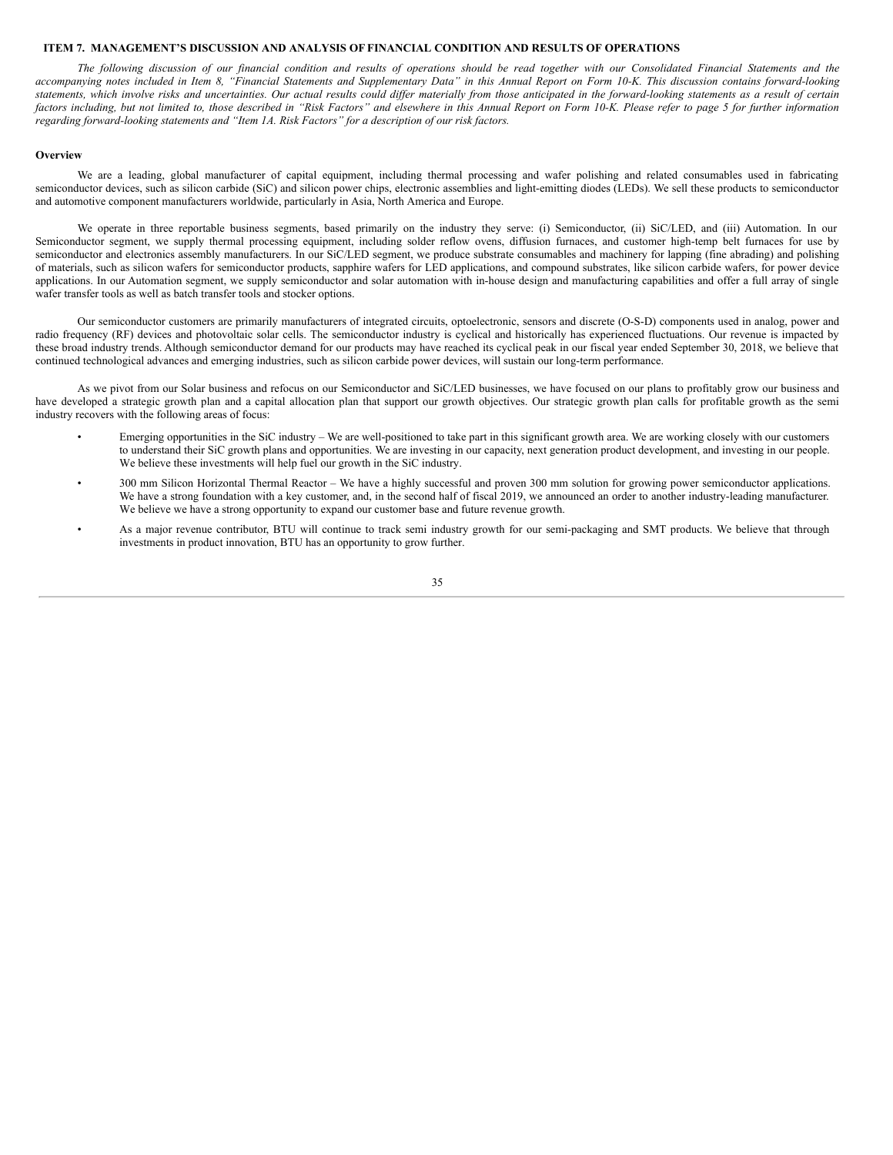#### <span id="page-34-0"></span>**ITEM 7. MANAGEMENT'S DISCUSSION AND ANALYSIS OF FINANCIAL CONDITION AND RESULTS OF OPERATIONS**

The following discussion of our financial condition and results of operations should be read together with our Consolidated Financial Statements and the accompanying notes included in Item 8, "Financial Statements and Supplementary Data" in this Annual Report on Form 10-K. This discussion contains forward-looking statements, which involve risks and uncertainties. Our actual results could differ materially from those anticipated in the forward-looking statements as a result of certain factors including, but not limited to, those described in "Risk Factors" and elsewhere in this Annual Report on Form 10-K. Please refer to page 5 for further information *regarding forward-looking statements and "Item 1A. Risk Factors" for a description of our risk factors.*

#### **Overview**

We are a leading, global manufacturer of capital equipment, including thermal processing and wafer polishing and related consumables used in fabricating semiconductor devices, such as silicon carbide (SiC) and silicon power chips, electronic assemblies and light-emitting diodes (LEDs). We sell these products to semiconductor and automotive component manufacturers worldwide, particularly in Asia, North America and Europe.

We operate in three reportable business segments, based primarily on the industry they serve: (i) Semiconductor, (ii) SiC/LED, and (iii) Automation. In our Semiconductor segment, we supply thermal processing equipment, including solder reflow ovens, diffusion furnaces, and customer high-temp belt furnaces for use by semiconductor and electronics assembly manufacturers. In our SiC/LED segment, we produce substrate consumables and machinery for lapping (fine abrading) and polishing of materials, such as silicon wafers for semiconductor products, sapphire wafers for LED applications, and compound substrates, like silicon carbide wafers, for power device applications. In our Automation segment, we supply semiconductor and solar automation with in-house design and manufacturing capabilities and offer a full array of single wafer transfer tools as well as batch transfer tools and stocker options.

Our semiconductor customers are primarily manufacturers of integrated circuits, optoelectronic, sensors and discrete (O-S-D) components used in analog, power and radio frequency (RF) devices and photovoltaic solar cells. The semiconductor industry is cyclical and historically has experienced fluctuations. Our revenue is impacted by these broad industry trends. Although semiconductor demand for our products may have reached its cyclical peak in our fiscal year ended September 30, 2018, we believe that continued technological advances and emerging industries, such as silicon carbide power devices, will sustain our long-term performance.

As we pivot from our Solar business and refocus on our Semiconductor and SiC/LED businesses, we have focused on our plans to profitably grow our business and have developed a strategic growth plan and a capital allocation plan that support our growth objectives. Our strategic growth plan calls for profitable growth as the semi industry recovers with the following areas of focus:

- Emerging opportunities in the SiC industry We are well-positioned to take part in this significant growth area. We are working closely with our customers to understand their SiC growth plans and opportunities. We are investing in our capacity, next generation product development, and investing in our people. We believe these investments will help fuel our growth in the SiC industry.
- 300 mm Silicon Horizontal Thermal Reactor We have a highly successful and proven 300 mm solution for growing power semiconductor applications. We have a strong foundation with a key customer, and, in the second half of fiscal 2019, we announced an order to another industry-leading manufacturer. We believe we have a strong opportunity to expand our customer base and future revenue growth.
- As a major revenue contributor, BTU will continue to track semi industry growth for our semi-packaging and SMT products. We believe that through investments in product innovation, BTU has an opportunity to grow further.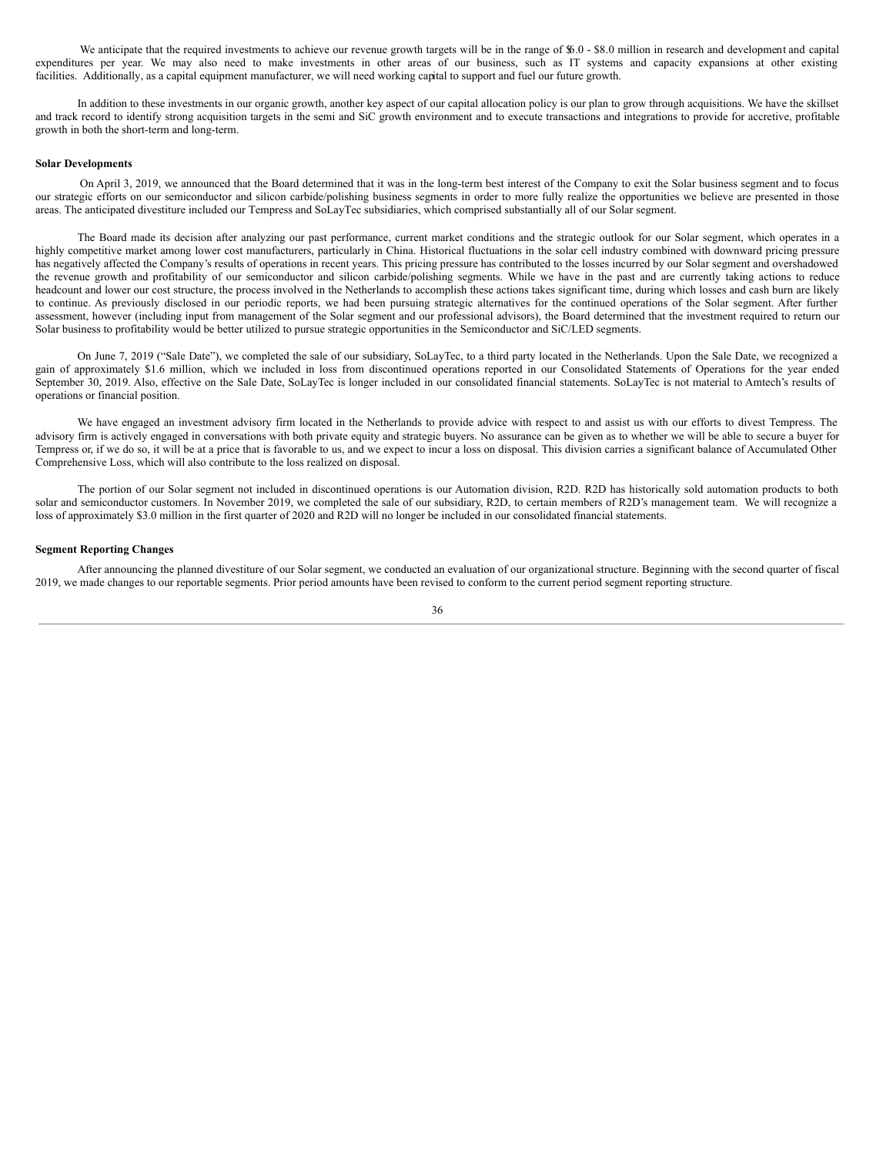We anticipate that the required investments to achieve our revenue growth targets will be in the range of \$6.0 - \$8.0 million in research and development and capital expenditures per year. We may also need to make investments in other areas of our business, such as IT systems and capacity expansions at other existing facilities. Additionally, as a capital equipment manufacturer, we will need working capital to support and fuel our future growth.

In addition to these investments in our organic growth, another key aspect of our capital allocation policy is our plan to grow through acquisitions. We have the skillset and track record to identify strong acquisition targets in the semi and SiC growth environment and to execute transactions and integrations to provide for accretive, profitable growth in both the short-term and long-term.

#### **Solar Developments**

On April 3, 2019, we announced that the Board determined that it was in the long-term best interest of the Company to exit the Solar business segment and to focus our strategic efforts on our semiconductor and silicon carbide/polishing business segments in order to more fully realize the opportunities we believe are presented in those areas. The anticipated divestiture included our Tempress and SoLayTec subsidiaries, which comprised substantially all of our Solar segment.

The Board made its decision after analyzing our past performance, current market conditions and the strategic outlook for our Solar segment, which operates in a highly competitive market among lower cost manufacturers, particularly in China. Historical fluctuations in the solar cell industry combined with downward pricing pressure has negatively affected the Company's results of operations in recent years. This pricing pressure has contributed to the losses incurred by our Solar segment and overshadowed the revenue growth and profitability of our semiconductor and silicon carbide/polishing segments. While we have in the past and are currently taking actions to reduce headcount and lower our cost structure, the process involved in the Netherlands to accomplish these actions takes significant time, during which losses and cash burn are likely to continue. As previously disclosed in our periodic reports, we had been pursuing strategic alternatives for the continued operations of the Solar segment. After further assessment, however (including input from management of the Solar segment and our professional advisors), the Board determined that the investment required to return our Solar business to profitability would be better utilized to pursue strategic opportunities in the Semiconductor and SiC/LED segments.

On June 7, 2019 ("Sale Date"), we completed the sale of our subsidiary, SoLayTec, to a third party located in the Netherlands. Upon the Sale Date, we recognized a gain of approximately \$1.6 million, which we included in loss from discontinued operations reported in our Consolidated Statements of Operations for the year ended September 30, 2019. Also, effective on the Sale Date, SoLayTec is longer included in our consolidated financial statements. SoLayTec is not material to Amtech's results of operations or financial position.

We have engaged an investment advisory firm located in the Netherlands to provide advice with respect to and assist us with our efforts to divest Tempress. The advisory firm is actively engaged in conversations with both private equity and strategic buyers. No assurance can be given as to whether we will be able to secure a buyer for Tempress or, if we do so, it will be at a price that is favorable to us, and we expect to incur a loss on disposal. This division carries a significant balance of Accumulated Other Comprehensive Loss, which will also contribute to the loss realized on disposal.

The portion of our Solar segment not included in discontinued operations is our Automation division, R2D. R2D has historically sold automation products to both solar and semiconductor customers. In November 2019, we completed the sale of our subsidiary, R2D, to certain members of R2D's management team. We will recognize a loss of approximately \$3.0 million in the first quarter of 2020 and R2D will no longer be included in our consolidated financial statements.

#### **Segment Reporting Changes**

After announcing the planned divestiture of our Solar segment, we conducted an evaluation of our organizational structure. Beginning with the second quarter of fiscal 2019, we made changes to our reportable segments. Prior period amounts have been revised to conform to the current period segment reporting structure.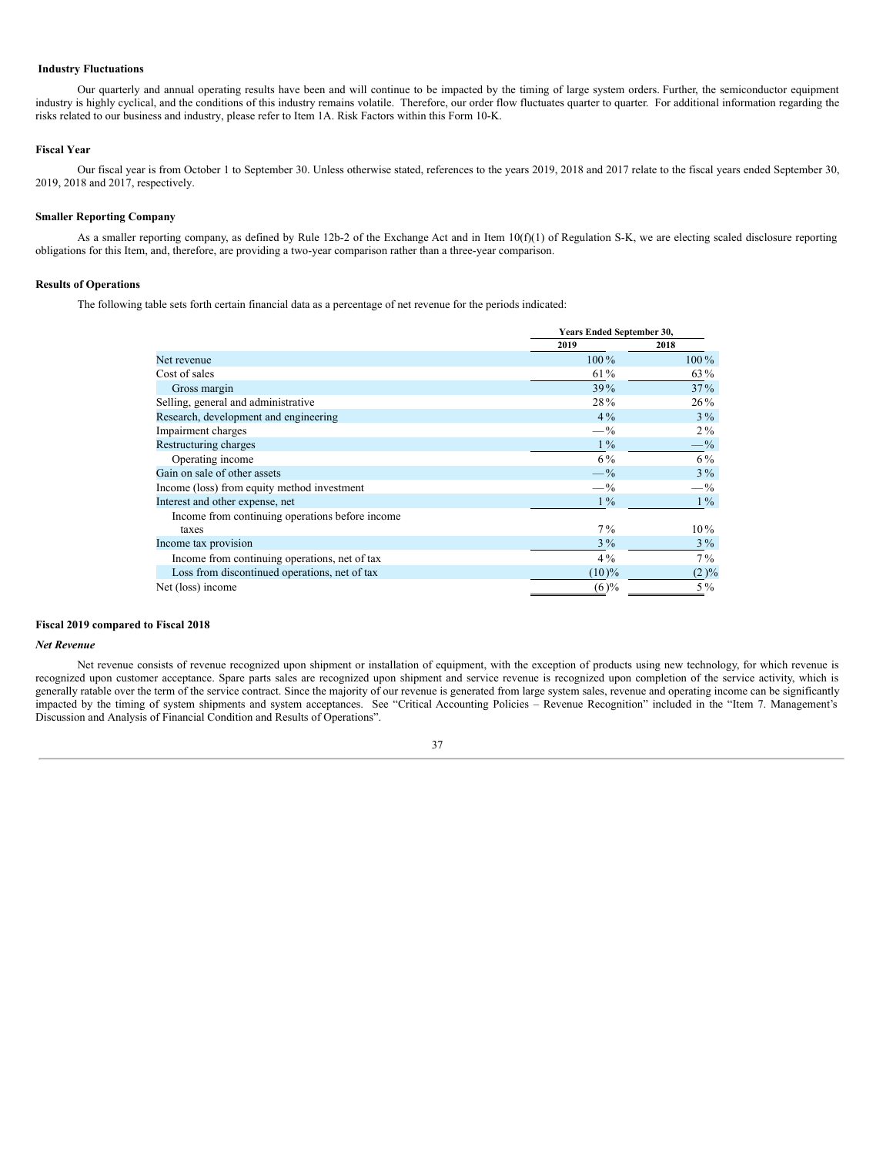#### **Industry Fluctuations**

Our quarterly and annual operating results have been and will continue to be impacted by the timing of large system orders. Further, the semiconductor equipment industry is highly cyclical, and the conditions of this industry remains volatile. Therefore, our order flow fluctuates quarter to quarter. For additional information regarding the risks related to our business and industry, please refer to Item 1A. Risk Factors within this Form 10-K.

#### **Fiscal Year**

Our fiscal year is from October 1 to September 30. Unless otherwise stated, references to the years 2019, 2018 and 2017 relate to the fiscal years ended September 30, 2019, 2018 and 2017, respectively.

## **Smaller Reporting Company**

As a smaller reporting company, as defined by Rule 12b-2 of the Exchange Act and in Item 10(f)(1) of Regulation S-K, we are electing scaled disclosure reporting obligations for this Item, and, therefore, are providing a two-year comparison rather than a three-year comparison.

#### **Results of Operations**

The following table sets forth certain financial data as a percentage of net revenue for the periods indicated:

|                                                 | <b>Years Ended September 30,</b> |                 |
|-------------------------------------------------|----------------------------------|-----------------|
|                                                 | 2019                             | 2018            |
| Net revenue                                     | $100\%$                          | $100\%$         |
| Cost of sales                                   | 61%                              | 63%             |
| Gross margin                                    | $39\%$                           | $37\%$          |
| Selling, general and administrative             | 28%                              | $26\%$          |
| Research, development and engineering           | $4\%$                            | $3\%$           |
| Impairment charges                              | $- \frac{6}{9}$                  | $2\%$           |
| Restructuring charges                           | $1\%$                            | $- \frac{9}{6}$ |
| Operating income                                | $6\%$                            | 6 %             |
| Gain on sale of other assets                    | $-\frac{0}{0}$                   | $3\%$           |
| Income (loss) from equity method investment     | $-\frac{0}{0}$                   | $- \frac{9}{6}$ |
| Interest and other expense, net                 | $1\%$                            | $1\%$           |
| Income from continuing operations before income |                                  |                 |
| taxes                                           | $7\%$                            | $10\%$          |
| Income tax provision                            | $3\%$                            | $3\%$           |
| Income from continuing operations, net of tax   | $4\%$                            | $7\%$           |
| Loss from discontinued operations, net of tax   | $(10)\%$                         | $(2)\%$         |
| Net (loss) income                               | $(6) \%$                         | $5\%$           |

#### **Fiscal 2019 compared to Fiscal 2018**

#### *Net Revenue*

Net revenue consists of revenue recognized upon shipment or installation of equipment, with the exception of products using new technology, for which revenue is recognized upon customer acceptance. Spare parts sales are recognized upon shipment and service revenue is recognized upon completion of the service activity, which is generally ratable over the term of the service contract. Since the majority of our revenue is generated from large system sales, revenue and operating income can be significantly impacted by the timing of system shipments and system acceptances. See "Critical Accounting Policies – Revenue Recognition" included in the "Item 7. Management's Discussion and Analysis of Financial Condition and Results of Operations".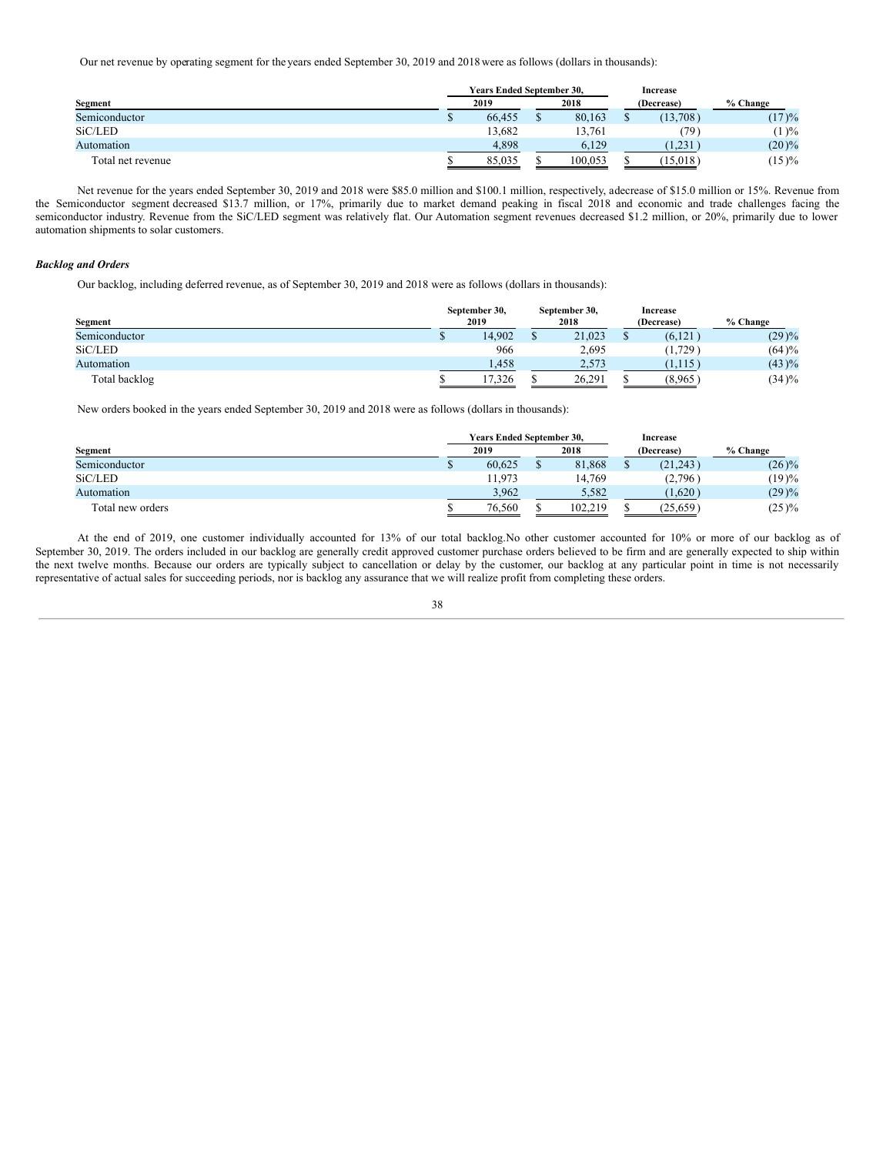Our net revenue by operating segment for the years ended September 30, 2019 and 2018were as follows (dollars in thousands):

|                   | <b>Years Ended September 30,</b> |        |  |         |            |          |          |
|-------------------|----------------------------------|--------|--|---------|------------|----------|----------|
| Segment           |                                  | 2019   |  | 2018    | (Decrease) |          | % Change |
| Semiconductor     | ۰D                               | 66.455 |  | 80.163  |            | (13,708) | (17)%    |
| SiC/LED           |                                  | 13.682 |  | 13.761  |            | '79,     | $(1) \%$ |
| Automation        |                                  | 4.898  |  | 6.129   |            | (1,231)  | $(20)\%$ |
| Total net revenue |                                  | 85.035 |  | 100.053 |            | (15.018) | $(15)\%$ |

Net revenue for the years ended September 30, 2019 and 2018 were \$85.0 million and \$100.1 million, respectively, adecrease of \$15.0 million or 15%. Revenue from the Semiconductor segment decreased \$13.7 million, or 17%, primarily due to market demand peaking in fiscal 2018 and economic and trade challenges facing the semiconductor industry. Revenue from the SiC/LED segment was relatively flat. Our Automation segment revenues decreased \$1.2 million, or 20%, primarily due to lower automation shipments to solar customers.

## *Backlog and Orders*

Our backlog, including deferred revenue, as of September 30, 2019 and 2018 were as follows (dollars in thousands):

| Segment       | September 30,<br>2019 |  | September 30,<br>2018 | Increase<br>(Decrease) | % Change |
|---------------|-----------------------|--|-----------------------|------------------------|----------|
| Semiconductor | 14.902                |  | 21.023                | (6, 121)               | $(29)\%$ |
| SiC/LED       | 966                   |  | 2.695                 | (1,729)                | (64)%    |
| Automation    | .458                  |  | 2.573                 | (1, 115)               | $(43)\%$ |
| Total backlog | 17.326                |  | 26.291                | (8.965)                | $(34)\%$ |

New orders booked in the years ended September 30, 2019 and 2018 were as follows (dollars in thousands):

|                  |   | <b>Years Ended September 30.</b> |      |         |  | Increase   |          |
|------------------|---|----------------------------------|------|---------|--|------------|----------|
| Segment          |   | 2019                             | 2018 |         |  | (Decrease) | % Change |
| Semiconductor    | w | 60,625                           |      | 81,868  |  | (21, 243)  | $(26)\%$ |
| SiC/LED          |   | 1.973                            |      | 14.769  |  | (2,796)    | (19)%    |
| Automation       |   | 3.962                            |      | 5.582   |  | (1.620)    | $(29)\%$ |
| Total new orders |   | 76.560                           |      | 102.219 |  | (25, 659)  | $(25)\%$ |

At the end of 2019, one customer individually accounted for 13% of our total backlog.No other customer accounted for 10% or more of our backlog as of September 30, 2019. The orders included in our backlog are generally credit approved customer purchase orders believed to be firm and are generally expected to ship within the next twelve months. Because our orders are typically subject to cancellation or delay by the customer, our backlog at any particular point in time is not necessarily representative of actual sales for succeeding periods, nor is backlog any assurance that we will realize profit from completing these orders.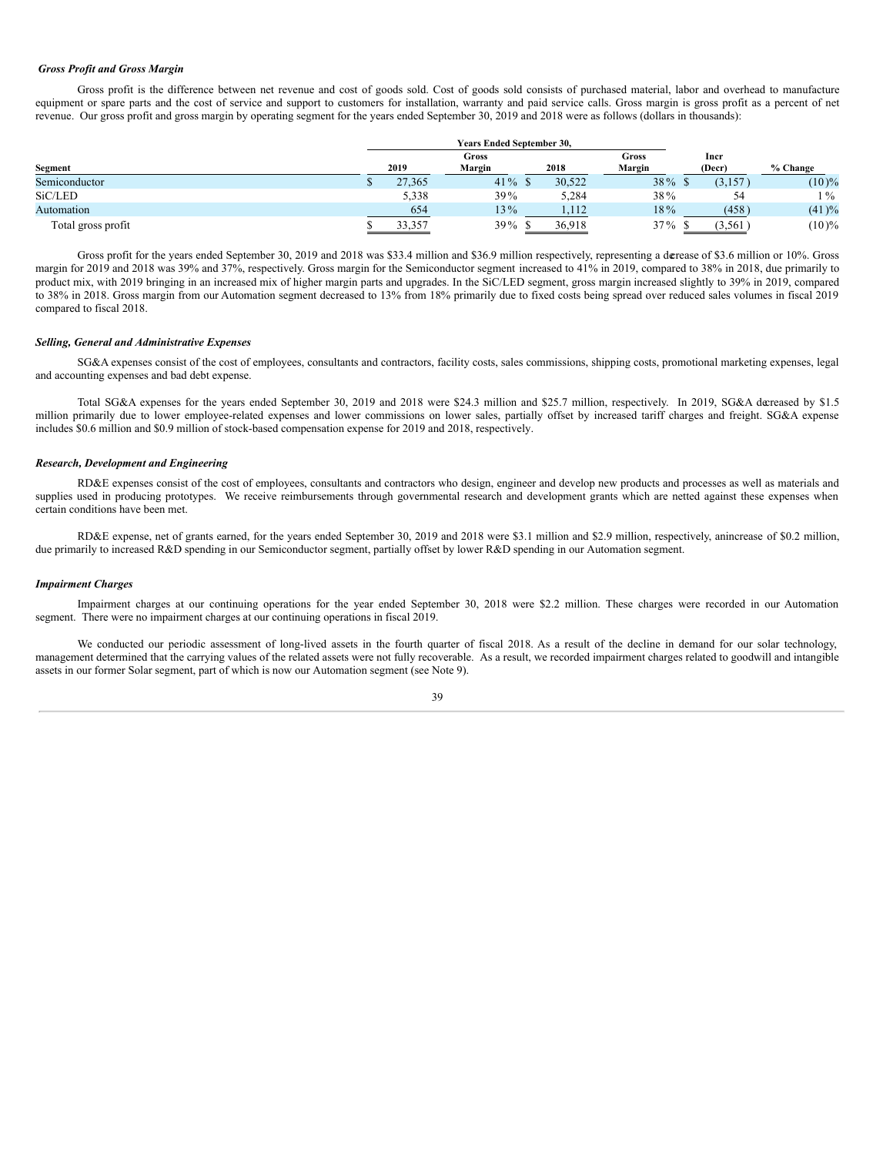## *Gross Profit and Gross Margin*

Gross profit is the difference between net revenue and cost of goods sold. Cost of goods sold consists of purchased material, labor and overhead to manufacture equipment or spare parts and the cost of service and support to customers for installation, warranty and paid service calls. Gross margin is gross profit as a percent of net revenue. Our gross profit and gross margin by operating segment for the years ended September 30, 2019 and 2018 were as follows (dollars in thousands):

|                    |        | <b>Years Ended September 30,</b> |        |        |          |          |
|--------------------|--------|----------------------------------|--------|--------|----------|----------|
|                    |        | Gross                            |        | Gross  | Incr     |          |
| Segment            | 2019   | Margin                           | 2018   | Margin | (Decr)   | % Change |
| Semiconductor      | 27,365 | $41\%$ \$                        | 30,522 | 38%    | (3,157)  | $(10)\%$ |
| SiC/LED            | 5,338  | 39%                              | 5,284  | 38%    | 54       | $1\%$    |
| Automation         | 654    | 13%                              | 1,112  | 18%    | (458)    | (41)%    |
| Total gross profit | 33,357 | 39 %                             | 36,918 | $37\%$ | (3, 561) | $(10)\%$ |

Gross profit for the years ended September 30, 2019 and 2018 was \$33.4 million and \$36.9 million respectively, representing a decrease of \$3.6 million or 10%. Gross margin for 2019 and 2018 was 39% and 37%, respectively. Gross margin for the Semiconductor segment increased to 41% in 2019, compared to 38% in 2018, due primarily to product mix, with 2019 bringing in an increased mix of higher margin parts and upgrades. In the SiC/LED segment, gross margin increased slightly to 39% in 2019, compared to 38% in 2018. Gross margin from our Automation segment decreased to 13% from 18% primarily due to fixed costs being spread over reduced sales volumes in fiscal 2019 compared to fiscal 2018.

#### *Selling, General and Administrative Expenses*

SG&A expenses consist of the cost of employees, consultants and contractors, facility costs, sales commissions, shipping costs, promotional marketing expenses, legal and accounting expenses and bad debt expense.

Total SG&A expenses for the years ended September 30, 2019 and 2018 were \$24.3 million and \$25.7 million, respectively. In 2019, SG&A decreased by \$1.5 million primarily due to lower employee-related expenses and lower commissions on lower sales, partially offset by increased tariff charges and freight. SG&A expense includes \$0.6 million and \$0.9 million of stock-based compensation expense for 2019 and 2018, respectively.

## *Research, Development and Engineering*

RD&E expenses consist of the cost of employees, consultants and contractors who design, engineer and develop new products and processes as well as materials and supplies used in producing prototypes. We receive reimbursements through governmental research and development grants which are netted against these expenses when certain conditions have been met.

RD&E expense, net of grants earned, for the years ended September 30, 2019 and 2018 were \$3.1 million and \$2.9 million, respectively, anincrease of \$0.2 million, due primarily to increased R&D spending in our Semiconductor segment, partially offset by lower R&D spending in our Automation segment.

#### *Impairment Charges*

Impairment charges at our continuing operations for the year ended September 30, 2018 were \$2.2 million. These charges were recorded in our Automation segment. There were no impairment charges at our continuing operations in fiscal 2019.

We conducted our periodic assessment of long-lived assets in the fourth quarter of fiscal 2018. As a result of the decline in demand for our solar technology, management determined that the carrying values of the related assets were not fully recoverable. As a result, we recorded impairment charges related to goodwill and intangible assets in our former Solar segment, part of which is now our Automation segment (see Note 9).

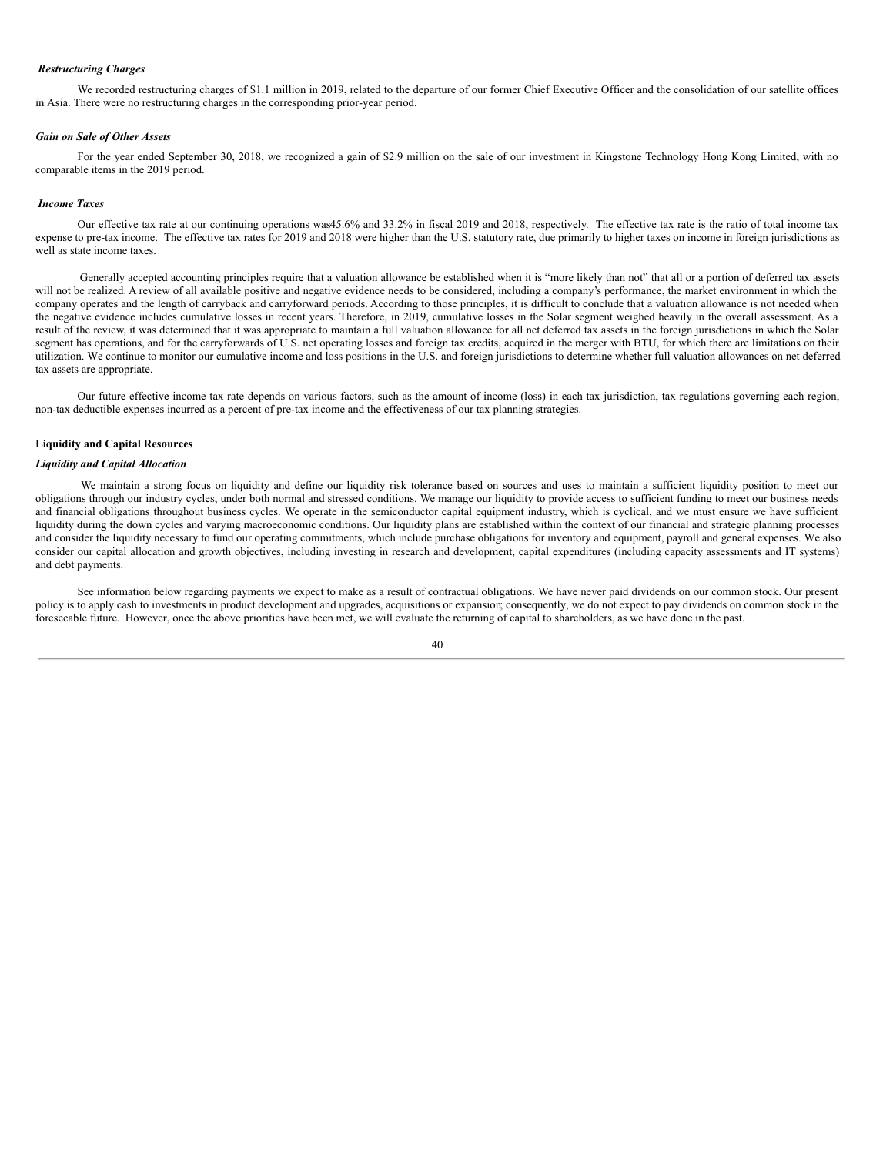## *Restructuring Charges*

We recorded restructuring charges of \$1.1 million in 2019, related to the departure of our former Chief Executive Officer and the consolidation of our satellite offices in Asia. There were no restructuring charges in the corresponding prior-year period.

#### *Gain on Sale of Other Assets*

For the year ended September 30, 2018, we recognized a gain of \$2.9 million on the sale of our investment in Kingstone Technology Hong Kong Limited, with no comparable items in the 2019 period.

#### *Income Taxes*

Our effective tax rate at our continuing operations was45.6% and 33.2% in fiscal 2019 and 2018, respectively. The effective tax rate is the ratio of total income tax expense to pre-tax income. The effective tax rates for 2019 and 2018 were higher than the U.S. statutory rate, due primarily to higher taxes on income in foreign jurisdictions as well as state income taxes.

Generally accepted accounting principles require that a valuation allowance be established when it is "more likely than not" that all or a portion of deferred tax assets will not be realized. A review of all available positive and negative evidence needs to be considered, including a company's performance, the market environment in which the company operates and the length of carryback and carryforward periods. According to those principles, it is difficult to conclude that a valuation allowance is not needed when the negative evidence includes cumulative losses in recent years. Therefore, in 2019, cumulative losses in the Solar segment weighed heavily in the overall assessment. As a result of the review, it was determined that it was appropriate to maintain a full valuation allowance for all net deferred tax assets in the foreign jurisdictions in which the Solar segment has operations, and for the carryforwards of U.S. net operating losses and foreign tax credits, acquired in the merger with BTU, for which there are limitations on their utilization. We continue to monitor our cumulative income and loss positions in the U.S. and foreign jurisdictions to determine whether full valuation allowances on net deferred tax assets are appropriate.

Our future effective income tax rate depends on various factors, such as the amount of income (loss) in each tax jurisdiction, tax regulations governing each region, non-tax deductible expenses incurred as a percent of pre-tax income and the effectiveness of our tax planning strategies.

## **Liquidity and Capital Resources**

#### *Liquidity and Capital Allocation*

We maintain a strong focus on liquidity and define our liquidity risk tolerance based on sources and uses to maintain a sufficient liquidity position to meet our obligations through our industry cycles, under both normal and stressed conditions. We manage our liquidity to provide access to sufficient funding to meet our business needs and financial obligations throughout business cycles. We operate in the semiconductor capital equipment industry, which is cyclical, and we must ensure we have sufficient liquidity during the down cycles and varying macroeconomic conditions. Our liquidity plans are established within the context of our financial and strategic planning processes and consider the liquidity necessary to fund our operating commitments, which include purchase obligations for inventory and equipment, payroll and general expenses. We also consider our capital allocation and growth objectives, including investing in research and development, capital expenditures (including capacity assessments and IT systems) and debt payments.

See information below regarding payments we expect to make as a result of contractual obligations. We have never paid dividends on our common stock. Our present policy is to apply cash to investments in product development and upgrades, acquisitions or expansion; consequently, we do not expect to pay dividends on common stock in the foreseeable future. However, once the above priorities have been met, we will evaluate the returning of capital to shareholders, as we have done in the past.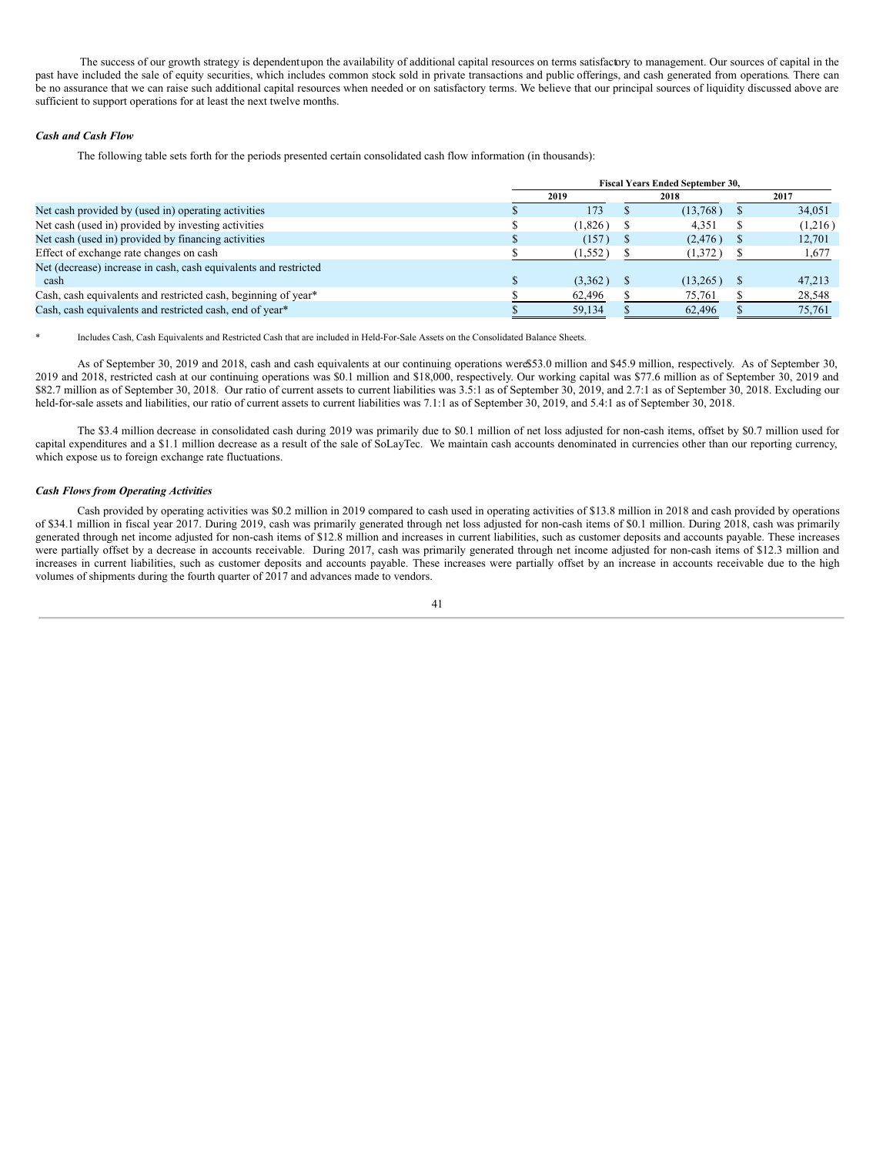The success of our growth strategy is dependentupon the availability of additional capital resources on terms satisfactory to management. Our sources of capital in the past have included the sale of equity securities, which includes common stock sold in private transactions and public offerings, and cash generated from operations. There can be no assurance that we can raise such additional capital resources when needed or on satisfactory terms. We believe that our principal sources of liquidity discussed above are sufficient to support operations for at least the next twelve months.

## *Cash and Cash Flow*

The following table sets forth for the periods presented certain consolidated cash flow information (in thousands):

|                                                                  | <b>Fiscal Years Ended September 30,</b> |  |          |  |         |  |  |  |  |
|------------------------------------------------------------------|-----------------------------------------|--|----------|--|---------|--|--|--|--|
|                                                                  | 2019                                    |  | 2018     |  | 2017    |  |  |  |  |
| Net cash provided by (used in) operating activities              | 173                                     |  | (13,768) |  | 34.051  |  |  |  |  |
| Net cash (used in) provided by investing activities              | (1,826)                                 |  | 4,351    |  | (1,216) |  |  |  |  |
| Net cash (used in) provided by financing activities              | (157)                                   |  | (2, 476) |  | 12,701  |  |  |  |  |
| Effect of exchange rate changes on cash                          | (1, 552)                                |  | (1,372)  |  | 1,677   |  |  |  |  |
| Net (decrease) increase in cash, cash equivalents and restricted |                                         |  |          |  |         |  |  |  |  |
| cash                                                             | (3,362)                                 |  | (13,265) |  | 47.213  |  |  |  |  |
| Cash, cash equivalents and restricted cash, beginning of year*   | 62,496                                  |  | 75,761   |  | 28,548  |  |  |  |  |
| Cash, cash equivalents and restricted cash, end of year*         | 59,134                                  |  | 62,496   |  | 75,761  |  |  |  |  |

#### \* Includes Cash, Cash Equivalents and Restricted Cash that are included in Held-For-Sale Assets on the Consolidated Balance Sheets.

As of September 30, 2019 and 2018, cash and cash equivalents at our continuing operations were\$53.0 million and \$45.9 million, respectively. As of September 30, 2019 and 2018, restricted cash at our continuing operations was \$0.1 million and \$18,000, respectively. Our working capital was \$77.6 million as of September 30, 2019 and \$82.7 million as of September 30, 2018. Our ratio of current assets to current liabilities was 3.5:1 as of September 30, 2019, and 2.7:1 as of September 30, 2018. Excluding our held-for-sale assets and liabilities, our ratio of current assets to current liabilities was 7.1:1 as of September 30, 2019, and 5.4:1 as of September 30, 2018.

The \$3.4 million decrease in consolidated cash during 2019 was primarily due to \$0.1 million of net loss adjusted for non-cash items, offset by \$0.7 million used for capital expenditures and a \$1.1 million decrease as a result of the sale of SoLayTec. We maintain cash accounts denominated in currencies other than our reporting currency, which expose us to foreign exchange rate fluctuations.

### *Cash Flows from Operating Activities*

Cash provided by operating activities was \$0.2 million in 2019 compared to cash used in operating activities of \$13.8 million in 2018 and cash provided by operations of \$34.1 million in fiscal year 2017. During 2019, cash was primarily generated through net loss adjusted for non-cash items of \$0.1 million. During 2018, cash was primarily generated through net income adjusted for non-cash items of \$12.8 million and increases in current liabilities, such as customer deposits and accounts payable. These increases were partially offset by a decrease in accounts receivable. During 2017, cash was primarily generated through net income adjusted for non-cash items of \$12.3 million and increases in current liabilities, such as customer deposits and accounts payable. These increases were partially offset by an increase in accounts receivable due to the high volumes of shipments during the fourth quarter of 2017 and advances made to vendors.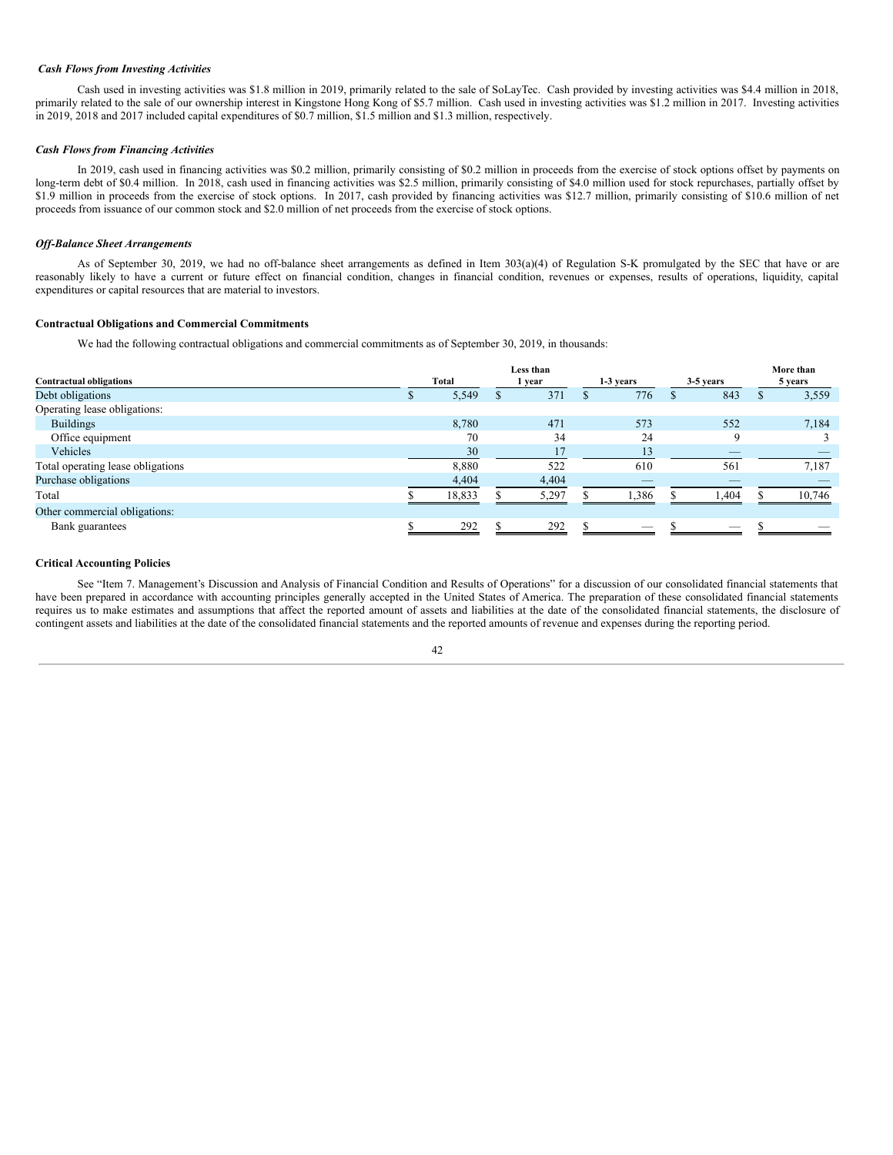## *Cash Flows from Investing Activities*

Cash used in investing activities was \$1.8 million in 2019, primarily related to the sale of SoLayTec. Cash provided by investing activities was \$4.4 million in 2018, primarily related to the sale of our ownership interest in Kingstone Hong Kong of \$5.7 million. Cash used in investing activities was \$1.2 million in 2017. Investing activities in 2019, 2018 and 2017 included capital expenditures of \$0.7 million, \$1.5 million and \$1.3 million, respectively.

#### *Cash Flows from Financing Activities*

In 2019, cash used in financing activities was \$0.2 million, primarily consisting of \$0.2 million in proceeds from the exercise of stock options offset by payments on long-term debt of \$0.4 million. In 2018, cash used in financing activities was \$2.5 million, primarily consisting of \$4.0 million used for stock repurchases, partially offset by \$1.9 million in proceeds from the exercise of stock options. In 2017, cash provided by financing activities was \$12.7 million, primarily consisting of \$10.6 million of net proceeds from issuance of our common stock and \$2.0 million of net proceeds from the exercise of stock options.

## *Of -Balance Sheet Arrangements*

As of September 30, 2019, we had no off-balance sheet arrangements as defined in Item 303(a)(4) of Regulation S-K promulgated by the SEC that have or are reasonably likely to have a current or future effect on financial condition, changes in financial condition, revenues or expenses, results of operations, liquidity, capital expenditures or capital resources that are material to investors.

## **Contractual Obligations and Commercial Commitments**

We had the following contractual obligations and commercial commitments as of September 30, 2019, in thousands:

| <b>Contractual obligations</b>    | Total |        |  | Less than<br>1 year | 1-3 years | 3-5 years | More than<br>5 years |        |
|-----------------------------------|-------|--------|--|---------------------|-----------|-----------|----------------------|--------|
| Debt obligations                  |       | 5,549  |  | 371                 | 776       | 843       |                      | 3,559  |
| Operating lease obligations:      |       |        |  |                     |           |           |                      |        |
| <b>Buildings</b>                  |       | 8,780  |  | 471                 | 573       | 552       |                      | 7,184  |
| Office equipment                  |       | 70     |  | 34                  | 24        | Q         |                      |        |
| Vehicles                          |       | 30     |  | 17                  | 13        | $-$       |                      |        |
| Total operating lease obligations |       | 8,880  |  | 522                 | 610       | 561       |                      | 7,187  |
| Purchase obligations              |       | 4,404  |  | 4,404               |           |           |                      |        |
| Total                             |       | 18,833 |  | 5,297               | 1,386     | 1,404     |                      | 10,746 |
| Other commercial obligations:     |       |        |  |                     |           |           |                      |        |
| Bank guarantees                   |       | 292    |  | 292                 | $-$       | $-$       |                      |        |

## **Critical Accounting Policies**

See "Item 7. Management's Discussion and Analysis of Financial Condition and Results of Operations" for a discussion of our consolidated financial statements that have been prepared in accordance with accounting principles generally accepted in the United States of America. The preparation of these consolidated financial statements requires us to make estimates and assumptions that affect the reported amount of assets and liabilities at the date of the consolidated financial statements, the disclosure of contingent assets and liabilities at the date of the consolidated financial statements and the reported amounts of revenue and expenses during the reporting period.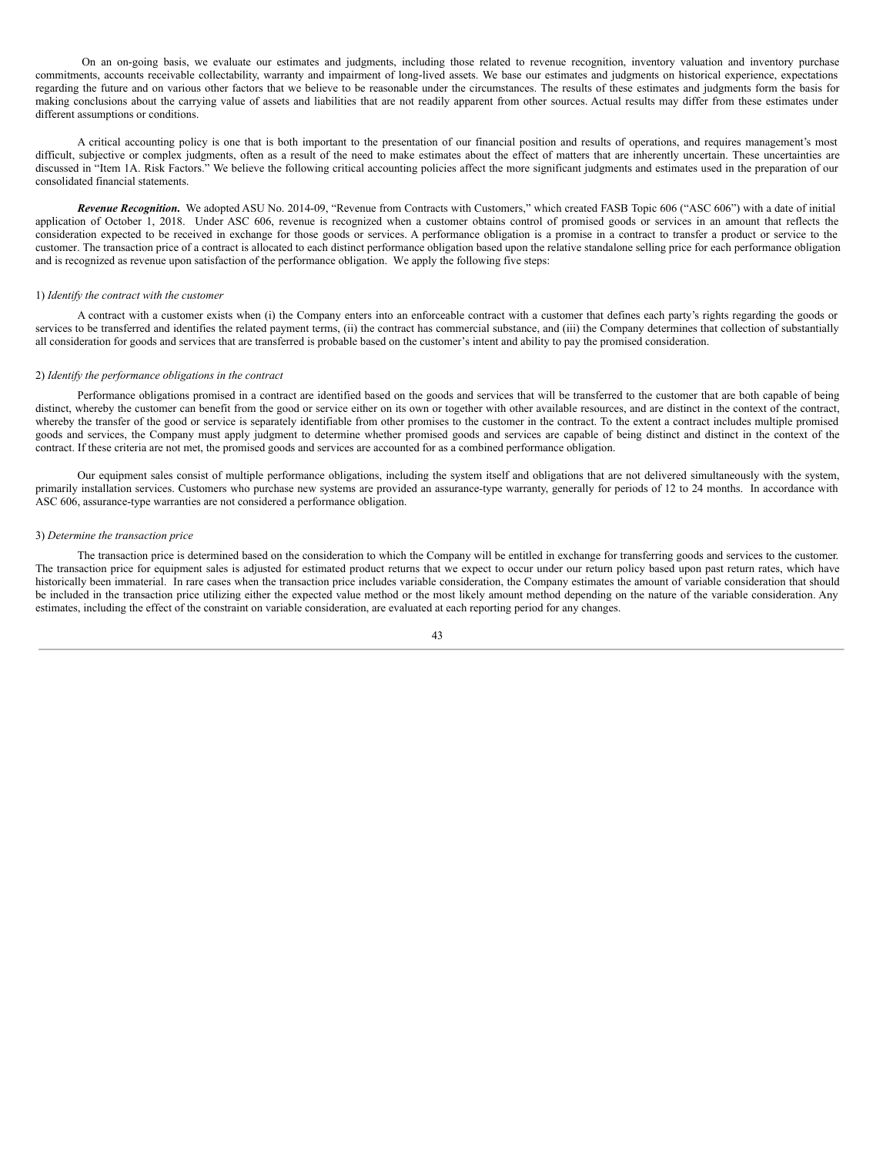On an on-going basis, we evaluate our estimates and judgments, including those related to revenue recognition, inventory valuation and inventory purchase commitments, accounts receivable collectability, warranty and impairment of long-lived assets. We base our estimates and judgments on historical experience, expectations regarding the future and on various other factors that we believe to be reasonable under the circumstances. The results of these estimates and judgments form the basis for making conclusions about the carrying value of assets and liabilities that are not readily apparent from other sources. Actual results may differ from these estimates under different assumptions or conditions.

A critical accounting policy is one that is both important to the presentation of our financial position and results of operations, and requires management's most difficult, subjective or complex judgments, often as a result of the need to make estimates about the effect of matters that are inherently uncertain. These uncertainties are discussed in "Item 1A. Risk Factors." We believe the following critical accounting policies affect the more significant judgments and estimates used in the preparation of our consolidated financial statements.

*Revenue Recognition***.** We adopted ASU No. 2014-09, "Revenue from Contracts with Customers," which created FASB Topic 606 ("ASC 606") with a date of initial application of October 1, 2018. Under ASC 606, revenue is recognized when a customer obtains control of promised goods or services in an amount that reflects the consideration expected to be received in exchange for those goods or services. A performance obligation is a promise in a contract to transfer a product or service to the customer. The transaction price of a contract is allocated to each distinct performance obligation based upon the relative standalone selling price for each performance obligation and is recognized as revenue upon satisfaction of the performance obligation. We apply the following five steps:

#### 1) *Identify the contract with the customer*

A contract with a customer exists when (i) the Company enters into an enforceable contract with a customer that defines each party's rights regarding the goods or services to be transferred and identifies the related payment terms, (ii) the contract has commercial substance, and (iii) the Company determines that collection of substantially all consideration for goods and services that are transferred is probable based on the customer's intent and ability to pay the promised consideration.

#### 2) *Identify the performance obligations in the contract*

Performance obligations promised in a contract are identified based on the goods and services that will be transferred to the customer that are both capable of being distinct, whereby the customer can benefit from the good or service either on its own or together with other available resources, and are distinct in the context of the contract, whereby the transfer of the good or service is separately identifiable from other promises to the customer in the contract. To the extent a contract includes multiple promised goods and services, the Company must apply judgment to determine whether promised goods and services are capable of being distinct and distinct in the context of the contract. If these criteria are not met, the promised goods and services are accounted for as a combined performance obligation.

Our equipment sales consist of multiple performance obligations, including the system itself and obligations that are not delivered simultaneously with the system, primarily installation services. Customers who purchase new systems are provided an assurance-type warranty, generally for periods of 12 to 24 months. In accordance with ASC 606, assurance-type warranties are not considered a performance obligation.

#### 3) *Determine the transaction price*

The transaction price is determined based on the consideration to which the Company will be entitled in exchange for transferring goods and services to the customer. The transaction price for equipment sales is adjusted for estimated product returns that we expect to occur under our return policy based upon past return rates, which have historically been immaterial. In rare cases when the transaction price includes variable consideration, the Company estimates the amount of variable consideration that should be included in the transaction price utilizing either the expected value method or the most likely amount method depending on the nature of the variable consideration. Any estimates, including the effect of the constraint on variable consideration, are evaluated at each reporting period for any changes.

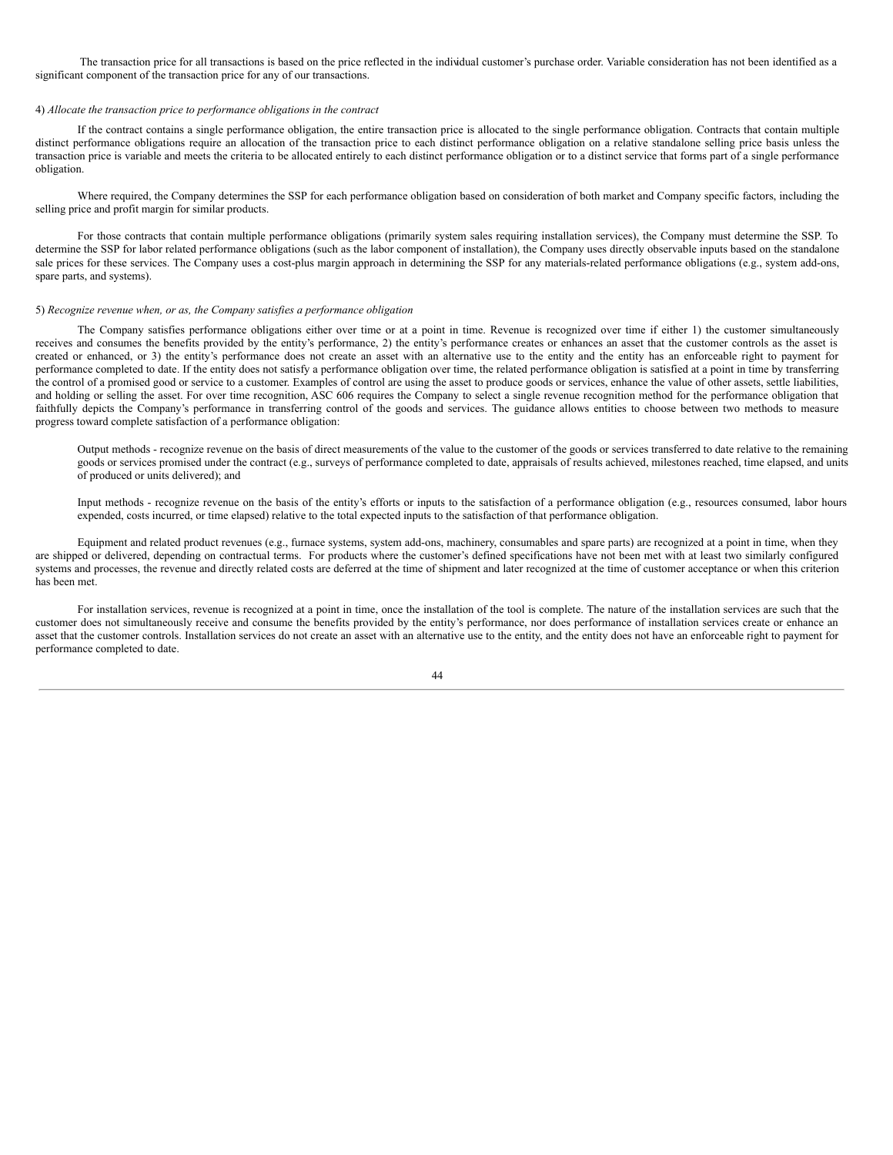The transaction price for all transactions is based on the price reflected in the individual customer's purchase order. Variable consideration has not been identified as a significant component of the transaction price for any of our transactions.

#### 4) *Allocate the transaction price to performance obligations in the contract*

If the contract contains a single performance obligation, the entire transaction price is allocated to the single performance obligation. Contracts that contain multiple distinct performance obligations require an allocation of the transaction price to each distinct performance obligation on a relative standalone selling price basis unless the transaction price is variable and meets the criteria to be allocated entirely to each distinct performance obligation or to a distinct service that forms part of a single performance obligation.

Where required, the Company determines the SSP for each performance obligation based on consideration of both market and Company specific factors, including the selling price and profit margin for similar products.

For those contracts that contain multiple performance obligations (primarily system sales requiring installation services), the Company must determine the SSP. To determine the SSP for labor related performance obligations (such as the labor component of installation), the Company uses directly observable inputs based on the standalone sale prices for these services. The Company uses a cost-plus margin approach in determining the SSP for any materials-related performance obligations (e.g., system add-ons, spare parts, and systems).

#### 5) *Recognize revenue when, or as, the Company satisfies a performance obligation*

The Company satisfies performance obligations either over time or at a point in time. Revenue is recognized over time if either 1) the customer simultaneously receives and consumes the benefits provided by the entity's performance, 2) the entity's performance creates or enhances an asset that the customer controls as the asset is created or enhanced, or 3) the entity's performance does not create an asset with an alternative use to the entity and the entity has an enforceable right to payment for performance completed to date. If the entity does not satisfy a performance obligation over time, the related performance obligation is satisfied at a point in time by transferring the control of a promised good or service to a customer. Examples of control are using the asset to produce goods or services, enhance the value of other assets, settle liabilities, and holding or selling the asset. For over time recognition, ASC 606 requires the Company to select a single revenue recognition method for the performance obligation that faithfully depicts the Company's performance in transferring control of the goods and services. The guidance allows entities to choose between two methods to measure progress toward complete satisfaction of a performance obligation:

Output methods - recognize revenue on the basis of direct measurements of the value to the customer of the goods or services transferred to date relative to the remaining goods or services promised under the contract (e.g., surveys of performance completed to date, appraisals of results achieved, milestones reached, time elapsed, and units of produced or units delivered); and

Input methods - recognize revenue on the basis of the entity's efforts or inputs to the satisfaction of a performance obligation (e.g., resources consumed, labor hours expended, costs incurred, or time elapsed) relative to the total expected inputs to the satisfaction of that performance obligation.

Equipment and related product revenues (e.g., furnace systems, system add-ons, machinery, consumables and spare parts) are recognized at a point in time, when they are shipped or delivered, depending on contractual terms. For products where the customer's defined specifications have not been met with at least two similarly configured systems and processes, the revenue and directly related costs are deferred at the time of shipment and later recognized at the time of customer acceptance or when this criterion has been met.

For installation services, revenue is recognized at a point in time, once the installation of the tool is complete. The nature of the installation services are such that the customer does not simultaneously receive and consume the benefits provided by the entity's performance, nor does performance of installation services create or enhance an asset that the customer controls. Installation services do not create an asset with an alternative use to the entity, and the entity does not have an enforceable right to payment for performance completed to date.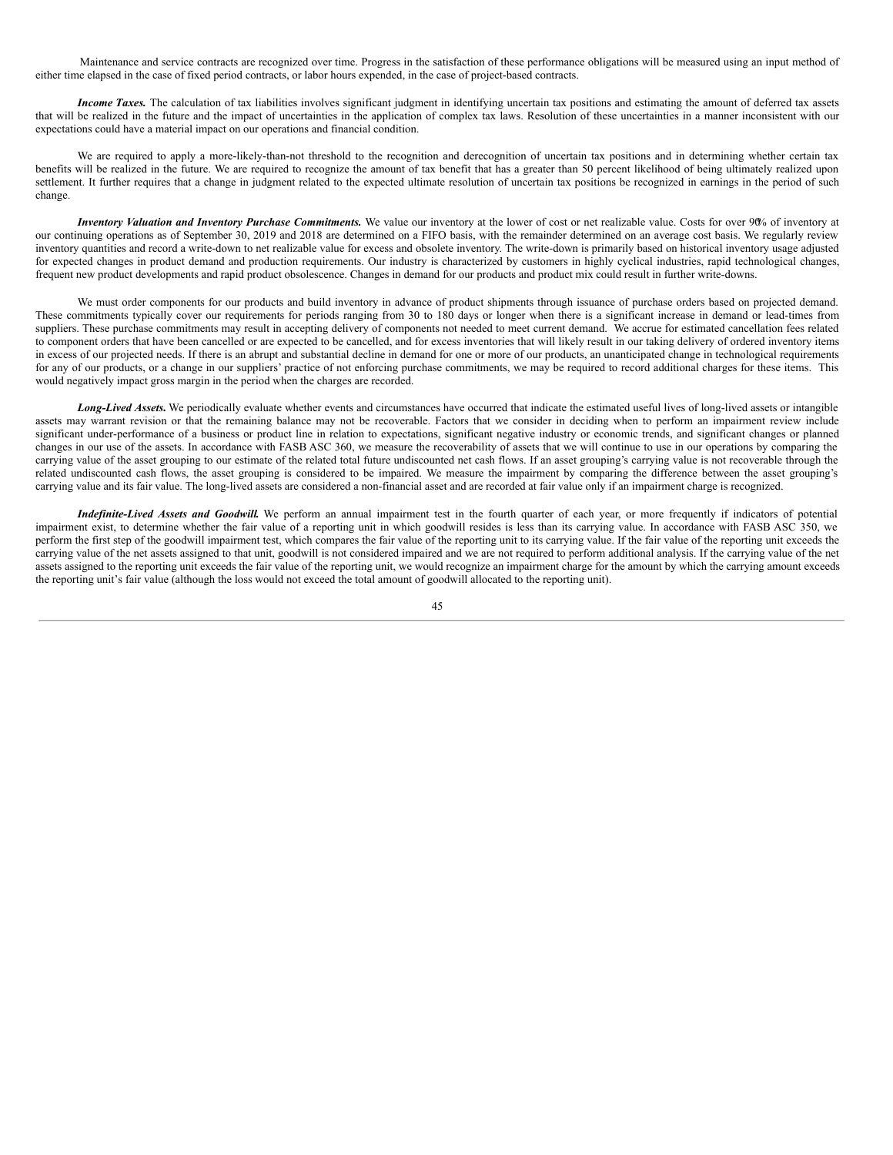Maintenance and service contracts are recognized over time. Progress in the satisfaction of these performance obligations will be measured using an input method of either time elapsed in the case of fixed period contracts, or labor hours expended, in the case of project-based contracts.

*Income Taxes.* The calculation of tax liabilities involves significant judgment in identifying uncertain tax positions and estimating the amount of deferred tax assets that will be realized in the future and the impact of uncertainties in the application of complex tax laws. Resolution of these uncertainties in a manner inconsistent with our expectations could have a material impact on our operations and financial condition.

We are required to apply a more-likely-than-not threshold to the recognition and derecognition of uncertain tax positions and in determining whether certain tax benefits will be realized in the future. We are required to recognize the amount of tax benefit that has a greater than 50 percent likelihood of being ultimately realized upon settlement. It further requires that a change in judgment related to the expected ultimate resolution of uncertain tax positions be recognized in earnings in the period of such change.

*Inventory Valuation and Inventory Purchase Commitments.* We value our inventory at the lower of cost or net realizable value. Costs for over 90% of inventory at our continuing operations as of September 30, 2019 and 2018 are determined on a FIFO basis, with the remainder determined on an average cost basis. We regularly review inventory quantities and record a write-down to net realizable value for excess and obsolete inventory. The write-down is primarily based on historical inventory usage adjusted for expected changes in product demand and production requirements. Our industry is characterized by customers in highly cyclical industries, rapid technological changes, frequent new product developments and rapid product obsolescence. Changes in demand for our products and product mix could result in further write-downs.

We must order components for our products and build inventory in advance of product shipments through issuance of purchase orders based on projected demand. These commitments typically cover our requirements for periods ranging from 30 to 180 days or longer when there is a significant increase in demand or lead-times from suppliers. These purchase commitments may result in accepting delivery of components not needed to meet current demand. We accrue for estimated cancellation fees related to component orders that have been cancelled or are expected to be cancelled, and for excess inventories that will likely result in our taking delivery of ordered inventory items in excess of our projected needs. If there is an abrupt and substantial decline in demand for one or more of our products, an unanticipated change in technological requirements for any of our products, or a change in our suppliers' practice of not enforcing purchase commitments, we may be required to record additional charges for these items. This would negatively impact gross margin in the period when the charges are recorded.

*Long-Lived Assets***.** We periodically evaluate whether events and circumstances have occurred that indicate the estimated useful lives of long-lived assets or intangible assets may warrant revision or that the remaining balance may not be recoverable. Factors that we consider in deciding when to perform an impairment review include significant under-performance of a business or product line in relation to expectations, significant negative industry or economic trends, and significant changes or planned changes in our use of the assets. In accordance with FASB ASC 360, we measure the recoverability of assets that we will continue to use in our operations by comparing the carrying value of the asset grouping to our estimate of the related total future undiscounted net cash flows. If an asset grouping's carrying value is not recoverable through the related undiscounted cash flows, the asset grouping is considered to be impaired. We measure the impairment by comparing the difference between the asset grouping's carrying value and its fair value. The long-lived assets are considered a non-financial asset and are recorded at fair value only if an impairment charge is recognized.

*Indefinite-Lived Assets and Goodwill***.** We perform an annual impairment test in the fourth quarter of each year, or more frequently if indicators of potential impairment exist, to determine whether the fair value of a reporting unit in which goodwill resides is less than its carrying value. In accordance with FASB ASC 350, we perform the first step of the goodwill impairment test, which compares the fair value of the reporting unit to its carrying value. If the fair value of the reporting unit exceeds the carrying value of the net assets assigned to that unit, goodwill is not considered impaired and we are not required to perform additional analysis. If the carrying value of the net assets assigned to the reporting unit exceeds the fair value of the reporting unit, we would recognize an impairment charge for the amount by which the carrying amount exceeds the reporting unit's fair value (although the loss would not exceed the total amount of goodwill allocated to the reporting unit).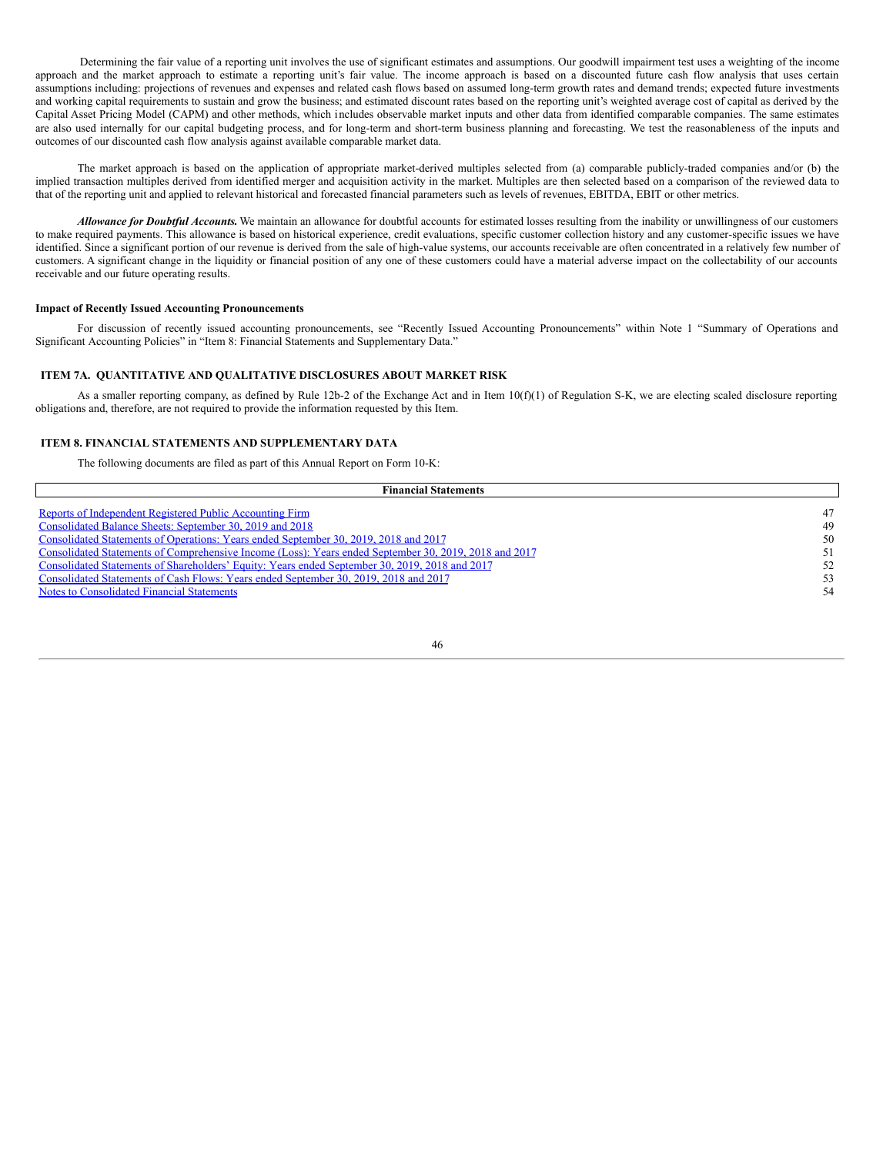Determining the fair value of a reporting unit involves the use of significant estimates and assumptions. Our goodwill impairment test uses a weighting of the income approach and the market approach to estimate a reporting unit's fair value. The income approach is based on a discounted future cash flow analysis that uses certain assumptions including: projections of revenues and expenses and related cash flows based on assumed long-term growth rates and demand trends; expected future investments and working capital requirements to sustain and grow the business; and estimated discount rates based on the reporting unit's weighted average cost of capital as derived by the Capital Asset Pricing Model (CAPM) and other methods, which includes observable market inputs and other data from identified comparable companies. The same estimates are also used internally for our capital budgeting process, and for long-term and short-term business planning and forecasting. We test the reasonableness of the inputs and outcomes of our discounted cash flow analysis against available comparable market data.

The market approach is based on the application of appropriate market-derived multiples selected from (a) comparable publicly-traded companies and/or (b) the implied transaction multiples derived from identified merger and acquisition activity in the market. Multiples are then selected based on a comparison of the reviewed data to that of the reporting unit and applied to relevant historical and forecasted financial parameters such as levels of revenues, EBITDA, EBIT or other metrics.

*Allowance for Doubtful Accounts.* We maintain an allowance for doubtful accounts for estimated losses resulting from the inability or unwillingness of our customers to make required payments. This allowance is based on historical experience, credit evaluations, specific customer collection history and any customer-specific issues we have identified. Since a significant portion of our revenue is derived from the sale of high-value systems, our accounts receivable are often concentrated in a relatively few number of customers. A significant change in the liquidity or financial position of any one of these customers could have a material adverse impact on the collectability of our accounts receivable and our future operating results.

#### **Impact of Recently Issued Accounting Pronouncements**

For discussion of recently issued accounting pronouncements, see "Recently Issued Accounting Pronouncements" within Note 1 "Summary of Operations and Significant Accounting Policies" in "Item 8: Financial Statements and Supplementary Data."

## **ITEM 7A. QUANTITATIVE AND QUALITATIVE DISCLOSURES ABOUT MARKET RISK**

As a smaller reporting company, as defined by Rule 12b-2 of the Exchange Act and in Item 10(f)(1) of Regulation S-K, we are electing scaled disclosure reporting obligations and, therefore, are not required to provide the information requested by this Item.

## **ITEM 8. FINANCIAL STATEMENTS AND SUPPLEMENTARY DATA**

The following documents are filed as part of this Annual Report on Form 10-K:

| <b>Financial Statements</b>                                                                           |    |
|-------------------------------------------------------------------------------------------------------|----|
| Reports of Independent Registered Public Accounting Firm                                              | 47 |
| Consolidated Balance Sheets: September 30, 2019 and 2018                                              | 49 |
| Consolidated Statements of Operations: Years ended September 30, 2019, 2018 and 2017                  | 50 |
| Consolidated Statements of Comprehensive Income (Loss): Years ended September 30, 2019, 2018 and 2017 | 51 |
| Consolidated Statements of Shareholders' Equity: Years ended September 30, 2019, 2018 and 2017        | 52 |
| Consolidated Statements of Cash Flows: Years ended September 30, 2019, 2018 and 2017                  | 53 |
| Notes to Consolidated Financial Statements                                                            | 54 |
|                                                                                                       |    |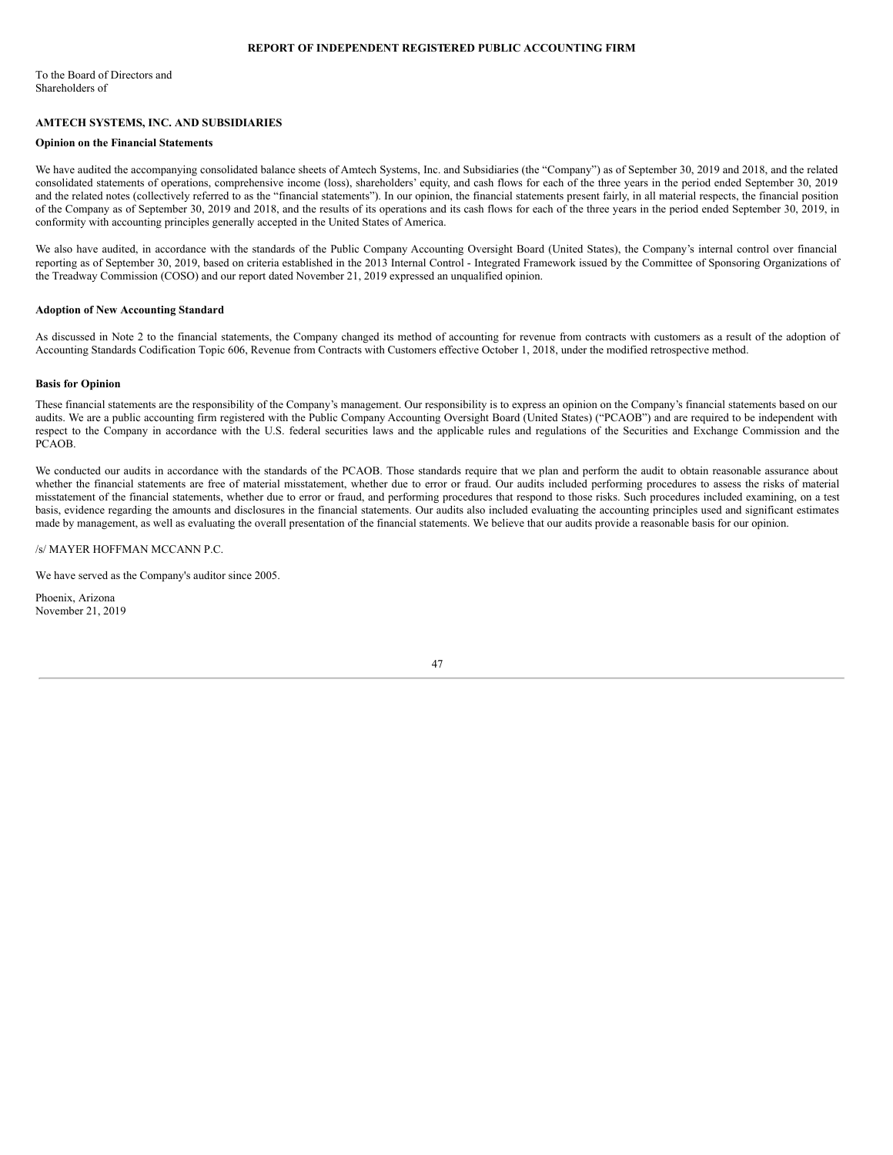## <span id="page-46-0"></span>**REPORT OF INDEPENDENT REGISTERED PUBLIC ACCOUNTING FIRM**

To the Board of Directors and Shareholders of

## **AMTECH SYSTEMS, INC. AND SUBSIDIARIES**

## **Opinion on the Financial Statements**

We have audited the accompanying consolidated balance sheets of Amtech Systems, Inc. and Subsidiaries (the "Company") as of September 30, 2019 and 2018, and the related consolidated statements of operations, comprehensive income (loss), shareholders' equity, and cash flows for each of the three years in the period ended September 30, 2019 and the related notes (collectively referred to as the "financial statements"). In our opinion, the financial statements present fairly, in all material respects, the financial position of the Company as of September 30, 2019 and 2018, and the results of its operations and its cash flows for each of the three years in the period ended September 30, 2019, in conformity with accounting principles generally accepted in the United States of America.

We also have audited, in accordance with the standards of the Public Company Accounting Oversight Board (United States), the Company's internal control over financial reporting as of September 30, 2019, based on criteria established in the 2013 Internal Control - Integrated Framework issued by the Committee of Sponsoring Organizations of the Treadway Commission (COSO) and our report dated November 21, 2019 expressed an unqualified opinion.

#### **Adoption of New Accounting Standard**

As discussed in Note 2 to the financial statements, the Company changed its method of accounting for revenue from contracts with customers as a result of the adoption of Accounting Standards Codification Topic 606, Revenue from Contracts with Customers effective October 1, 2018, under the modified retrospective method.

#### **Basis for Opinion**

These financial statements are the responsibility of the Company's management. Our responsibility is to express an opinion on the Company's financial statements based on our audits. We are a public accounting firm registered with the Public Company Accounting Oversight Board (United States) ("PCAOB") and are required to be independent with respect to the Company in accordance with the U.S. federal securities laws and the applicable rules and regulations of the Securities and Exchange Commission and the PCAOB.

We conducted our audits in accordance with the standards of the PCAOB. Those standards require that we plan and perform the audit to obtain reasonable assurance about whether the financial statements are free of material misstatement, whether due to error or fraud. Our audits included performing procedures to assess the risks of material misstatement of the financial statements, whether due to error or fraud, and performing procedures that respond to those risks. Such procedures included examining, on a test basis, evidence regarding the amounts and disclosures in the financial statements. Our audits also included evaluating the accounting principles used and significant estimates made by management, as well as evaluating the overall presentation of the financial statements. We believe that our audits provide a reasonable basis for our opinion.

/s/ MAYER HOFFMAN MCCANN P.C.

We have served as the Company's auditor since 2005.

Phoenix, Arizona November 21, 2019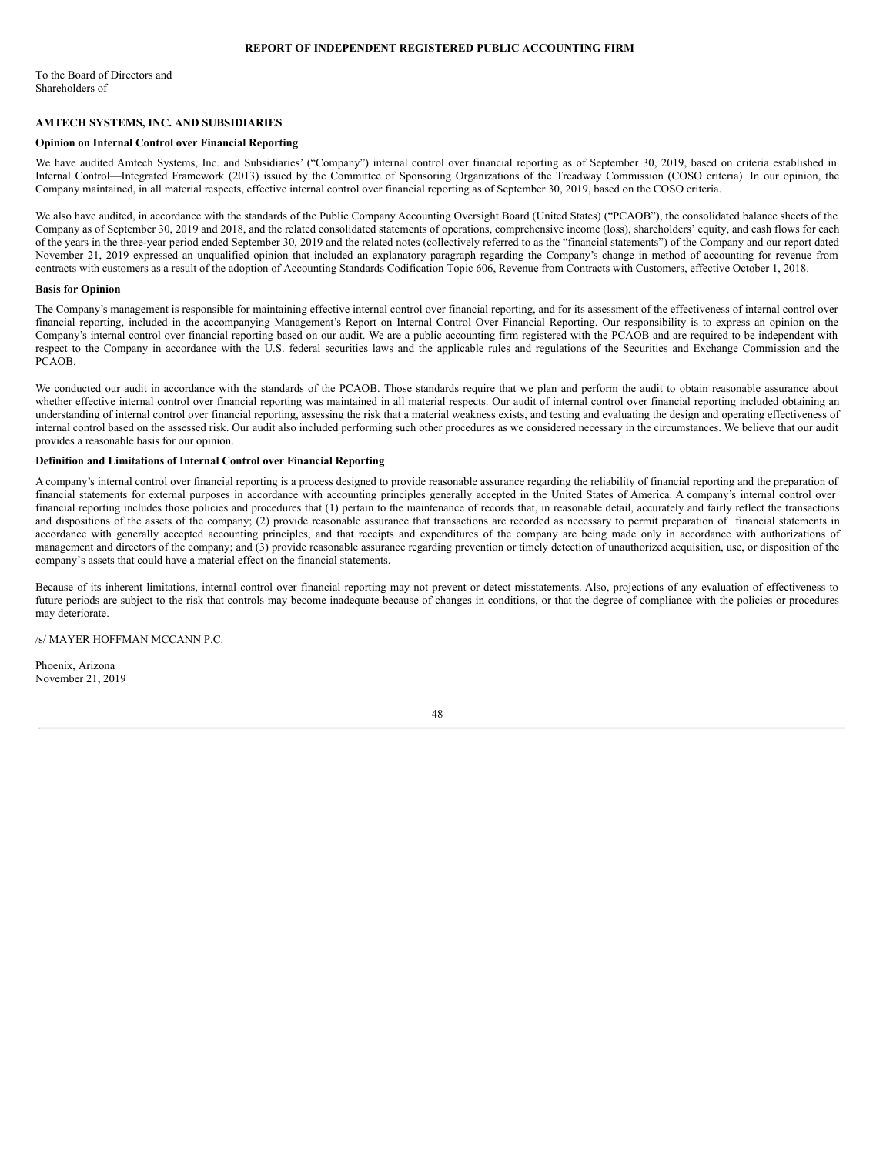## **REPORT OF INDEPENDENT REGISTERED PUBLIC ACCOUNTING FIRM**

To the Board of Directors and Shareholders of

## **AMTECH SYSTEMS, INC. AND SUBSIDIARIES**

## **Opinion on Internal Control over Financial Reporting**

We have audited Amtech Systems, Inc. and Subsidiaries' ("Company") internal control over financial reporting as of September 30, 2019, based on criteria established in Internal Control—Integrated Framework (2013) issued by the Committee of Sponsoring Organizations of the Treadway Commission (COSO criteria). In our opinion, the Company maintained, in all material respects, effective internal control over financial reporting as of September 30, 2019, based on the COSO criteria.

We also have audited, in accordance with the standards of the Public Company Accounting Oversight Board (United States) ("PCAOB"), the consolidated balance sheets of the Company as of September 30, 2019 and 2018, and the related consolidated statements of operations, comprehensive income (loss), shareholders' equity, and cash flows for each of the years in the three-year period ended September 30, 2019 and the related notes (collectively referred to as the "financial statements") of the Company and our report dated November 21, 2019 expressed an unqualified opinion that included an explanatory paragraph regarding the Company's change in method of accounting for revenue from contracts with customers as a result of the adoption of Accounting Standards Codification Topic 606, Revenue from Contracts with Customers, effective October 1, 2018.

## **Basis for Opinion**

The Company's management is responsible for maintaining effective internal control over financial reporting, and for its assessment of the effectiveness of internal control over financial reporting, included in the accompanying Management's Report on Internal Control Over Financial Reporting. Our responsibility is to express an opinion on the Company's internal control over financial reporting based on our audit. We are a public accounting firm registered with the PCAOB and are required to be independent with respect to the Company in accordance with the U.S. federal securities laws and the applicable rules and regulations of the Securities and Exchange Commission and the PCAOB.

We conducted our audit in accordance with the standards of the PCAOB. Those standards require that we plan and perform the audit to obtain reasonable assurance about whether effective internal control over financial reporting was maintained in all material respects. Our audit of internal control over financial reporting included obtaining an understanding of internal control over financial reporting, assessing the risk that a material weakness exists, and testing and evaluating the design and operating effectiveness of internal control based on the assessed risk. Our audit also included performing such other procedures as we considered necessary in the circumstances. We believe that our audit provides a reasonable basis for our opinion.

#### **Definition and Limitations of Internal Control over Financial Reporting**

A company's internal control over financial reporting is a process designed to provide reasonable assurance regarding the reliability of financial reporting and the preparation of financial statements for external purposes in accordance with accounting principles generally accepted in the United States of America. A company's internal control over financial reporting includes those policies and procedures that (1) pertain to the maintenance of records that, in reasonable detail, accurately and fairly reflect the transactions and dispositions of the assets of the company; (2) provide reasonable assurance that transactions are recorded as necessary to permit preparation of financial statements in accordance with generally accepted accounting principles, and that receipts and expenditures of the company are being made only in accordance with authorizations of management and directors of the company; and (3) provide reasonable assurance regarding prevention or timely detection of unauthorized acquisition, use, or disposition of the company's assets that could have a material effect on the financial statements.

Because of its inherent limitations, internal control over financial reporting may not prevent or detect misstatements. Also, projections of any evaluation of effectiveness to future periods are subject to the risk that controls may become inadequate because of changes in conditions, or that the degree of compliance with the policies or procedures may deteriorate.

/s/ MAYER HOFFMAN MCCANN P.C.

Phoenix, Arizona November 21, 2019

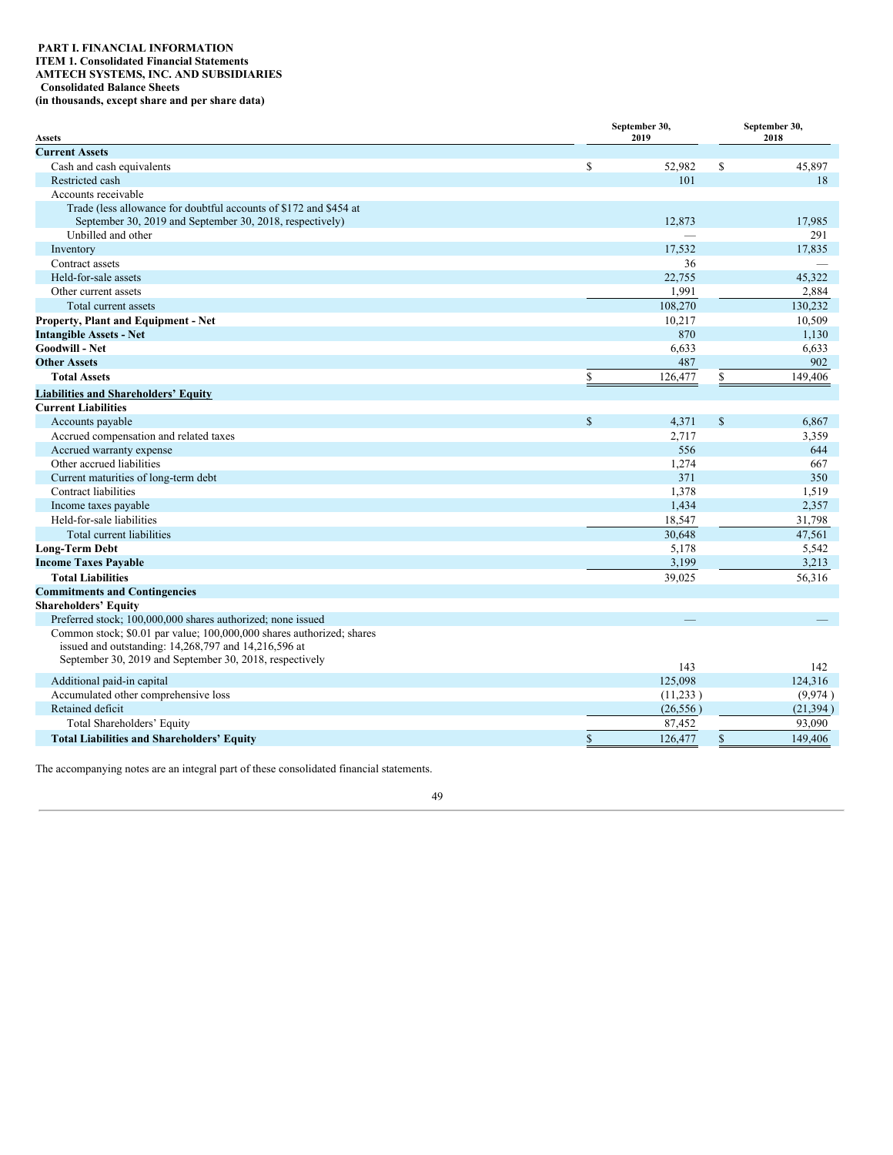## **PART I. FINANCIAL INFORMATION ITEM 1. Consolidated Financial Statements AMTECH SYSTEMS, INC. AND SUBSIDIARIES Consolidated Balance Sheets (in thousands, except share and per share data)**

<span id="page-48-0"></span>

| Assets                                                                |               | September 30,<br>2019 |               | September 30,<br>2018 |
|-----------------------------------------------------------------------|---------------|-----------------------|---------------|-----------------------|
| <b>Current Assets</b>                                                 |               |                       |               |                       |
| Cash and cash equivalents                                             | \$            | 52,982                | \$            | 45,897                |
| Restricted cash                                                       |               | 101                   |               | 18                    |
| Accounts receivable                                                   |               |                       |               |                       |
| Trade (less allowance for doubtful accounts of \$172 and \$454 at     |               |                       |               |                       |
| September 30, 2019 and September 30, 2018, respectively)              |               | 12,873                |               | 17,985                |
| Unbilled and other                                                    |               |                       |               | 291                   |
| Inventory                                                             |               | 17,532                |               | 17,835                |
| Contract assets                                                       |               | 36                    |               |                       |
| Held-for-sale assets                                                  |               | 22,755                |               | 45,322                |
| Other current assets                                                  |               | 1,991                 |               | 2,884                 |
| Total current assets                                                  |               | 108,270               |               | 130,232               |
| Property, Plant and Equipment - Net                                   |               | 10,217                |               | 10,509                |
| <b>Intangible Assets - Net</b>                                        |               | 870                   |               | 1,130                 |
| <b>Goodwill - Net</b>                                                 |               | 6,633                 |               | 6,633                 |
| <b>Other Assets</b>                                                   |               | 487                   |               | 902                   |
| <b>Total Assets</b>                                                   | \$            | 126,477               | \$            | 149,406               |
| <b>Liabilities and Shareholders' Equity</b>                           |               |                       |               |                       |
| <b>Current Liabilities</b>                                            |               |                       |               |                       |
| Accounts payable                                                      | $\mathbb{S}$  | 4,371                 | $\mathsf{\$}$ | 6,867                 |
| Accrued compensation and related taxes                                |               | 2,717                 |               | 3,359                 |
| Accrued warranty expense                                              |               | 556                   |               | 644                   |
| Other accrued liabilities                                             |               | 1,274                 |               | 667                   |
| Current maturities of long-term debt                                  |               | 371                   |               | 350                   |
| Contract liabilities                                                  |               | 1,378                 |               | 1,519                 |
| Income taxes payable                                                  |               | 1,434                 |               | 2,357                 |
| Held-for-sale liabilities                                             |               | 18,547                |               | 31,798                |
| Total current liabilities                                             |               | 30,648                |               | 47,561                |
| <b>Long-Term Debt</b>                                                 |               | 5,178                 |               | 5,542                 |
| <b>Income Taxes Payable</b>                                           |               | 3,199                 |               | 3,213                 |
| <b>Total Liabilities</b>                                              |               | 39,025                |               | 56,316                |
| <b>Commitments and Contingencies</b>                                  |               |                       |               |                       |
| <b>Shareholders' Equity</b>                                           |               |                       |               |                       |
| Preferred stock; 100,000,000 shares authorized; none issued           |               |                       |               |                       |
| Common stock; \$0.01 par value; 100,000,000 shares authorized; shares |               |                       |               |                       |
| issued and outstanding: 14,268,797 and 14,216,596 at                  |               |                       |               |                       |
| September 30, 2019 and September 30, 2018, respectively               |               | 143                   |               | 142                   |
| Additional paid-in capital                                            |               | 125,098               |               | 124,316               |
| Accumulated other comprehensive loss                                  |               | (11, 233)             |               | (9,974)               |
| Retained deficit                                                      |               | (26, 556)             |               | (21, 394)             |
| Total Shareholders' Equity                                            |               | 87,452                |               | 93,090                |
| <b>Total Liabilities and Shareholders' Equity</b>                     | $\mathcal{S}$ | 126,477               | $\$$          | 149,406               |

The accompanying notes are an integral part of these consolidated financial statements.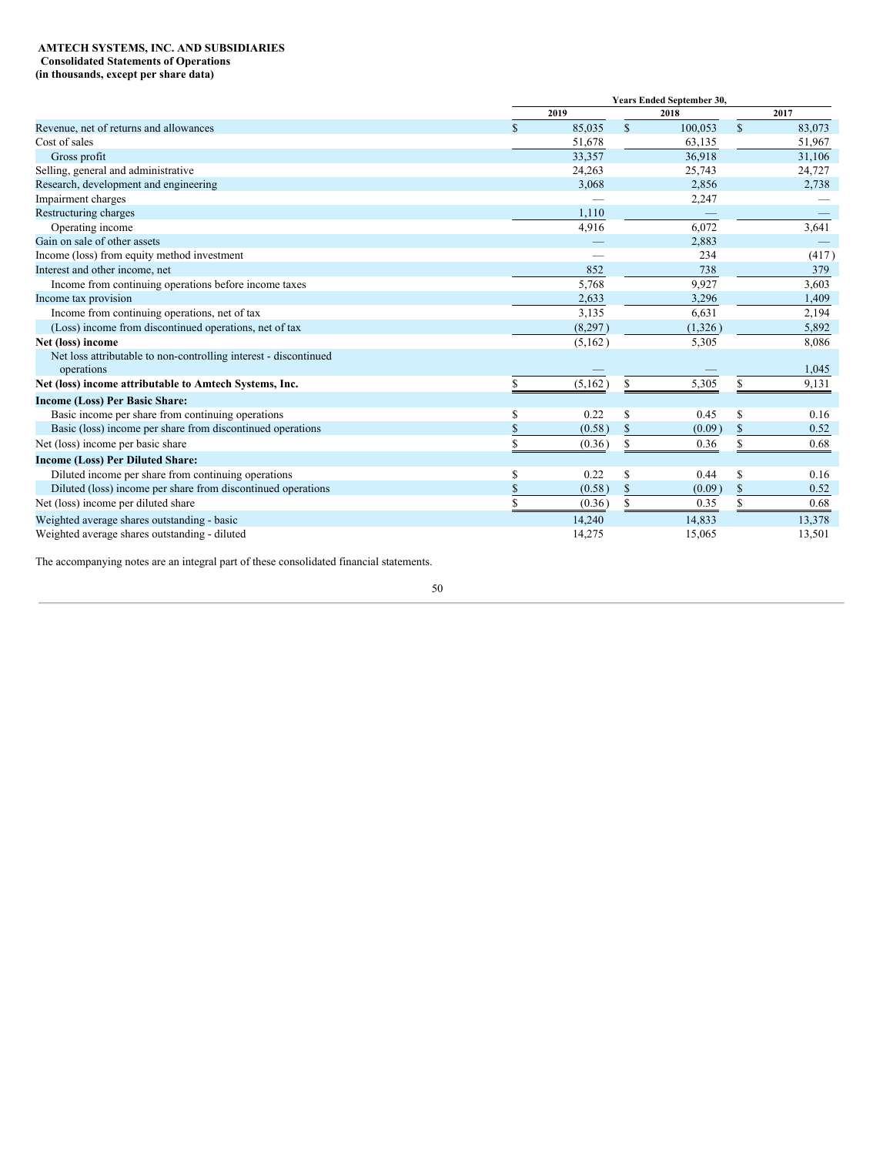# **AMTECH SYSTEMS, INC. AND SUBSIDIARIES**

<span id="page-49-0"></span>**Consolidated Statements of Operations (in thousands, except per share data)**

|                                                                                |               | <b>Years Ended September 30,</b> |    |         |    |        |  |
|--------------------------------------------------------------------------------|---------------|----------------------------------|----|---------|----|--------|--|
|                                                                                |               | 2019                             |    | 2018    |    | 2017   |  |
| Revenue, net of returns and allowances                                         | <sup>\$</sup> | 85,035                           | \$ | 100,053 | \$ | 83,073 |  |
| Cost of sales                                                                  |               | 51,678                           |    | 63,135  |    | 51,967 |  |
| Gross profit                                                                   |               | 33,357                           |    | 36.918  |    | 31,106 |  |
| Selling, general and administrative                                            |               | 24,263                           |    | 25,743  |    | 24,727 |  |
| Research, development and engineering                                          |               | 3,068                            |    | 2,856   |    | 2,738  |  |
| Impairment charges                                                             |               |                                  |    | 2,247   |    |        |  |
| Restructuring charges                                                          |               | 1,110                            |    |         |    |        |  |
| Operating income                                                               |               | 4,916                            |    | 6,072   |    | 3,641  |  |
| Gain on sale of other assets                                                   |               |                                  |    | 2,883   |    |        |  |
| Income (loss) from equity method investment                                    |               |                                  |    | 234     |    | (417)  |  |
| Interest and other income, net                                                 |               | 852                              |    | 738     |    | 379    |  |
| Income from continuing operations before income taxes                          |               | 5,768                            |    | 9,927   |    | 3,603  |  |
| Income tax provision                                                           |               | 2,633                            |    | 3,296   |    | 1,409  |  |
| Income from continuing operations, net of tax                                  |               | 3,135                            |    | 6,631   |    | 2,194  |  |
| (Loss) income from discontinued operations, net of tax                         |               | (8,297)                          |    | (1,326) |    | 5,892  |  |
| Net (loss) income                                                              |               | (5,162)                          |    | 5,305   |    | 8,086  |  |
| Net loss attributable to non-controlling interest - discontinued<br>operations |               |                                  |    |         |    | 1,045  |  |
| Net (loss) income attributable to Amtech Systems, Inc.                         | S             | (5,162)                          | \$ | 5,305   | S  | 9,131  |  |
| <b>Income (Loss) Per Basic Share:</b>                                          |               |                                  |    |         |    |        |  |
| Basic income per share from continuing operations                              | \$            | 0.22                             | \$ | 0.45    | \$ | 0.16   |  |
| Basic (loss) income per share from discontinued operations                     | \$            | (0.58)                           | \$ | (0.09)  | \$ | 0.52   |  |
| Net (loss) income per basic share                                              | \$            | (0.36)                           | \$ | 0.36    | S  | 0.68   |  |
| <b>Income (Loss) Per Diluted Share:</b>                                        |               |                                  |    |         |    |        |  |
| Diluted income per share from continuing operations                            | S             | 0.22                             | \$ | 0.44    | S  | 0.16   |  |
| Diluted (loss) income per share from discontinued operations                   | \$            | (0.58)                           | \$ | (0.09)  | \$ | 0.52   |  |
| Net (loss) income per diluted share                                            | \$            | (0.36)                           | \$ | 0.35    | S  | 0.68   |  |
| Weighted average shares outstanding - basic                                    |               | 14,240                           |    | 14,833  |    | 13,378 |  |
| Weighted average shares outstanding - diluted                                  |               | 14,275                           |    | 15,065  |    | 13,501 |  |

The accompanying notes are an integral part of these consolidated financial statements.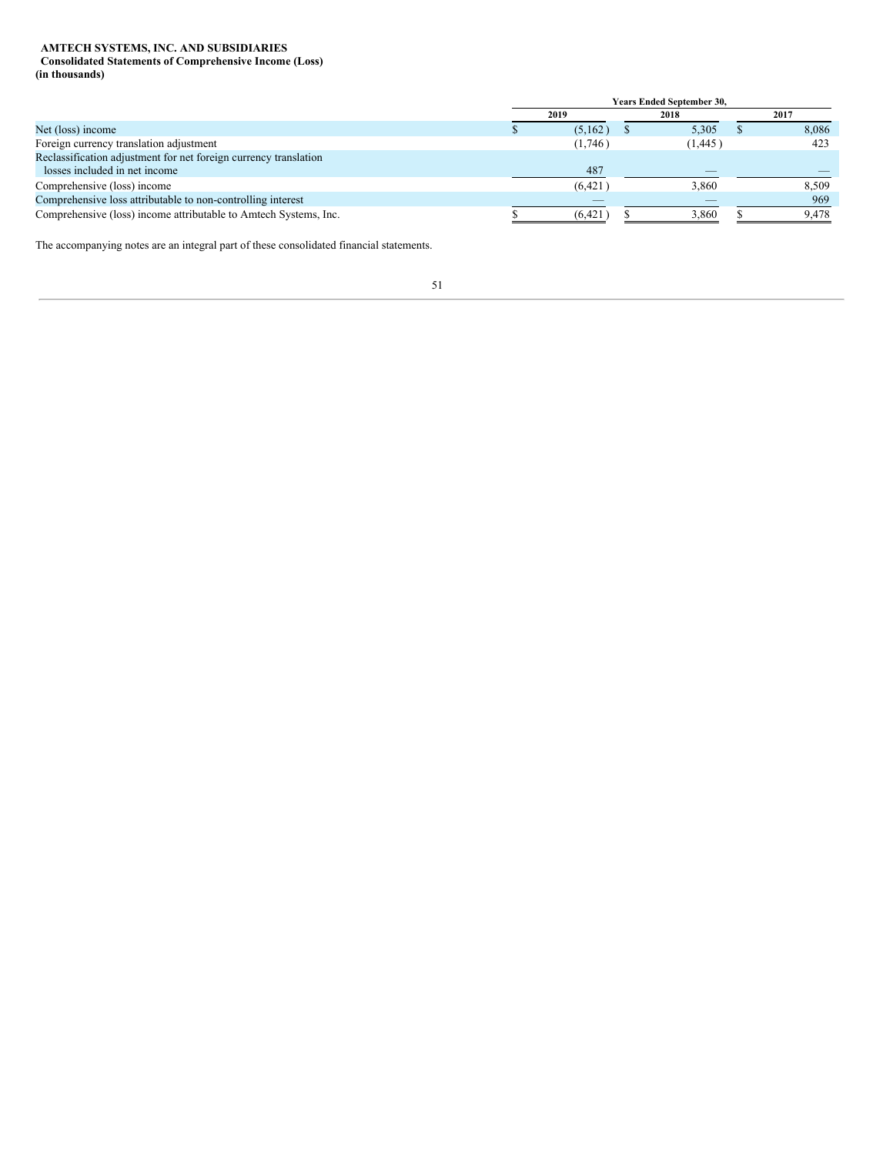## **AMTECH SYSTEMS, INC. AND SUBSIDIARIES**

<span id="page-50-0"></span>**Consolidated Statements of Comprehensive Income (Loss)**

**(in thousands)**

|                                                                  | <b>Years Ended September 30,</b> |         |      |          |      |       |  |  |  |  |
|------------------------------------------------------------------|----------------------------------|---------|------|----------|------|-------|--|--|--|--|
|                                                                  | 2019                             |         | 2018 |          | 2017 |       |  |  |  |  |
| Net (loss) income                                                |                                  | (5,162) |      | 5,305    |      | 8,086 |  |  |  |  |
| Foreign currency translation adjustment                          |                                  | (1,746) |      | (1, 445) |      | 423   |  |  |  |  |
| Reclassification adjustment for net foreign currency translation |                                  |         |      |          |      |       |  |  |  |  |
| losses included in net income                                    |                                  | 487     |      |          |      |       |  |  |  |  |
| Comprehensive (loss) income                                      |                                  | (6,421) |      | 3,860    |      | 8,509 |  |  |  |  |
| Comprehensive loss attributable to non-controlling interest      |                                  |         |      |          |      | 969   |  |  |  |  |
| Comprehensive (loss) income attributable to Amtech Systems, Inc. |                                  | (6,421) |      | 3,860    |      | 9,478 |  |  |  |  |

The accompanying notes are an integral part of these consolidated financial statements.

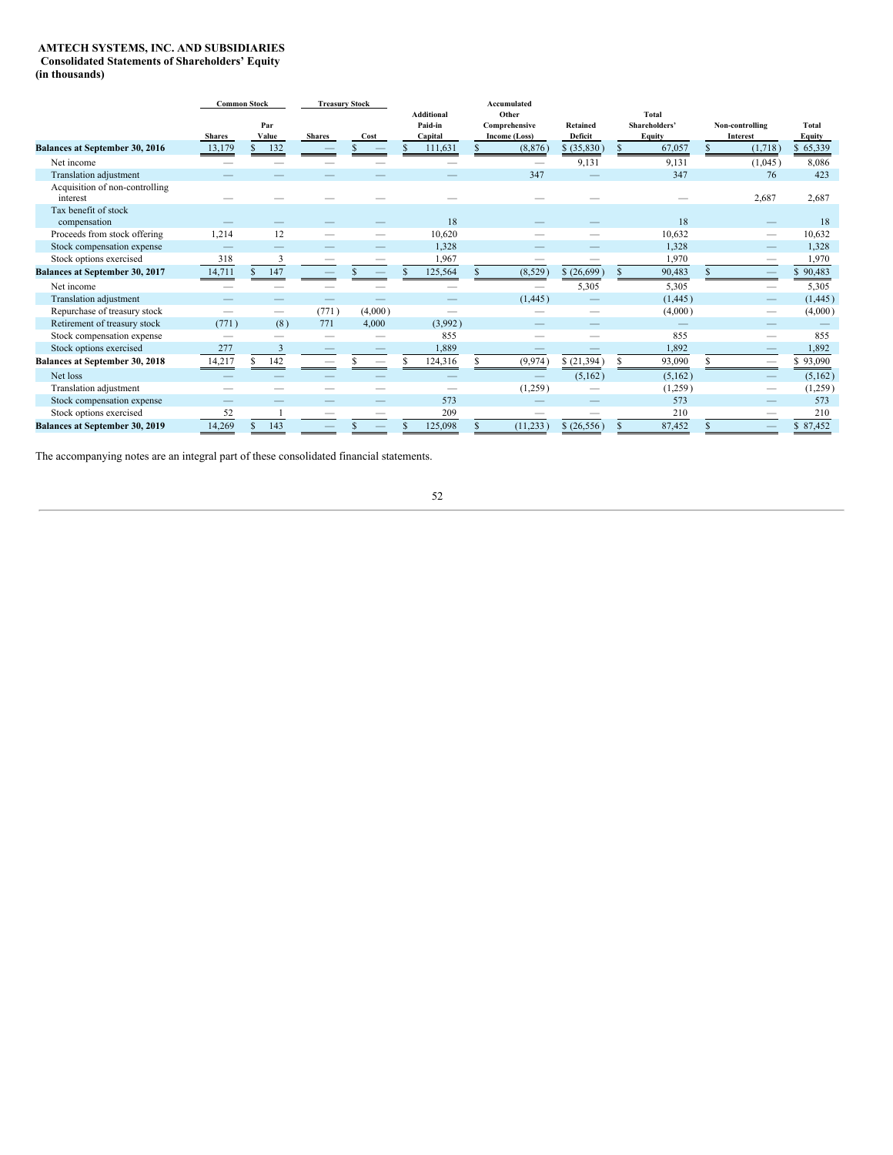#### <span id="page-51-0"></span>**AMTECH SYSTEMS, INC. AND SUBSIDIARIES Consolidated Statements of Shareholders' Equity (in thousands)**

|                                            | <b>Common Stock</b> |              | <b>Treasury Stock</b> |         | Accumulated |                   |  |               |             |               |               |     |                          |              |
|--------------------------------------------|---------------------|--------------|-----------------------|---------|-------------|-------------------|--|---------------|-------------|---------------|---------------|-----|--------------------------|--------------|
|                                            |                     |              |                       |         |             | <b>Additional</b> |  | Other         |             |               | Total         |     |                          |              |
|                                            |                     | Par          |                       |         |             | Paid-in           |  | Comprehensive | Retained    |               | Shareholders' |     | Non-controlling          | <b>Total</b> |
|                                            | <b>Shares</b>       | Value        | <b>Shares</b>         | Cost    |             | Capital           |  | Income (Loss) | Deficit     |               | <b>Equity</b> |     | <b>Interest</b>          | Equity       |
| <b>Balances at September 30, 2016</b>      | 13,179              | 132          |                       |         |             | 111,631           |  | (8, 876)      | \$ (35,830) | <sup>\$</sup> | 67,057        | \$. | (1,718)                  | \$65,339     |
| Net income                                 |                     |              |                       |         |             |                   |  |               | 9,131       |               | 9,131         |     | (1,045)                  | 8.086        |
| Translation adjustment                     |                     |              |                       |         |             |                   |  | 347           |             |               | 347           |     | 76                       | 423          |
| Acquisition of non-controlling<br>interest |                     |              |                       |         |             |                   |  |               |             |               |               |     | 2,687                    | 2,687        |
| Tax benefit of stock<br>compensation       |                     |              |                       |         |             | 18                |  |               |             |               | 18            |     |                          | 18           |
| Proceeds from stock offering               | 1,214               | 12           |                       |         |             | 10,620            |  |               |             |               | 10,632        |     |                          | 10,632       |
| Stock compensation expense                 |                     |              |                       |         |             | 1,328             |  |               |             |               | 1,328         |     |                          | 1,328        |
| Stock options exercised                    | 318                 | $\mathbf{3}$ |                       |         |             | 1,967             |  |               |             |               | 1,970         |     |                          | 1,970        |
| Balances at September 30, 2017             | 14,711              | 147          |                       |         |             | 125,564           |  | (8,529)       | \$ (26,699) |               | 90,483        |     |                          | \$90,483     |
| Net income                                 |                     |              |                       |         |             |                   |  |               | 5,305       |               | 5,305         |     |                          | 5,305        |
| Translation adjustment                     |                     |              |                       |         |             |                   |  | (1, 445)      |             |               | (1, 445)      |     |                          | (1,445)      |
| Repurchase of treasury stock               |                     |              | (771)                 | (4,000) |             |                   |  |               |             |               | (4,000)       |     |                          | (4,000)      |
| Retirement of treasury stock               | (771)               | (8)          | 771                   | 4,000   |             | (3,992)           |  |               |             |               |               |     | __                       |              |
| Stock compensation expense                 |                     |              |                       |         |             | 855               |  |               |             |               | 855           |     |                          | 855          |
| Stock options exercised                    | 277                 |              |                       |         |             | 1,889             |  |               |             |               | 1,892         |     |                          | 1,892        |
| Balances at September 30, 2018             | 14,217              | 142          |                       |         |             | 124,316           |  | (9,974)       | \$(21,394)  |               | 93,090        |     | $\overline{\phantom{m}}$ | \$93,090     |
| Net loss                                   |                     |              |                       |         |             |                   |  |               | (5,162)     |               | (5,162)       |     |                          | (5,162)      |
| Translation adjustment                     |                     |              |                       |         |             |                   |  | (1,259)       |             |               | (1,259)       |     |                          | (1,259)      |
| Stock compensation expense                 |                     |              |                       |         |             | 573               |  |               |             |               | 573           |     |                          | 573          |
| Stock options exercised                    | 52                  |              |                       |         |             | 209               |  |               |             |               | 210           |     |                          | 210          |
| <b>Balances at September 30, 2019</b>      | 14,269              | 143          |                       |         |             | 125,098           |  | (11, 233)     | \$ (26,556) |               | 87,452        |     |                          | \$87,452     |

The accompanying notes are an integral part of these consolidated financial statements.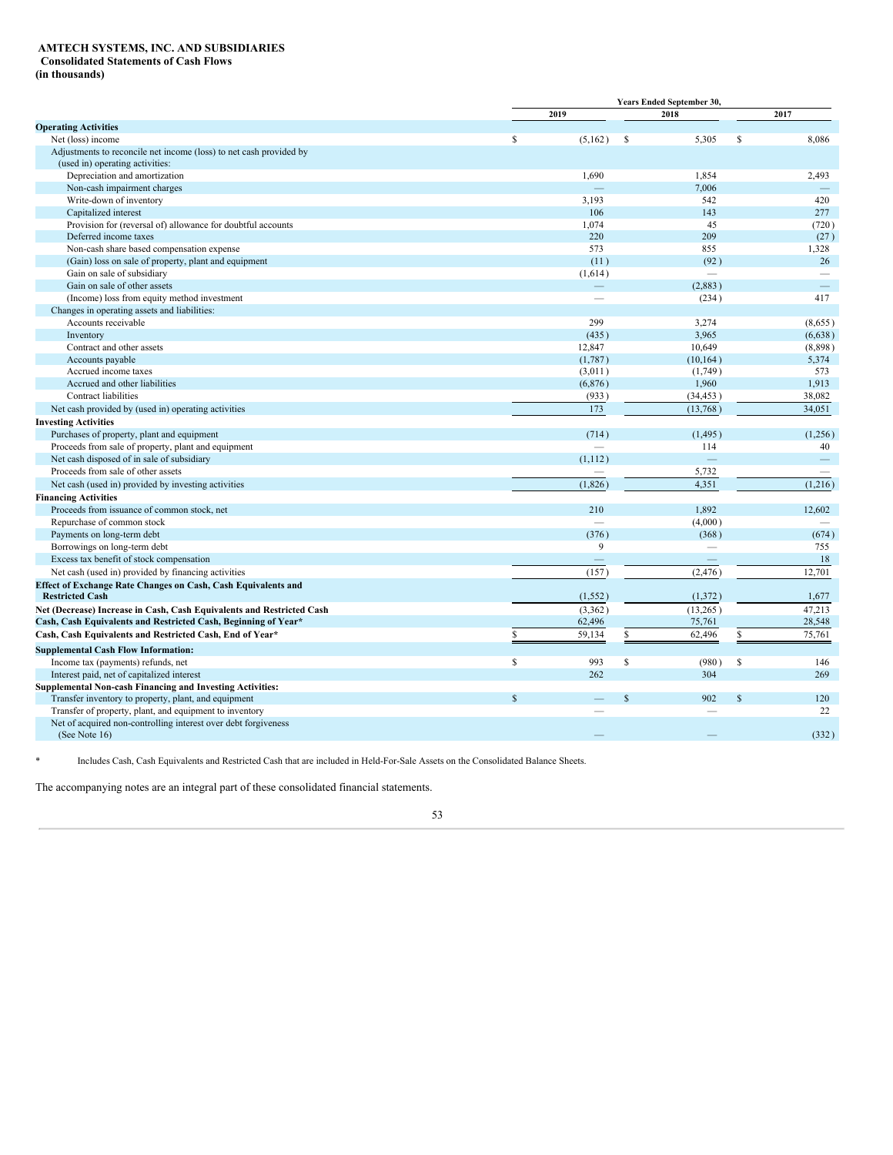## **AMTECH SYSTEMS, INC. AND SUBSIDIARIES**

<span id="page-52-0"></span>**Consolidated Statements of Cash Flows**

**(in thousands)**

|                                                                                 |          | <b>Years Ended September 30,</b> |                    |                          |              |                          |  |
|---------------------------------------------------------------------------------|----------|----------------------------------|--------------------|--------------------------|--------------|--------------------------|--|
|                                                                                 | 2019     |                                  |                    | 2018                     |              | 2017                     |  |
| <b>Operating Activities</b>                                                     |          |                                  |                    |                          |              |                          |  |
| Net (loss) income                                                               | s        | (5,162)                          | $\mathbf{\hat{s}}$ | 5,305                    | $\mathbb{S}$ | 8,086                    |  |
| Adjustments to reconcile net income (loss) to net cash provided by              |          |                                  |                    |                          |              |                          |  |
| (used in) operating activities:                                                 |          |                                  |                    |                          |              |                          |  |
| Depreciation and amortization                                                   |          | 1.690                            |                    | 1.854                    |              | 2,493                    |  |
| Non-cash impairment charges                                                     |          |                                  |                    | 7,006                    |              |                          |  |
| Write-down of inventory                                                         |          | 3,193                            |                    | 542                      |              | 420                      |  |
| Capitalized interest                                                            |          | 106                              |                    | 143                      |              | 277                      |  |
| Provision for (reversal of) allowance for doubtful accounts                     |          | 1,074                            |                    | 45                       |              | (720)                    |  |
| Deferred income taxes                                                           |          | 220                              |                    | 209                      |              | (27)                     |  |
| Non-cash share based compensation expense                                       |          | 573                              |                    | 855                      |              | 1,328                    |  |
| (Gain) loss on sale of property, plant and equipment                            |          | (11)                             |                    | (92)                     |              | 26                       |  |
| Gain on sale of subsidiary                                                      |          | (1,614)                          |                    | $\overline{\phantom{0}}$ |              |                          |  |
| Gain on sale of other assets                                                    |          |                                  |                    | (2,883)                  |              |                          |  |
| (Income) loss from equity method investment                                     |          | $\overline{\phantom{0}}$         |                    | (234)                    |              | 417                      |  |
| Changes in operating assets and liabilities:                                    |          |                                  |                    |                          |              |                          |  |
| Accounts receivable                                                             |          | 299                              |                    | 3,274                    |              | (8,655)                  |  |
| Inventory                                                                       |          | (435)                            |                    | 3,965                    |              | (6,638)                  |  |
| Contract and other assets                                                       |          | 12,847                           |                    | 10,649                   |              | (8,898)                  |  |
| Accounts payable                                                                |          | (1,787)                          |                    | (10, 164)                |              | 5,374                    |  |
| Accrued income taxes                                                            |          | (3,011)                          |                    | (1,749)                  |              | 573                      |  |
| Accrued and other liabilities                                                   |          | (6,876)                          |                    | 1,960                    |              | 1,913                    |  |
| Contract liabilities                                                            |          | (933)                            |                    | (34, 453)                |              | 38,082                   |  |
| Net cash provided by (used in) operating activities                             |          | 173                              |                    | (13,768)                 |              | 34,051                   |  |
| <b>Investing Activities</b>                                                     |          |                                  |                    |                          |              |                          |  |
| Purchases of property, plant and equipment                                      |          | (714)                            |                    | (1, 495)                 |              | (1,256)                  |  |
| Proceeds from sale of property, plant and equipment                             |          |                                  |                    | 114                      |              | 40                       |  |
| Net cash disposed of in sale of subsidiary                                      |          | (1, 112)                         |                    |                          |              | $\overline{\phantom{0}}$ |  |
| Proceeds from sale of other assets                                              |          | $\overline{\phantom{a}}$         |                    | 5,732                    |              |                          |  |
| Net cash (used in) provided by investing activities                             |          | (1,826)                          |                    | 4,351                    |              | (1,216)                  |  |
| <b>Financing Activities</b>                                                     |          |                                  |                    |                          |              |                          |  |
| Proceeds from issuance of common stock, net                                     |          | 210                              |                    | 1,892                    |              | 12,602                   |  |
| Repurchase of common stock                                                      |          |                                  |                    | (4,000)                  |              |                          |  |
| Payments on long-term debt                                                      |          | (376)                            |                    | (368)                    |              | (674)                    |  |
| Borrowings on long-term debt                                                    |          | 9                                |                    |                          |              | 755                      |  |
| Excess tax benefit of stock compensation                                        |          |                                  |                    |                          |              | 18                       |  |
| Net cash (used in) provided by financing activities                             |          | (157)                            |                    | (2, 476)                 |              | 12,701                   |  |
| Effect of Exchange Rate Changes on Cash, Cash Equivalents and                   |          |                                  |                    |                          |              |                          |  |
| <b>Restricted Cash</b>                                                          |          | (1, 552)                         |                    | (1,372)                  |              | 1,677                    |  |
| Net (Decrease) Increase in Cash, Cash Equivalents and Restricted Cash           |          | (3,362)                          |                    | (13,265)                 |              | 47,213                   |  |
| Cash, Cash Equivalents and Restricted Cash, Beginning of Year*                  |          | 62,496                           |                    | 75,761                   |              | 28,548                   |  |
| Cash, Cash Equivalents and Restricted Cash, End of Year*                        | S        | 59,134                           | $\mathbb{S}$       | 62,496                   | S            | 75,761                   |  |
|                                                                                 |          |                                  |                    |                          |              |                          |  |
| <b>Supplemental Cash Flow Information:</b>                                      |          |                                  |                    |                          |              |                          |  |
| Income tax (payments) refunds, net                                              | S        | 993                              | $\mathbb{S}$       | (980)                    | S            | 146                      |  |
| Interest paid, net of capitalized interest                                      |          | 262                              |                    | 304                      |              | 269                      |  |
| <b>Supplemental Non-cash Financing and Investing Activities:</b>                |          |                                  |                    |                          |              |                          |  |
| Transfer inventory to property, plant, and equipment                            | <b>S</b> |                                  | $\mathbf S$        | 902                      | $\mathbf S$  | 120                      |  |
| Transfer of property, plant, and equipment to inventory                         |          |                                  |                    |                          |              | 22                       |  |
| Net of acquired non-controlling interest over debt forgiveness<br>(See Note 16) |          |                                  |                    |                          |              | (332)                    |  |

\* Includes Cash, Cash Equivalents and Restricted Cash that are included in Held-For-Sale Assets on the Consolidated Balance Sheets.

The accompanying notes are an integral part of these consolidated financial statements.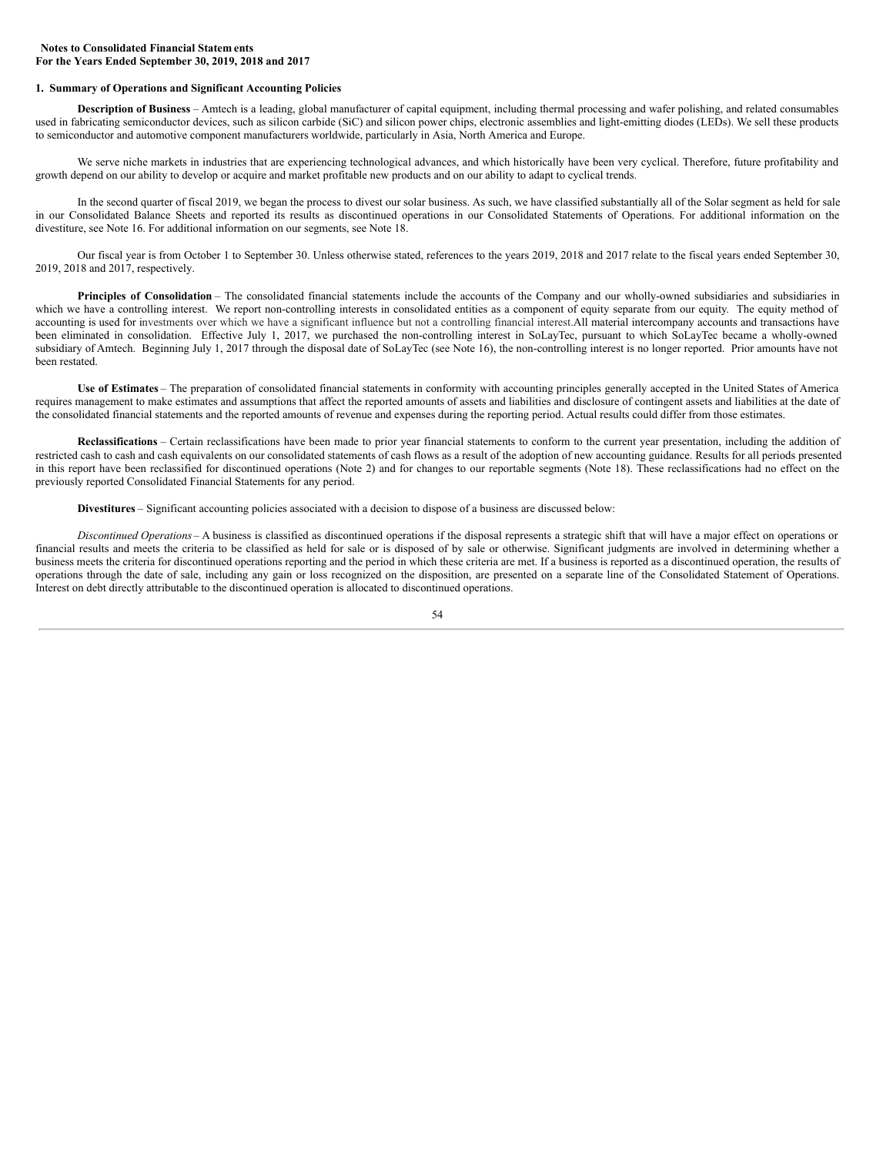## <span id="page-53-0"></span>**Notes to Consolidated Financial Statem ents For the Years Ended September 30, 2019, 2018 and 2017**

## **1. Summary of Operations and Significant Accounting Policies**

**Description of Business** – Amtech is a leading, global manufacturer of capital equipment, including thermal processing and wafer polishing, and related consumables used in fabricating semiconductor devices, such as silicon carbide (SiC) and silicon power chips, electronic assemblies and light-emitting diodes (LEDs). We sell these products to semiconductor and automotive component manufacturers worldwide, particularly in Asia, North America and Europe.

We serve niche markets in industries that are experiencing technological advances, and which historically have been very cyclical. Therefore, future profitability and growth depend on our ability to develop or acquire and market profitable new products and on our ability to adapt to cyclical trends.

In the second quarter of fiscal 2019, we began the process to divest our solar business. As such, we have classified substantially all of the Solar segment as held for sale in our Consolidated Balance Sheets and reported its results as discontinued operations in our Consolidated Statements of Operations. For additional information on the divestiture, see Note 16. For additional information on our segments, see Note 18.

Our fiscal year is from October 1 to September 30. Unless otherwise stated, references to the years 2019, 2018 and 2017 relate to the fiscal years ended September 30, 2019, 2018 and 2017, respectively.

**Principles of Consolidation** – The consolidated financial statements include the accounts of the Company and our wholly-owned subsidiaries and subsidiaries in which we have a controlling interest. We report non-controlling interests in consolidated entities as a component of equity separate from our equity. The equity method of accounting is used for investments over which we have a significant influence but not a controlling financial interest.All material intercompany accounts and transactions have been eliminated in consolidation. Effective July 1, 2017, we purchased the non-controlling interest in SoLayTec, pursuant to which SoLayTec became a wholly-owned subsidiary of Amtech. Beginning July 1, 2017 through the disposal date of SoLayTec (see Note 16), the non-controlling interest is no longer reported. Prior amounts have not been restated.

**Use of Estimates** – The preparation of consolidated financial statements in conformity with accounting principles generally accepted in the United States of America requires management to make estimates and assumptions that affect the reported amounts of assets and liabilities and disclosure of contingent assets and liabilities at the date of the consolidated financial statements and the reported amounts of revenue and expenses during the reporting period. Actual results could differ from those estimates.

**Reclassifications** – Certain reclassifications have been made to prior year financial statements to conform to the current year presentation, including the addition of restricted cash to cash and cash equivalents on our consolidated statements of cash flows as a result of the adoption of new accounting guidance. Results for all periods presented in this report have been reclassified for discontinued operations (Note 2) and for changes to our reportable segments (Note 18). These reclassifications had no effect on the previously reported Consolidated Financial Statements for any period.

**Divestitures** – Significant accounting policies associated with a decision to dispose of a business are discussed below:

*Discontinued Operations* – A business is classified as discontinued operations if the disposal represents a strategic shift that will have a major effect on operations or financial results and meets the criteria to be classified as held for sale or is disposed of by sale or otherwise. Significant judgments are involved in determining whether a business meets the criteria for discontinued operations reporting and the period in which these criteria are met. If a business is reported as a discontinued operation, the results of operations through the date of sale, including any gain or loss recognized on the disposition, are presented on a separate line of the Consolidated Statement of Operations. Interest on debt directly attributable to the discontinued operation is allocated to discontinued operations.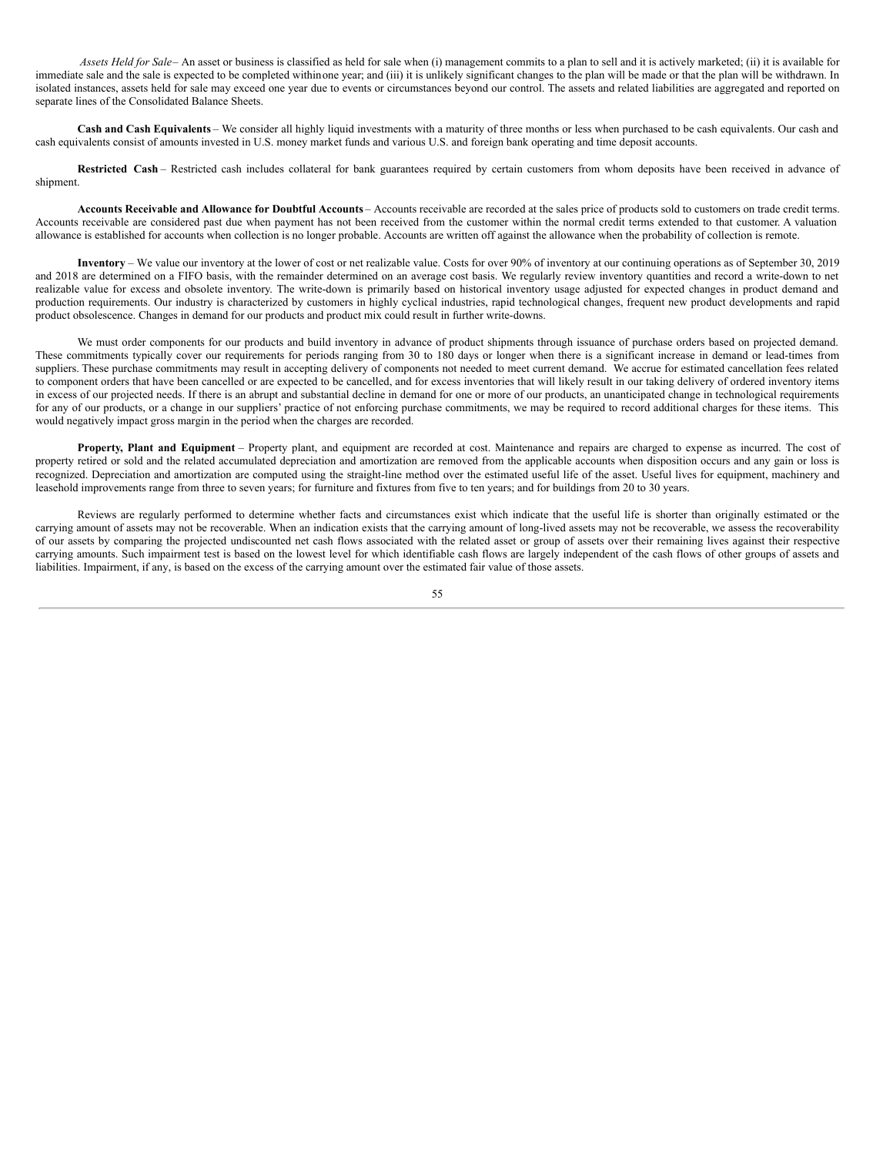*Assets Held for Sale*– An asset or business is classified as held for sale when (i) management commits to a plan to sell and it is actively marketed; (ii) it is available for immediate sale and the sale is expected to be completed withinone year; and (iii) it is unlikely significant changes to the plan will be made or that the plan will be withdrawn. In isolated instances, assets held for sale may exceed one year due to events or circumstances beyond our control. The assets and related liabilities are aggregated and reported on separate lines of the Consolidated Balance Sheets.

**Cash and Cash Equivalents** – We consider all highly liquid investments with a maturity of three months or less when purchased to be cash equivalents. Our cash and cash equivalents consist of amounts invested in U.S. money market funds and various U.S. and foreign bank operating and time deposit accounts.

Restricted Cash – Restricted cash includes collateral for bank guarantees required by certain customers from whom deposits have been received in advance of shipment.

**Accounts Receivable and Allowance for Doubtful Accounts** – Accounts receivable are recorded at the sales price of products sold to customers on trade credit terms. Accounts receivable are considered past due when payment has not been received from the customer within the normal credit terms extended to that customer. A valuation allowance is established for accounts when collection is no longer probable. Accounts are written off against the allowance when the probability of collection is remote.

**Inventory** – We value our inventory at the lower of cost or net realizable value. Costs for over 90% of inventory at our continuing operations as of September 30, 2019 and 2018 are determined on a FIFO basis, with the remainder determined on an average cost basis. We regularly review inventory quantities and record a write-down to net realizable value for excess and obsolete inventory. The write-down is primarily based on historical inventory usage adjusted for expected changes in product demand and production requirements. Our industry is characterized by customers in highly cyclical industries, rapid technological changes, frequent new product developments and rapid product obsolescence. Changes in demand for our products and product mix could result in further write-downs.

We must order components for our products and build inventory in advance of product shipments through issuance of purchase orders based on projected demand. These commitments typically cover our requirements for periods ranging from 30 to 180 days or longer when there is a significant increase in demand or lead-times from suppliers. These purchase commitments may result in accepting delivery of components not needed to meet current demand. We accrue for estimated cancellation fees related to component orders that have been cancelled or are expected to be cancelled, and for excess inventories that will likely result in our taking delivery of ordered inventory items in excess of our projected needs. If there is an abrupt and substantial decline in demand for one or more of our products, an unanticipated change in technological requirements for any of our products, or a change in our suppliers' practice of not enforcing purchase commitments, we may be required to record additional charges for these items. This would negatively impact gross margin in the period when the charges are recorded.

**Property, Plant and Equipment** – Property plant, and equipment are recorded at cost. Maintenance and repairs are charged to expense as incurred. The cost of property retired or sold and the related accumulated depreciation and amortization are removed from the applicable accounts when disposition occurs and any gain or loss is recognized. Depreciation and amortization are computed using the straight-line method over the estimated useful life of the asset. Useful lives for equipment, machinery and leasehold improvements range from three to seven years; for furniture and fixtures from five to ten years; and for buildings from 20 to 30 years.

Reviews are regularly performed to determine whether facts and circumstances exist which indicate that the useful life is shorter than originally estimated or the carrying amount of assets may not be recoverable. When an indication exists that the carrying amount of long-lived assets may not be recoverable, we assess the recoverability of our assets by comparing the projected undiscounted net cash flows associated with the related asset or group of assets over their remaining lives against their respective carrying amounts. Such impairment test is based on the lowest level for which identifiable cash flows are largely independent of the cash flows of other groups of assets and liabilities. Impairment, if any, is based on the excess of the carrying amount over the estimated fair value of those assets.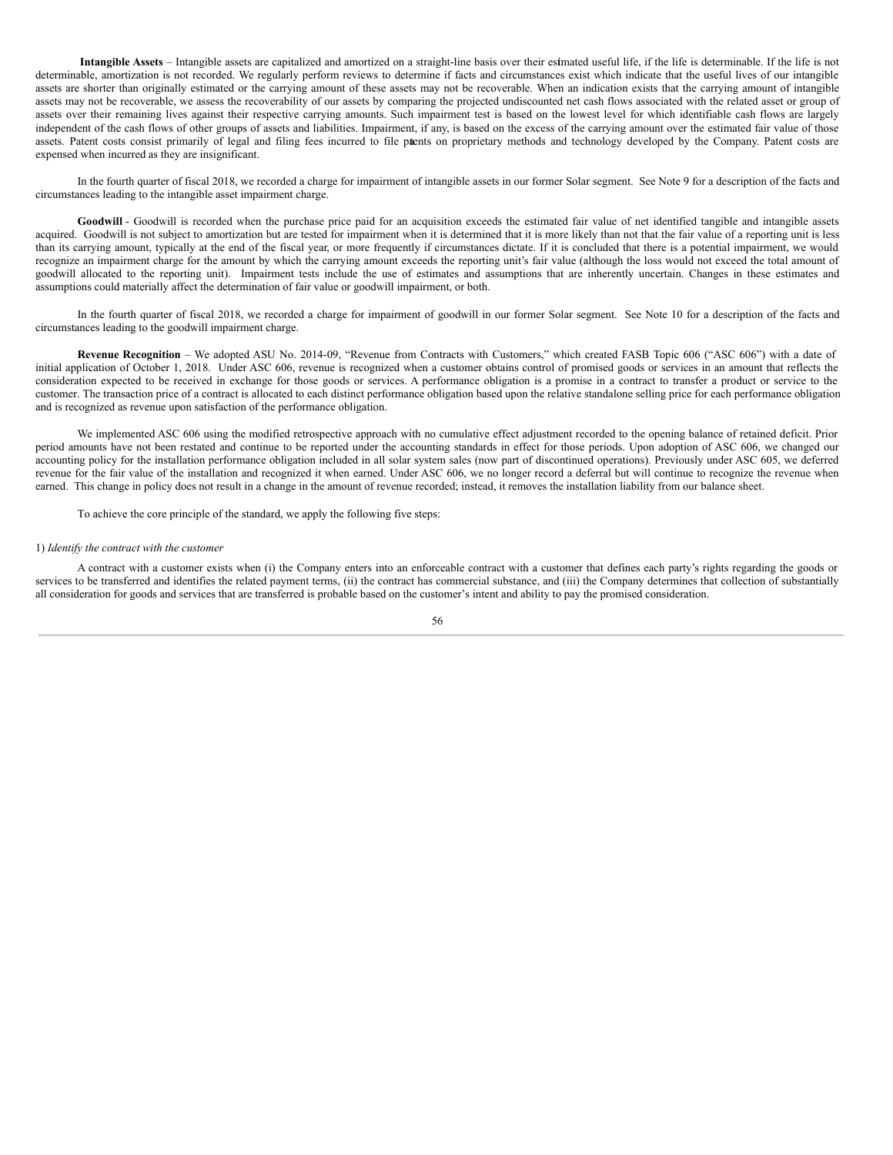Intangible Assets – Intangible assets are capitalized and amortized on a straight-line basis over their estimated useful life, if the life is determinable. If the life is not determinable, amortization is not recorded. We regularly perform reviews to determine if facts and circumstances exist which indicate that the useful lives of our intangible assets are shorter than originally estimated or the carrying amount of these assets may not be recoverable. When an indication exists that the carrying amount of intangible assets may not be recoverable, we assess the recoverability of our assets by comparing the projected undiscounted net cash flows associated with the related asset or group of assets over their remaining lives against their respective carrying amounts. Such impairment test is based on the lowest level for which identifiable cash flows are largely independent of the cash flows of other groups of assets and liabilities. Impairment, if any, is based on the excess of the carrying amount over the estimated fair value of those assets. Patent costs consist primarily of legal and filing fees incurred to file paents on proprietary methods and technology developed by the Company. Patent costs are expensed when incurred as they are insignificant.

In the fourth quarter of fiscal 2018, we recorded a charge for impairment of intangible assets in our former Solar segment. See Note 9 for a description of the facts and circumstances leading to the intangible asset impairment charge.

**Goodwill** - Goodwill is recorded when the purchase price paid for an acquisition exceeds the estimated fair value of net identified tangible and intangible assets acquired. Goodwill is not subject to amortization but are tested for impairment when it is determined that it is more likely than not that the fair value of a reporting unit is less than its carrying amount, typically at the end of the fiscal year, or more frequently if circumstances dictate. If it is concluded that there is a potential impairment, we would recognize an impairment charge for the amount by which the carrying amount exceeds the reporting unit's fair value (although the loss would not exceed the total amount of goodwill allocated to the reporting unit). Impairment tests include the use of estimates and assumptions that are inherently uncertain. Changes in these estimates and assumptions could materially affect the determination of fair value or goodwill impairment, or both.

In the fourth quarter of fiscal 2018, we recorded a charge for impairment of goodwill in our former Solar segment. See Note 10 for a description of the facts and circumstances leading to the goodwill impairment charge.

**Revenue Recognition** – We adopted ASU No. 2014-09, "Revenue from Contracts with Customers," which created FASB Topic 606 ("ASC 606") with a date of initial application of October 1, 2018. Under ASC 606, revenue is recognized when a customer obtains control of promised goods or services in an amount that reflects the consideration expected to be received in exchange for those goods or services. A performance obligation is a promise in a contract to transfer a product or service to the customer. The transaction price of a contract is allocated to each distinct performance obligation based upon the relative standalone selling price for each performance obligation and is recognized as revenue upon satisfaction of the performance obligation.

We implemented ASC 606 using the modified retrospective approach with no cumulative effect adjustment recorded to the opening balance of retained deficit. Prior period amounts have not been restated and continue to be reported under the accounting standards in effect for those periods. Upon adoption of ASC 606, we changed our accounting policy for the installation performance obligation included in all solar system sales (now part of discontinued operations). Previously under ASC 605, we deferred revenue for the fair value of the installation and recognized it when earned. Under ASC 606, we no longer record a deferral but will continue to recognize the revenue when earned. This change in policy does not result in a change in the amount of revenue recorded; instead, it removes the installation liability from our balance sheet.

To achieve the core principle of the standard, we apply the following five steps:

#### 1) *Identify the contract with the customer*

A contract with a customer exists when (i) the Company enters into an enforceable contract with a customer that defines each party's rights regarding the goods or services to be transferred and identifies the related payment terms, (ii) the contract has commercial substance, and (iii) the Company determines that collection of substantially all consideration for goods and services that are transferred is probable based on the customer's intent and ability to pay the promised consideration.

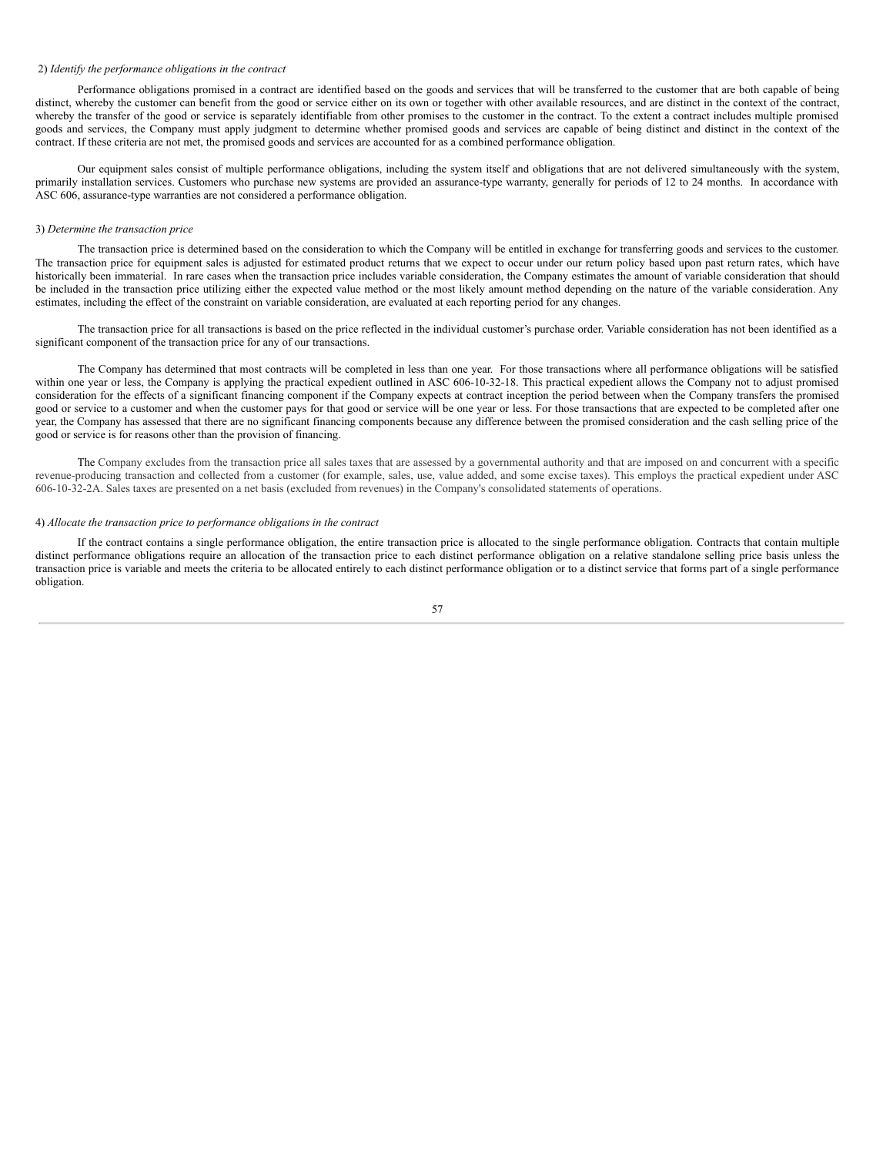#### 2) *Identify the performance obligations in the contract*

Performance obligations promised in a contract are identified based on the goods and services that will be transferred to the customer that are both capable of being distinct, whereby the customer can benefit from the good or service either on its own or together with other available resources, and are distinct in the context of the contract, whereby the transfer of the good or service is separately identifiable from other promises to the customer in the contract. To the extent a contract includes multiple promised goods and services, the Company must apply judgment to determine whether promised goods and services are capable of being distinct and distinct in the context of the contract. If these criteria are not met, the promised goods and services are accounted for as a combined performance obligation.

Our equipment sales consist of multiple performance obligations, including the system itself and obligations that are not delivered simultaneously with the system, primarily installation services. Customers who purchase new systems are provided an assurance-type warranty, generally for periods of 12 to 24 months. In accordance with ASC 606, assurance-type warranties are not considered a performance obligation.

#### 3) *Determine the transaction price*

The transaction price is determined based on the consideration to which the Company will be entitled in exchange for transferring goods and services to the customer. The transaction price for equipment sales is adjusted for estimated product returns that we expect to occur under our return policy based upon past return rates, which have historically been immaterial. In rare cases when the transaction price includes variable consideration, the Company estimates the amount of variable consideration that should be included in the transaction price utilizing either the expected value method or the most likely amount method depending on the nature of the variable consideration. Any estimates, including the effect of the constraint on variable consideration, are evaluated at each reporting period for any changes.

The transaction price for all transactions is based on the price reflected in the individual customer's purchase order. Variable consideration has not been identified as a significant component of the transaction price for any of our transactions.

The Company has determined that most contracts will be completed in less than one year. For those transactions where all performance obligations will be satisfied within one year or less, the Company is applying the practical expedient outlined in ASC 606-10-32-18. This practical expedient allows the Company not to adjust promised consideration for the effects of a significant financing component if the Company expects at contract inception the period between when the Company transfers the promised good or service to a customer and when the customer pays for that good or service will be one year or less. For those transactions that are expected to be completed after one year, the Company has assessed that there are no significant financing components because any difference between the promised consideration and the cash selling price of the good or service is for reasons other than the provision of financing.

The Company excludes from the transaction price all sales taxes that are assessed by a governmental authority and that are imposed on and concurrent with a specific revenue-producing transaction and collected from a customer (for example, sales, use, value added, and some excise taxes). This employs the practical expedient under ASC 606-10-32-2A. Sales taxes are presented on a net basis (excluded from revenues) in the Company's consolidated statements of operations.

#### 4) *Allocate the transaction price to performance obligations in the contract*

If the contract contains a single performance obligation, the entire transaction price is allocated to the single performance obligation. Contracts that contain multiple distinct performance obligations require an allocation of the transaction price to each distinct performance obligation on a relative standalone selling price basis unless the transaction price is variable and meets the criteria to be allocated entirely to each distinct performance obligation or to a distinct service that forms part of a single performance obligation.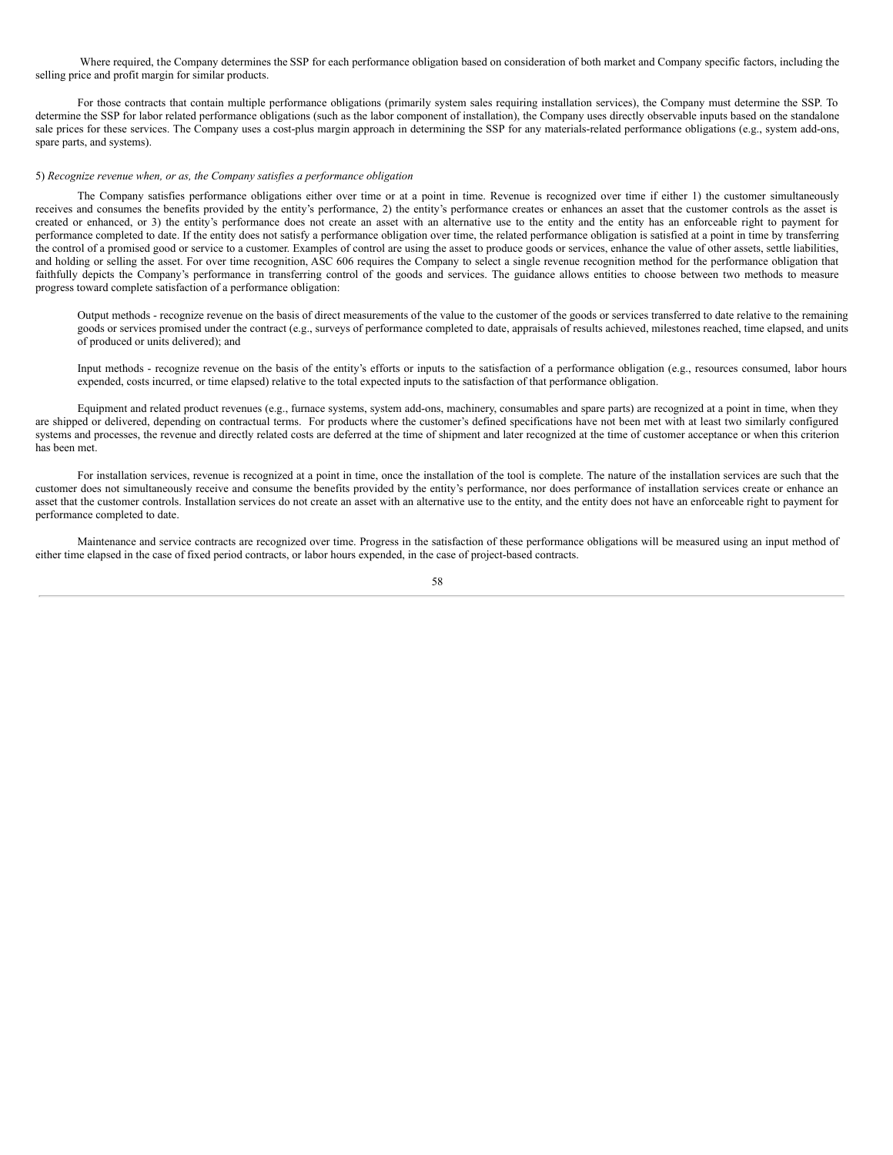Where required, the Company determines the SSP for each performance obligation based on consideration of both market and Company specific factors, including the selling price and profit margin for similar products.

For those contracts that contain multiple performance obligations (primarily system sales requiring installation services), the Company must determine the SSP. To determine the SSP for labor related performance obligations (such as the labor component of installation), the Company uses directly observable inputs based on the standalone sale prices for these services. The Company uses a cost-plus margin approach in determining the SSP for any materials-related performance obligations (e.g., system add-ons, spare parts, and systems).

#### 5) *Recognize revenue when, or as, the Company satisfies a performance obligation*

The Company satisfies performance obligations either over time or at a point in time. Revenue is recognized over time if either 1) the customer simultaneously receives and consumes the benefits provided by the entity's performance, 2) the entity's performance creates or enhances an asset that the customer controls as the asset is created or enhanced, or 3) the entity's performance does not create an asset with an alternative use to the entity and the entity has an enforceable right to payment for performance completed to date. If the entity does not satisfy a performance obligation over time, the related performance obligation is satisfied at a point in time by transferring the control of a promised good or service to a customer. Examples of control are using the asset to produce goods or services, enhance the value of other assets, settle liabilities, and holding or selling the asset. For over time recognition, ASC 606 requires the Company to select a single revenue recognition method for the performance obligation that faithfully depicts the Company's performance in transferring control of the goods and services. The guidance allows entities to choose between two methods to measure progress toward complete satisfaction of a performance obligation:

Output methods - recognize revenue on the basis of direct measurements of the value to the customer of the goods or services transferred to date relative to the remaining goods or services promised under the contract (e.g., surveys of performance completed to date, appraisals of results achieved, milestones reached, time elapsed, and units of produced or units delivered); and

Input methods - recognize revenue on the basis of the entity's efforts or inputs to the satisfaction of a performance obligation (e.g., resources consumed, labor hours expended, costs incurred, or time elapsed) relative to the total expected inputs to the satisfaction of that performance obligation.

Equipment and related product revenues (e.g., furnace systems, system add-ons, machinery, consumables and spare parts) are recognized at a point in time, when they are shipped or delivered, depending on contractual terms. For products where the customer's defined specifications have not been met with at least two similarly configured systems and processes, the revenue and directly related costs are deferred at the time of shipment and later recognized at the time of customer acceptance or when this criterion has been met.

For installation services, revenue is recognized at a point in time, once the installation of the tool is complete. The nature of the installation services are such that the customer does not simultaneously receive and consume the benefits provided by the entity's performance, nor does performance of installation services create or enhance an asset that the customer controls. Installation services do not create an asset with an alternative use to the entity, and the entity does not have an enforceable right to payment for performance completed to date.

Maintenance and service contracts are recognized over time. Progress in the satisfaction of these performance obligations will be measured using an input method of either time elapsed in the case of fixed period contracts, or labor hours expended, in the case of project-based contracts.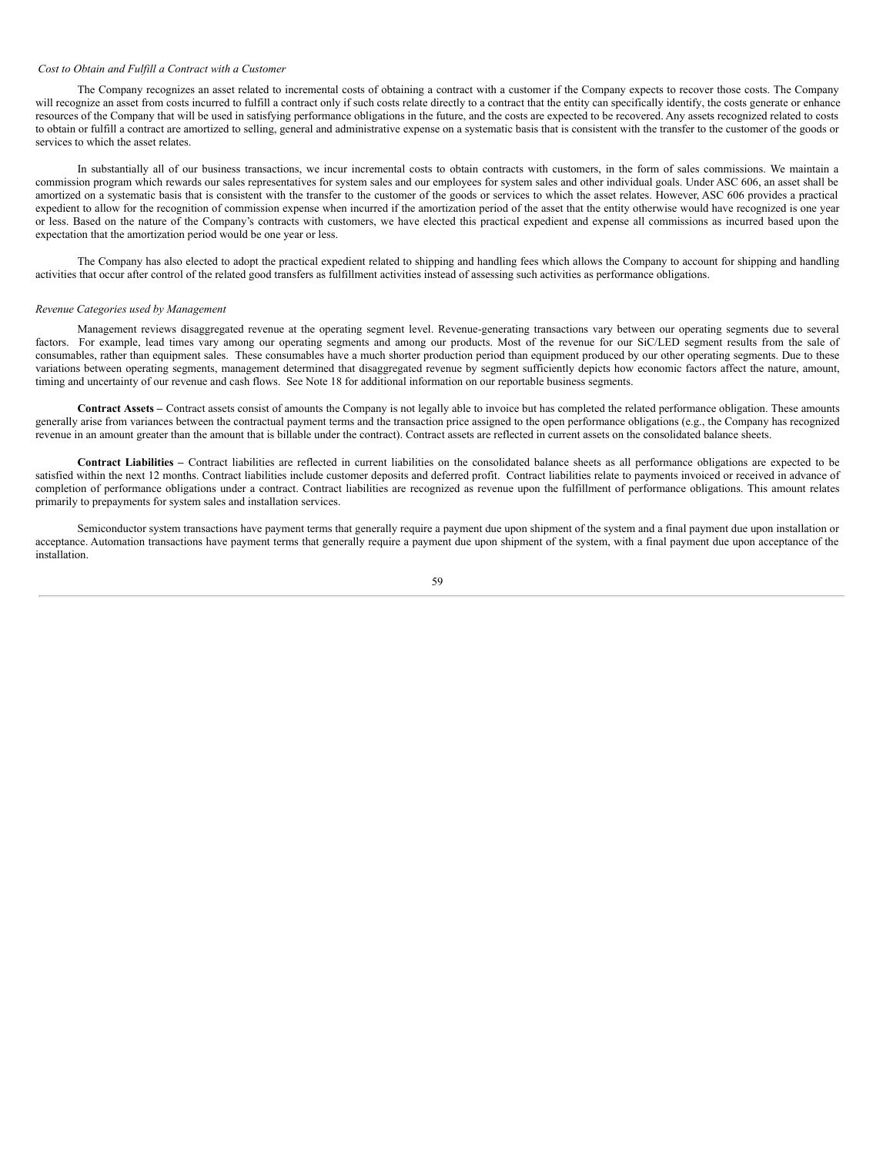#### *Cost to Obtain and Fulfill a Contract with a Customer*

The Company recognizes an asset related to incremental costs of obtaining a contract with a customer if the Company expects to recover those costs. The Company will recognize an asset from costs incurred to fulfill a contract only if such costs relate directly to a contract that the entity can specifically identify, the costs generate or enhance resources of the Company that will be used in satisfying performance obligations in the future, and the costs are expected to be recovered. Any assets recognized related to costs to obtain or fulfill a contract are amortized to selling, general and administrative expense on a systematic basis that is consistent with the transfer to the customer of the goods or services to which the asset relates.

In substantially all of our business transactions, we incur incremental costs to obtain contracts with customers, in the form of sales commissions. We maintain a commission program which rewards our sales representatives for system sales and our employees for system sales and other individual goals. Under ASC 606, an asset shall be amortized on a systematic basis that is consistent with the transfer to the customer of the goods or services to which the asset relates. However, ASC 606 provides a practical expedient to allow for the recognition of commission expense when incurred if the amortization period of the asset that the entity otherwise would have recognized is one year or less. Based on the nature of the Company's contracts with customers, we have elected this practical expedient and expense all commissions as incurred based upon the expectation that the amortization period would be one year or less.

The Company has also elected to adopt the practical expedient related to shipping and handling fees which allows the Company to account for shipping and handling activities that occur after control of the related good transfers as fulfillment activities instead of assessing such activities as performance obligations.

#### *Revenue Categories used by Management*

Management reviews disaggregated revenue at the operating segment level. Revenue-generating transactions vary between our operating segments due to several factors. For example, lead times vary among our operating segments and among our products. Most of the revenue for our SiC/LED segment results from the sale of consumables, rather than equipment sales. These consumables have a much shorter production period than equipment produced by our other operating segments. Due to these variations between operating segments, management determined that disaggregated revenue by segment sufficiently depicts how economic factors affect the nature, amount, timing and uncertainty of our revenue and cash flows. See Note 18 for additional information on our reportable business segments.

**Contract Assets –** Contract assets consist of amounts the Company is not legally able to invoice but has completed the related performance obligation. These amounts generally arise from variances between the contractual payment terms and the transaction price assigned to the open performance obligations (e.g., the Company has recognized revenue in an amount greater than the amount that is billable under the contract). Contract assets are reflected in current assets on the consolidated balance sheets.

**Contract Liabilities –** Contract liabilities are reflected in current liabilities on the consolidated balance sheets as all performance obligations are expected to be satisfied within the next 12 months. Contract liabilities include customer deposits and deferred profit. Contract liabilities relate to payments invoiced or received in advance of completion of performance obligations under a contract. Contract liabilities are recognized as revenue upon the fulfillment of performance obligations. This amount relates primarily to prepayments for system sales and installation services.

Semiconductor system transactions have payment terms that generally require a payment due upon shipment of the system and a final payment due upon installation or acceptance. Automation transactions have payment terms that generally require a payment due upon shipment of the system, with a final payment due upon acceptance of the installation.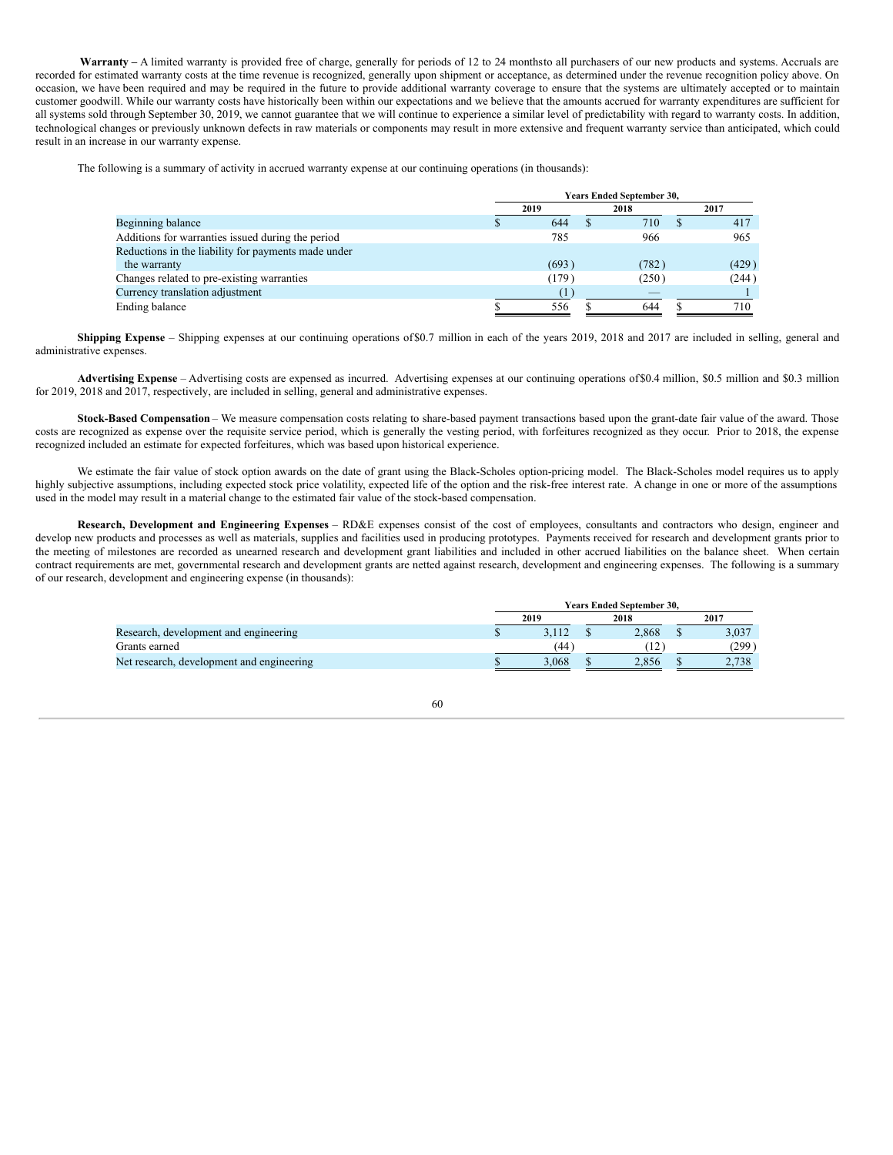Warranty – A limited warranty is provided free of charge, generally for periods of 12 to 24 monthsto all purchasers of our new products and systems. Accruals are recorded for estimated warranty costs at the time revenue is recognized, generally upon shipment or acceptance, as determined under the revenue recognition policy above. On occasion, we have been required and may be required in the future to provide additional warranty coverage to ensure that the systems are ultimately accepted or to maintain customer goodwill. While our warranty costs have historically been within our expectations and we believe that the amounts accrued for warranty expenditures are sufficient for all systems sold through September 30, 2019, we cannot guarantee that we will continue to experience a similar level of predictability with regard to warranty costs. In addition, technological changes or previously unknown defects in raw materials or components may result in more extensive and frequent warranty service than anticipated, which could result in an increase in our warranty expense.

The following is a summary of activity in accrued warranty expense at our continuing operations (in thousands):

|                                                     |   | <b>Years Ended September 30,</b> |       |  |       |  |  |  |
|-----------------------------------------------------|---|----------------------------------|-------|--|-------|--|--|--|
|                                                     |   | 2019                             | 2018  |  | 2017  |  |  |  |
| Beginning balance                                   | Ф | 644                              | 710   |  | 417   |  |  |  |
| Additions for warranties issued during the period   |   | 785                              | 966   |  | 965   |  |  |  |
| Reductions in the liability for payments made under |   |                                  |       |  |       |  |  |  |
| the warranty                                        |   | (693)                            | (782) |  | (429) |  |  |  |
| Changes related to pre-existing warranties          |   | (179)                            | (250) |  | (244) |  |  |  |
| Currency translation adjustment                     |   |                                  | _     |  |       |  |  |  |
| Ending balance                                      |   | 556                              | 644   |  | 710   |  |  |  |

**Shipping Expense** – Shipping expenses at our continuing operations of \$0.7 million in each of the years 2019, 2018 and 2017 are included in selling, general and administrative expenses.

Advertising **Expense** – Advertising costs are expensed as incurred. Advertising expenses at our continuing operations of \$0.4 million, \$0.5 million and \$0.3 million for 2019, 2018 and 2017, respectively, are included in selling, general and administrative expenses.

**Stock-Based Compensation** – We measure compensation costs relating to share-based payment transactions based upon the grant-date fair value of the award. Those costs are recognized as expense over the requisite service period, which is generally the vesting period, with forfeitures recognized as they occur. Prior to 2018, the expense recognized included an estimate for expected forfeitures, which was based upon historical experience.

We estimate the fair value of stock option awards on the date of grant using the Black-Scholes option-pricing model. The Black-Scholes model requires us to apply highly subjective assumptions, including expected stock price volatility, expected life of the option and the risk-free interest rate. A change in one or more of the assumptions used in the model may result in a material change to the estimated fair value of the stock-based compensation.

**Research, Development and Engineering Expenses** – RD&E expenses consist of the cost of employees, consultants and contractors who design, engineer and develop new products and processes as well as materials, supplies and facilities used in producing prototypes. Payments received for research and development grants prior to the meeting of milestones are recorded as unearned research and development grant liabilities and included in other accrued liabilities on the balance sheet. When certain contract requirements are met, governmental research and development grants are netted against research, development and engineering expenses. The following is a summary of our research, development and engineering expense (in thousands):

|                                           | <b>Years Ended September 30.</b> |  |       |  |       |  |  |
|-------------------------------------------|----------------------------------|--|-------|--|-------|--|--|
|                                           | 2019                             |  | 2018  |  | 2017  |  |  |
| Research, development and engineering     | 3.112                            |  | 2.868 |  | 3.037 |  |  |
| Grants earned                             | (44                              |  |       |  | (299) |  |  |
| Net research, development and engineering | 3.068                            |  | 2.856 |  | 2.738 |  |  |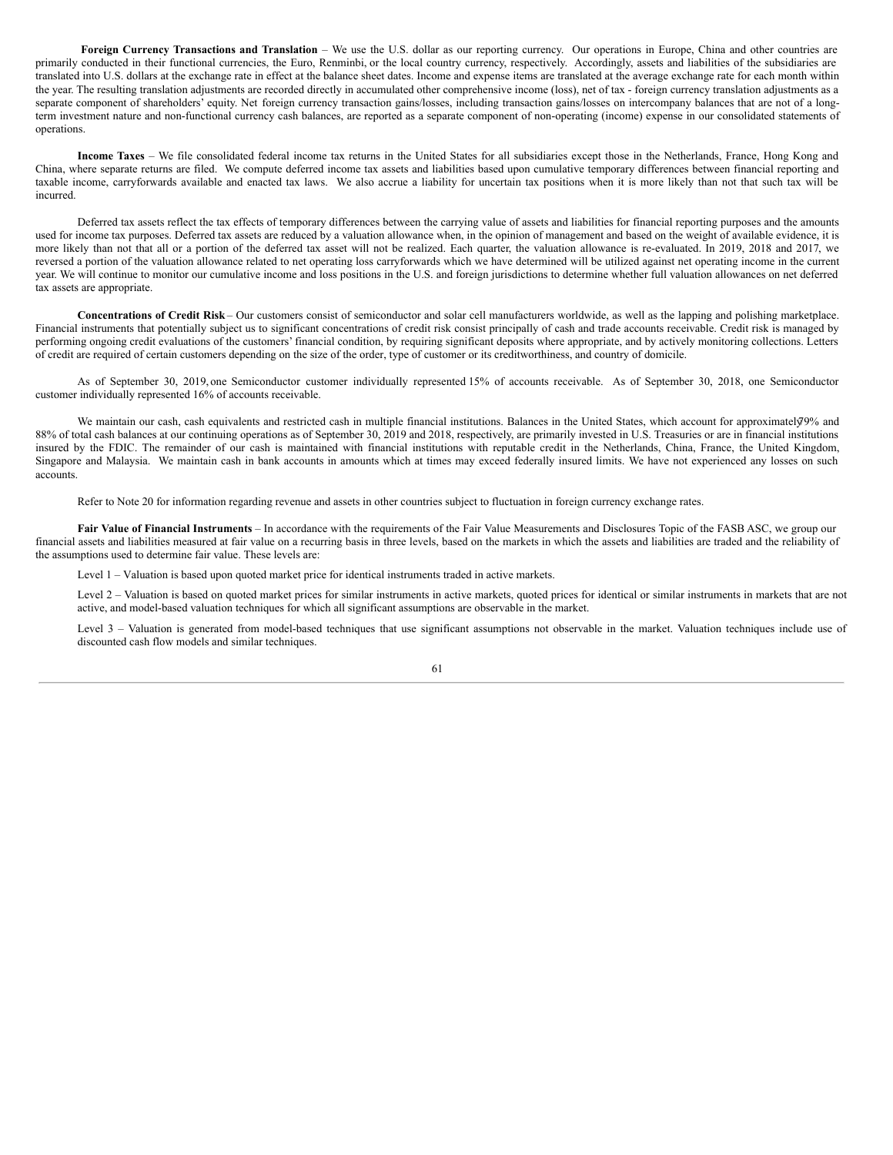**Foreign Currency Transactions and Translation** – We use the U.S. dollar as our reporting currency. Our operations in Europe, China and other countries are primarily conducted in their functional currencies, the Euro, Renminbi, or the local country currency, respectively. Accordingly, assets and liabilities of the subsidiaries are translated into U.S. dollars at the exchange rate in effect at the balance sheet dates. Income and expense items are translated at the average exchange rate for each month within the year. The resulting translation adjustments are recorded directly in accumulated other comprehensive income (loss), net of tax - foreign currency translation adjustments as a separate component of shareholders' equity. Net foreign currency transaction gains/losses, including transaction gains/losses on intercompany balances that are not of a longterm investment nature and non-functional currency cash balances, are reported as a separate component of non-operating (income) expense in our consolidated statements of operations.

**Income Taxes** – We file consolidated federal income tax returns in the United States for all subsidiaries except those in the Netherlands, France, Hong Kong and China, where separate returns are filed. We compute deferred income tax assets and liabilities based upon cumulative temporary differences between financial reporting and taxable income, carryforwards available and enacted tax laws. We also accrue a liability for uncertain tax positions when it is more likely than not that such tax will be incurred.

Deferred tax assets reflect the tax effects of temporary differences between the carrying value of assets and liabilities for financial reporting purposes and the amounts used for income tax purposes. Deferred tax assets are reduced by a valuation allowance when, in the opinion of management and based on the weight of available evidence, it is more likely than not that all or a portion of the deferred tax asset will not be realized. Each quarter, the valuation allowance is re-evaluated. In 2019, 2018 and 2017, we reversed a portion of the valuation allowance related to net operating loss carryforwards which we have determined will be utilized against net operating income in the current year. We will continue to monitor our cumulative income and loss positions in the U.S. and foreign jurisdictions to determine whether full valuation allowances on net deferred tax assets are appropriate.

**Concentrations of Credit Risk** – Our customers consist of semiconductor and solar cell manufacturers worldwide, as well as the lapping and polishing marketplace. Financial instruments that potentially subject us to significant concentrations of credit risk consist principally of cash and trade accounts receivable. Credit risk is managed by performing ongoing credit evaluations of the customers' financial condition, by requiring significant deposits where appropriate, and by actively monitoring collections. Letters of credit are required of certain customers depending on the size of the order, type of customer or its creditworthiness, and country of domicile.

As of September 30, 2019, one Semiconductor customer individually represented 15% of accounts receivable. As of September 30, 2018, one Semiconductor customer individually represented 16% of accounts receivable.

We maintain our cash, cash equivalents and restricted cash in multiple financial institutions. Balances in the United States, which account for approximately79% and 88% of total cash balances at our continuing operations as of September 30, 2019 and 2018, respectively, are primarily invested in U.S. Treasuries or are in financial institutions insured by the FDIC. The remainder of our cash is maintained with financial institutions with reputable credit in the Netherlands, China, France, the United Kingdom, Singapore and Malaysia. We maintain cash in bank accounts in amounts which at times may exceed federally insured limits. We have not experienced any losses on such accounts.

Refer to Note 20 for information regarding revenue and assets in other countries subject to fluctuation in foreign currency exchange rates.

**Fair Value of Financial Instruments** – In accordance with the requirements of the Fair Value Measurements and Disclosures Topic of the FASB ASC, we group our financial assets and liabilities measured at fair value on a recurring basis in three levels, based on the markets in which the assets and liabilities are traded and the reliability of the assumptions used to determine fair value. These levels are:

Level 1 – Valuation is based upon quoted market price for identical instruments traded in active markets.

Level 2 – Valuation is based on quoted market prices for similar instruments in active markets, quoted prices for identical or similar instruments in markets that are not active, and model-based valuation techniques for which all significant assumptions are observable in the market.

Level 3 – Valuation is generated from model-based techniques that use significant assumptions not observable in the market. Valuation techniques include use of discounted cash flow models and similar techniques.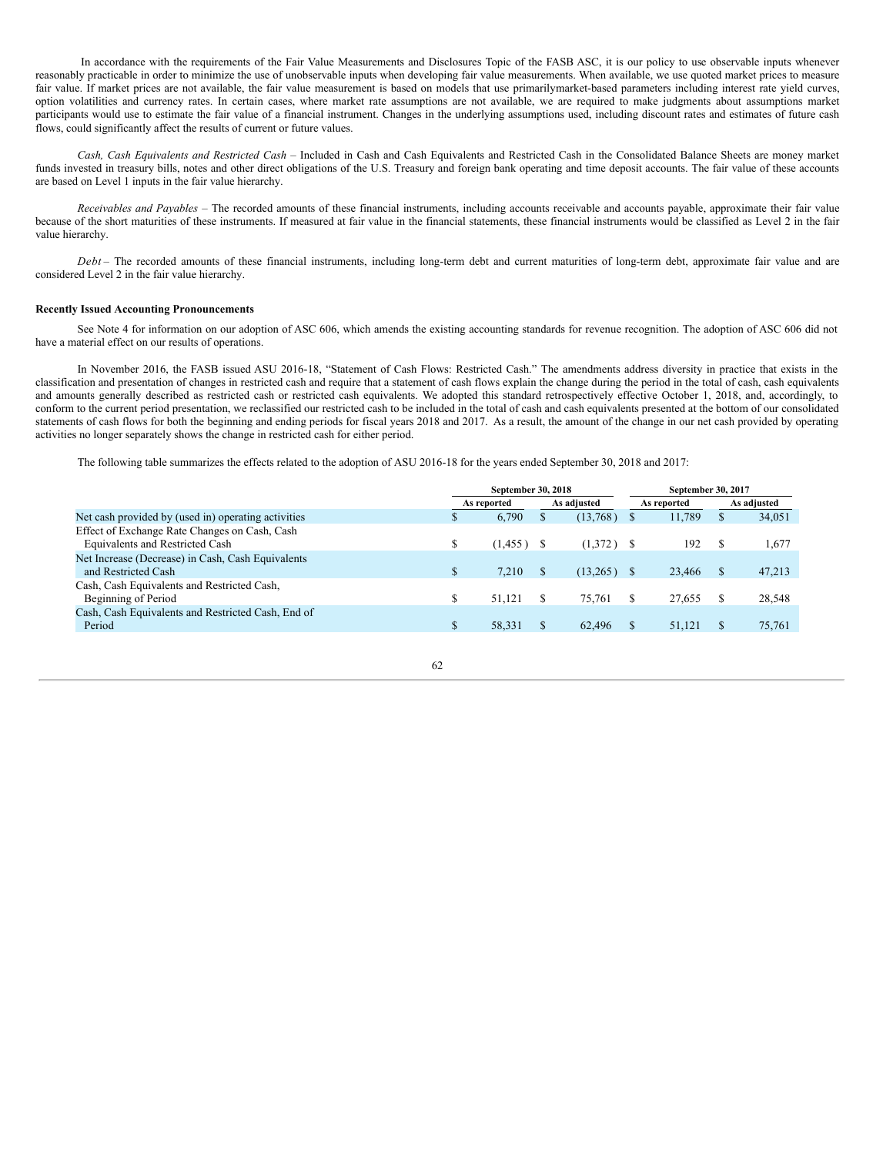In accordance with the requirements of the Fair Value Measurements and Disclosures Topic of the FASB ASC, it is our policy to use observable inputs whenever reasonably practicable in order to minimize the use of unobservable inputs when developing fair value measurements. When available, we use quoted market prices to measure fair value. If market prices are not available, the fair value measurement is based on models that use primarilymarket-based parameters including interest rate yield curves, option volatilities and currency rates. In certain cases, where market rate assumptions are not available, we are required to make judgments about assumptions market participants would use to estimate the fair value of a financial instrument. Changes in the underlying assumptions used, including discount rates and estimates of future cash flows, could significantly affect the results of current or future values.

*Cash, Cash Equivalents and Restricted Cash* – Included in Cash and Cash Equivalents and Restricted Cash in the Consolidated Balance Sheets are money market funds invested in treasury bills, notes and other direct obligations of the U.S. Treasury and foreign bank operating and time deposit accounts. The fair value of these accounts are based on Level 1 inputs in the fair value hierarchy.

*Receivables and Payables* – The recorded amounts of these financial instruments, including accounts receivable and accounts payable, approximate their fair value because of the short maturities of these instruments. If measured at fair value in the financial statements, these financial instruments would be classified as Level 2 in the fair value hierarchy.

*Debt* – The recorded amounts of these financial instruments, including long-term debt and current maturities of long-term debt, approximate fair value and are considered Level 2 in the fair value hierarchy.

#### **Recently Issued Accounting Pronouncements**

See Note 4 for information on our adoption of ASC 606, which amends the existing accounting standards for revenue recognition. The adoption of ASC 606 did not have a material effect on our results of operations.

In November 2016, the FASB issued ASU 2016-18, "Statement of Cash Flows: Restricted Cash." The amendments address diversity in practice that exists in the classification and presentation of changes in restricted cash and require that a statement of cash flows explain the change during the period in the total of cash, cash equivalents and amounts generally described as restricted cash or restricted cash equivalents. We adopted this standard retrospectively effective October 1, 2018, and, accordingly, to conform to the current period presentation, we reclassified our restricted cash to be included in the total of cash and cash equivalents presented at the bottom of our consolidated statements of cash flows for both the beginning and ending periods for fiscal years 2018 and 2017. As a result, the amount of the change in our net cash provided by operating activities no longer separately shows the change in restricted cash for either period.

The following table summarizes the effects related to the adoption of ASU 2016-18 for the years ended September 30, 2018 and 2017:

|                                                     | September 30, 2018 |             |             |          | September 30, 2017 |             |  |             |
|-----------------------------------------------------|--------------------|-------------|-------------|----------|--------------------|-------------|--|-------------|
|                                                     |                    | As reported | As adjusted |          |                    | As reported |  | As adjusted |
| Net cash provided by (used in) operating activities |                    | 6.790       | S           | (13,768) |                    | 11.789      |  | 34.051      |
| Effect of Exchange Rate Changes on Cash, Cash       |                    |             |             |          |                    |             |  |             |
| Equivalents and Restricted Cash                     |                    | (1, 455)    |             | (1,372)  |                    | 192         |  | 1,677       |
| Net Increase (Decrease) in Cash, Cash Equivalents   |                    |             |             |          |                    |             |  |             |
| and Restricted Cash                                 | \$                 | 7.210       |             | (13,265) |                    | 23,466      |  | 47,213      |
| Cash, Cash Equivalents and Restricted Cash,         |                    |             |             |          |                    |             |  |             |
| Beginning of Period                                 |                    | 51.121      |             | 75.761   |                    | 27.655      |  | 28,548      |
| Cash, Cash Equivalents and Restricted Cash, End of  |                    |             |             |          |                    |             |  |             |
| Period                                              | \$.                | 58.331      | S           | 62.496   |                    | 51.121      |  | 75,761      |
|                                                     |                    |             |             |          |                    |             |  |             |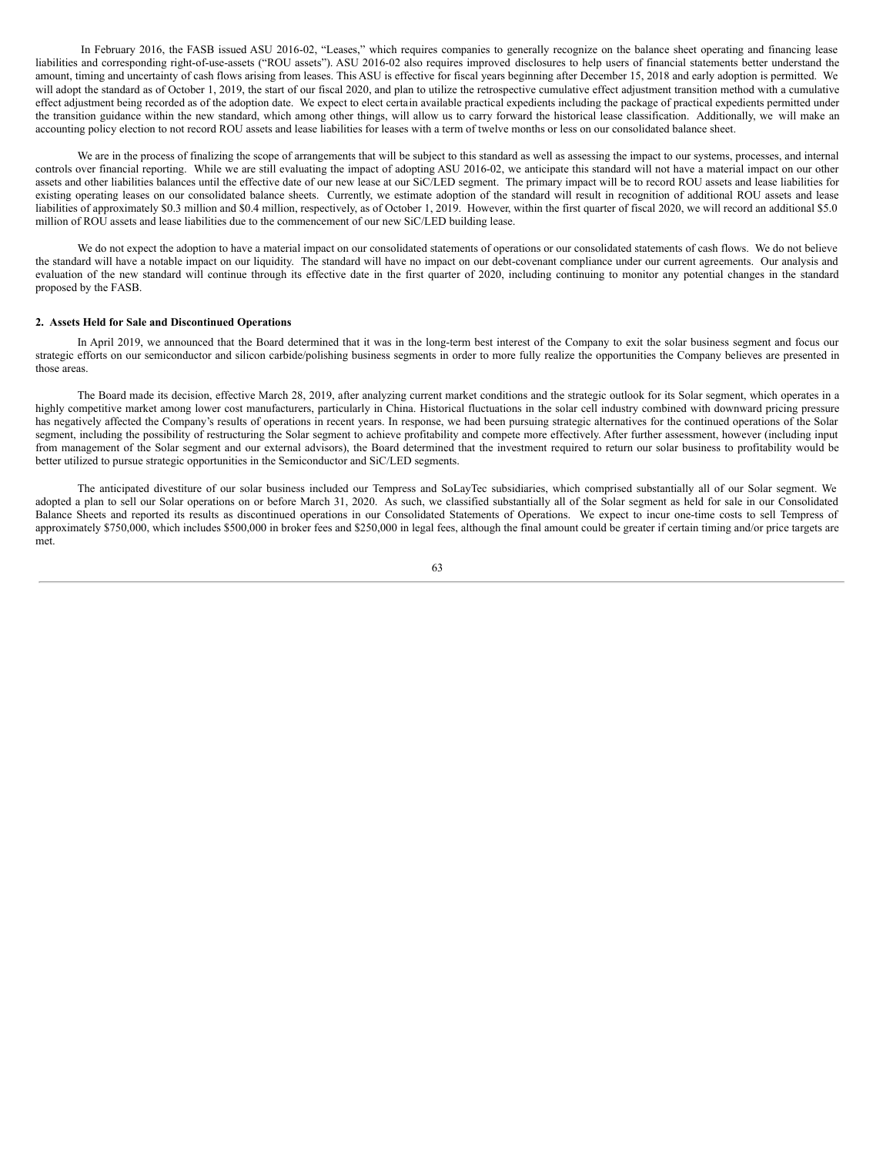In February 2016, the FASB issued ASU 2016-02, "Leases," which requires companies to generally recognize on the balance sheet operating and financing lease liabilities and corresponding right-of-use-assets ("ROU assets"). ASU 2016-02 also requires improved disclosures to help users of financial statements better understand the amount, timing and uncertainty of cash flows arising from leases. This ASU is effective for fiscal years beginning after December 15, 2018 and early adoption is permitted. We will adopt the standard as of October 1, 2019, the start of our fiscal 2020, and plan to utilize the retrospective cumulative effect adjustment transition method with a cumulative effect adjustment being recorded as of the adoption date. We expect to elect certain available practical expedients including the package of practical expedients permitted under the transition guidance within the new standard, which among other things, will allow us to carry forward the historical lease classification. Additionally, we will make an accounting policy election to not record ROU assets and lease liabilities for leases with a term of twelve months or less on our consolidated balance sheet.

We are in the process of finalizing the scope of arrangements that will be subject to this standard as well as assessing the impact to our systems, processes, and internal controls over financial reporting. While we are still evaluating the impact of adopting ASU 2016-02, we anticipate this standard will not have a material impact on our other assets and other liabilities balances until the effective date of our new lease at our SiC/LED segment. The primary impact will be to record ROU assets and lease liabilities for existing operating leases on our consolidated balance sheets. Currently, we estimate adoption of the standard will result in recognition of additional ROU assets and lease liabilities of approximately \$0.3 million and \$0.4 million, respectively, as of October 1, 2019. However, within the first quarter of fiscal 2020, we will record an additional \$5.0 million of ROU assets and lease liabilities due to the commencement of our new SiC/LED building lease.

We do not expect the adoption to have a material impact on our consolidated statements of operations or our consolidated statements of cash flows. We do not believe the standard will have a notable impact on our liquidity. The standard will have no impact on our debt-covenant compliance under our current agreements. Our analysis and evaluation of the new standard will continue through its effective date in the first quarter of 2020, including continuing to monitor any potential changes in the standard proposed by the FASB.

#### **2. Assets Held for Sale and Discontinued Operations**

In April 2019, we announced that the Board determined that it was in the long-term best interest of the Company to exit the solar business segment and focus our strategic efforts on our semiconductor and silicon carbide/polishing business segments in order to more fully realize the opportunities the Company believes are presented in those areas.

The Board made its decision, effective March 28, 2019, after analyzing current market conditions and the strategic outlook for its Solar segment, which operates in a highly competitive market among lower cost manufacturers, particularly in China. Historical fluctuations in the solar cell industry combined with downward pricing pressure has negatively affected the Company's results of operations in recent years. In response, we had been pursuing strategic alternatives for the continued operations of the Solar segment, including the possibility of restructuring the Solar segment to achieve profitability and compete more effectively. After further assessment, however (including input from management of the Solar segment and our external advisors), the Board determined that the investment required to return our solar business to profitability would be better utilized to pursue strategic opportunities in the Semiconductor and SiC/LED segments.

The anticipated divestiture of our solar business included our Tempress and SoLayTec subsidiaries, which comprised substantially all of our Solar segment. We adopted a plan to sell our Solar operations on or before March 31, 2020. As such, we classified substantially all of the Solar segment as held for sale in our Consolidated Balance Sheets and reported its results as discontinued operations in our Consolidated Statements of Operations. We expect to incur one-time costs to sell Tempress of approximately \$750,000, which includes \$500,000 in broker fees and \$250,000 in legal fees, although the final amount could be greater if certain timing and/or price targets are met.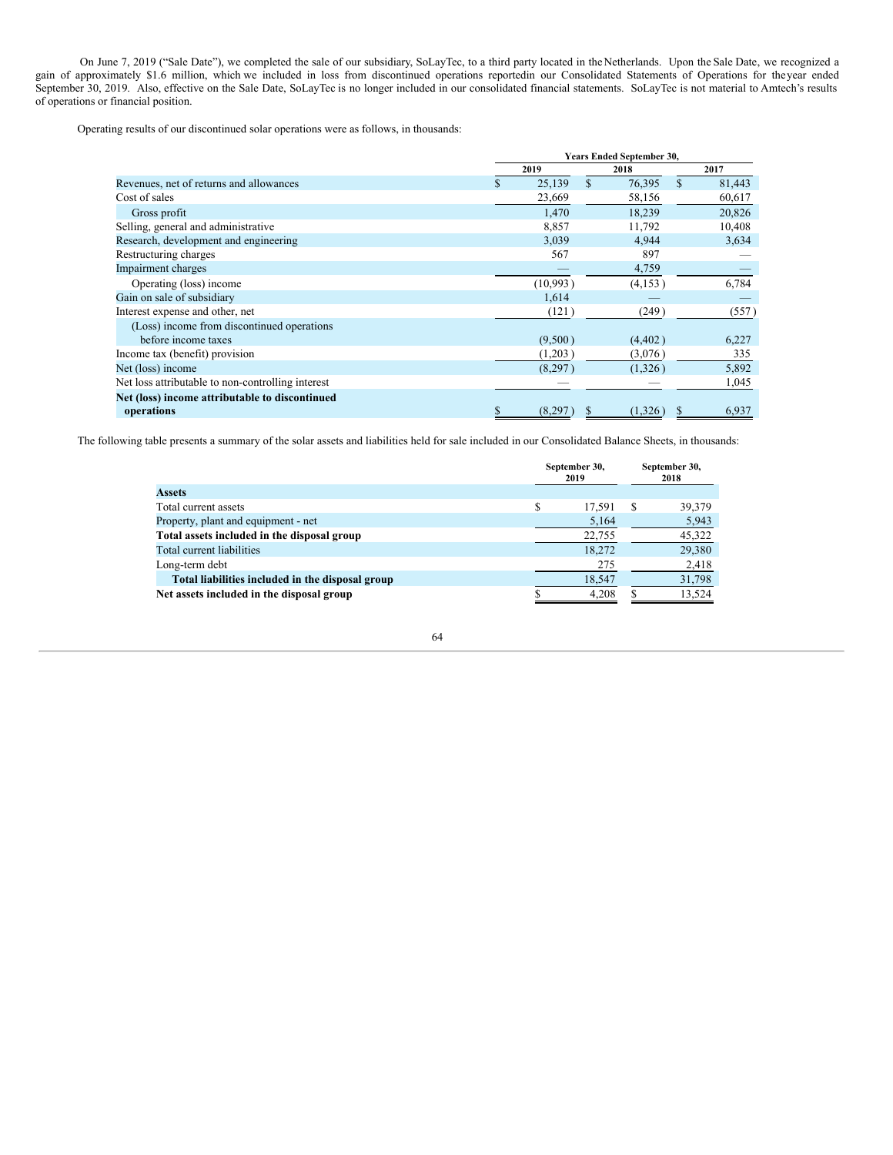On June 7, 2019 ("Sale Date"), we completed the sale of our subsidiary, SoLayTec, to a third party located in the Netherlands. Upon the Sale Date, we recognized a gain of approximately \$1.6 million, which we included in loss from discontinued operations reportedin our Consolidated Statements of Operations for theyear ended September 30, 2019. Also, effective on the Sale Date, SoLayTec is no longer included in our consolidated financial statements. SoLayTec is not material to Amtech's results of operations or financial position.

Operating results of our discontinued solar operations were as follows, in thousands:

|                                                   | <b>Years Ended September 30,</b> |    |          |              |        |  |
|---------------------------------------------------|----------------------------------|----|----------|--------------|--------|--|
|                                                   | 2019                             |    | 2018     |              | 2017   |  |
| Revenues, net of returns and allowances           | \$<br>25,139                     | \$ | 76,395   | \$           | 81,443 |  |
| Cost of sales                                     | 23,669                           |    | 58,156   |              | 60,617 |  |
| Gross profit                                      | 1,470                            |    | 18,239   |              | 20,826 |  |
| Selling, general and administrative               | 8,857                            |    | 11,792   |              | 10,408 |  |
| Research, development and engineering             | 3,039                            |    | 4,944    |              | 3,634  |  |
| Restructuring charges                             | 567                              |    | 897      |              |        |  |
| Impairment charges                                |                                  |    | 4,759    |              |        |  |
| Operating (loss) income                           | (10,993)                         |    | (4,153)  |              | 6,784  |  |
| Gain on sale of subsidiary                        | 1,614                            |    |          |              |        |  |
| Interest expense and other, net                   | (121)                            |    | (249)    |              | (557)  |  |
| (Loss) income from discontinued operations        |                                  |    |          |              |        |  |
| before income taxes                               | (9,500)                          |    | (4, 402) |              | 6,227  |  |
| Income tax (benefit) provision                    | (1,203)                          |    | (3,076)  |              | 335    |  |
| Net (loss) income                                 | (8,297)                          |    | (1,326)  |              | 5,892  |  |
| Net loss attributable to non-controlling interest |                                  |    |          |              | 1,045  |  |
| Net (loss) income attributable to discontinued    |                                  |    |          |              |        |  |
| operations                                        | \$<br>(8,297)                    | S  | (1,326)  | <sup>S</sup> | 6,937  |  |

The following table presents a summary of the solar assets and liabilities held for sale included in our Consolidated Balance Sheets, in thousands:

|                                                  | September 30,<br>2019 |        |               | September 30,<br>2018 |  |  |
|--------------------------------------------------|-----------------------|--------|---------------|-----------------------|--|--|
| <b>Assets</b>                                    |                       |        |               |                       |  |  |
| Total current assets                             | S                     | 17,591 | <sup>\$</sup> | 39,379                |  |  |
| Property, plant and equipment - net              |                       | 5,164  |               | 5,943                 |  |  |
| Total assets included in the disposal group      |                       | 22,755 |               | 45,322                |  |  |
| Total current liabilities                        |                       | 18.272 |               | 29,380                |  |  |
| Long-term debt                                   |                       | 275    |               | 2,418                 |  |  |
| Total liabilities included in the disposal group |                       | 18,547 |               | 31,798                |  |  |
| Net assets included in the disposal group        |                       | 4,208  |               | 13,524                |  |  |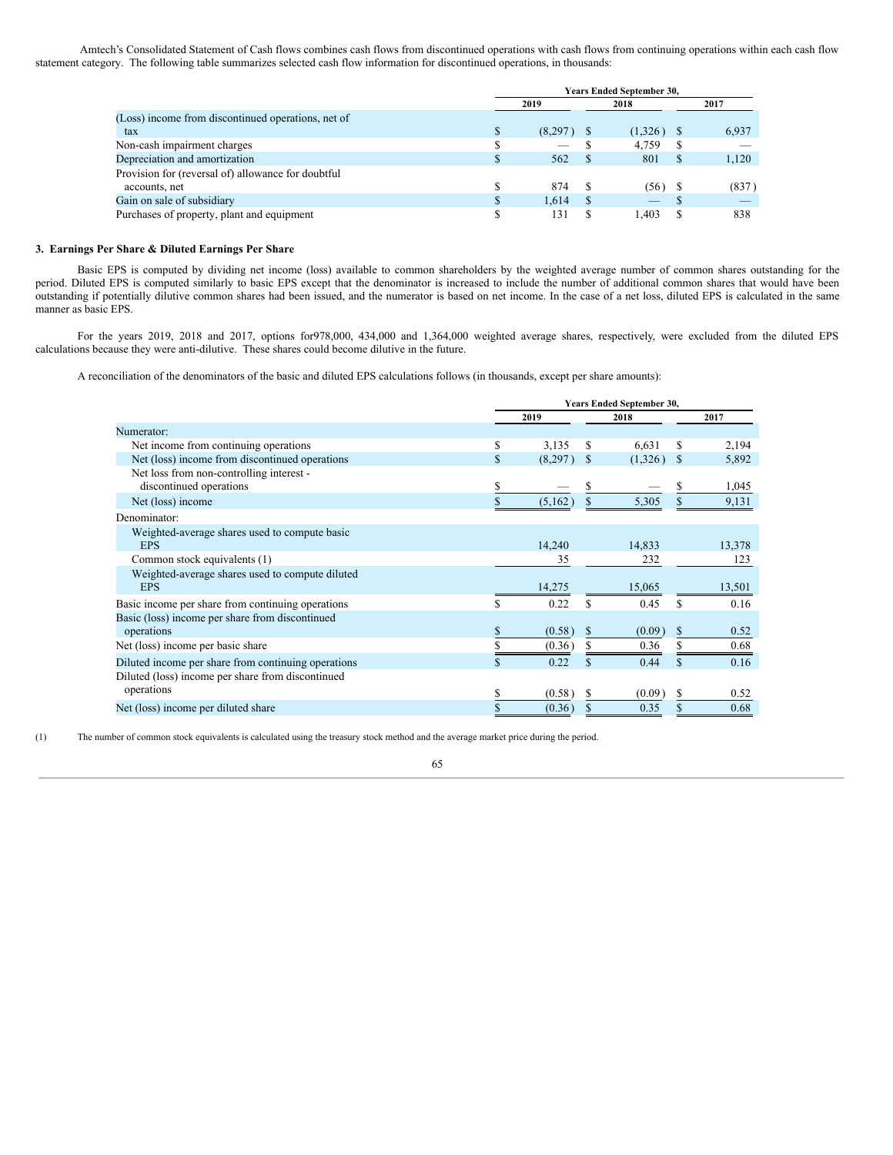Amtech's Consolidated Statement of Cash flows combines cash flows from discontinued operations with cash flows from continuing operations within each cash flow statement category. The following table summarizes selected cash flow information for discontinued operations, in thousands:

|                                                    | <b>Years Ended September 30,</b> |   |                          |   |       |  |
|----------------------------------------------------|----------------------------------|---|--------------------------|---|-------|--|
|                                                    | 2019                             |   | 2018                     |   | 2017  |  |
| (Loss) income from discontinued operations, net of |                                  |   |                          |   |       |  |
| tax                                                | \$<br>(8,297)                    |   | (1,326)                  |   | 6,937 |  |
| Non-cash impairment charges                        | _                                |   | 4.759                    |   |       |  |
| Depreciation and amortization                      | S<br>562                         | S | 801                      | S | 1.120 |  |
| Provision for (reversal of) allowance for doubtful |                                  |   |                          |   |       |  |
| accounts, net                                      | 874                              |   | (56)                     |   | (837) |  |
| Gain on sale of subsidiary                         | 1.614                            | S | $\overline{\phantom{a}}$ |   |       |  |
| Purchases of property, plant and equipment         | S<br>131                         | ъ | 1.403                    | S | 838   |  |

## **3. Earnings Per Share & Diluted Earnings Per Share**

Basic EPS is computed by dividing net income (loss) available to common shareholders by the weighted average number of common shares outstanding for the period. Diluted EPS is computed similarly to basic EPS except that the denominator is increased to include the number of additional common shares that would have been outstanding if potentially dilutive common shares had been issued, and the numerator is based on net income. In the case of a net loss, diluted EPS is calculated in the same manner as basic EPS.

For the years 2019, 2018 and 2017, options for978,000, 434,000 and 1,364,000 weighted average shares, respectively, were excluded from the diluted EPS calculations because they were anti-dilutive. These shares could become dilutive in the future.

A reconciliation of the denominators of the basic and diluted EPS calculations follows (in thousands, except per share amounts):

|                                                                     | <b>Years Ended September 30,</b> |         |    |         |               |        |
|---------------------------------------------------------------------|----------------------------------|---------|----|---------|---------------|--------|
|                                                                     |                                  | 2019    |    | 2018    |               | 2017   |
| Numerator:                                                          |                                  |         |    |         |               |        |
| Net income from continuing operations                               | \$                               | 3,135   | S  | 6,631   | S             | 2,194  |
| Net (loss) income from discontinued operations                      | \$                               | (8,297) | S  | (1,326) | <sup>\$</sup> | 5,892  |
| Net loss from non-controlling interest -<br>discontinued operations | \$                               |         |    |         | \$            | 1,045  |
| Net (loss) income                                                   | \$                               | (5,162) | \$ | 5,305   | \$            | 9,131  |
| Denominator:                                                        |                                  |         |    |         |               |        |
| Weighted-average shares used to compute basic<br><b>EPS</b>         |                                  | 14,240  |    | 14.833  |               | 13,378 |
| Common stock equivalents (1)                                        |                                  | 35      |    | 232     |               | 123    |
| Weighted-average shares used to compute diluted<br><b>EPS</b>       |                                  | 14,275  |    | 15,065  |               | 13,501 |
| Basic income per share from continuing operations                   | \$                               | 0.22    | S  | 0.45    | \$            | 0.16   |
| Basic (loss) income per share from discontinued                     |                                  |         |    |         |               |        |
| operations                                                          | \$                               | (0.58)  | S  | (0.09)  | \$            | 0.52   |
| Net (loss) income per basic share                                   | \$                               | (0.36)  | \$ | 0.36    | \$            | 0.68   |
| Diluted income per share from continuing operations                 | \$                               | 0.22    | S  | 0.44    | $\mathbb{S}$  | 0.16   |
| Diluted (loss) income per share from discontinued                   |                                  |         |    |         |               |        |
| operations                                                          | \$                               | (0.58)  |    | (0.09)  | S             | 0.52   |
| Net (loss) income per diluted share                                 |                                  | (0.36)  |    | 0.35    |               | 0.68   |

(1) The number of common stock equivalents is calculated using the treasury stock method and the average market price during the period.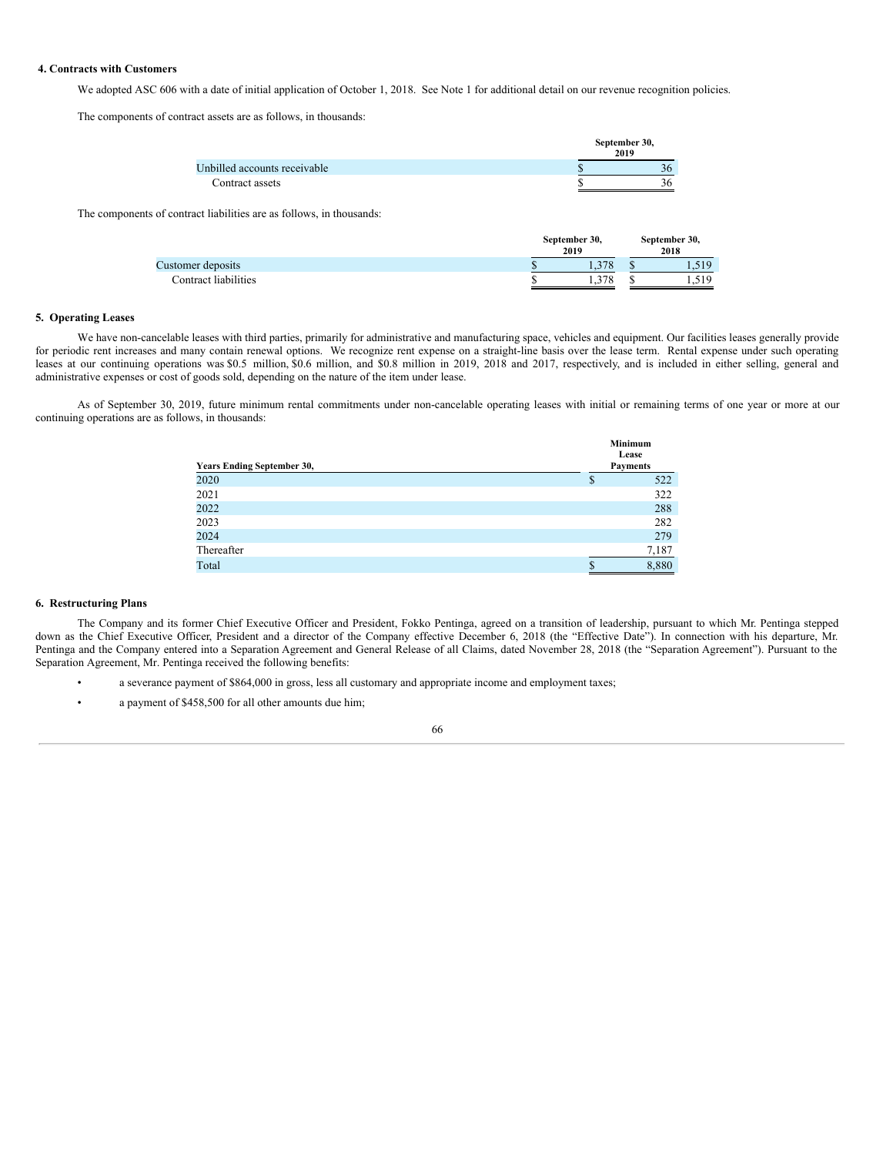#### **4. Contracts with Customers**

We adopted ASC 606 with a date of initial application of October 1, 2018. See Note 1 for additional detail on our revenue recognition policies.

The components of contract assets are as follows, in thousands:

|                              | September 30,<br>2019 |  |  |  |  |
|------------------------------|-----------------------|--|--|--|--|
| Unbilled accounts receivable | 36                    |  |  |  |  |
| Contract assets              | 36                    |  |  |  |  |

The components of contract liabilities are as follows, in thousands:

|                      | September 30,<br>2019 |  |  |       |
|----------------------|-----------------------|--|--|-------|
| Customer deposits    |                       |  |  | 1.519 |
| Contract liabilities |                       |  |  | 1,519 |

#### **5. Operating Leases**

We have non-cancelable leases with third parties, primarily for administrative and manufacturing space, vehicles and equipment. Our facilities leases generally provide for periodic rent increases and many contain renewal options. We recognize rent expense on a straight-line basis over the lease term. Rental expense under such operating leases at our continuing operations was \$0.5 million, \$0.6 million, and \$0.8 million in 2019, 2018 and 2017, respectively, and is included in either selling, general and administrative expenses or cost of goods sold, depending on the nature of the item under lease.

As of September 30, 2019, future minimum rental commitments under non-cancelable operating leases with initial or remaining terms of one year or more at our continuing operations are as follows, in thousands:

| <b>Years Ending September 30,</b> | <b>Minimum</b><br><b>Payments</b> | Lease |
|-----------------------------------|-----------------------------------|-------|
| 2020                              | S                                 | 522   |
| 2021                              |                                   | 322   |
| 2022                              |                                   | 288   |
| 2023                              |                                   | 282   |
| 2024                              |                                   | 279   |
| Thereafter                        |                                   | 7,187 |
| Total                             |                                   | 8,880 |

## **6. Restructuring Plans**

The Company and its former Chief Executive Officer and President, Fokko Pentinga, agreed on a transition of leadership, pursuant to which Mr. Pentinga stepped down as the Chief Executive Officer, President and a director of the Company effective December 6, 2018 (the "Effective Date"). In connection with his departure, Mr. Pentinga and the Company entered into a Separation Agreement and General Release of all Claims, dated November 28, 2018 (the "Separation Agreement"). Pursuant to the Separation Agreement, Mr. Pentinga received the following benefits:

- a severance payment of \$864,000 in gross, less all customary and appropriate income and employment taxes;
- a payment of \$458,500 for all other amounts due him;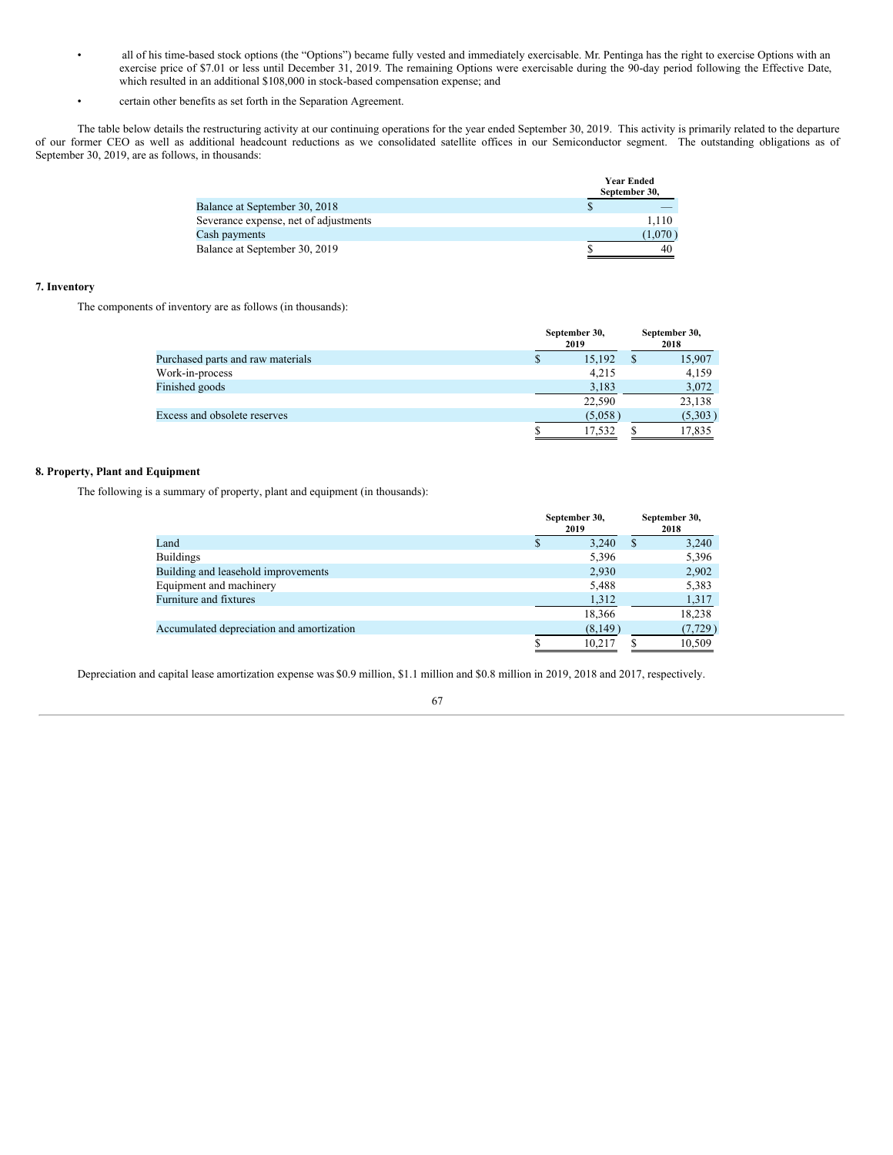- all of his time-based stock options (the "Options") became fully vested and immediately exercisable. Mr. Pentinga has the right to exercise Options with an exercise price of \$7.01 or less until December 31, 2019. The remaining Options were exercisable during the 90-day period following the Effective Date, which resulted in an additional \$108,000 in stock-based compensation expense; and
- certain other benefits as set forth in the Separation Agreement.

The table below details the restructuring activity at our continuing operations for the year ended September 30, 2019. This activity is primarily related to the departure of our former CEO as well as additional headcount reductions as we consolidated satellite offices in our Semiconductor segment. The outstanding obligations as of September 30, 2019, are as follows, in thousands:

|                                       | <b>Year Ended</b><br>September 30, |         |
|---------------------------------------|------------------------------------|---------|
| Balance at September 30, 2018         |                                    |         |
| Severance expense, net of adjustments |                                    | 1.110   |
| Cash payments                         |                                    | (1.070) |
| Balance at September 30, 2019         |                                    | 40      |

#### **7. Inventory**

The components of inventory are as follows (in thousands):

|                                   |    | September 30,<br>2019 |  |         |  |  |
|-----------------------------------|----|-----------------------|--|---------|--|--|
| Purchased parts and raw materials | ۰D | 15,192                |  | 15,907  |  |  |
| Work-in-process                   |    | 4,215                 |  | 4,159   |  |  |
| Finished goods                    |    | 3,183                 |  | 3,072   |  |  |
|                                   |    | 22.590                |  | 23,138  |  |  |
| Excess and obsolete reserves      |    | (5,058)               |  | (5,303) |  |  |
|                                   |    | 17.532                |  | 17,835  |  |  |

## **8. Property, Plant and Equipment**

The following is a summary of property, plant and equipment (in thousands):

|                                           | September 30,<br>2019 |   |          |  |
|-------------------------------------------|-----------------------|---|----------|--|
| Land                                      | 3,240                 | S | 3,240    |  |
| <b>Buildings</b>                          | 5,396                 |   | 5,396    |  |
| Building and leasehold improvements       | 2,930                 |   | 2,902    |  |
| Equipment and machinery                   | 5,488                 |   | 5,383    |  |
| Furniture and fixtures                    | 1,312                 |   | 1,317    |  |
|                                           | 18,366                |   | 18,238   |  |
| Accumulated depreciation and amortization | (8,149)               |   | (7, 729) |  |
|                                           | 10.217                |   | 10.509   |  |

Depreciation and capital lease amortization expense was \$0.9 million, \$1.1 million and \$0.8 million in 2019, 2018 and 2017, respectively.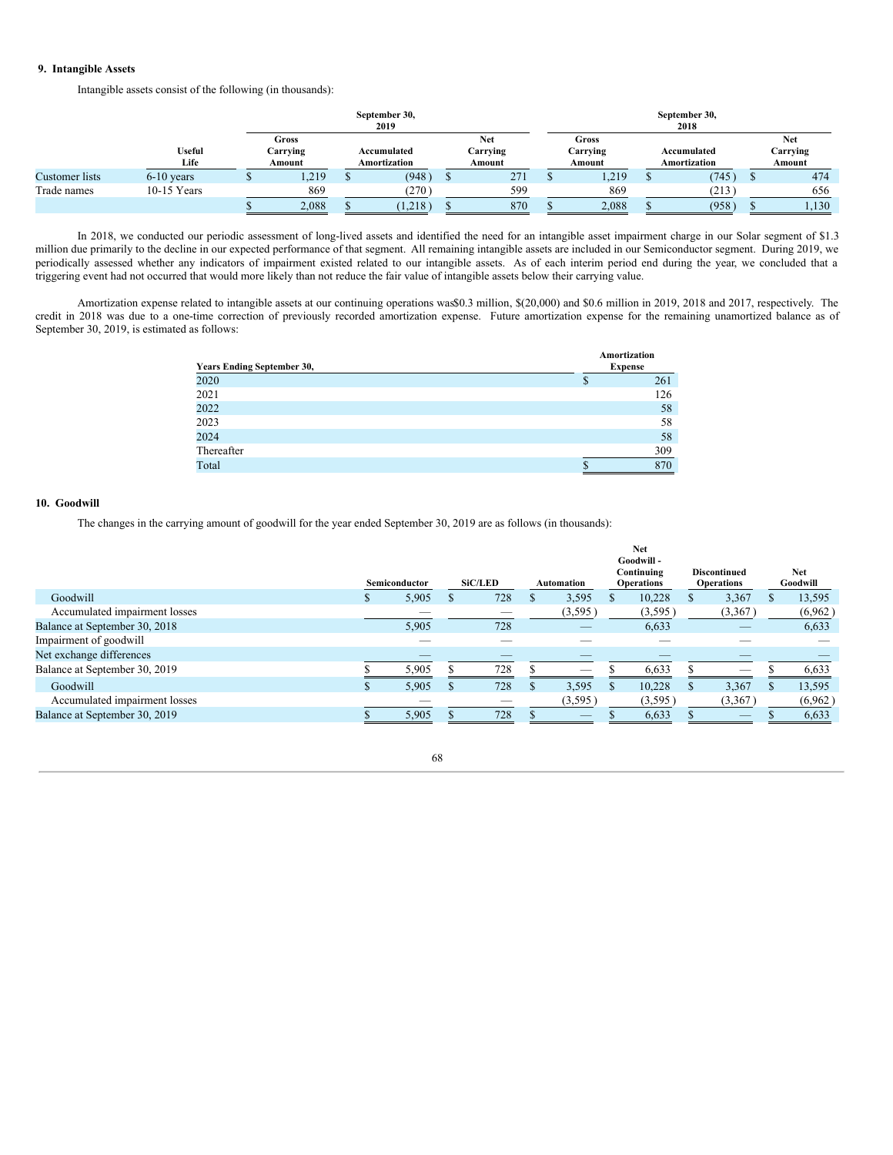#### **9. Intangible Assets**

Intangible assets consist of the following (in thousands):

|                |                       | September 30,<br>2019       |  |                             |  |                           | September 30,<br>2018       |                             |                                  |
|----------------|-----------------------|-----------------------------|--|-----------------------------|--|---------------------------|-----------------------------|-----------------------------|----------------------------------|
|                | <b>Useful</b><br>Life | Gross<br>Carrying<br>Amount |  | Accumulated<br>Amortization |  | Net<br>Carrving<br>Amount | Gross<br>Carrying<br>Amount | Accumulated<br>Amortization | <b>Net</b><br>Carrying<br>Amount |
| Customer lists | $6-10$ years          | ,219                        |  | (948)                       |  | 271                       | .219                        | (745                        | 474                              |
| Trade names    | $10-15$ Years         | 869                         |  | (270)                       |  | 599                       | 869                         | (213)                       | 656                              |
|                |                       | 2,088                       |  | (1,218)                     |  | 870                       | 2,088                       | (958)                       | 1,130                            |

In 2018, we conducted our periodic assessment of long-lived assets and identified the need for an intangible asset impairment charge in our Solar segment of \$1.3 million due primarily to the decline in our expected performance of that segment. All remaining intangible assets are included in our Semiconductor segment. During 2019, we periodically assessed whether any indicators of impairment existed related to our intangible assets. As of each interim period end during the year, we concluded that a triggering event had not occurred that would more likely than not reduce the fair value of intangible assets below their carrying value.

Amortization expense related to intangible assets at our continuing operations was\$0.3 million, \$(20,000) and \$0.6 million in 2019, 2018 and 2017, respectively. The credit in 2018 was due to a one-time correction of previously recorded amortization expense. Future amortization expense for the remaining unamortized balance as of September 30, 2019, is estimated as follows:

| Years Ending September 30, | Amortization<br><b>Expense</b> |
|----------------------------|--------------------------------|
| 2020                       | 261<br>Φ                       |
| 2021                       | 126                            |
| 2022                       | 58                             |
| 2023                       | 58                             |
| 2024                       | 58                             |
| Thereafter                 | 309                            |
| Total                      | 870<br>Ф                       |

## **10. Goodwill**

The changes in the carrying amount of goodwill for the year ended September 30, 2019 are as follows (in thousands):

|                               |               |                |   |                   | <b>Net</b><br>Goodwill -        |                                          |   |                        |
|-------------------------------|---------------|----------------|---|-------------------|---------------------------------|------------------------------------------|---|------------------------|
|                               | Semiconductor | <b>SiC/LED</b> |   | <b>Automation</b> | Continuing<br><b>Operations</b> | <b>Discontinued</b><br><b>Operations</b> |   | <b>Net</b><br>Goodwill |
| Goodwill                      | 5,905         | 728            | æ | 3,595             | 10,228                          | 3,367                                    |   | 13,595                 |
| Accumulated impairment losses |               |                |   | (3,595)           | (3,595)                         | (3,367)                                  |   | (6,962)                |
| Balance at September 30, 2018 | 5,905         | 728            |   | _                 | 6,633                           | $-$                                      |   | 6,633                  |
| Impairment of goodwill        |               |                |   |                   | __                              |                                          |   |                        |
| Net exchange differences      |               |                |   |                   | _                               |                                          |   |                        |
| Balance at September 30, 2019 | 5,905         | 728            |   |                   | 6,633                           | _                                        |   | 6,633                  |
| Goodwill                      | 5,905         | 728            | ж | 3,595             | 10.228                          | 3,367                                    | ж | 13,595                 |
| Accumulated impairment losses |               |                |   | (3,595)           | (3,595)                         | (3,367)                                  |   | (6,962)                |
| Balance at September 30, 2019 | 5,905         | 728            |   | $-$               | 6,633                           | $\hspace{0.1mm}-\hspace{0.1mm}$          |   | 6,633                  |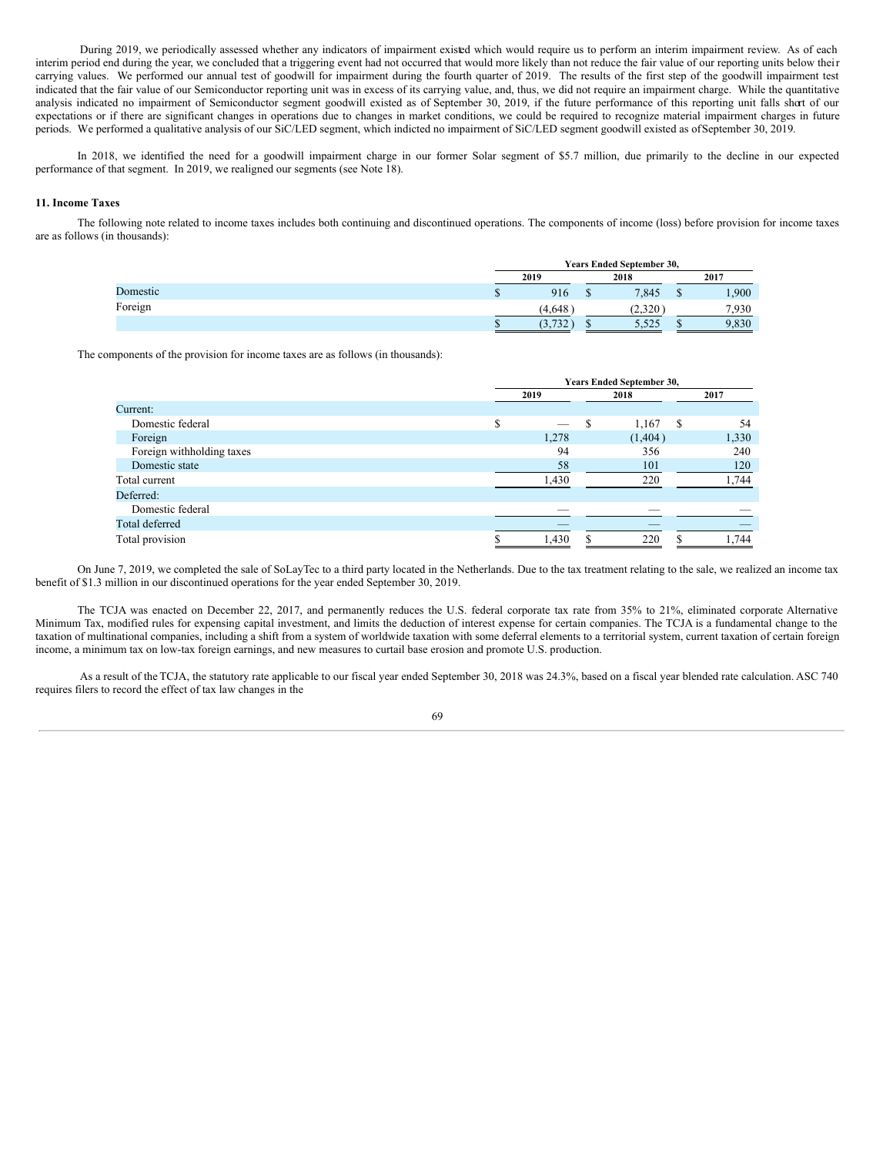During 2019, we periodically assessed whether any indicators of impairment existed which would require us to perform an interim impairment review. As of each interim period end during the year, we concluded that a triggering event had not occurred that would more likely than not reduce the fair value of our reporting units below their carrying values. We performed our annual test of goodwill for impairment during the fourth quarter of 2019. The results of the first step of the goodwill impairment test indicated that the fair value of our Semiconductor reporting unit was in excess of its carrying value, and, thus, we did not require an impairment charge. While the quantitative analysis indicated no impairment of Semiconductor segment goodwill existed as of September 30, 2019, if the future performance of this reporting unit falls short of our expectations or if there are significant changes in operations due to changes in market conditions, we could be required to recognize material impairment charges in future periods. We performed a qualitative analysis of our SiC/LED segment, which indicted no impairment of SiC/LED segment goodwill existed as ofSeptember 30, 2019.

In 2018, we identified the need for a goodwill impairment charge in our former Solar segment of \$5.7 million, due primarily to the decline in our expected performance of that segment. In 2019, we realigned our segments (see Note 18).

#### **11. Income Taxes**

The following note related to income taxes includes both continuing and discontinued operations. The components of income (loss) before provision for income taxes are as follows (in thousands):

|          | <b>Years Ended September 30.</b> |  |         |   |       |  |  |  |
|----------|----------------------------------|--|---------|---|-------|--|--|--|
|          | 2019                             |  | 2018    |   | 2017  |  |  |  |
| Domestic | 916                              |  | 7,845   | Φ | 1,900 |  |  |  |
| Foreign  | (4.648)                          |  | (2,320) |   | 7.930 |  |  |  |
|          | 13.132                           |  | 5.525   |   | 9,830 |  |  |  |

The components of the provision for income taxes are as follows (in thousands):

|                           |       |      | <b>Years Ended September 30,</b> |   |       |
|---------------------------|-------|------|----------------------------------|---|-------|
|                           | 2019  | 2018 |                                  |   | 2017  |
| Current:                  |       |      |                                  |   |       |
| Domestic federal          | \$    | Ф    | 1,167                            | S | 54    |
| Foreign                   | 1,278 |      | (1, 404)                         |   | 1,330 |
| Foreign withholding taxes | 94    |      | 356                              |   | 240   |
| Domestic state            | 58    |      | 101                              |   | 120   |
| Total current             | 1,430 |      | 220                              |   | 1,744 |
| Deferred:                 |       |      |                                  |   |       |
| Domestic federal          |       |      |                                  |   |       |
| Total deferred            |       |      |                                  |   |       |
| Total provision           | 1,430 |      | 220                              |   | 1.744 |

On June 7, 2019, we completed the sale of SoLayTec to a third party located in the Netherlands. Due to the tax treatment relating to the sale, we realized an income tax benefit of \$1.3 million in our discontinued operations for the year ended September 30, 2019.

The TCJA was enacted on December 22, 2017, and permanently reduces the U.S. federal corporate tax rate from 35% to 21%, eliminated corporate Alternative Minimum Tax, modified rules for expensing capital investment, and limits the deduction of interest expense for certain companies. The TCJA is a fundamental change to the taxation of multinational companies, including a shift from a system of worldwide taxation with some deferral elements to a territorial system, current taxation of certain foreign income, a minimum tax on low-tax foreign earnings, and new measures to curtail base erosion and promote U.S. production.

As a result of the TCJA, the statutory rate applicable to our fiscal year ended September 30, 2018 was 24.3%, based on a fiscal year blended rate calculation. ASC 740 requires filers to record the effect of tax law changes in the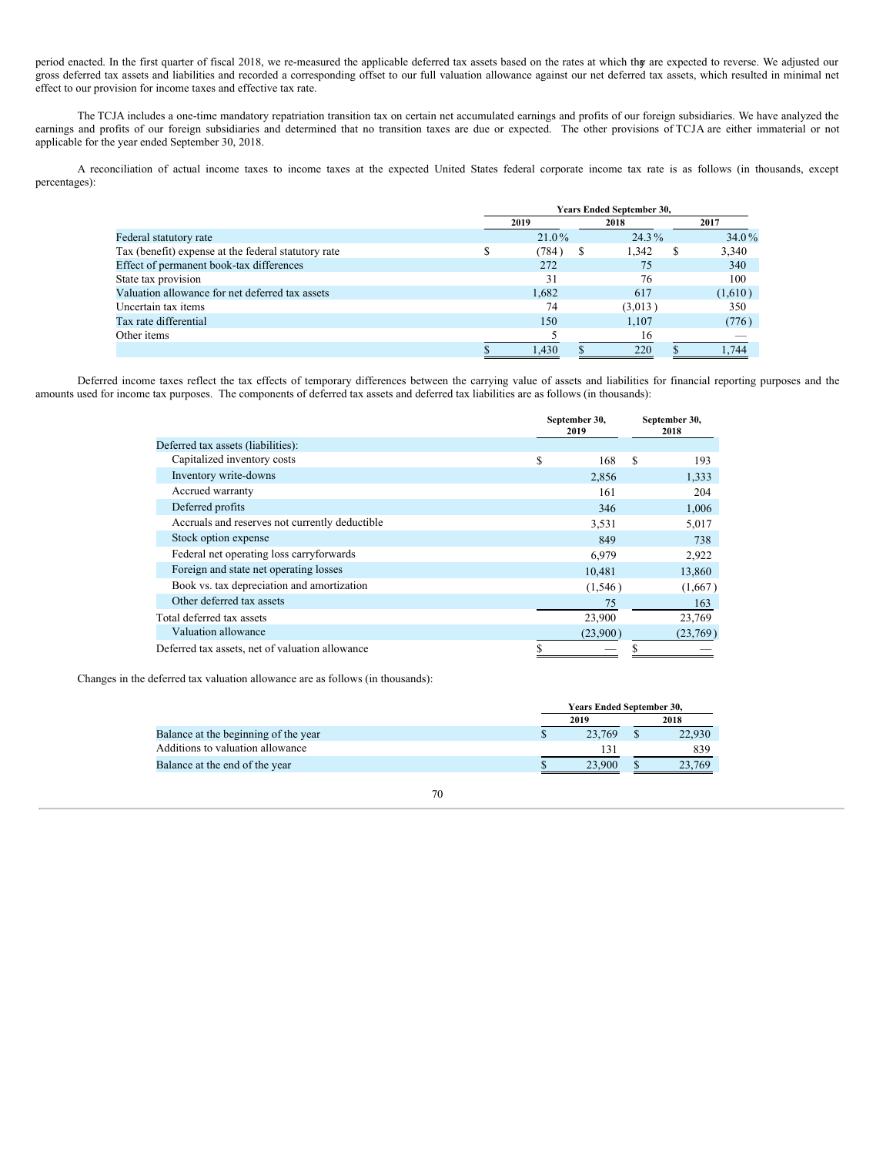period enacted. In the first quarter of fiscal 2018, we re-measured the applicable deferred tax assets based on the rates at which they are expected to reverse. We adjusted our gross deferred tax assets and liabilities and recorded a corresponding offset to our full valuation allowance against our net deferred tax assets, which resulted in minimal net effect to our provision for income taxes and effective tax rate.

The TCJA includes a one-time mandatory repatriation transition tax on certain net accumulated earnings and profits of our foreign subsidiaries. We have analyzed the earnings and profits of our foreign subsidiaries and determined that no transition taxes are due or expected. The other provisions of TCJA are either immaterial or not applicable for the year ended September 30, 2018.

A reconciliation of actual income taxes to income taxes at the expected United States federal corporate income tax rate is as follows (in thousands, except percentages):

|                                                     |  | <b>Years Ended September 30,</b> |     |          |  |         |  |  |  |
|-----------------------------------------------------|--|----------------------------------|-----|----------|--|---------|--|--|--|
|                                                     |  | 2019                             |     |          |  | 2017    |  |  |  |
| Federal statutory rate                              |  | $21.0\%$                         |     | $24.3\%$ |  | 34.0%   |  |  |  |
| Tax (benefit) expense at the federal statutory rate |  | (784)                            | - S | 1,342    |  | 3,340   |  |  |  |
| Effect of permanent book-tax differences            |  | 272                              |     | 75       |  | 340     |  |  |  |
| State tax provision                                 |  | 31                               |     | 76       |  | 100     |  |  |  |
| Valuation allowance for net deferred tax assets     |  | 1.682                            |     | 617      |  | (1,610) |  |  |  |
| Uncertain tax items                                 |  | 74                               |     | (3,013)  |  | 350     |  |  |  |
| Tax rate differential                               |  | 150                              |     | 1,107    |  | (776)   |  |  |  |
| Other items                                         |  |                                  |     | 16       |  |         |  |  |  |
|                                                     |  | 1.430                            |     | 220      |  | .744    |  |  |  |

Deferred income taxes reflect the tax effects of temporary differences between the carrying value of assets and liabilities for financial reporting purposes and the amounts used for income tax purposes. The components of deferred tax assets and deferred tax liabilities are as follows (in thousands):

|                                                 |   | September 30,<br>2019 |     | September 30,<br>2018 |
|-------------------------------------------------|---|-----------------------|-----|-----------------------|
| Deferred tax assets (liabilities):              |   |                       |     |                       |
| Capitalized inventory costs                     | S | 168                   | \$. | 193                   |
| Inventory write-downs                           |   | 2,856                 |     | 1,333                 |
| Accrued warranty                                |   | 161                   |     | 204                   |
| Deferred profits                                |   | 346                   |     | 1,006                 |
| Accruals and reserves not currently deductible  |   | 3,531                 |     | 5,017                 |
| Stock option expense                            |   | 849                   |     | 738                   |
| Federal net operating loss carryforwards        |   | 6,979                 |     | 2,922                 |
| Foreign and state net operating losses          |   | 10,481                |     | 13,860                |
| Book vs. tax depreciation and amortization      |   | (1,546)               |     | (1,667)               |
| Other deferred tax assets                       |   | 75                    |     | 163                   |
| Total deferred tax assets                       |   | 23,900                |     | 23,769                |
| Valuation allowance                             |   | (23,900)              |     | (23,769)              |
| Deferred tax assets, net of valuation allowance |   |                       |     |                       |

Changes in the deferred tax valuation allowance are as follows (in thousands):

|                                      | Years Ended September 30, |  |        |  |  |  |  |
|--------------------------------------|---------------------------|--|--------|--|--|--|--|
|                                      | 2019                      |  | 2018   |  |  |  |  |
| Balance at the beginning of the year | 23,769                    |  | 22,930 |  |  |  |  |
| Additions to valuation allowance     | 131                       |  | 839    |  |  |  |  |
| Balance at the end of the year       | 23,900                    |  | 23.769 |  |  |  |  |
|                                      |                           |  |        |  |  |  |  |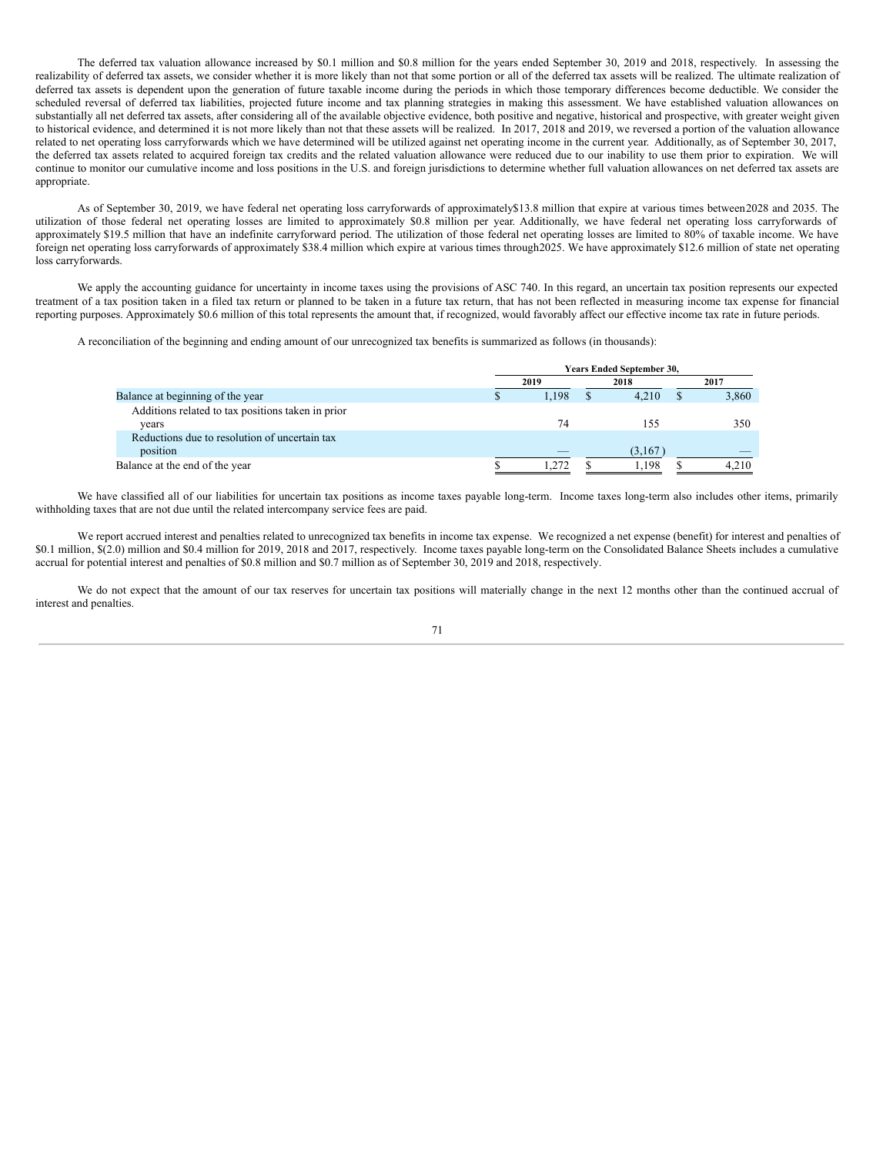The deferred tax valuation allowance increased by \$0.1 million and \$0.8 million for the years ended September 30, 2019 and 2018, respectively. In assessing the realizability of deferred tax assets, we consider whether it is more likely than not that some portion or all of the deferred tax assets will be realized. The ultimate realization of deferred tax assets is dependent upon the generation of future taxable income during the periods in which those temporary differences become deductible. We consider the scheduled reversal of deferred tax liabilities, projected future income and tax planning strategies in making this assessment. We have established valuation allowances on substantially all net deferred tax assets, after considering all of the available objective evidence, both positive and negative, historical and prospective, with greater weight given to historical evidence, and determined it is not more likely than not that these assets will be realized. In 2017, 2018 and 2019, we reversed a portion of the valuation allowance related to net operating loss carryforwards which we have determined will be utilized against net operating income in the current year. Additionally, as of September 30, 2017, the deferred tax assets related to acquired foreign tax credits and the related valuation allowance were reduced due to our inability to use them prior to expiration. We will continue to monitor our cumulative income and loss positions in the U.S. and foreign jurisdictions to determine whether full valuation allowances on net deferred tax assets are appropriate.

As of September 30, 2019, we have federal net operating loss carryforwards of approximately\$13.8 million that expire at various times between2028 and 2035. The utilization of those federal net operating losses are limited to approximately \$0.8 million per year. Additionally, we have federal net operating loss carryforwards of approximately \$19.5 million that have an indefinite carryforward period. The utilization of those federal net operating losses are limited to 80% of taxable income. We have foreign net operating loss carryforwards of approximately \$38.4 million which expire at various times through2025. We have approximately \$12.6 million of state net operating loss carryforwards.

We apply the accounting guidance for uncertainty in income taxes using the provisions of ASC 740. In this regard, an uncertain tax position represents our expected treatment of a tax position taken in a filed tax return or planned to be taken in a future tax return, that has not been reflected in measuring income tax expense for financial reporting purposes. Approximately \$0.6 million of this total represents the amount that, if recognized, would favorably affect our effective income tax rate in future periods.

A reconciliation of the beginning and ending amount of our unrecognized tax benefits is summarized as follows (in thousands):

|                                                   | <b>Years Ended September 30,</b> |       |  |         |  |       |  |  |
|---------------------------------------------------|----------------------------------|-------|--|---------|--|-------|--|--|
|                                                   |                                  | 2019  |  | 2018    |  | 2017  |  |  |
| Balance at beginning of the year                  | ъ                                | 1.198 |  | 4.210   |  | 3,860 |  |  |
| Additions related to tax positions taken in prior |                                  |       |  |         |  |       |  |  |
| years                                             |                                  | 74    |  | 155     |  | 350   |  |  |
| Reductions due to resolution of uncertain tax     |                                  |       |  |         |  |       |  |  |
| position                                          |                                  |       |  | (3,167) |  |       |  |  |
| Balance at the end of the year                    |                                  | 1.272 |  | 1,198   |  | 4.210 |  |  |

We have classified all of our liabilities for uncertain tax positions as income taxes payable long-term. Income taxes long-term also includes other items, primarily withholding taxes that are not due until the related intercompany service fees are paid.

We report accrued interest and penalties related to unrecognized tax benefits in income tax expense. We recognized a net expense (benefit) for interest and penalties of \$0.1 million, \$(2.0) million and \$0.4 million for 2019, 2018 and 2017, respectively. Income taxes payable long-term on the Consolidated Balance Sheets includes a cumulative accrual for potential interest and penalties of \$0.8 million and \$0.7 million as of September 30, 2019 and 2018, respectively.

We do not expect that the amount of our tax reserves for uncertain tax positions will materially change in the next 12 months other than the continued accrual of interest and penalties.

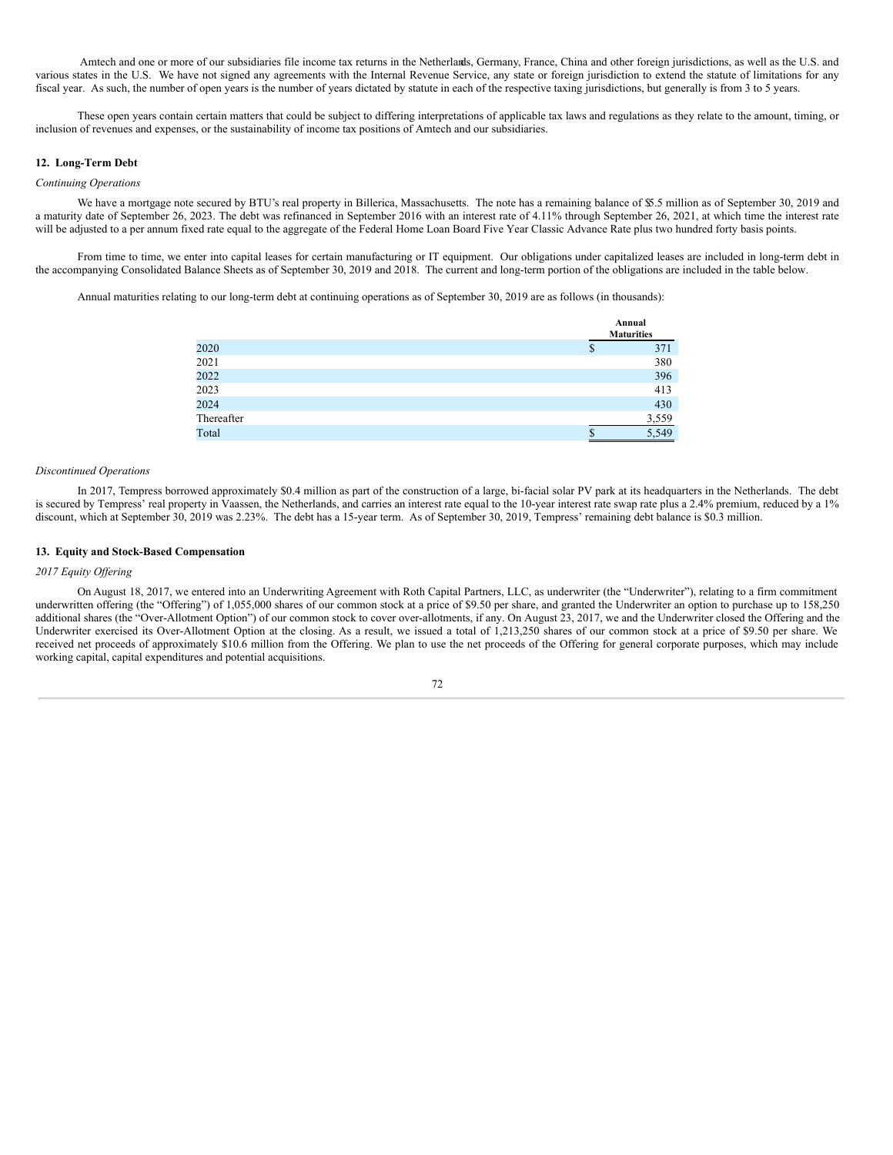Amtech and one or more of our subsidiaries file income tax returns in the Netherlands, Germany, France, China and other foreign jurisdictions, as well as the U.S. and various states in the U.S. We have not signed any agreements with the Internal Revenue Service, any state or foreign jurisdiction to extend the statute of limitations for any fiscal year. As such, the number of open years is the number of years dictated by statute in each of the respective taxing jurisdictions, but generally is from 3 to 5 years.

These open years contain certain matters that could be subject to differing interpretations of applicable tax laws and regulations as they relate to the amount, timing, or inclusion of revenues and expenses, or the sustainability of income tax positions of Amtech and our subsidiaries.

## **12. Long-Term Debt**

#### *Continuing Operations*

We have a mortgage note secured by BTU's real property in Billerica, Massachusetts. The note has a remaining balance of \$5.5 million as of September 30, 2019 and a maturity date of September 26, 2023. The debt was refinanced in September 2016 with an interest rate of 4.11% through September 26, 2021, at which time the interest rate will be adjusted to a per annum fixed rate equal to the aggregate of the Federal Home Loan Board Five Year Classic Advance Rate plus two hundred forty basis points.

From time to time, we enter into capital leases for certain manufacturing or IT equipment. Our obligations under capitalized leases are included in long-term debt in the accompanying Consolidated Balance Sheets as of September 30, 2019 and 2018. The current and long-term portion of the obligations are included in the table below.

Annual maturities relating to our long-term debt at continuing operations as of September 30, 2019 are as follows (in thousands):

|            |   | Annual<br><b>Maturities</b> |
|------------|---|-----------------------------|
| 2020       | D | 371                         |
| 2021       |   | 380                         |
| 2022       |   | 396                         |
| 2023       |   | 413                         |
| 2024       |   | 430                         |
| Thereafter |   | 3,559                       |
| Total      |   | 5,549                       |

#### *Discontinued Operations*

In 2017, Tempress borrowed approximately \$0.4 million as part of the construction of a large, bi-facial solar PV park at its headquarters in the Netherlands. The debt is secured by Tempress' real property in Vaassen, the Netherlands, and carries an interest rate equal to the 10-year interest rate swap rate plus a 2.4% premium, reduced by a 1% discount, which at September 30, 2019 was 2.23%. The debt has a 15-year term. As of September 30, 2019, Tempress' remaining debt balance is \$0.3 million.

## **13. Equity and Stock-Based Compensation**

#### *2017 Equity Of ering*

On August 18, 2017, we entered into an Underwriting Agreement with Roth Capital Partners, LLC, as underwriter (the "Underwriter"), relating to a firm commitment underwritten offering (the "Offering") of 1,055,000 shares of our common stock at a price of \$9.50 per share, and granted the Underwriter an option to purchase up to 158,250 additional shares (the "Over-Allotment Option") of our common stock to cover over-allotments, if any. On August 23, 2017, we and the Underwriter closed the Offering and the Underwriter exercised its Over-Allotment Option at the closing. As a result, we issued a total of 1,213,250 shares of our common stock at a price of \$9.50 per share. We received net proceeds of approximately \$10.6 million from the Offering. We plan to use the net proceeds of the Offering for general corporate purposes, which may include working capital, capital expenditures and potential acquisitions.

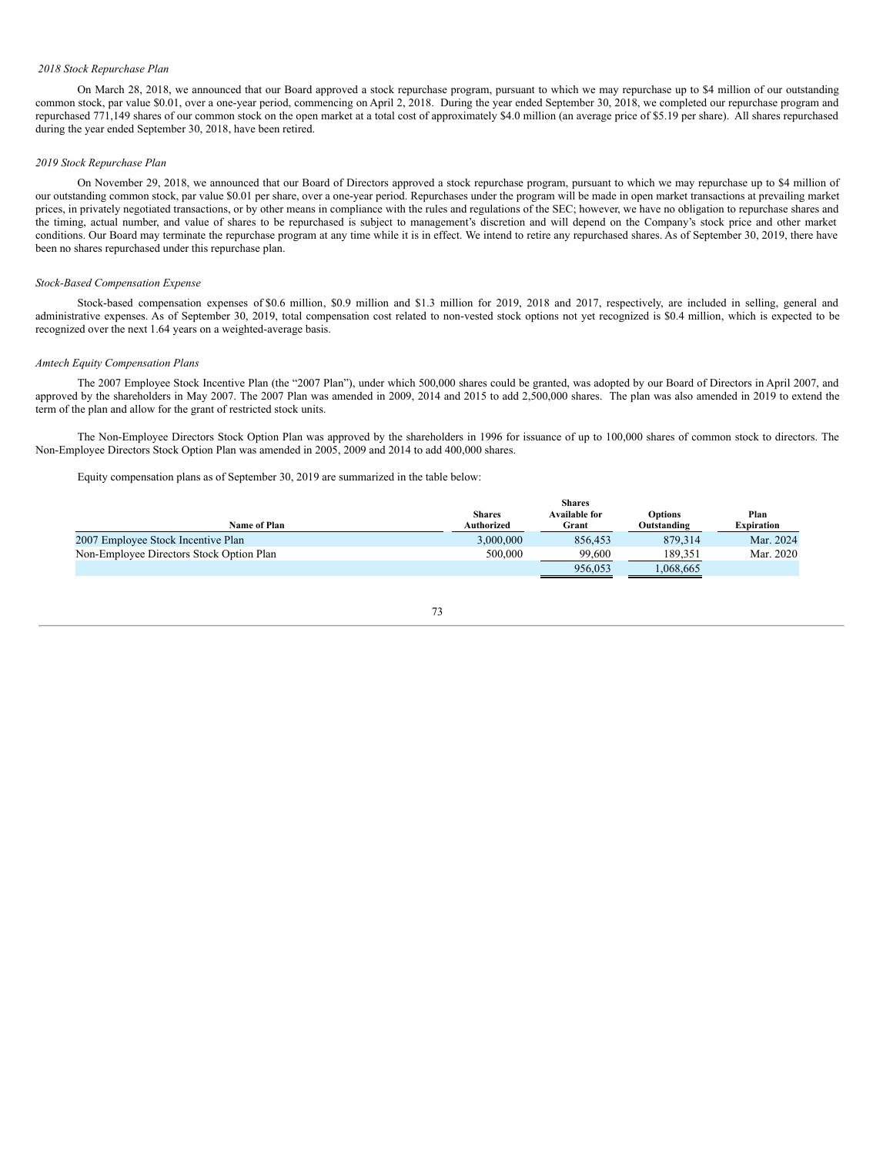## *2018 Stock Repurchase Plan*

On March 28, 2018, we announced that our Board approved a stock repurchase program, pursuant to which we may repurchase up to \$4 million of our outstanding common stock, par value \$0.01, over a one-year period, commencing on April 2, 2018. During the year ended September 30, 2018, we completed our repurchase program and repurchased 771,149 shares of our common stock on the open market at a total cost of approximately \$4.0 million (an average price of \$5.19 per share). All shares repurchased during the year ended September 30, 2018, have been retired.

## *2019 Stock Repurchase Plan*

On November 29, 2018, we announced that our Board of Directors approved a stock repurchase program, pursuant to which we may repurchase up to \$4 million of our outstanding common stock, par value \$0.01 per share, over a one-year period. Repurchases under the program will be made in open market transactions at prevailing market prices, in privately negotiated transactions, or by other means in compliance with the rules and regulations of the SEC; however, we have no obligation to repurchase shares and the timing, actual number, and value of shares to be repurchased is subject to management's discretion and will depend on the Company's stock price and other market conditions. Our Board may terminate the repurchase program at any time while it is in effect. We intend to retire any repurchased shares. As of September 30, 2019, there have been no shares repurchased under this repurchase plan.

#### *Stock-Based Compensation Expense*

Stock-based compensation expenses of \$0.6 million, \$0.9 million and \$1.3 million for 2019, 2018 and 2017, respectively, are included in selling, general and administrative expenses. As of September 30, 2019, total compensation cost related to non-vested stock options not yet recognized is \$0.4 million, which is expected to be recognized over the next 1.64 years on a weighted-average basis.

#### *Amtech Equity Compensation Plans*

The 2007 Employee Stock Incentive Plan (the "2007 Plan"), under which 500,000 shares could be granted, was adopted by our Board of Directors in April 2007, and approved by the shareholders in May 2007. The 2007 Plan was amended in 2009, 2014 and 2015 to add 2,500,000 shares. The plan was also amended in 2019 to extend the term of the plan and allow for the grant of restricted stock units.

The Non-Employee Directors Stock Option Plan was approved by the shareholders in 1996 for issuance of up to 100,000 shares of common stock to directors. The Non-Employee Directors Stock Option Plan was amended in 2005, 2009 and 2014 to add 400,000 shares.

Equity compensation plans as of September 30, 2019 are summarized in the table below:

|                                          |                   | <b>Shares</b>        |             |            |
|------------------------------------------|-------------------|----------------------|-------------|------------|
|                                          | <b>Shares</b>     | <b>Available for</b> | Options     | Plan       |
| Name of Plan                             | <b>Authorized</b> | Grant                | Outstanding | Expiration |
| 2007 Employee Stock Incentive Plan       | 3.000.000         | 856,453              | 879.314     | Mar. 2024  |
| Non-Employee Directors Stock Option Plan | 500,000           | 99.600               | 189.351     | Mar. 2020  |
|                                          |                   | 956,053              | .068.665    |            |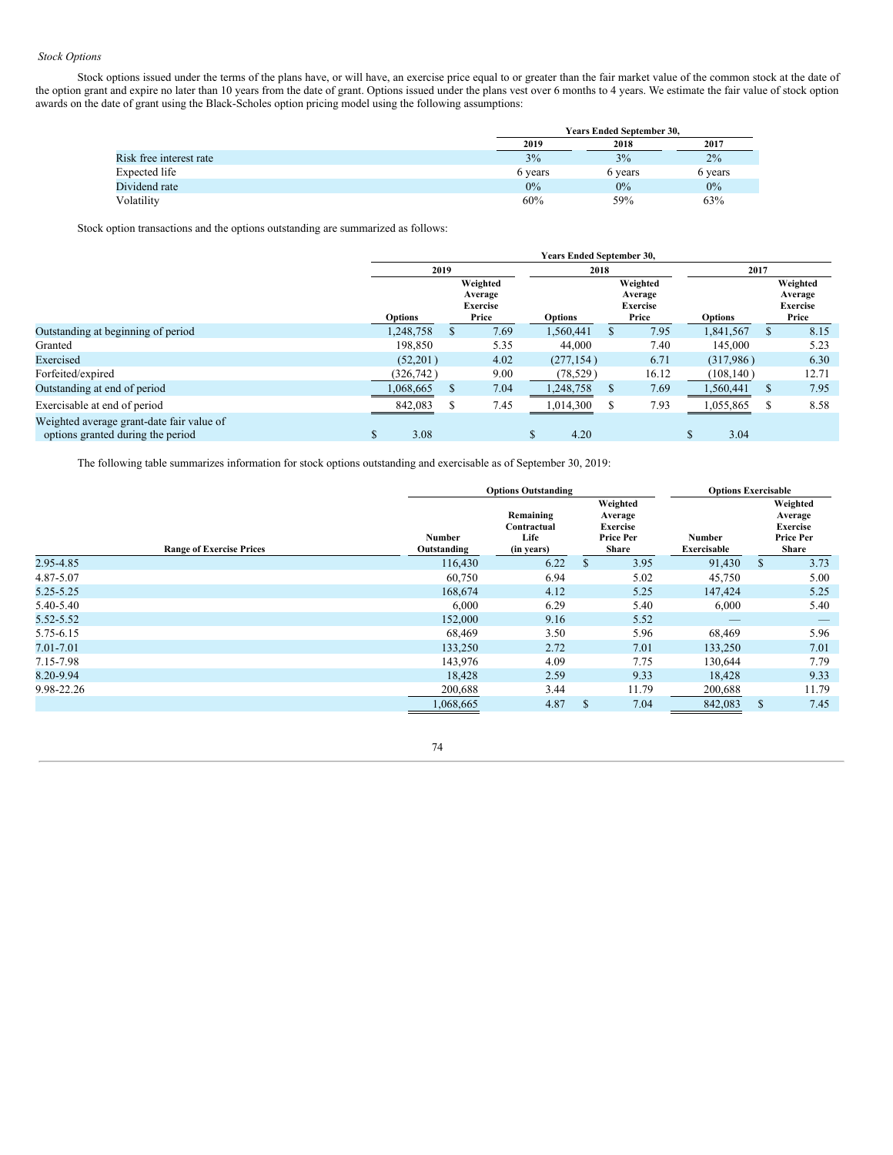## *Stock Options*

Stock options issued under the terms of the plans have, or will have, an exercise price equal to or greater than the fair market value of the common stock at the date of the option grant and expire no later than 10 years from the date of grant. Options issued under the plans vest over 6 months to 4 years. We estimate the fair value of stock option awards on the date of grant using the Black-Scholes option pricing model using the following assumptions:

|                         |         | <b>Years Ended September 30.</b> |         |  |  |  |  |
|-------------------------|---------|----------------------------------|---------|--|--|--|--|
|                         | 2019    | 2018                             | 2017    |  |  |  |  |
| Risk free interest rate | 3%      | 3%                               | $2\%$   |  |  |  |  |
| Expected life           | 6 years | 6 years                          | 6 years |  |  |  |  |
| Dividend rate           | $0\%$   | $0\%$                            | $0\%$   |  |  |  |  |
| Volatility              | 60%     | 59%                              | 63%     |  |  |  |  |

Stock option transactions and the options outstanding are summarized as follows:

|                                                                                |           |      |                                                 | <b>Years Ended September 30,</b> |              |                                                 |                |          |                                                 |
|--------------------------------------------------------------------------------|-----------|------|-------------------------------------------------|----------------------------------|--------------|-------------------------------------------------|----------------|----------|-------------------------------------------------|
|                                                                                |           | 2019 |                                                 | 2018                             |              |                                                 | 2017           |          |                                                 |
|                                                                                | Options   |      | Weighted<br>Average<br><b>Exercise</b><br>Price | Options                          |              | Weighted<br>Average<br><b>Exercise</b><br>Price | <b>Options</b> |          | Weighted<br>Average<br><b>Exercise</b><br>Price |
| Outstanding at beginning of period                                             | 1,248,758 |      | 7.69                                            | 1,560,441                        | S.           | 7.95                                            | 1.841.567      | <b>S</b> | 8.15                                            |
| Granted                                                                        | 198,850   |      | 5.35                                            | 44,000                           |              | 7.40                                            | 145,000        |          | 5.23                                            |
| Exercised                                                                      | (52,201)  |      | 4.02                                            | (277, 154)                       |              | 6.71                                            | (317,986)      |          | 6.30                                            |
| Forfeited/expired                                                              | (326,742) |      | 9.00                                            | (78,529)                         |              | 16.12                                           | (108, 140)     |          | 12.71                                           |
| Outstanding at end of period                                                   | .068,665  |      | 7.04                                            | 1,248,758                        | <sup>S</sup> | 7.69                                            | 1,560,441      | S        | 7.95                                            |
| Exercisable at end of period                                                   | 842,083   |      | 7.45                                            | 1,014,300                        | S            | 7.93                                            | 1,055,865      | S        | 8.58                                            |
| Weighted average grant-date fair value of<br>options granted during the period | 3.08      |      |                                                 | \$<br>4.20                       |              |                                                 | 3.04           |          |                                                 |

The following table summarizes information for stock options outstanding and exercisable as of September 30, 2019:

|            |                                 |                                                                                                                                         | <b>Options Outstanding</b> |                       |         |                                                              | <b>Options Exercisable</b> |
|------------|---------------------------------|-----------------------------------------------------------------------------------------------------------------------------------------|----------------------------|-----------------------|---------|--------------------------------------------------------------|----------------------------|
|            | <b>Range of Exercise Prices</b> | Weighted<br>Remaining<br>Average<br>Contractual<br><b>Exercise</b><br>Life<br>Price Per<br>Number<br>Share<br>Outstanding<br>(in years) |                            | Number<br>Exercisable |         | Weighted<br>Average<br><b>Exercise</b><br>Price Per<br>Share |                            |
| 2.95-4.85  |                                 | 116,430                                                                                                                                 | 6.22                       | 3.95<br>\$            | 91,430  | \$                                                           | 3.73                       |
| 4.87-5.07  |                                 | 60,750                                                                                                                                  | 6.94                       | 5.02                  | 45,750  |                                                              | 5.00                       |
| 5.25-5.25  |                                 | 168,674                                                                                                                                 | 4.12                       | 5.25                  | 147,424 |                                                              | 5.25                       |
| 5.40-5.40  |                                 | 6,000                                                                                                                                   | 6.29                       | 5.40                  | 6,000   |                                                              | 5.40                       |
| 5.52-5.52  |                                 | 152,000                                                                                                                                 | 9.16                       | 5.52                  |         |                                                              | –                          |
| 5.75-6.15  |                                 | 68,469                                                                                                                                  | 3.50                       | 5.96                  | 68,469  |                                                              | 5.96                       |
| 7.01-7.01  |                                 | 133,250                                                                                                                                 | 2.72                       | 7.01                  | 133,250 |                                                              | 7.01                       |
| 7.15-7.98  |                                 | 143,976                                                                                                                                 | 4.09                       | 7.75                  | 130,644 |                                                              | 7.79                       |
| 8.20-9.94  |                                 | 18,428                                                                                                                                  | 2.59                       | 9.33                  | 18,428  |                                                              | 9.33                       |
| 9.98-22.26 |                                 | 200,688                                                                                                                                 | 3.44                       | 11.79                 | 200,688 |                                                              | 11.79                      |
|            |                                 | 1.068.665                                                                                                                               | 4.87                       | \$<br>7.04            | 842,083 | <sup>\$</sup>                                                | 7.45                       |

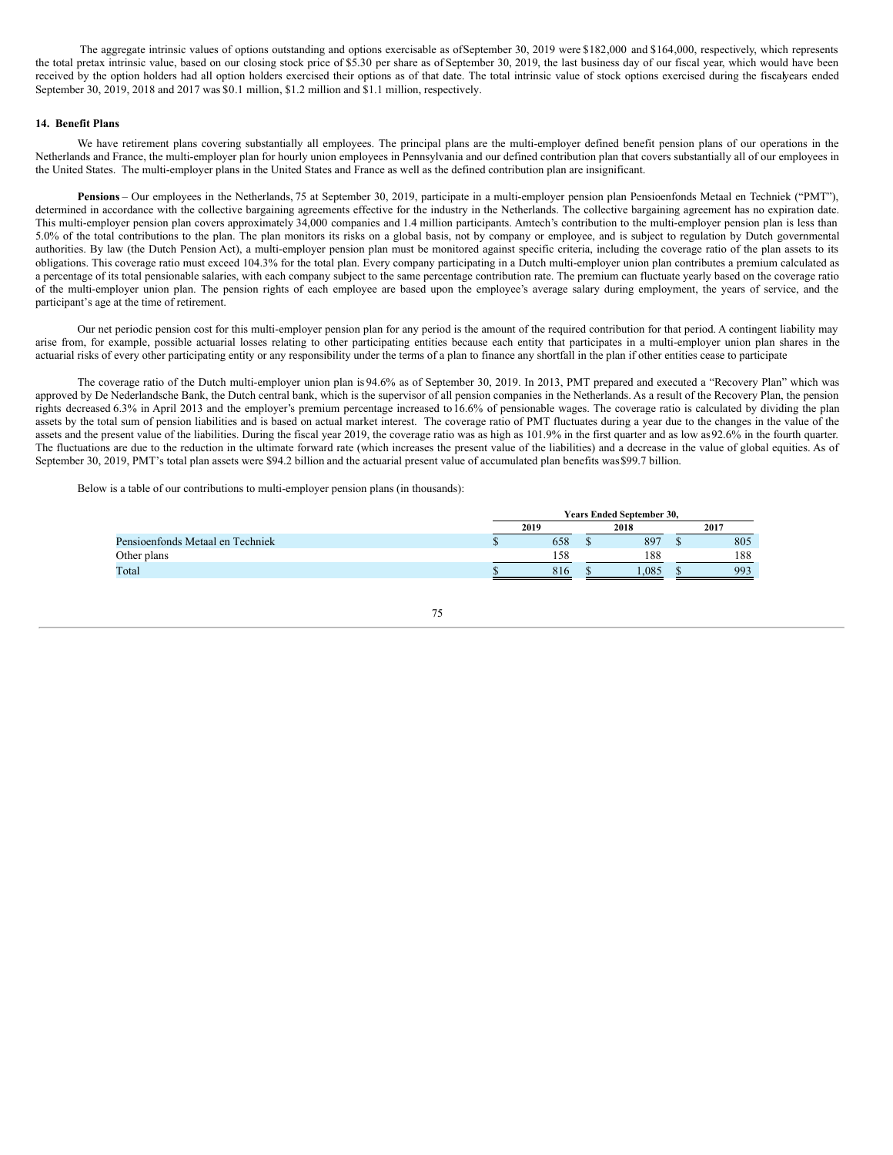The aggregate intrinsic values of options outstanding and options exercisable as ofSeptember 30, 2019 were \$182,000 and \$164,000, respectively, which represents the total pretax intrinsic value, based on our closing stock price of \$5.30 per share as of September 30, 2019, the last business day of our fiscal year, which would have been received by the option holders had all option holders exercised their options as of that date. The total intrinsic value of stock options exercised during the fiscalyears ended September 30, 2019, 2018 and 2017 was \$0.1 million, \$1.2 million and \$1.1 million, respectively.

## **14. Benefit Plans**

We have retirement plans covering substantially all employees. The principal plans are the multi-employer defined benefit pension plans of our operations in the Netherlands and France, the multi-employer plan for hourly union employees in Pennsylvania and our defined contribution plan that covers substantially all of our employees in the United States. The multi-employer plans in the United States and France as well as the defined contribution plan are insignificant.

**Pensions** – Our employees in the Netherlands, 75 at September 30, 2019, participate in a multi-employer pension plan Pensioenfonds Metaal en Techniek ("PMT"), determined in accordance with the collective bargaining agreements effective for the industry in the Netherlands. The collective bargaining agreement has no expiration date. This multi-employer pension plan covers approximately 34,000 companies and 1.4 million participants. Amtech's contribution to the multi-employer pension plan is less than 5.0% of the total contributions to the plan. The plan monitors its risks on a global basis, not by company or employee, and is subject to regulation by Dutch governmental authorities. By law (the Dutch Pension Act), a multi-employer pension plan must be monitored against specific criteria, including the coverage ratio of the plan assets to its obligations. This coverage ratio must exceed 104.3% for the total plan. Every company participating in a Dutch multi-employer union plan contributes a premium calculated as a percentage of its total pensionable salaries, with each company subject to the same percentage contribution rate. The premium can fluctuate yearly based on the coverage ratio of the multi-employer union plan. The pension rights of each employee are based upon the employee's average salary during employment, the years of service, and the participant's age at the time of retirement.

Our net periodic pension cost for this multi-employer pension plan for any period is the amount of the required contribution for that period. A contingent liability may arise from, for example, possible actuarial losses relating to other participating entities because each entity that participates in a multi-employer union plan shares in the actuarial risks of every other participating entity or any responsibility under the terms of a plan to finance any shortfall in the plan if other entities cease to participate

The coverage ratio of the Dutch multi-employer union plan is 94.6% as of September 30, 2019. In 2013, PMT prepared and executed a "Recovery Plan" which was approved by De Nederlandsche Bank, the Dutch central bank, which is the supervisor of all pension companies in the Netherlands. As a result of the Recovery Plan, the pension rights decreased 6.3% in April 2013 and the employer's premium percentage increased to  $16.6\%$  of pensionable wages. The coverage ratio is calculated by dividing the plan assets by the total sum of pension liabilities and is based on actual market interest. The coverage ratio of PMT fluctuates during a year due to the changes in the value of the assets and the present value of the liabilities. During the fiscal year 2019, the coverage ratio was as high as 101.9% in the first quarter and as low as 92.6% in the fourth quarter. The fluctuations are due to the reduction in the ultimate forward rate (which increases the present value of the liabilities) and a decrease in the value of global equities. As of September 30, 2019, PMT's total plan assets were \$94.2 billion and the actuarial present value of accumulated plan benefits was\$99.7 billion.

Below is a table of our contributions to multi-employer pension plans (in thousands):

|                                  | <b>Years Ended September 30.</b> |  |      |  |      |  |  |  |
|----------------------------------|----------------------------------|--|------|--|------|--|--|--|
|                                  | 2019                             |  | 2018 |  | 2017 |  |  |  |
| Pensioenfonds Metaal en Techniek | 658                              |  | 897  |  | 805  |  |  |  |
| Other plans                      | 58ء                              |  | 188  |  | 188  |  |  |  |
| Total                            | 816                              |  | .085 |  | 993  |  |  |  |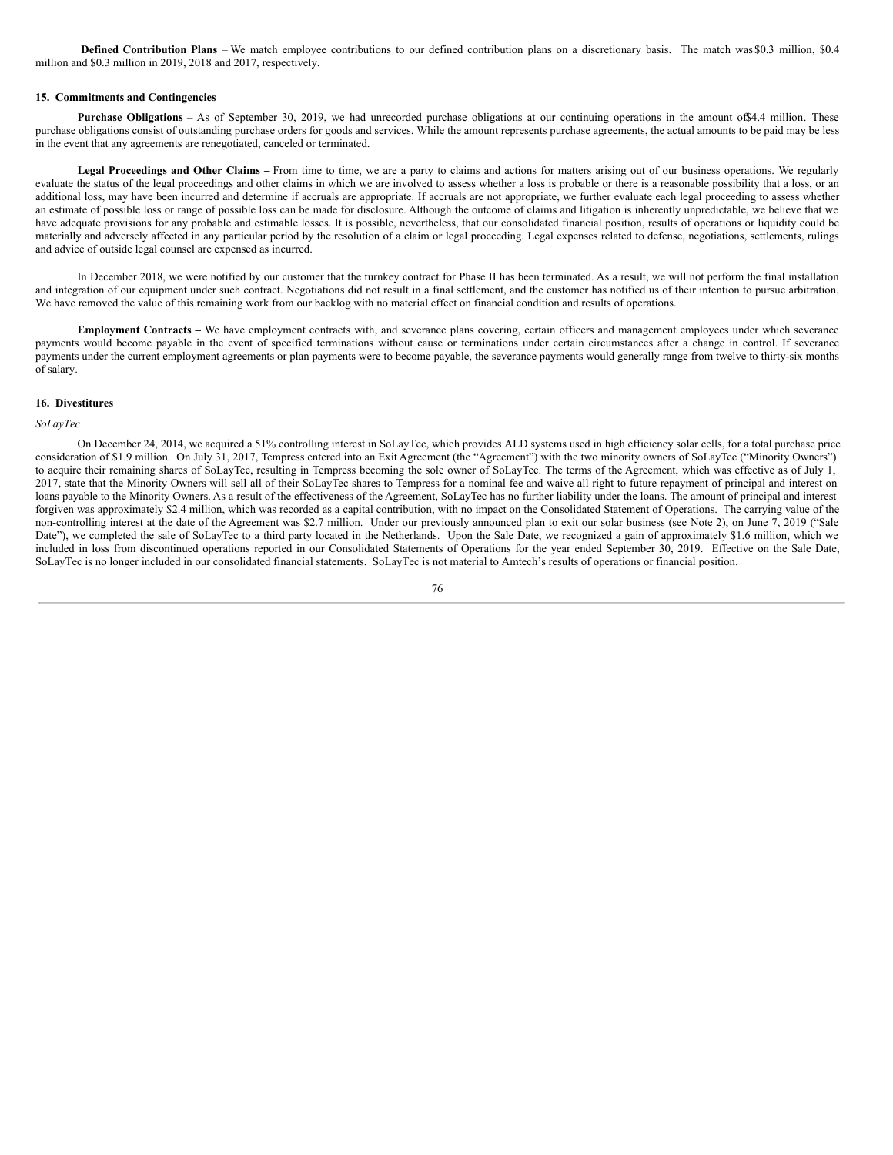**Defined Contribution Plans** – We match employee contributions to our defined contribution plans on a discretionary basis. The match was \$0.3 million, \$0.4 million and \$0.3 million in 2019, 2018 and 2017, respectively.

## **15. Commitments and Contingencies**

**Purchase Obligations** – As of September 30, 2019, we had unrecorded purchase obligations at our continuing operations in the amount of\$4.4 million. These purchase obligations consist of outstanding purchase orders for goods and services. While the amount represents purchase agreements, the actual amounts to be paid may be less in the event that any agreements are renegotiated, canceled or terminated.

**Legal Proceedings and Other Claims –** From time to time, we are a party to claims and actions for matters arising out of our business operations. We regularly evaluate the status of the legal proceedings and other claims in which we are involved to assess whether a loss is probable or there is a reasonable possibility that a loss, or an additional loss, may have been incurred and determine if accruals are appropriate. If accruals are not appropriate, we further evaluate each legal proceeding to assess whether an estimate of possible loss or range of possible loss can be made for disclosure. Although the outcome of claims and litigation is inherently unpredictable, we believe that we have adequate provisions for any probable and estimable losses. It is possible, nevertheless, that our consolidated financial position, results of operations or liquidity could be materially and adversely affected in any particular period by the resolution of a claim or legal proceeding. Legal expenses related to defense, negotiations, settlements, rulings and advice of outside legal counsel are expensed as incurred.

In December 2018, we were notified by our customer that the turnkey contract for Phase II has been terminated. As a result, we will not perform the final installation and integration of our equipment under such contract. Negotiations did not result in a final settlement, and the customer has notified us of their intention to pursue arbitration. We have removed the value of this remaining work from our backlog with no material effect on financial condition and results of operations.

**Employment Contracts –** We have employment contracts with, and severance plans covering, certain officers and management employees under which severance payments would become payable in the event of specified terminations without cause or terminations under certain circumstances after a change in control. If severance payments under the current employment agreements or plan payments were to become payable, the severance payments would generally range from twelve to thirty-six months of salary.

#### **16. Divestitures**

#### *SoLayTec*

On December 24, 2014, we acquired a 51% controlling interest in SoLayTec, which provides ALD systems used in high efficiency solar cells, for a total purchase price consideration of \$1.9 million. On July 31, 2017, Tempress entered into an Exit Agreement (the "Agreement") with the two minority owners of SoLayTec ("Minority Owners") to acquire their remaining shares of SoLayTec, resulting in Tempress becoming the sole owner of SoLayTec. The terms of the Agreement, which was effective as of July 1, 2017, state that the Minority Owners will sell all of their SoLayTec shares to Tempress for a nominal fee and waive all right to future repayment of principal and interest on loans payable to the Minority Owners. As a result of the effectiveness of the Agreement, SoLayTec has no further liability under the loans. The amount of principal and interest forgiven was approximately \$2.4 million, which was recorded as a capital contribution, with no impact on the Consolidated Statement of Operations. The carrying value of the non-controlling interest at the date of the Agreement was \$2.7 million. Under our previously announced plan to exit our solar business (see Note 2), on June 7, 2019 ("Sale Date"), we completed the sale of SoLayTec to a third party located in the Netherlands. Upon the Sale Date, we recognized a gain of approximately \$1.6 million, which we included in loss from discontinued operations reported in our Consolidated Statements of Operations for the year ended September 30, 2019. Effective on the Sale Date, SoLayTec is no longer included in our consolidated financial statements. SoLayTec is not material to Amtech's results of operations or financial position.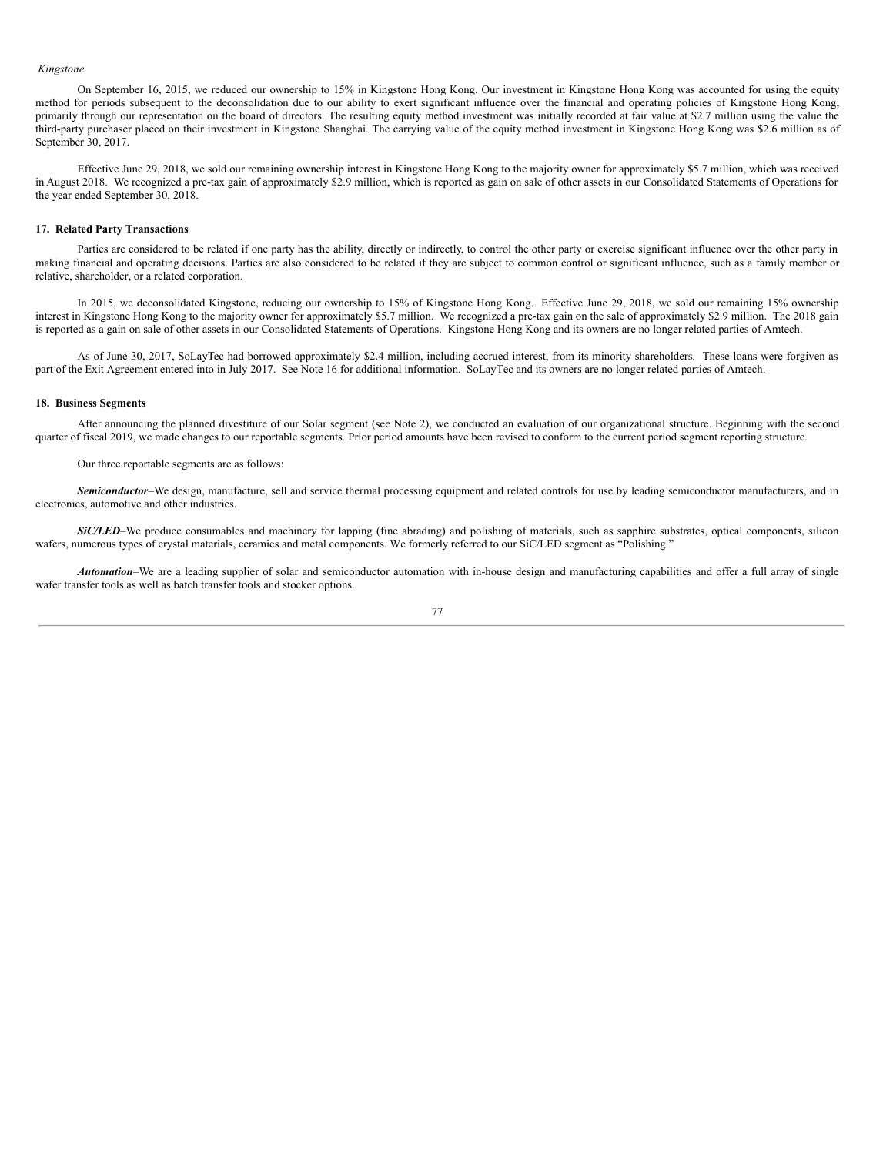## *Kingstone*

On September 16, 2015, we reduced our ownership to 15% in Kingstone Hong Kong. Our investment in Kingstone Hong Kong was accounted for using the equity method for periods subsequent to the deconsolidation due to our ability to exert significant influence over the financial and operating policies of Kingstone Hong Kong, primarily through our representation on the board of directors. The resulting equity method investment was initially recorded at fair value at \$2.7 million using the value the third-party purchaser placed on their investment in Kingstone Shanghai. The carrying value of the equity method investment in Kingstone Hong Kong was \$2.6 million as of September 30, 2017.

Effective June 29, 2018, we sold our remaining ownership interest in Kingstone Hong Kong to the majority owner for approximately \$5.7 million, which was received in August 2018. We recognized a pre-tax gain of approximately \$2.9 million, which is reported as gain on sale of other assets in our Consolidated Statements of Operations for the year ended September 30, 2018.

## **17. Related Party Transactions**

Parties are considered to be related if one party has the ability, directly or indirectly, to control the other party or exercise significant influence over the other party in making financial and operating decisions. Parties are also considered to be related if they are subject to common control or significant influence, such as a family member or relative, shareholder, or a related corporation.

In 2015, we deconsolidated Kingstone, reducing our ownership to 15% of Kingstone Hong Kong. Effective June 29, 2018, we sold our remaining 15% ownership interest in Kingstone Hong Kong to the majority owner for approximately \$5.7 million. We recognized a pre-tax gain on the sale of approximately \$2.9 million. The 2018 gain is reported as a gain on sale of other assets in our Consolidated Statements of Operations. Kingstone Hong Kong and its owners are no longer related parties of Amtech.

As of June 30, 2017, SoLayTec had borrowed approximately \$2.4 million, including accrued interest, from its minority shareholders. These loans were forgiven as part of the Exit Agreement entered into in July 2017. See Note 16 for additional information. SoLayTec and its owners are no longer related parties of Amtech.

#### **18. Business Segments**

After announcing the planned divestiture of our Solar segment (see Note 2), we conducted an evaluation of our organizational structure. Beginning with the second quarter of fiscal 2019, we made changes to our reportable segments. Prior period amounts have been revised to conform to the current period segment reporting structure.

#### Our three reportable segments are as follows:

*Semiconductor*–We design, manufacture, sell and service thermal processing equipment and related controls for use by leading semiconductor manufacturers, and in electronics, automotive and other industries.

*SiC/LED*–We produce consumables and machinery for lapping (fine abrading) and polishing of materials, such as sapphire substrates, optical components, silicon wafers, numerous types of crystal materials, ceramics and metal components. We formerly referred to our SiC/LED segment as "Polishing."

*Automation*–We are a leading supplier of solar and semiconductor automation with in-house design and manufacturing capabilities and offer a full array of single wafer transfer tools as well as batch transfer tools and stocker options.

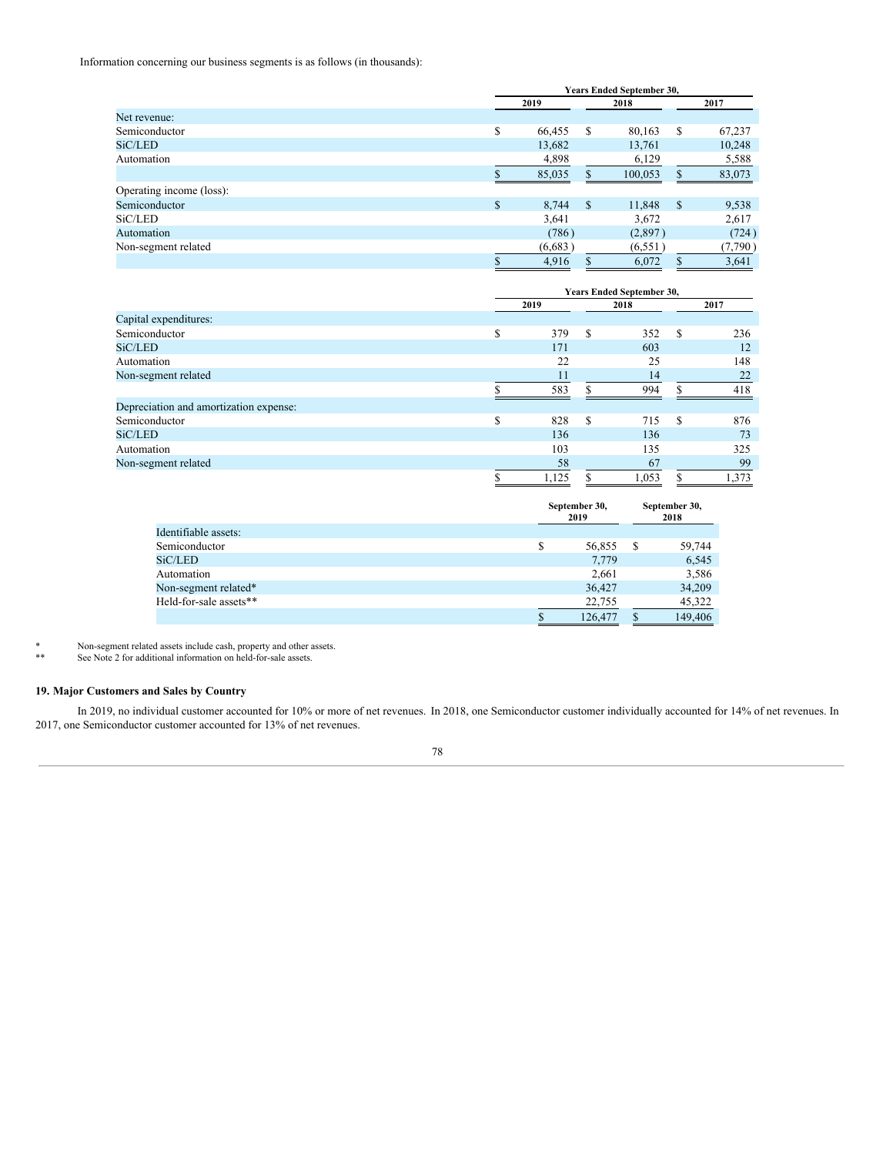Information concerning our business segments is as follows (in thousands):

|                          | <b>Years Ended September 30,</b> |              |          |   |         |  |
|--------------------------|----------------------------------|--------------|----------|---|---------|--|
|                          | 2019                             |              | 2018     |   | 2017    |  |
| Net revenue:             |                                  |              |          |   |         |  |
| Semiconductor            | \$<br>66,455                     | S            | 80,163   | S | 67,237  |  |
| SiC/LED                  | 13,682                           |              | 13,761   |   | 10,248  |  |
| Automation               | 4,898                            |              | 6,129    |   | 5,588   |  |
|                          | 85,035                           |              | 100,053  |   | 83,073  |  |
| Operating income (loss): |                                  |              |          |   |         |  |
| Semiconductor            | \$<br>8,744                      | <sup>S</sup> | 11,848   | S | 9,538   |  |
| SiC/LED                  | 3,641                            |              | 3,672    |   | 2,617   |  |
| Automation               | (786)                            |              | (2,897)  |   | (724)   |  |
| Non-segment related      | (6,683)                          |              | (6, 551) |   | (7,790) |  |
|                          | 4,916                            |              | 6,072    |   | 3,641   |  |

|                                        | <b>Years Ended September 30,</b> |      |       |               |       |  |
|----------------------------------------|----------------------------------|------|-------|---------------|-------|--|
|                                        | 2019                             | 2018 |       |               | 2017  |  |
| Capital expenditures:                  |                                  |      |       |               |       |  |
| Semiconductor                          | \$<br>379                        | S    | 352   | <sup>\$</sup> | 236   |  |
| SiC/LED                                | 171                              |      | 603   |               | 12    |  |
| Automation                             | 22                               |      | 25    |               | 148   |  |
| Non-segment related                    | 11                               |      | 14    |               | 22    |  |
|                                        | 583                              |      | 994   |               | 418   |  |
| Depreciation and amortization expense: |                                  |      |       |               |       |  |
| Semiconductor                          | \$<br>828                        | S    | 715   | \$            | 876   |  |
| SiC/LED                                | 136                              |      | 136   |               | 73    |  |
| Automation                             | 103                              |      | 135   |               | 325   |  |
| Non-segment related                    | 58                               |      | 67    |               | 99    |  |
|                                        | 1,125                            |      | 1,053 | \$            | 1,373 |  |

|                        |   | September 30,<br>2019 |    | September 30,<br>2018 |
|------------------------|---|-----------------------|----|-----------------------|
| Identifiable assets:   |   |                       |    |                       |
| Semiconductor          | S | 56,855                | -S | 59,744                |
| SiC/LED                |   | 7,779                 |    | 6,545                 |
| Automation             |   | 2,661                 |    | 3,586                 |
| Non-segment related*   |   | 36,427                |    | 34,209                |
| Held-for-sale assets** |   | 22,755                |    | 45,322                |
|                        |   | 126,477               |    | 149,406               |

\* Non-segment related assets include cash, property and other assets. \*\* See Note 2 for additional information on held-for-sale assets.

## **19. Major Customers and Sales by Country**

In 2019, no individual customer accounted for 10% or more of net revenues. In 2018, one Semiconductor customer individually accounted for 14% of net revenues. In 2017, one Semiconductor customer accounted for 13% of net revenues.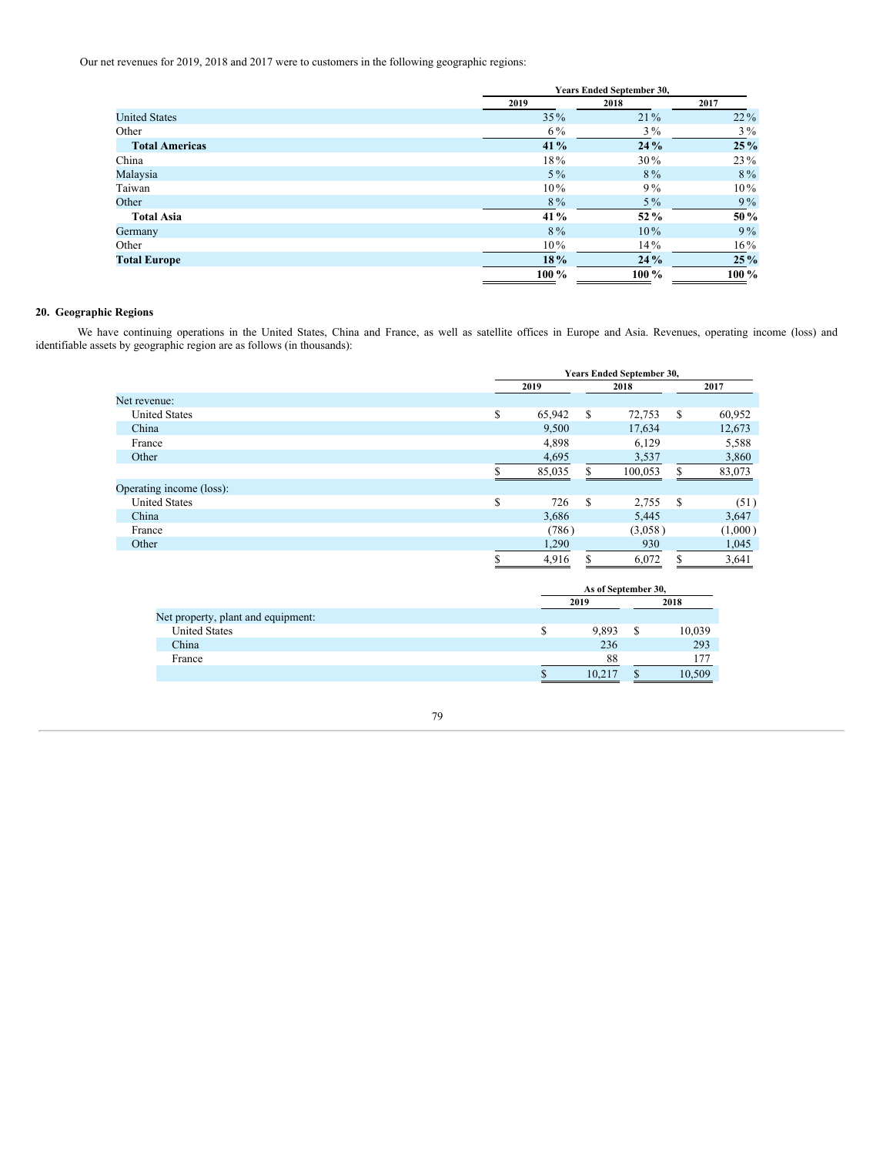Our net revenues for 2019, 2018 and 2017 were to customers in the following geographic regions:

|                       |         | <b>Years Ended September 30,</b> |         |  |  |  |
|-----------------------|---------|----------------------------------|---------|--|--|--|
|                       | 2019    | 2018                             | 2017    |  |  |  |
| <b>United States</b>  | 35%     | $21\%$                           | $22\%$  |  |  |  |
| Other                 | $6\%$   | $3\%$                            | $3\%$   |  |  |  |
| <b>Total Americas</b> | 41%     | 24%                              | $25\%$  |  |  |  |
| China                 | $18\%$  | $30\%$                           | 23%     |  |  |  |
| Malaysia              | $5\%$   | $8\%$                            | 8 %     |  |  |  |
| Taiwan                | $10\%$  | $9\%$                            | 10%     |  |  |  |
| Other                 | $8\%$   | $5\%$                            | $9\%$   |  |  |  |
| <b>Total Asia</b>     | 41 %    | 52 %                             | 50%     |  |  |  |
| Germany               | $8\%$   | $10\%$                           | $9\%$   |  |  |  |
| Other                 | $10\%$  | 14%                              | $16\%$  |  |  |  |
| <b>Total Europe</b>   | 18%     | 24%                              | 25%     |  |  |  |
|                       | $100\%$ | 100 %                            | $100\%$ |  |  |  |

# **20. Geographic Regions**

We have continuing operations in the United States, China and France, as well as satellite offices in Europe and Asia. Revenues, operating income (loss) and identifiable assets by geographic region are as follows (in thousands):

|                          |    | Years Ended September 30, |    |         |               |         |  |  |
|--------------------------|----|---------------------------|----|---------|---------------|---------|--|--|
|                          |    | 2019                      |    | 2018    |               | 2017    |  |  |
| Net revenue:             |    |                           |    |         |               |         |  |  |
| <b>United States</b>     | \$ | 65,942                    | \$ | 72,753  | \$            | 60,952  |  |  |
| China                    |    | 9,500                     |    | 17,634  |               | 12,673  |  |  |
|                          |    | 4,898                     |    | 6,129   |               | 5,588   |  |  |
|                          |    | 4,695                     |    | 3,537   |               | 3,860   |  |  |
|                          | ሖ  | 85,035                    |    | 100,053 | S             | 83,073  |  |  |
| Operating income (loss): |    |                           |    |         |               |         |  |  |
| <b>United States</b>     | \$ | 726                       | S  | 2,755   | <sup>\$</sup> | (51)    |  |  |
|                          |    | 3,686                     |    | 5,445   |               | 3,647   |  |  |
|                          |    | (786)                     |    | (3,058) |               | (1,000) |  |  |
|                          |    | 1,290                     |    | 930     |               | 1,045   |  |  |
|                          |    | 4,916                     |    | 6,072   |               | 3,641   |  |  |
|                          |    |                           |    |         |               |         |  |  |

|                                    |      | As of September 30, |  |        |  |  |  |
|------------------------------------|------|---------------------|--|--------|--|--|--|
|                                    | 2019 |                     |  | 2018   |  |  |  |
| Net property, plant and equipment: |      |                     |  |        |  |  |  |
| <b>United States</b>               | S    | 9.893               |  | 10,039 |  |  |  |
| China                              |      | 236                 |  | 293    |  |  |  |
| France                             |      | 88                  |  | 177    |  |  |  |
|                                    |      | 10.217              |  | 10,509 |  |  |  |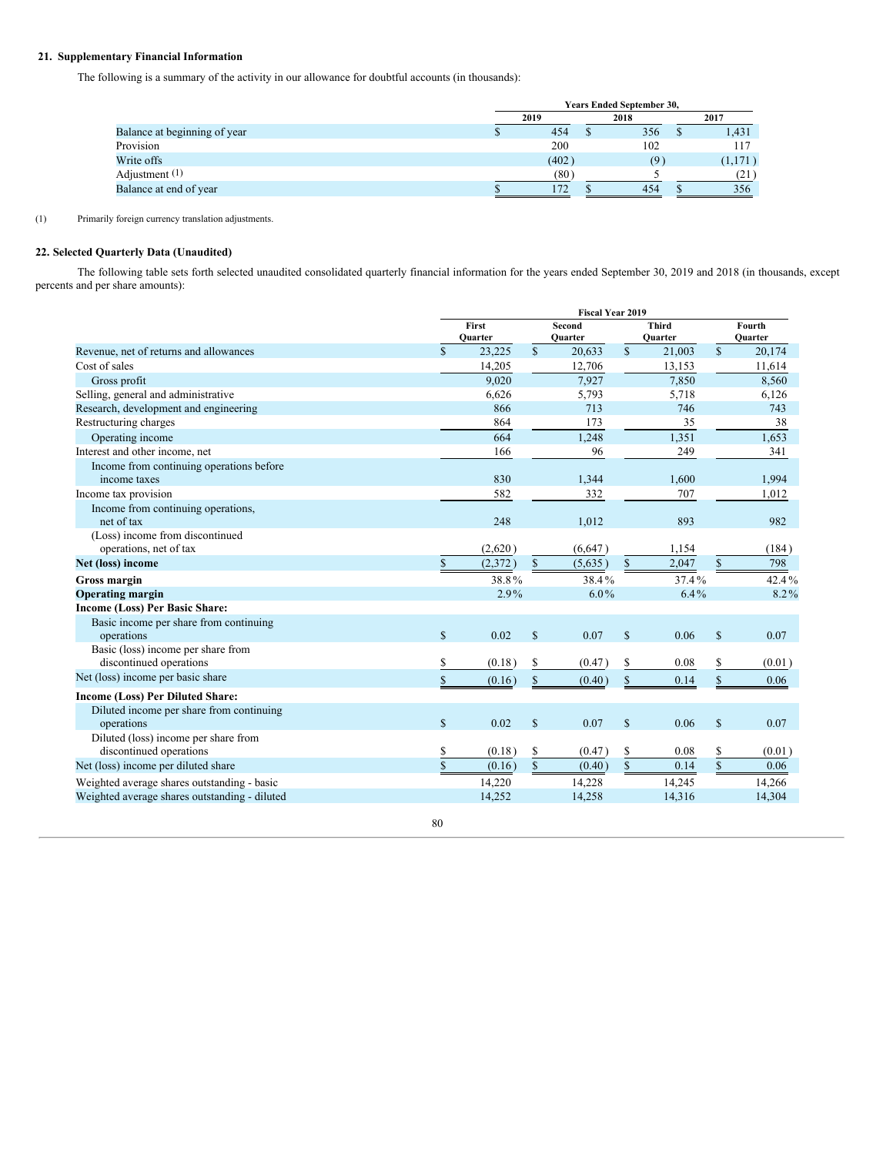## **21. Supplementary Financial Information**

The following is a summary of the activity in our allowance for doubtful accounts (in thousands):

|                              | <b>Years Ended September 30.</b> |       |  |      |  |         |  |
|------------------------------|----------------------------------|-------|--|------|--|---------|--|
|                              |                                  | 2019  |  | 2018 |  | 2017    |  |
| Balance at beginning of year | D                                | 454   |  | 356  |  | 1,431   |  |
| Provision                    |                                  | 200   |  | 102  |  | 117     |  |
| Write offs                   |                                  | (402) |  | (9)  |  | (1,171) |  |
| Adjustment $(1)$             |                                  | (80)  |  |      |  | (21)    |  |
| Balance at end of year       |                                  | 172   |  | 454  |  | 356     |  |

#### (1) Primarily foreign currency translation adjustments.

# **22. Selected Quarterly Data (Unaudited)**

The following table sets forth selected unaudited consolidated quarterly financial information for the years ended September 30, 2019 and 2018 (in thousands, except percents and per share amounts):

|                                               |               | <b>Fiscal Year 2019</b> |             |                               |               |         |              |                |  |
|-----------------------------------------------|---------------|-------------------------|-------------|-------------------------------|---------------|---------|--------------|----------------|--|
|                                               |               | <b>First</b>            |             | <b>Second</b><br><b>Third</b> |               |         | Fourth       |                |  |
|                                               |               | Ouarter                 |             | Ouarter                       |               | Ouarter |              | <b>Ouarter</b> |  |
| Revenue, net of returns and allowances        | $\mathsf{\$}$ | 23,225                  | \$          | 20,633                        | $\mathbb{S}$  | 21,003  | \$           | 20,174         |  |
| Cost of sales                                 |               | 14,205                  |             | 12,706                        |               | 13,153  |              | 11,614         |  |
| Gross profit                                  |               | 9,020                   |             | 7,927                         |               | 7,850   |              | 8,560          |  |
| Selling, general and administrative           |               | 6,626                   |             | 5,793                         |               | 5,718   |              | 6,126          |  |
| Research, development and engineering         |               | 866                     |             | 713                           |               | 746     |              | 743            |  |
| Restructuring charges                         |               | 864                     |             | 173                           |               | 35      |              | 38             |  |
| Operating income                              |               | 664                     |             | 1,248                         |               | 1,351   |              | 1,653          |  |
| Interest and other income, net                |               | 166                     |             | 96                            |               | 249     |              | 341            |  |
| Income from continuing operations before      |               |                         |             |                               |               |         |              |                |  |
| income taxes                                  |               | 830                     |             | 1,344                         |               | 1,600   |              | 1,994          |  |
| Income tax provision                          |               | 582                     |             | 332                           |               | 707     |              | 1,012          |  |
| Income from continuing operations,            |               |                         |             |                               |               |         |              |                |  |
| net of tax                                    |               | 248                     |             | 1.012                         |               | 893     |              | 982            |  |
| (Loss) income from discontinued               |               |                         |             |                               |               |         |              |                |  |
| operations, net of tax                        |               | (2,620)                 |             | (6,647)                       |               | 1,154   |              | (184)          |  |
| Net (loss) income                             | \$            | (2,372)                 | \$          | (5,635)                       | $\mathbb{S}$  | 2,047   | \$           | 798            |  |
| Gross margin                                  |               | 38.8%                   |             | 38.4%                         |               | 37.4%   |              | 42.4%          |  |
| <b>Operating margin</b>                       |               | 2.9%                    |             | $6.0\%$                       |               | 6.4%    |              | 8.2%           |  |
| Income (Loss) Per Basic Share:                |               |                         |             |                               |               |         |              |                |  |
| Basic income per share from continuing        |               |                         |             |                               |               |         |              |                |  |
| operations                                    | $\mathbf S$   | 0.02                    | \$          | 0.07                          | <sup>\$</sup> | 0.06    | \$           | 0.07           |  |
| Basic (loss) income per share from            |               |                         |             |                               |               |         |              |                |  |
| discontinued operations                       | \$            | (0.18)                  | \$          | (0.47)                        | \$            | 0.08    | \$           | (0.01)         |  |
| Net (loss) income per basic share             | \$            | (0.16)                  | \$          | (0.40)                        | \$            | 0.14    | \$           | 0.06           |  |
| Income (Loss) Per Diluted Share:              |               |                         |             |                               |               |         |              |                |  |
| Diluted income per share from continuing      |               |                         |             |                               |               |         |              |                |  |
| operations                                    | $\mathbb{S}$  | 0.02                    | \$          | 0.07                          | \$            | 0.06    | \$           | 0.07           |  |
| Diluted (loss) income per share from          |               |                         |             |                               |               |         |              |                |  |
| discontinued operations                       | \$            | (0.18)                  | \$          | (0.47)                        | \$            | 0.08    | \$           | (0.01)         |  |
| Net (loss) income per diluted share           | \$            | (0.16)                  | $\mathbf S$ | (0.40)                        | $\mathbf S$   | 0.14    | $\mathbb{S}$ | 0.06           |  |
| Weighted average shares outstanding - basic   |               | 14,220                  |             | 14,228                        |               | 14,245  |              | 14,266         |  |
| Weighted average shares outstanding - diluted |               | 14,252                  |             | 14,258                        |               | 14,316  |              | 14,304         |  |
|                                               |               |                         |             |                               |               |         |              |                |  |
|                                               | 80            |                         |             |                               |               |         |              |                |  |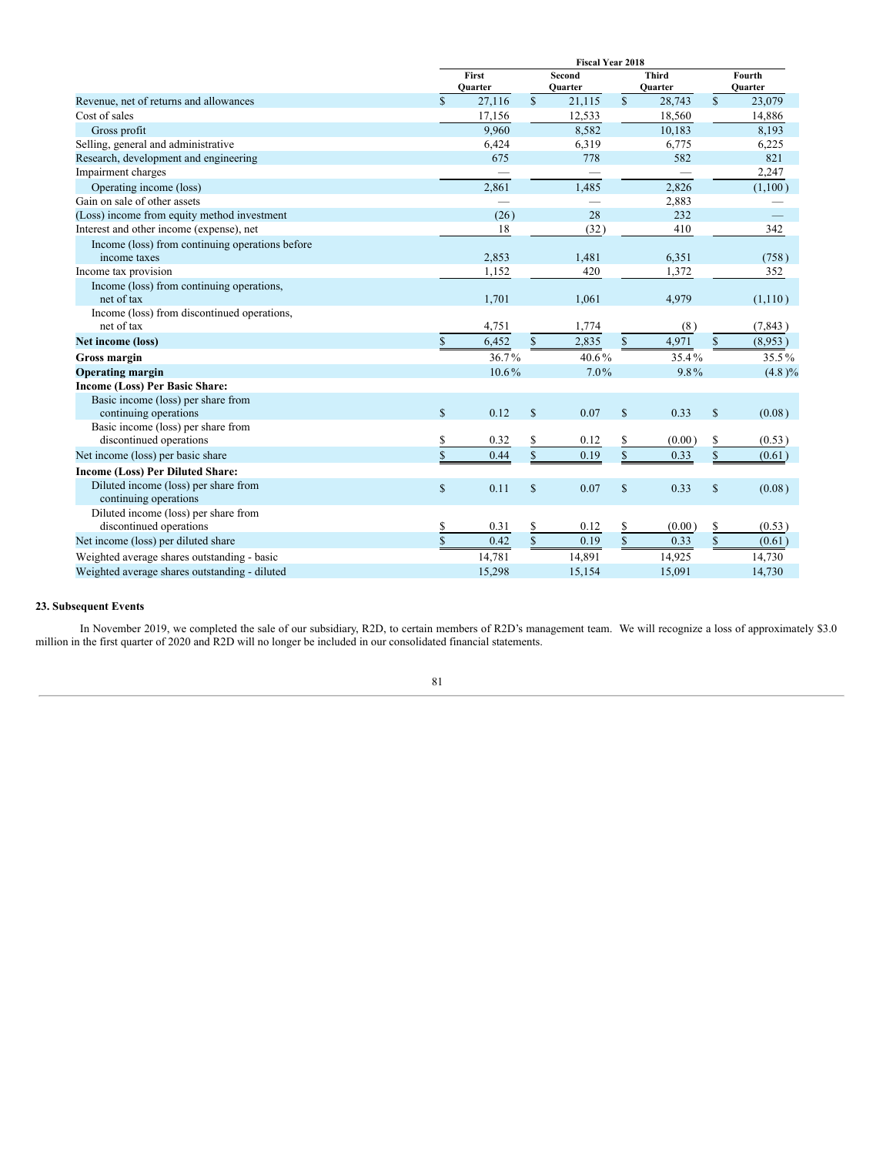|                                                 | <b>Fiscal Year 2018</b> |                          |                 |                          |                 |                |                 |          |
|-------------------------------------------------|-------------------------|--------------------------|-----------------|--------------------------|-----------------|----------------|-----------------|----------|
|                                                 | <b>First</b><br>Second  |                          |                 | <b>Third</b>             |                 |                | Fourth          |          |
|                                                 |                         | Ouarter                  |                 | Ouarter                  |                 | <b>Ouarter</b> |                 | Ouarter  |
| Revenue, net of returns and allowances          | \$                      | 27,116                   | \$              | 21,115                   | $\mathbb{S}$    | 28,743         | $\mathbb{S}$    | 23,079   |
| Cost of sales                                   |                         | 17,156                   |                 | 12,533                   |                 | 18,560         |                 | 14,886   |
| Gross profit                                    |                         | 9.960                    |                 | 8,582                    |                 | 10,183         |                 | 8.193    |
| Selling, general and administrative             |                         | 6,424                    |                 | 6,319                    |                 | 6,775          |                 | 6,225    |
| Research, development and engineering           |                         | 675                      |                 | 778                      |                 | 582            |                 | 821      |
| Impairment charges                              |                         | -                        |                 | $\overline{\phantom{0}}$ |                 |                |                 | 2,247    |
| Operating income (loss)                         |                         | 2,861                    |                 | 1,485                    |                 | 2,826          |                 | (1,100)  |
| Gain on sale of other assets                    |                         | $\overline{\phantom{0}}$ |                 | $\overline{\phantom{0}}$ |                 | 2,883          |                 |          |
| (Loss) income from equity method investment     |                         | (26)                     |                 | 28                       |                 | 232            |                 |          |
| Interest and other income (expense), net        |                         | 18                       |                 | (32)                     |                 | 410            |                 | 342      |
| Income (loss) from continuing operations before |                         |                          |                 |                          |                 |                |                 |          |
| income taxes                                    |                         | 2,853                    |                 | 1,481                    |                 | 6,351          |                 | (758)    |
| Income tax provision                            |                         | 1,152                    |                 | 420                      |                 | 1,372          |                 | 352      |
| Income (loss) from continuing operations,       |                         |                          |                 |                          |                 |                |                 |          |
| net of tax                                      |                         | 1,701                    |                 | 1,061                    |                 | 4,979          |                 | (1,110)  |
| Income (loss) from discontinued operations,     |                         |                          |                 |                          |                 |                |                 |          |
| net of tax                                      |                         | 4,751                    |                 | 1,774                    |                 | (8)            |                 | (7, 843) |
| Net income (loss)                               | $\mathbb{S}$            | 6,452                    | $\mathbb{S}$    | 2,835                    | $\mathbb{S}$    | 4,971          | $\mathbb{S}$    | (8,953)  |
| Gross margin                                    |                         | 36.7%                    |                 | 40.6%                    |                 | 35.4%          |                 | 35.5%    |
| <b>Operating margin</b>                         |                         | 10.6%                    |                 | 7.0%                     |                 | 9.8%           |                 | (4.8)%   |
| Income (Loss) Per Basic Share:                  |                         |                          |                 |                          |                 |                |                 |          |
| Basic income (loss) per share from              |                         |                          |                 |                          |                 |                |                 |          |
| continuing operations                           | $\mathbb{S}$            | 0.12                     | \$              | 0.07                     | $\mathbb{S}$    | 0.33           | $\mathbb{S}$    | (0.08)   |
| Basic income (loss) per share from              |                         |                          |                 |                          |                 |                |                 |          |
| discontinued operations                         | \$                      | 0.32                     | \$              | 0.12                     | \$              | (0.00)         | \$              | (0.53)   |
| Net income (loss) per basic share               | $\mathbb{S}$            | 0.44                     | $\overline{\$}$ | 0.19                     | $\overline{\$}$ | 0.33           | $\overline{\$}$ | (0.61)   |
| <b>Income (Loss) Per Diluted Share:</b>         |                         |                          |                 |                          |                 |                |                 |          |
| Diluted income (loss) per share from            | $\mathbb{S}$            | 0.11                     | $\mathbb{S}$    | 0.07                     | $\mathbf S$     | 0.33           | $\mathbf S$     | (0.08)   |
| continuing operations                           |                         |                          |                 |                          |                 |                |                 |          |
| Diluted income (loss) per share from            |                         |                          |                 |                          |                 |                |                 |          |
| discontinued operations                         | \$                      | 0.31                     | \$              | 0.12                     | \$              | (0.00)         | \$              | (0.53)   |
| Net income (loss) per diluted share             | \$                      | 0.42                     | $\mathbb{S}$    | 0.19                     | $\mathbb S$     | 0.33           | $\mathbb S$     | (0.61)   |
| Weighted average shares outstanding - basic     |                         | 14,781                   |                 | 14,891                   |                 | 14,925         |                 | 14,730   |
| Weighted average shares outstanding - diluted   |                         | 15,298                   |                 | 15,154                   |                 | 15,091         |                 | 14,730   |

# **23. Subsequent Events**

In November 2019, we completed the sale of our subsidiary, R2D, to certain members of R2D's management team. We will recognize a loss of approximately \$3.0 million in the first quarter of 2020 and R2D will no longer be included in our consolidated financial statements.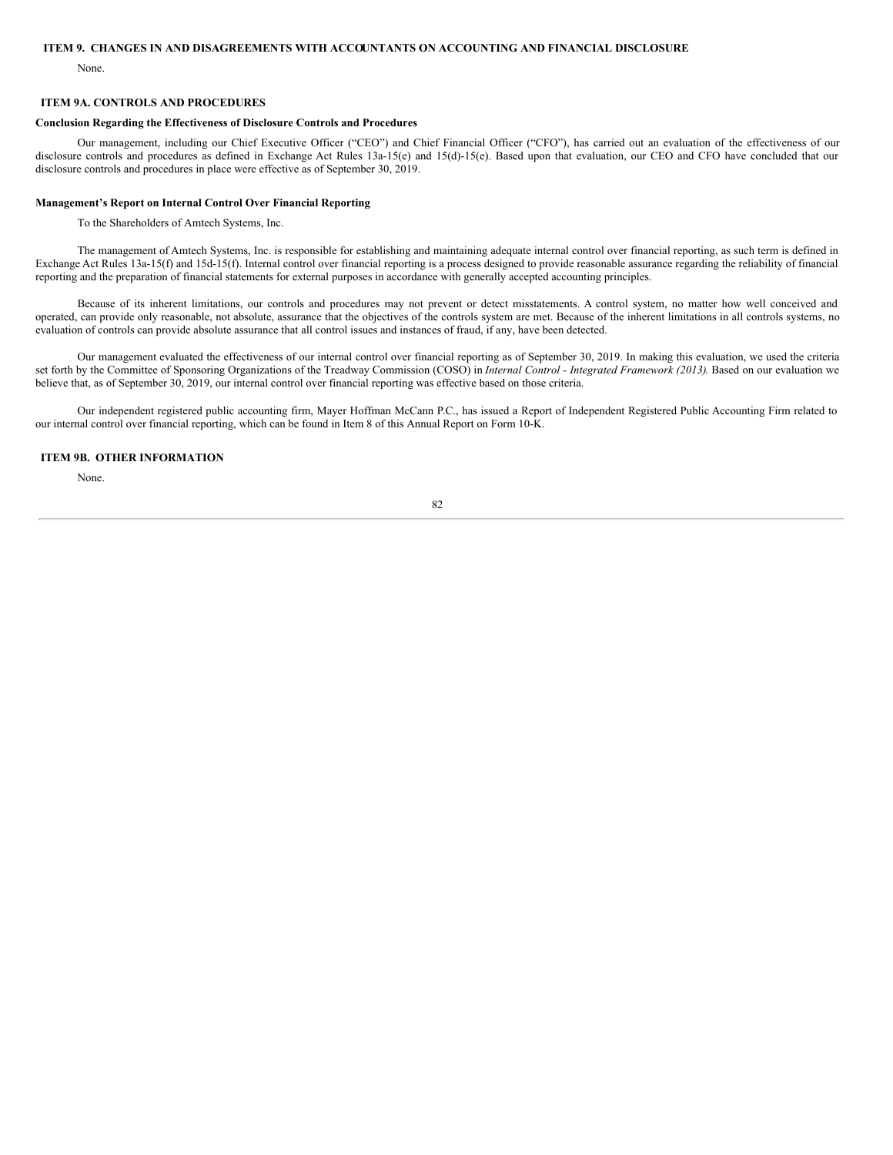## **ITEM 9. CHANGES IN AND DISAGREEMENTS WITH ACCOUNTANTS ON ACCOUNTING AND FINANCIAL DISCLOSURE**

None.

### **ITEM 9A. CONTROLS AND PROCEDURES**

## **Conclusion Regarding the Effectiveness of Disclosure Controls and Procedures**

Our management, including our Chief Executive Officer ("CEO") and Chief Financial Officer ("CFO"), has carried out an evaluation of the effectiveness of our disclosure controls and procedures as defined in Exchange Act Rules 13a-15(e) and 15(d)-15(e). Based upon that evaluation, our CEO and CFO have concluded that our disclosure controls and procedures in place were effective as of September 30, 2019.

#### **Management's Report on Internal Control Over Financial Reporting**

To the Shareholders of Amtech Systems, Inc.

The management of Amtech Systems, Inc. is responsible for establishing and maintaining adequate internal control over financial reporting, as such term is defined in Exchange Act Rules 13a-15(f) and 15d-15(f). Internal control over financial reporting is a process designed to provide reasonable assurance regarding the reliability of financial reporting and the preparation of financial statements for external purposes in accordance with generally accepted accounting principles.

Because of its inherent limitations, our controls and procedures may not prevent or detect misstatements. A control system, no matter how well conceived and operated, can provide only reasonable, not absolute, assurance that the objectives of the controls system are met. Because of the inherent limitations in all controls systems, no evaluation of controls can provide absolute assurance that all control issues and instances of fraud, if any, have been detected.

Our management evaluated the effectiveness of our internal control over financial reporting as of September 30, 2019. In making this evaluation, we used the criteria set forth by the Committee of Sponsoring Organizations of the Treadway Commission (COSO) in *Internal Control - Integrated Framework (2013)*. Based on our evaluation we believe that, as of September 30, 2019, our internal control over financial reporting was effective based on those criteria.

Our independent registered public accounting firm, Mayer Hoffman McCann P.C., has issued a Report of Independent Registered Public Accounting Firm related to our internal control over financial reporting, which can be found in Item 8 of this Annual Report on Form 10-K.

## **ITEM 9B. OTHER INFORMATION**

None.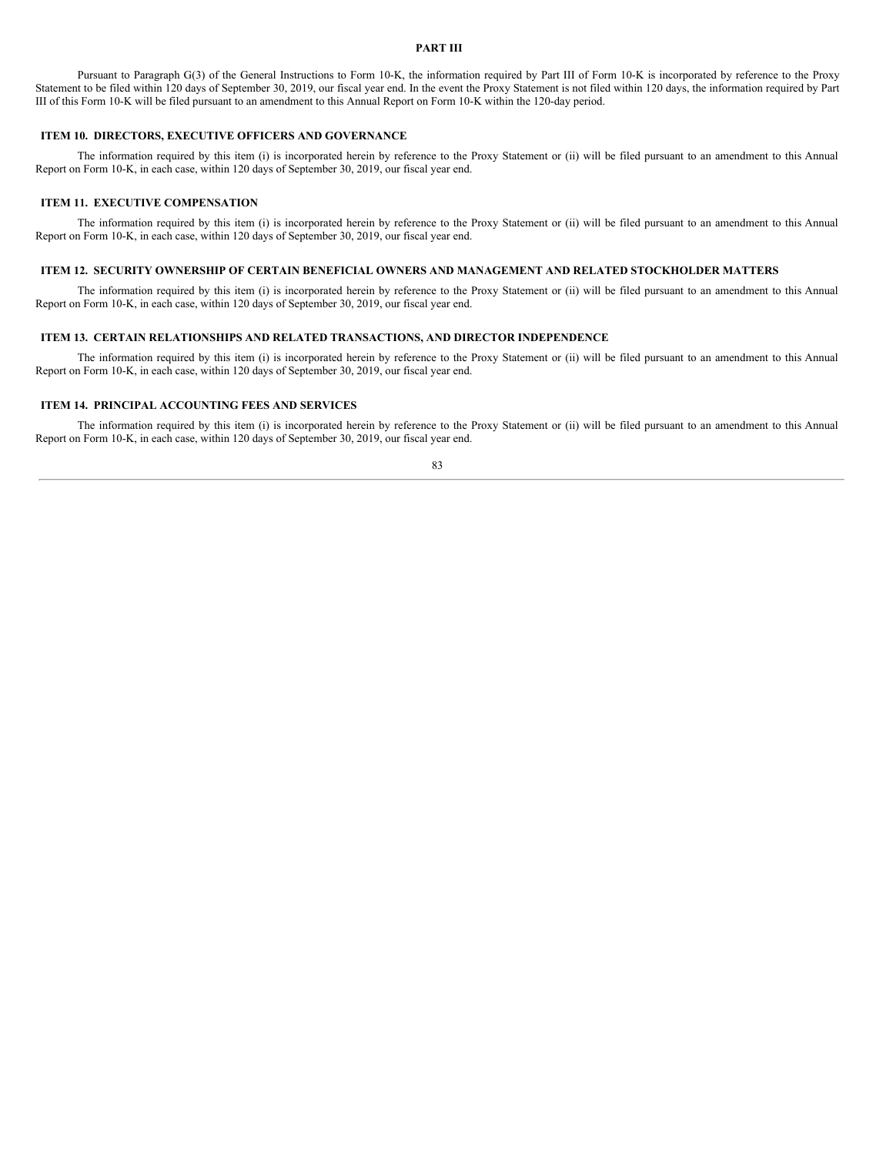## **PART III**

Pursuant to Paragraph G(3) of the General Instructions to Form 10-K, the information required by Part III of Form 10-K is incorporated by reference to the Proxy Statement to be filed within 120 days of September 30, 2019, our fiscal year end. In the event the Proxy Statement is not filed within 120 days, the information required by Part III of this Form 10-K will be filed pursuant to an amendment to this Annual Report on Form 10-K within the 120-day period.

## **ITEM 10. DIRECTORS, EXECUTIVE OFFICERS AND GOVERNANCE**

The information required by this item (i) is incorporated herein by reference to the Proxy Statement or (ii) will be filed pursuant to an amendment to this Annual Report on Form 10-K, in each case, within 120 days of September 30, 2019, our fiscal year end.

### **ITEM 11. EXECUTIVE COMPENSATION**

The information required by this item (i) is incorporated herein by reference to the Proxy Statement or (ii) will be filed pursuant to an amendment to this Annual Report on Form 10-K, in each case, within 120 days of September 30, 2019, our fiscal year end.

### **ITEM 12. SECURITY OWNERSHIP OF CERTAIN BENEFICIAL OWNERS AND MANAGEMENT AND RELATED STOCKHOLDER MATTERS**

The information required by this item (i) is incorporated herein by reference to the Proxy Statement or (ii) will be filed pursuant to an amendment to this Annual Report on Form 10-K, in each case, within 120 days of September 30, 2019, our fiscal year end.

## **ITEM 13. CERTAIN RELATIONSHIPS AND RELATED TRANSACTIONS, AND DIRECTOR INDEPENDENCE**

The information required by this item (i) is incorporated herein by reference to the Proxy Statement or (ii) will be filed pursuant to an amendment to this Annual Report on Form 10-K, in each case, within 120 days of September 30, 2019, our fiscal year end.

## **ITEM 14. PRINCIPAL ACCOUNTING FEES AND SERVICES**

The information required by this item (i) is incorporated herein by reference to the Proxy Statement or (ii) will be filed pursuant to an amendment to this Annual Report on Form 10-K, in each case, within 120 days of September 30, 2019, our fiscal year end.

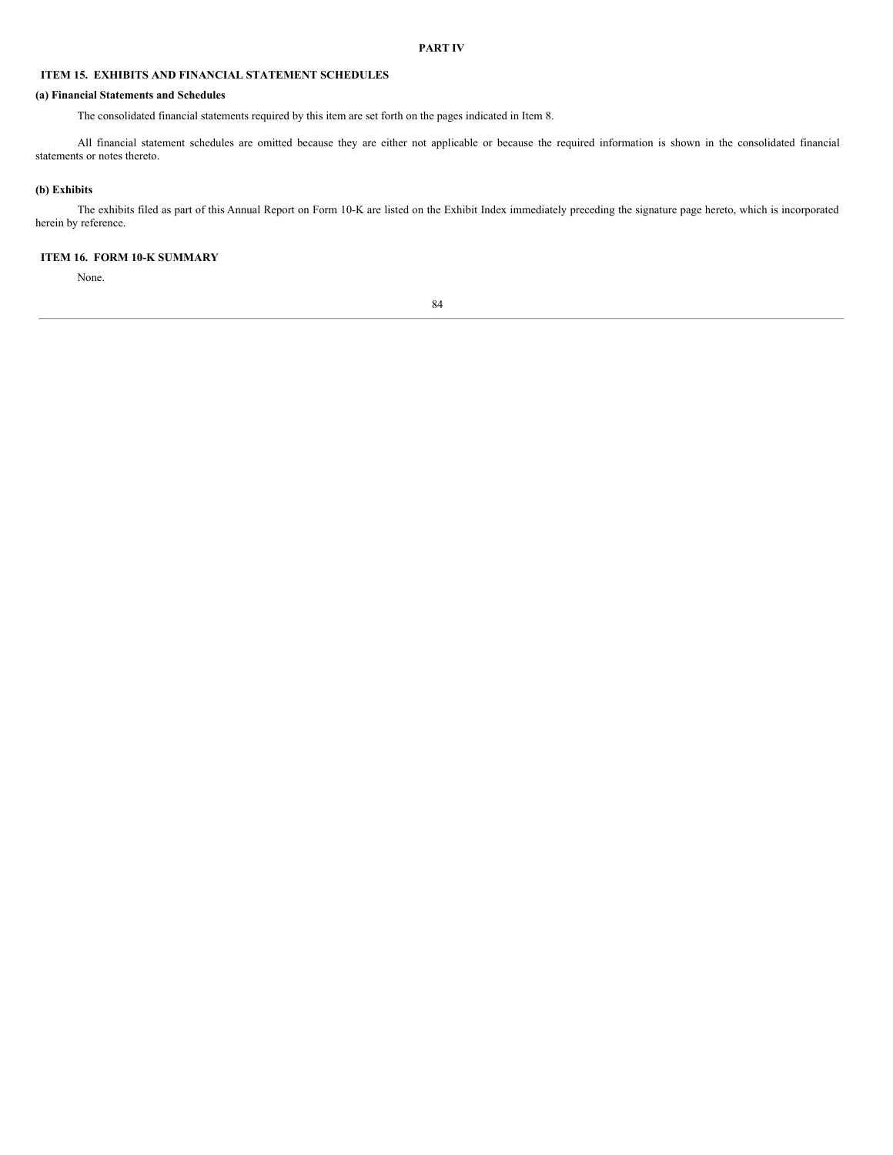## **PART IV**

# **ITEM 15. EXHIBITS AND FINANCIAL STATEMENT SCHEDULES**

## **(a) Financial Statements and Schedules**

The consolidated financial statements required by this item are set forth on the pages indicated in Item 8.

All financial statement schedules are omitted because they are either not applicable or because the required information is shown in the consolidated financial statements or notes thereto.

# **(b) Exhibits**

The exhibits filed as part of this Annual Report on Form 10-K are listed on the Exhibit Index immediately preceding the signature page hereto, which is incorporated herein by reference.

## **ITEM 16. FORM 10-K SUMMARY**

None.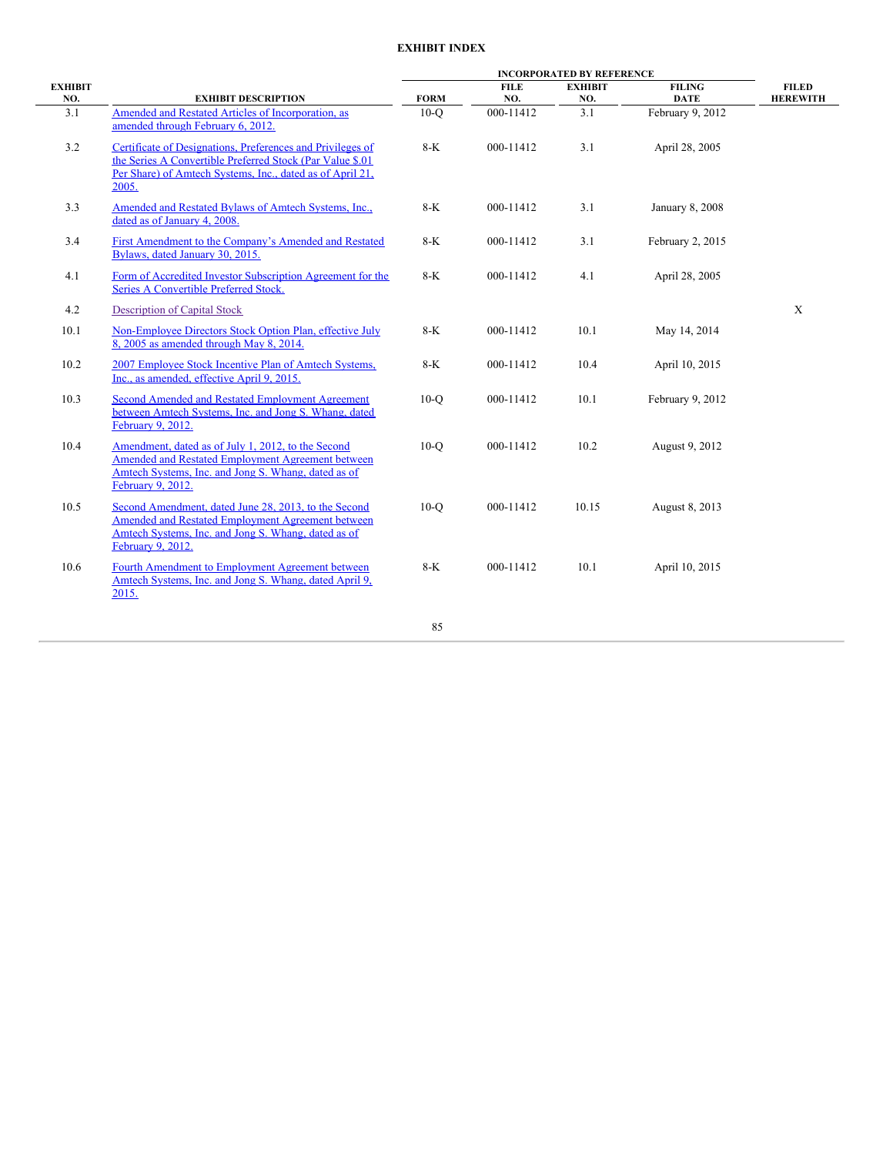# **EXHIBIT INDEX**

|                       |                                                                                                                                                                                                | <b>INCORPORATED BY REFERENCE</b> |                    |                       |                              |                                 |  |  |
|-----------------------|------------------------------------------------------------------------------------------------------------------------------------------------------------------------------------------------|----------------------------------|--------------------|-----------------------|------------------------------|---------------------------------|--|--|
| <b>EXHIBIT</b><br>NO. | <b>EXHIBIT DESCRIPTION</b>                                                                                                                                                                     | <b>FORM</b>                      | <b>FILE</b><br>NO. | <b>EXHIBIT</b><br>NO. | <b>FILING</b><br><b>DATE</b> | <b>FILED</b><br><b>HEREWITH</b> |  |  |
| 3.1                   | Amended and Restated Articles of Incorporation, as<br>amended through February 6, 2012.                                                                                                        | $10-Q$                           | 000-11412          | 3.1                   | February 9, 2012             |                                 |  |  |
| 3.2                   | Certificate of Designations, Preferences and Privileges of<br>the Series A Convertible Preferred Stock (Par Value \$.01)<br>Per Share) of Amtech Systems, Inc., dated as of April 21,<br>2005. | $8-K$                            | 000-11412          | 3.1                   | April 28, 2005               |                                 |  |  |
| 3.3                   | Amended and Restated Bylaws of Amtech Systems, Inc.,<br>dated as of January 4, 2008.                                                                                                           | $8-K$                            | 000-11412          | 3.1                   | January 8, 2008              |                                 |  |  |
| 3.4                   | First Amendment to the Company's Amended and Restated<br>Bylaws, dated January 30, 2015.                                                                                                       | $8-K$                            | 000-11412          | 3.1                   | February 2, 2015             |                                 |  |  |
| 4.1                   | Form of Accredited Investor Subscription Agreement for the<br>Series A Convertible Preferred Stock.                                                                                            | 8-K                              | 000-11412          | 4.1                   | April 28, 2005               |                                 |  |  |
| 4.2                   | <b>Description of Capital Stock</b>                                                                                                                                                            |                                  |                    |                       |                              | X                               |  |  |
| 10.1                  | Non-Employee Directors Stock Option Plan, effective July<br>8, 2005 as amended through May 8, 2014.                                                                                            | $8-K$                            | 000-11412          | 10.1                  | May 14, 2014                 |                                 |  |  |
| 10.2                  | 2007 Employee Stock Incentive Plan of Amtech Systems,<br>Inc., as amended, effective April 9, 2015.                                                                                            | 8-K                              | 000-11412          | 10.4                  | April 10, 2015               |                                 |  |  |
| 10.3                  | Second Amended and Restated Employment Agreement<br>between Amtech Systems, Inc. and Jong S. Whang, dated<br>February 9, 2012.                                                                 | $10-o$                           | 000-11412          | 10.1                  | February 9, 2012             |                                 |  |  |
| 10.4                  | Amendment, dated as of July 1, 2012, to the Second<br>Amended and Restated Employment Agreement between<br>Amtech Systems, Inc. and Jong S. Whang, dated as of<br>February 9, 2012.            | $10-Q$                           | 000-11412          | 10.2                  | August 9, 2012               |                                 |  |  |
| 10.5                  | Second Amendment, dated June 28, 2013, to the Second<br>Amended and Restated Employment Agreement between<br>Amtech Systems, Inc. and Jong S. Whang, dated as of<br>February 9, 2012.          | $10-Q$                           | 000-11412          | 10.15                 | August 8, 2013               |                                 |  |  |
| 10.6                  | Fourth Amendment to Employment Agreement between<br>Amtech Systems, Inc. and Jong S. Whang, dated April 9,<br>2015.                                                                            | $8-K$                            | 000-11412          | 10.1                  | April 10, 2015               |                                 |  |  |
|                       |                                                                                                                                                                                                | 85                               |                    |                       |                              |                                 |  |  |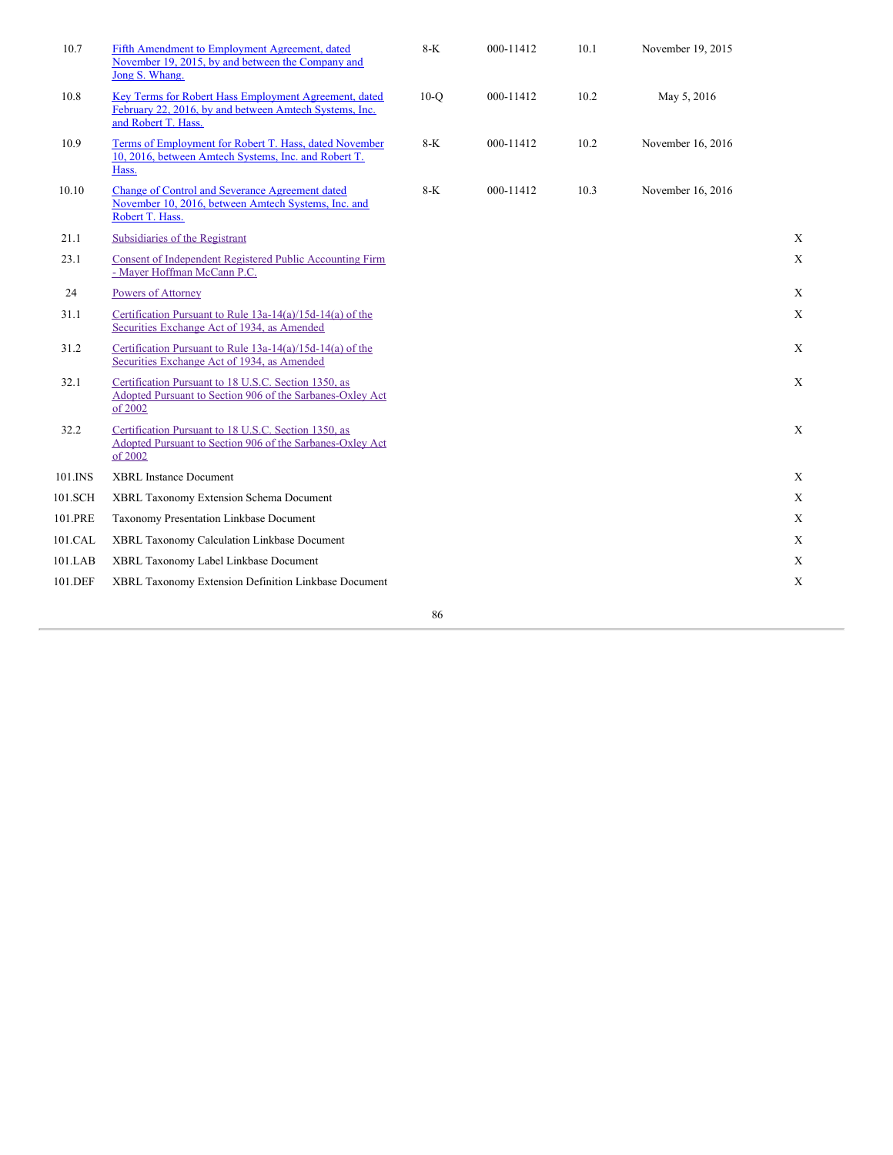| 10.7    | Fifth Amendment to Employment Agreement, dated<br>November 19, 2015, by and between the Company and<br>Jong S. Whang.                  | $8-K$  | 000-11412 | 10.1 | November 19, 2015 |             |
|---------|----------------------------------------------------------------------------------------------------------------------------------------|--------|-----------|------|-------------------|-------------|
| 10.8    | Key Terms for Robert Hass Employment Agreement, dated<br>February 22, 2016, by and between Amtech Systems, Inc.<br>and Robert T. Hass. | $10-Q$ | 000-11412 | 10.2 | May 5, 2016       |             |
| 10.9    | Terms of Employment for Robert T. Hass, dated November<br>10, 2016, between Amtech Systems, Inc. and Robert T.<br>Hass.                | $8-K$  | 000-11412 | 10.2 | November 16, 2016 |             |
| 10.10   | Change of Control and Severance Agreement dated<br>November 10, 2016, between Amtech Systems, Inc. and<br>Robert T. Hass.              | $8-K$  | 000-11412 | 10.3 | November 16, 2016 |             |
| 21.1    | Subsidiaries of the Registrant                                                                                                         |        |           |      |                   | $\mathbf X$ |
| 23.1    | Consent of Independent Registered Public Accounting Firm<br>- Mayer Hoffman McCann P.C.                                                |        |           |      |                   | $\mathbf X$ |
| 24      | Powers of Attorney                                                                                                                     |        |           |      |                   | $\mathbf X$ |
| 31.1    | Certification Pursuant to Rule $13a-14(a)/15d-14(a)$ of the<br>Securities Exchange Act of 1934, as Amended                             |        |           |      |                   | $\mathbf X$ |
| 31.2    | Certification Pursuant to Rule 13a-14(a)/15d-14(a) of the<br>Securities Exchange Act of 1934, as Amended                               |        |           |      |                   | $\mathbf X$ |
| 32.1    | Certification Pursuant to 18 U.S.C. Section 1350, as<br>Adopted Pursuant to Section 906 of the Sarbanes-Oxley Act<br>of 2002           |        |           |      |                   | $\mathbf X$ |
| 32.2    | Certification Pursuant to 18 U.S.C. Section 1350, as<br>Adopted Pursuant to Section 906 of the Sarbanes-Oxley Act<br>of $2002$         |        |           |      |                   | $\mathbf X$ |
| 101.INS | <b>XBRL</b> Instance Document                                                                                                          |        |           |      |                   | $\mathbf X$ |
| 101.SCH | XBRL Taxonomy Extension Schema Document                                                                                                |        |           |      |                   | $\mathbf X$ |
| 101.PRE | Taxonomy Presentation Linkbase Document                                                                                                |        |           |      |                   | $\mathbf X$ |
| 101.CAL | XBRL Taxonomy Calculation Linkbase Document                                                                                            |        |           |      |                   | $\mathbf X$ |
| 101.LAB | XBRL Taxonomy Label Linkbase Document                                                                                                  |        |           |      |                   | $\mathbf X$ |
| 101.DEF | XBRL Taxonomy Extension Definition Linkbase Document                                                                                   |        |           |      |                   | $\mathbf X$ |
|         |                                                                                                                                        | 86     |           |      |                   |             |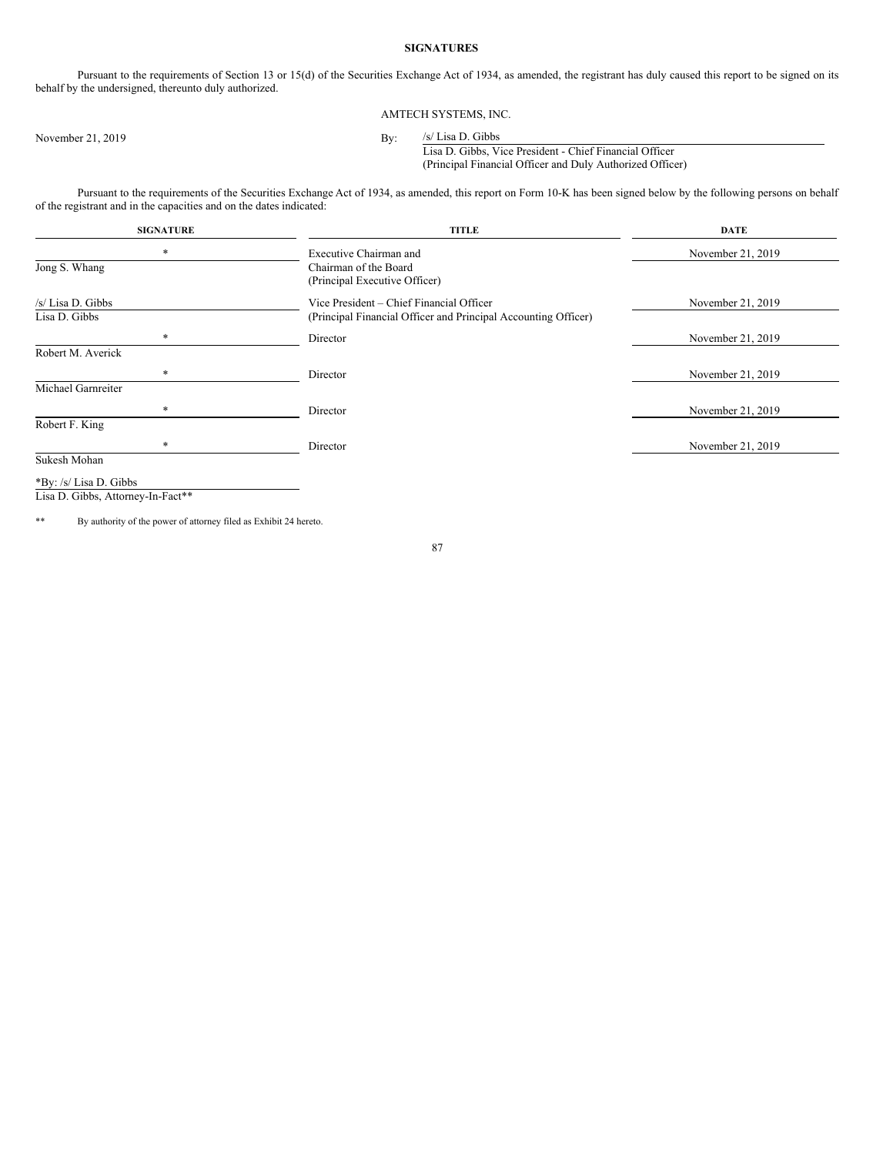## **SIGNATURES**

Pursuant to the requirements of Section 13 or 15(d) of the Securities Exchange Act of 1934, as amended, the registrant has duly caused this report to be signed on its behalf by the undersigned, thereunto duly authorized.

AMTECH SYSTEMS, INC.

November 21, 2019 By:

/s/ Lisa D. Gibbs Lisa D. Gibbs, Vice President - Chief Financial Officer

(Principal Financial Officer and Duly Authorized Officer)

Pursuant to the requirements of the Securities Exchange Act of 1934, as amended, this report on Form 10-K has been signed below by the following persons on behalf of the registrant and in the capacities and on the dates indicated:

| <b>SIGNATURE</b>       |        | <b>TITLE</b>                                                   | <b>DATE</b>       |  |  |  |
|------------------------|--------|----------------------------------------------------------------|-------------------|--|--|--|
|                        | $\ast$ | Executive Chairman and                                         | November 21, 2019 |  |  |  |
| Jong S. Whang          |        | Chairman of the Board<br>(Principal Executive Officer)         |                   |  |  |  |
| $/s/$ Lisa D. Gibbs    |        | Vice President – Chief Financial Officer                       | November 21, 2019 |  |  |  |
| Lisa D. Gibbs          |        | (Principal Financial Officer and Principal Accounting Officer) |                   |  |  |  |
|                        | $\ast$ | Director                                                       | November 21, 2019 |  |  |  |
| Robert M. Averick      |        |                                                                |                   |  |  |  |
|                        | $\ast$ | Director                                                       | November 21, 2019 |  |  |  |
| Michael Garnreiter     |        |                                                                |                   |  |  |  |
|                        | $\ast$ | Director                                                       | November 21, 2019 |  |  |  |
| Robert F. King         |        |                                                                |                   |  |  |  |
|                        | *      | Director                                                       | November 21, 2019 |  |  |  |
| Sukesh Mohan           |        |                                                                |                   |  |  |  |
| *By: /s/ Lisa D. Gibbs |        |                                                                |                   |  |  |  |

Lisa D. Gibbs, Attorney-In-Fact\*\*

\*\* By authority of the power of attorney filed as Exhibit 24 hereto.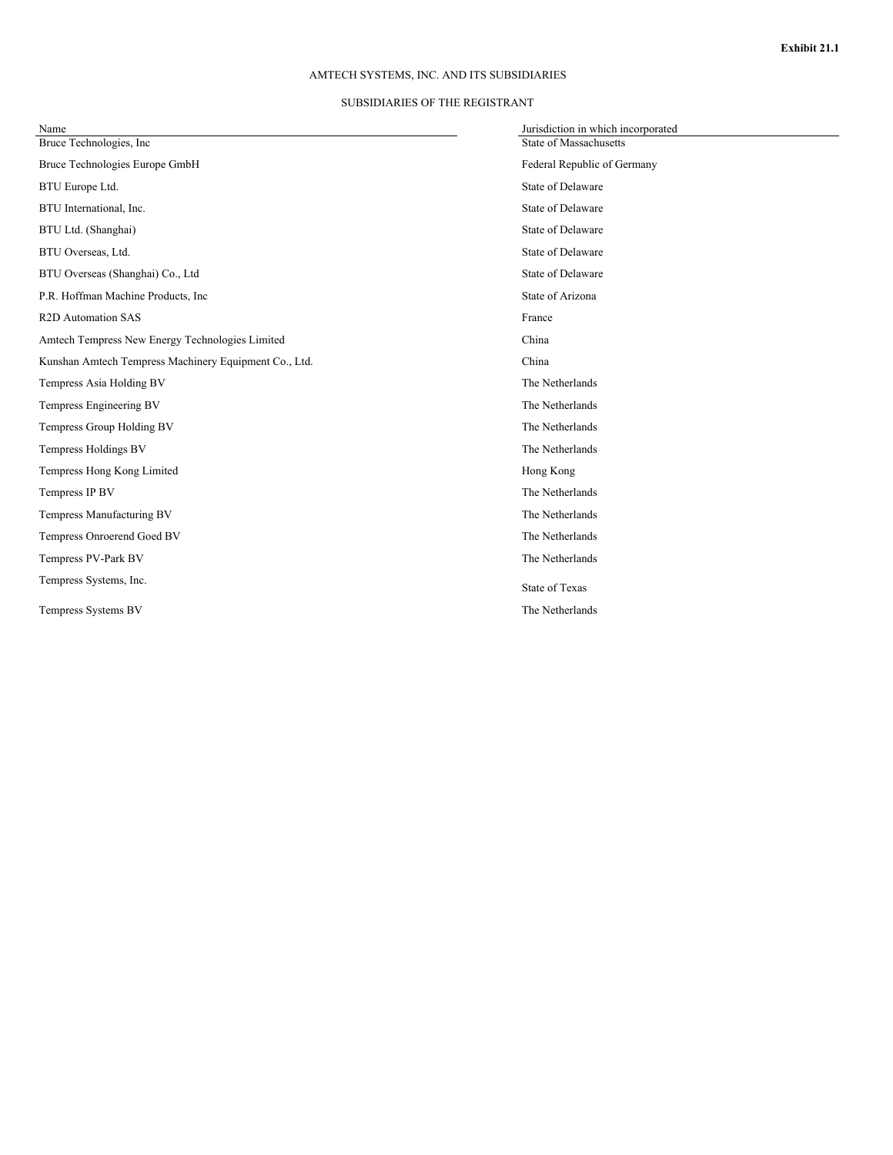# AMTECH SYSTEMS, INC. AND ITS SUBSIDIARIES

# SUBSIDIARIES OF THE REGISTRANT

<span id="page-87-0"></span>

| Name                                                  | Jurisdiction in which incorporated |
|-------------------------------------------------------|------------------------------------|
| Bruce Technologies, Inc                               | State of Massachusetts             |
| Bruce Technologies Europe GmbH                        | Federal Republic of Germany        |
| BTU Europe Ltd.                                       | <b>State of Delaware</b>           |
| BTU International, Inc.                               | State of Delaware                  |
| BTU Ltd. (Shanghai)                                   | State of Delaware                  |
| BTU Overseas, Ltd.                                    | <b>State of Delaware</b>           |
| BTU Overseas (Shanghai) Co., Ltd                      | State of Delaware                  |
| P.R. Hoffman Machine Products, Inc.                   | State of Arizona                   |
| <b>R2D Automation SAS</b>                             | France                             |
| Amtech Tempress New Energy Technologies Limited       | China                              |
| Kunshan Amtech Tempress Machinery Equipment Co., Ltd. | China                              |
| Tempress Asia Holding BV                              | The Netherlands                    |
| Tempress Engineering BV                               | The Netherlands                    |
| Tempress Group Holding BV                             | The Netherlands                    |
| Tempress Holdings BV                                  | The Netherlands                    |
| Tempress Hong Kong Limited                            | Hong Kong                          |
| Tempress IP BV                                        | The Netherlands                    |
| Tempress Manufacturing BV                             | The Netherlands                    |
| Tempress Onroerend Goed BV                            | The Netherlands                    |
| Tempress PV-Park BV                                   | The Netherlands                    |
| Tempress Systems, Inc.                                | <b>State of Texas</b>              |
| Tempress Systems BV                                   | The Netherlands                    |
|                                                       |                                    |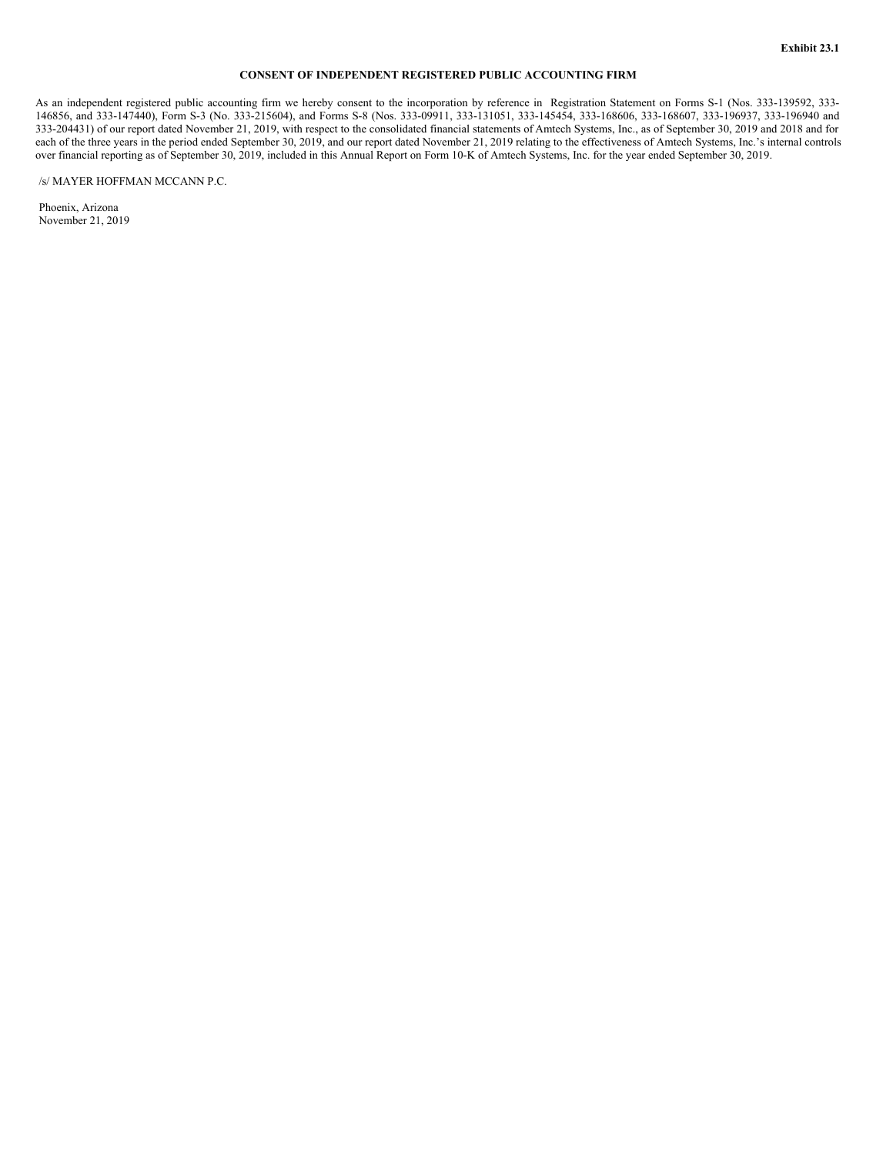## **CONSENT OF INDEPENDENT REGISTERED PUBLIC ACCOUNTING FIRM**

<span id="page-88-0"></span>As an independent registered public accounting firm we hereby consent to the incorporation by reference in Registration Statement on Forms S-1 (Nos. 333-139592, 333- 146856, and 333-147440), Form S-3 (No. 333-215604), and Forms S-8 (Nos. 333-09911, 333-131051, 333-145454, 333-168606, 333-168607, 333-196937, 333-196940 and 333-204431) of our report dated November 21, 2019, with respect to the consolidated financial statements of Amtech Systems, Inc., as of September 30, 2019 and 2018 and for each of the three years in the period ended September 30, 2019, and our report dated November 21, 2019 relating to the effectiveness of Amtech Systems, Inc.'s internal controls over financial reporting as of September 30, 2019, included in this Annual Report on Form 10-K of Amtech Systems, Inc. for the year ended September 30, 2019.

/s/ MAYER HOFFMAN MCCANN P.C.

Phoenix, Arizona November 21, 2019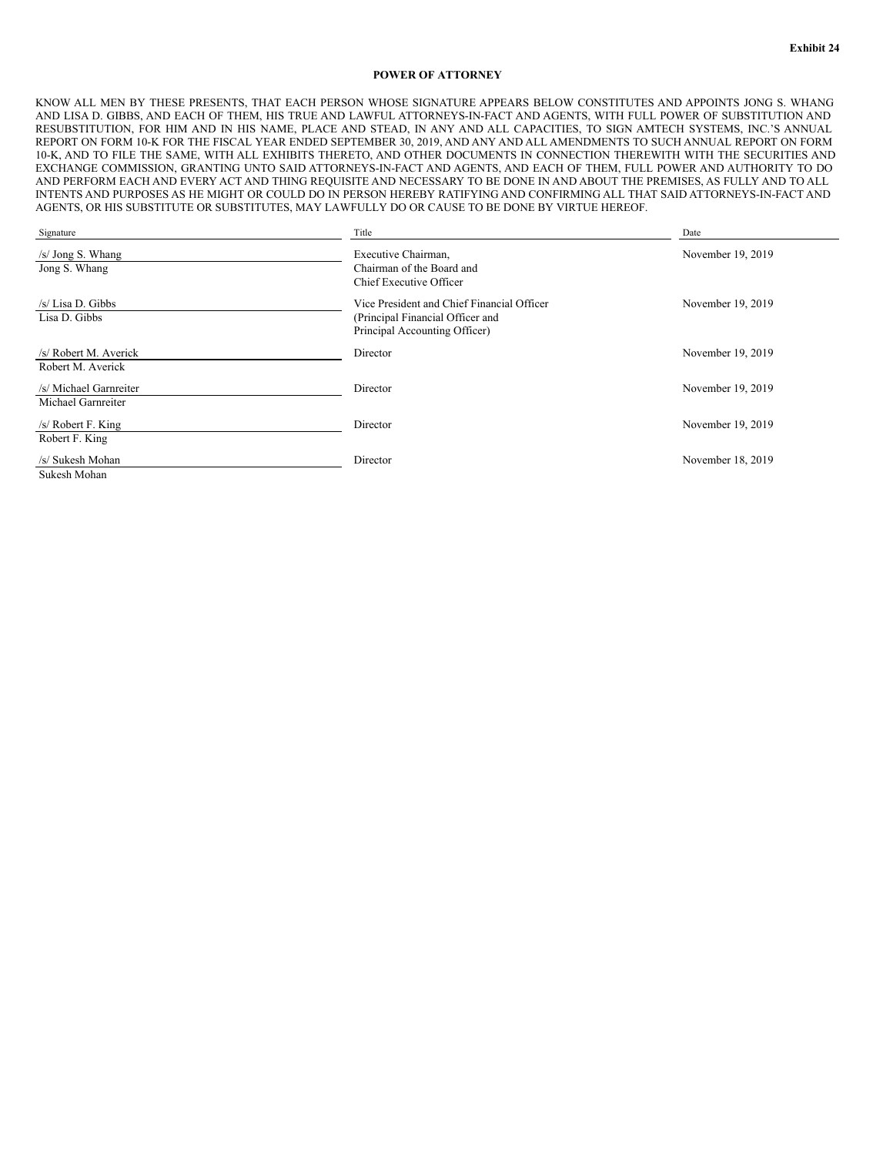## **POWER OF ATTORNEY**

<span id="page-89-0"></span>KNOW ALL MEN BY THESE PRESENTS, THAT EACH PERSON WHOSE SIGNATURE APPEARS BELOW CONSTITUTES AND APPOINTS JONG S. WHANG AND LISA D. GIBBS, AND EACH OF THEM, HIS TRUE AND LAWFUL ATTORNEYS-IN-FACT AND AGENTS, WITH FULL POWER OF SUBSTITUTION AND RESUBSTITUTION, FOR HIM AND IN HIS NAME, PLACE AND STEAD, IN ANY AND ALL CAPACITIES, TO SIGN AMTECH SYSTEMS, INC.'S ANNUAL REPORT ON FORM 10-K FOR THE FISCAL YEAR ENDED SEPTEMBER 30, 2019, AND ANY AND ALL AMENDMENTS TO SUCH ANNUAL REPORT ON FORM 10-K, AND TO FILE THE SAME, WITH ALL EXHIBITS THERETO, AND OTHER DOCUMENTS IN CONNECTION THEREWITH WITH THE SECURITIES AND EXCHANGE COMMISSION, GRANTING UNTO SAID ATTORNEYS-IN-FACT AND AGENTS, AND EACH OF THEM, FULL POWER AND AUTHORITY TO DO AND PERFORM EACH AND EVERY ACT AND THING REQUISITE AND NECESSARY TO BE DONE IN AND ABOUT THE PREMISES, AS FULLY AND TO ALL INTENTS AND PURPOSES AS HE MIGHT OR COULD DO IN PERSON HEREBY RATIFYING AND CONFIRMING ALL THAT SAID ATTORNEYS-IN-FACT AND AGENTS, OR HIS SUBSTITUTE OR SUBSTITUTES, MAY LAWFULLY DO OR CAUSE TO BE DONE BY VIRTUE HEREOF.

| Signature                                    | Title                                                                                                           | Date              |
|----------------------------------------------|-----------------------------------------------------------------------------------------------------------------|-------------------|
| $/s$ Jong S. Whang<br>Jong S. Whang          | Executive Chairman,<br>Chairman of the Board and<br>Chief Executive Officer                                     | November 19, 2019 |
| $/s/$ Lisa D. Gibbs<br>Lisa D. Gibbs         | Vice President and Chief Financial Officer<br>(Principal Financial Officer and<br>Principal Accounting Officer) | November 19, 2019 |
| /s/ Robert M. Averick<br>Robert M. Averick   | Director                                                                                                        | November 19, 2019 |
| /s/ Michael Garnreiter<br>Michael Garnreiter | Director                                                                                                        | November 19, 2019 |
| $/s/$ Robert F. King<br>Robert F. King       | Director                                                                                                        | November 19, 2019 |
| /s/ Sukesh Mohan<br>Sukesh Mohan             | Director                                                                                                        | November 18, 2019 |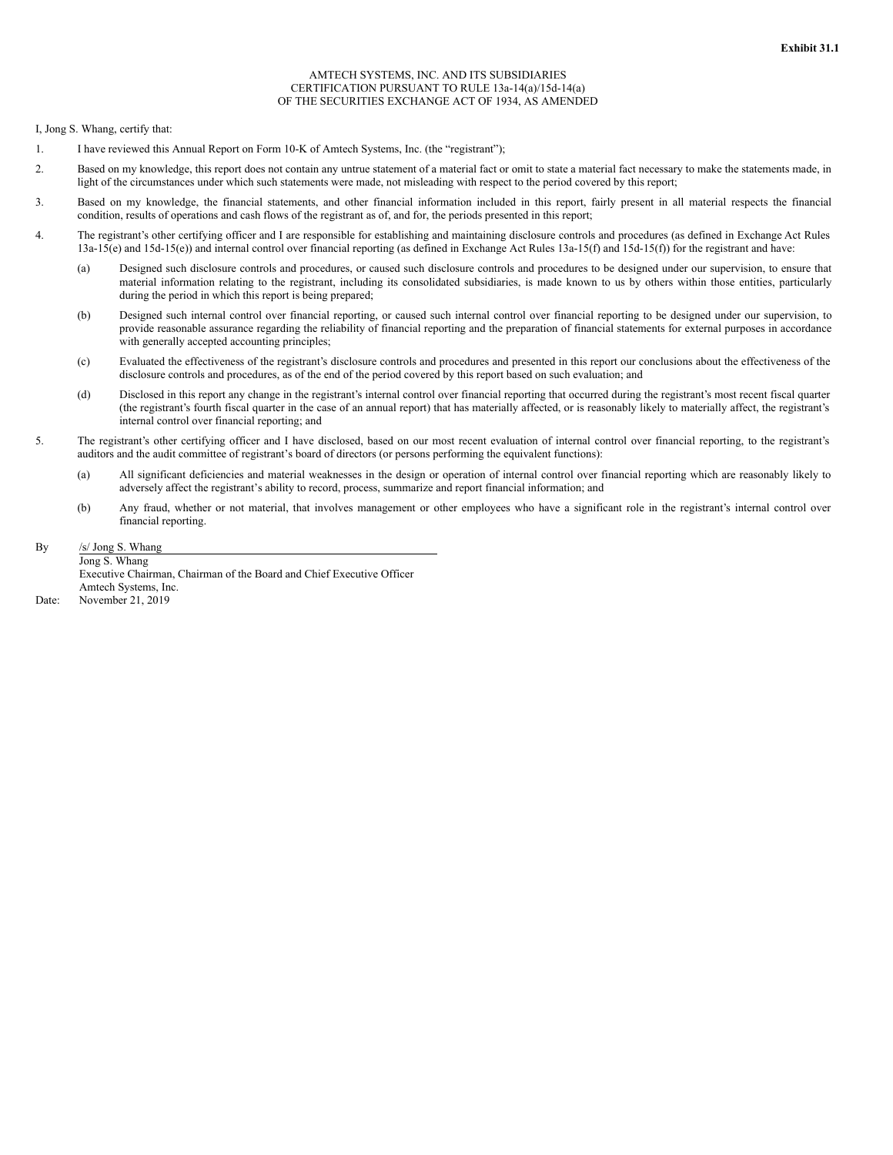## AMTECH SYSTEMS, INC. AND ITS SUBSIDIARIES CERTIFICATION PURSUANT TO RULE 13a-14(a)/15d-14(a) OF THE SECURITIES EXCHANGE ACT OF 1934, AS AMENDED

<span id="page-90-0"></span>I, Jong S. Whang, certify that:

- 1. I have reviewed this Annual Report on Form 10-K of Amtech Systems, Inc. (the "registrant");
- 2. Based on my knowledge, this report does not contain any untrue statement of a material fact or omit to state a material fact necessary to make the statements made, in light of the circumstances under which such statements were made, not misleading with respect to the period covered by this report;
- 3. Based on my knowledge, the financial statements, and other financial information included in this report, fairly present in all material respects the financial condition, results of operations and cash flows of the registrant as of, and for, the periods presented in this report;
- 4. The registrant's other certifying officer and I are responsible for establishing and maintaining disclosure controls and procedures (as defined in Exchange Act Rules 13a-15(e) and 15d-15(e)) and internal control over financial reporting (as defined in Exchange Act Rules 13a-15(f) and 15d-15(f)) for the registrant and have:
	- (a) Designed such disclosure controls and procedures, or caused such disclosure controls and procedures to be designed under our supervision, to ensure that material information relating to the registrant, including its consolidated subsidiaries, is made known to us by others within those entities, particularly during the period in which this report is being prepared;
	- (b) Designed such internal control over financial reporting, or caused such internal control over financial reporting to be designed under our supervision, to provide reasonable assurance regarding the reliability of financial reporting and the preparation of financial statements for external purposes in accordance with generally accepted accounting principles;
	- (c) Evaluated the effectiveness of the registrant's disclosure controls and procedures and presented in this report our conclusions about the effectiveness of the disclosure controls and procedures, as of the end of the period covered by this report based on such evaluation; and
	- (d) Disclosed in this report any change in the registrant's internal control over financial reporting that occurred during the registrant's most recent fiscal quarter (the registrant's fourth fiscal quarter in the case of an annual report) that has materially affected, or is reasonably likely to materially affect, the registrant's internal control over financial reporting; and
- 5. The registrant's other certifying officer and I have disclosed, based on our most recent evaluation of internal control over financial reporting, to the registrant's auditors and the audit committee of registrant's board of directors (or persons performing the equivalent functions):
	- (a) All significant deficiencies and material weaknesses in the design or operation of internal control over financial reporting which are reasonably likely to adversely affect the registrant's ability to record, process, summarize and report financial information; and
	- (b) Any fraud, whether or not material, that involves management or other employees who have a significant role in the registrant's internal control over financial reporting.
- By /s/ Jong S. Whang Jong S. Whang Executive Chairman, Chairman of the Board and Chief Executive Officer Amtech Systems, Inc.

Date: November 21, 2019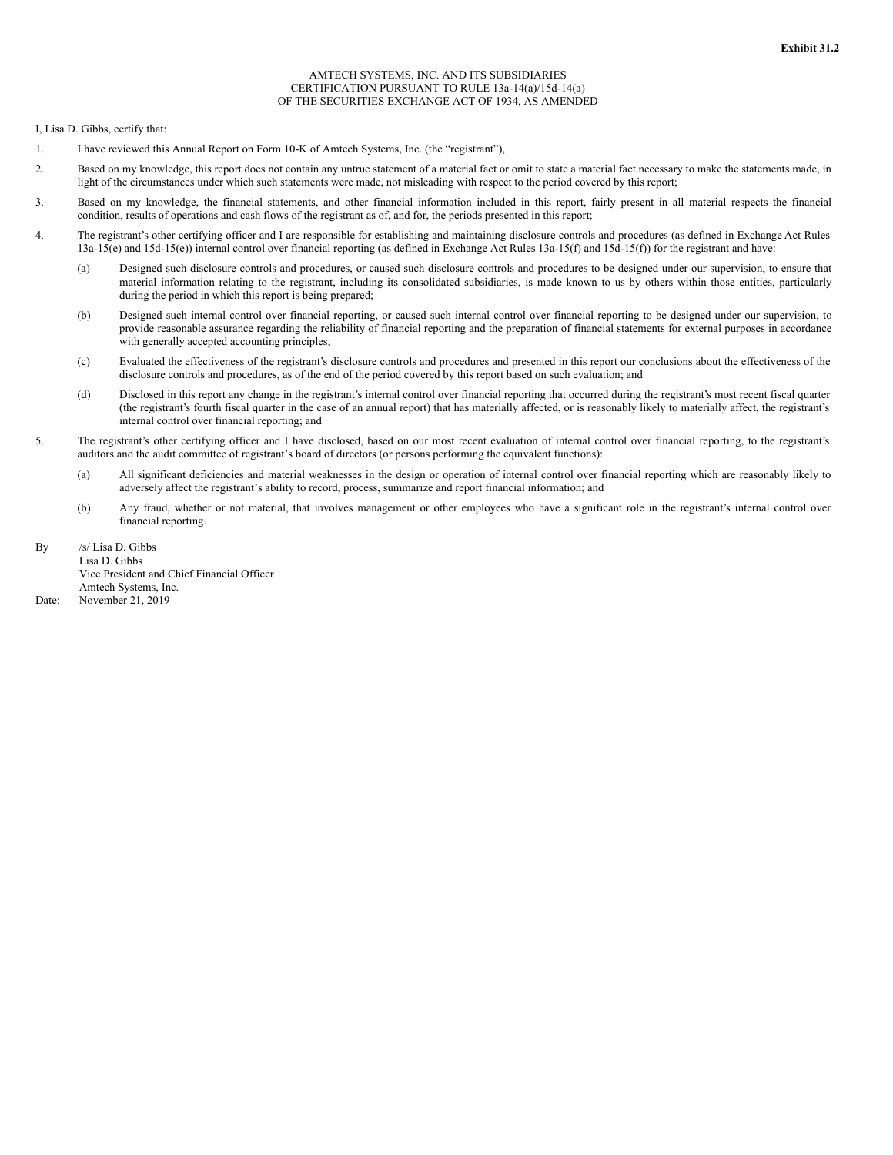## AMTECH SYSTEMS, INC. AND ITS SUBSIDIARIES CERTIFICATION PURSUANT TO RULE 13a-14(a)/15d-14(a) OF THE SECURITIES EXCHANGE ACT OF 1934, AS AMENDED

<span id="page-91-0"></span>I, Lisa D. Gibbs, certify that:

- 1. I have reviewed this Annual Report on Form 10-K of Amtech Systems, Inc. (the "registrant"),
- 2. Based on my knowledge, this report does not contain any untrue statement of a material fact or omit to state a material fact necessary to make the statements made, in light of the circumstances under which such statements were made, not misleading with respect to the period covered by this report;
- 3. Based on my knowledge, the financial statements, and other financial information included in this report, fairly present in all material respects the financial condition, results of operations and cash flows of the registrant as of, and for, the periods presented in this report;
- 4. The registrant's other certifying officer and I are responsible for establishing and maintaining disclosure controls and procedures (as defined in Exchange Act Rules 13a-15(e) and 15d-15(e)) internal control over financial reporting (as defined in Exchange Act Rules 13a-15(f) and 15d-15(f)) for the registrant and have:
	- (a) Designed such disclosure controls and procedures, or caused such disclosure controls and procedures to be designed under our supervision, to ensure that material information relating to the registrant, including its consolidated subsidiaries, is made known to us by others within those entities, particularly during the period in which this report is being prepared;
	- (b) Designed such internal control over financial reporting, or caused such internal control over financial reporting to be designed under our supervision, to provide reasonable assurance regarding the reliability of financial reporting and the preparation of financial statements for external purposes in accordance with generally accepted accounting principles;
	- (c) Evaluated the effectiveness of the registrant's disclosure controls and procedures and presented in this report our conclusions about the effectiveness of the disclosure controls and procedures, as of the end of the period covered by this report based on such evaluation; and
	- (d) Disclosed in this report any change in the registrant's internal control over financial reporting that occurred during the registrant's most recent fiscal quarter (the registrant's fourth fiscal quarter in the case of an annual report) that has materially affected, or is reasonably likely to materially affect, the registrant's internal control over financial reporting; and
- 5. The registrant's other certifying officer and I have disclosed, based on our most recent evaluation of internal control over financial reporting, to the registrant's auditors and the audit committee of registrant's board of directors (or persons performing the equivalent functions):
	- (a) All significant deficiencies and material weaknesses in the design or operation of internal control over financial reporting which are reasonably likely to adversely affect the registrant's ability to record, process, summarize and report financial information; and
	- (b) Any fraud, whether or not material, that involves management or other employees who have a significant role in the registrant's internal control over financial reporting.
- By /s/ Lisa D. Gibbs Lisa D. Gibbs Vice President and Chief Financial Officer Amtech Systems, Inc.

Date: November 21, 2019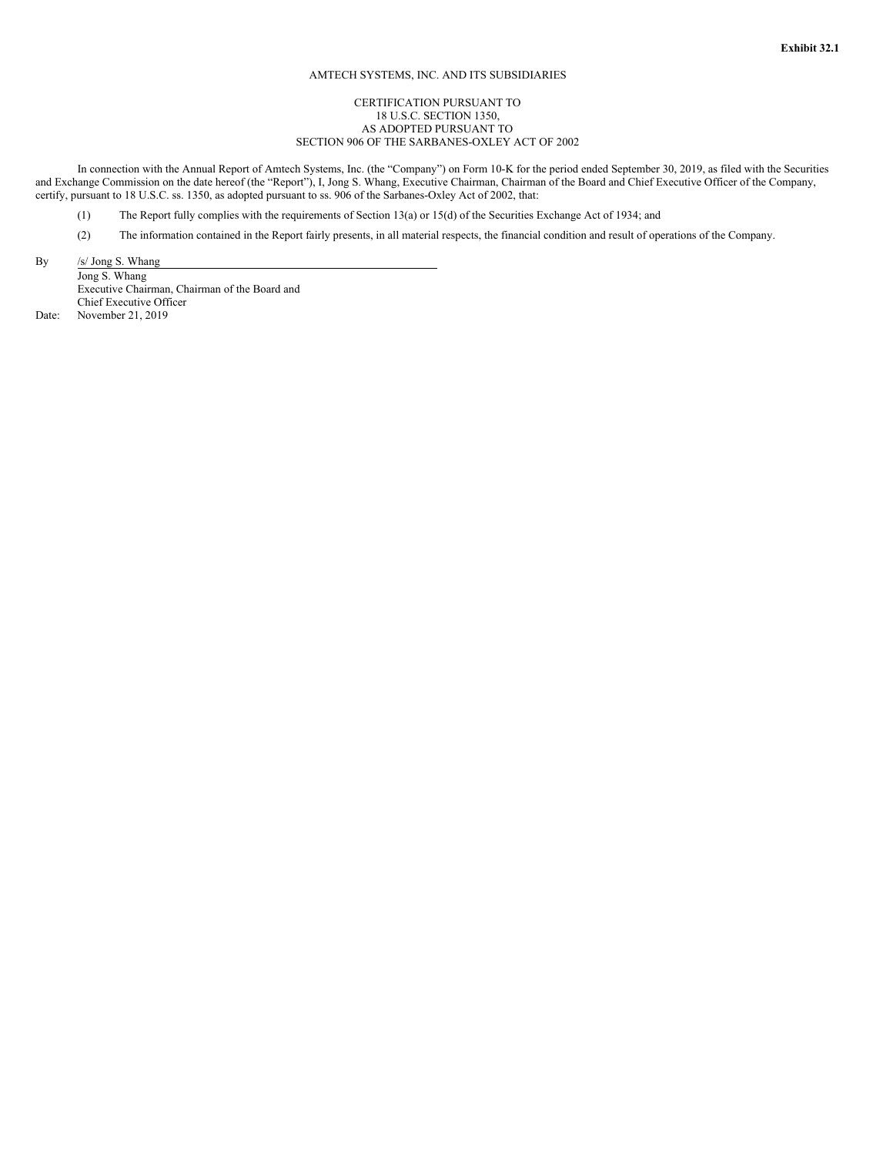## AMTECH SYSTEMS, INC. AND ITS SUBSIDIARIES

## CERTIFICATION PURSUANT TO 18 U.S.C. SECTION 1350, AS ADOPTED PURSUANT TO SECTION 906 OF THE SARBANES-OXLEY ACT OF 2002

<span id="page-92-0"></span>In connection with the Annual Report of Amtech Systems, Inc. (the "Company") on Form 10-K for the period ended September 30, 2019, as filed with the Securities and Exchange Commission on the date hereof (the "Report"), I, Jong S. Whang, Executive Chairman, Chairman of the Board and Chief Executive Officer of the Company, certify, pursuant to 18 U.S.C. ss. 1350, as adopted pursuant to ss. 906 of the Sarbanes-Oxley Act of 2002, that:

- (1) The Report fully complies with the requirements of Section 13(a) or 15(d) of the Securities Exchange Act of 1934; and
- (2) The information contained in the Report fairly presents, in all material respects, the financial condition and result of operations of the Company.
- By /s/ Jong S. Whang Jong S. Whang

Executive Chairman, Chairman of the Board and Chief Executive Officer

Date: November 21, 2019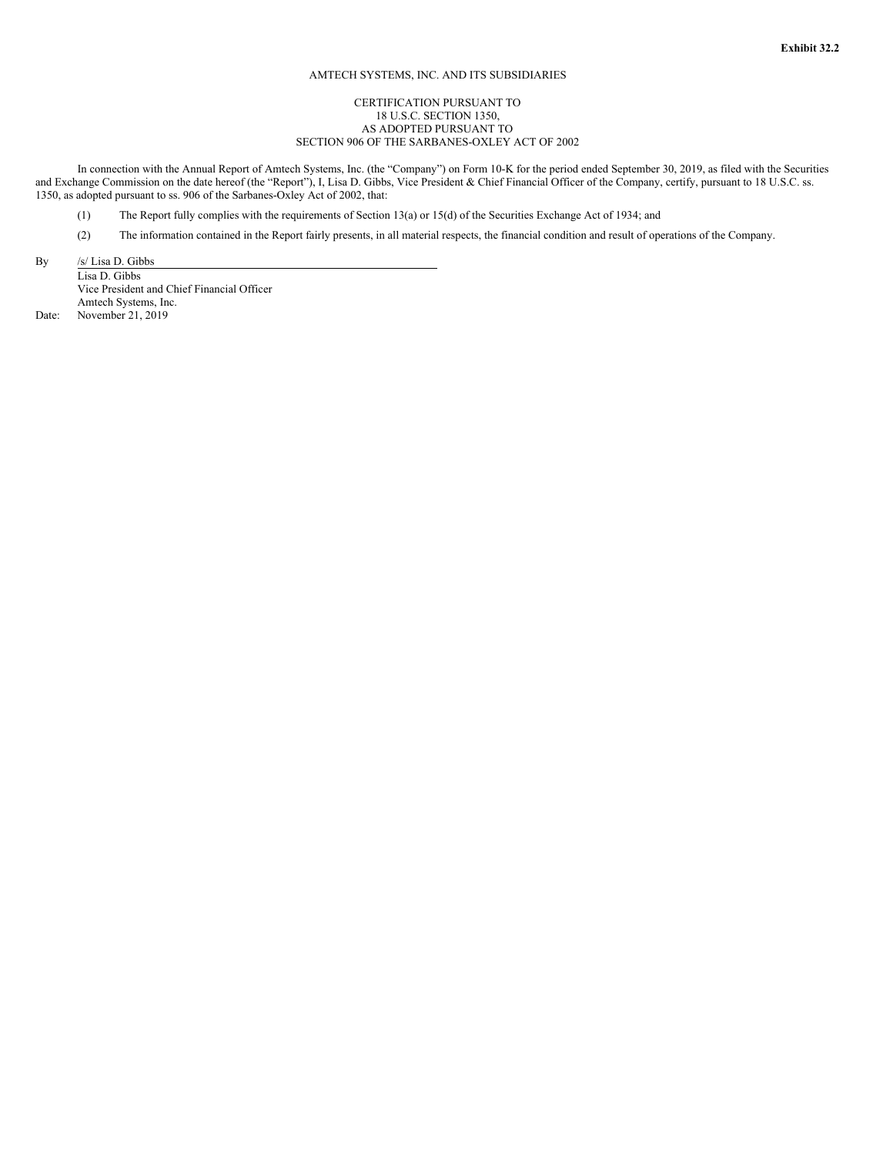## AMTECH SYSTEMS, INC. AND ITS SUBSIDIARIES

## CERTIFICATION PURSUANT TO 18 U.S.C. SECTION 1350, AS ADOPTED PURSUANT TO SECTION 906 OF THE SARBANES-OXLEY ACT OF 2002

<span id="page-93-0"></span>In connection with the Annual Report of Amtech Systems, Inc. (the "Company") on Form 10-K for the period ended September 30, 2019, as filed with the Securities and Exchange Commission on the date hereof (the "Report"), I, Lisa D. Gibbs, Vice President & Chief Financial Officer of the Company, certify, pursuant to 18 U.S.C. ss. 1350, as adopted pursuant to ss. 906 of the Sarbanes-Oxley Act of 2002, that:

- (1) The Report fully complies with the requirements of Section 13(a) or 15(d) of the Securities Exchange Act of 1934; and
- (2) The information contained in the Report fairly presents, in all material respects, the financial condition and result of operations of the Company.
- By /s/ Lisa D. Gibbs

Lisa D. Gibbs Vice President and Chief Financial Officer Amtech Systems, Inc. Date: November 21, 2019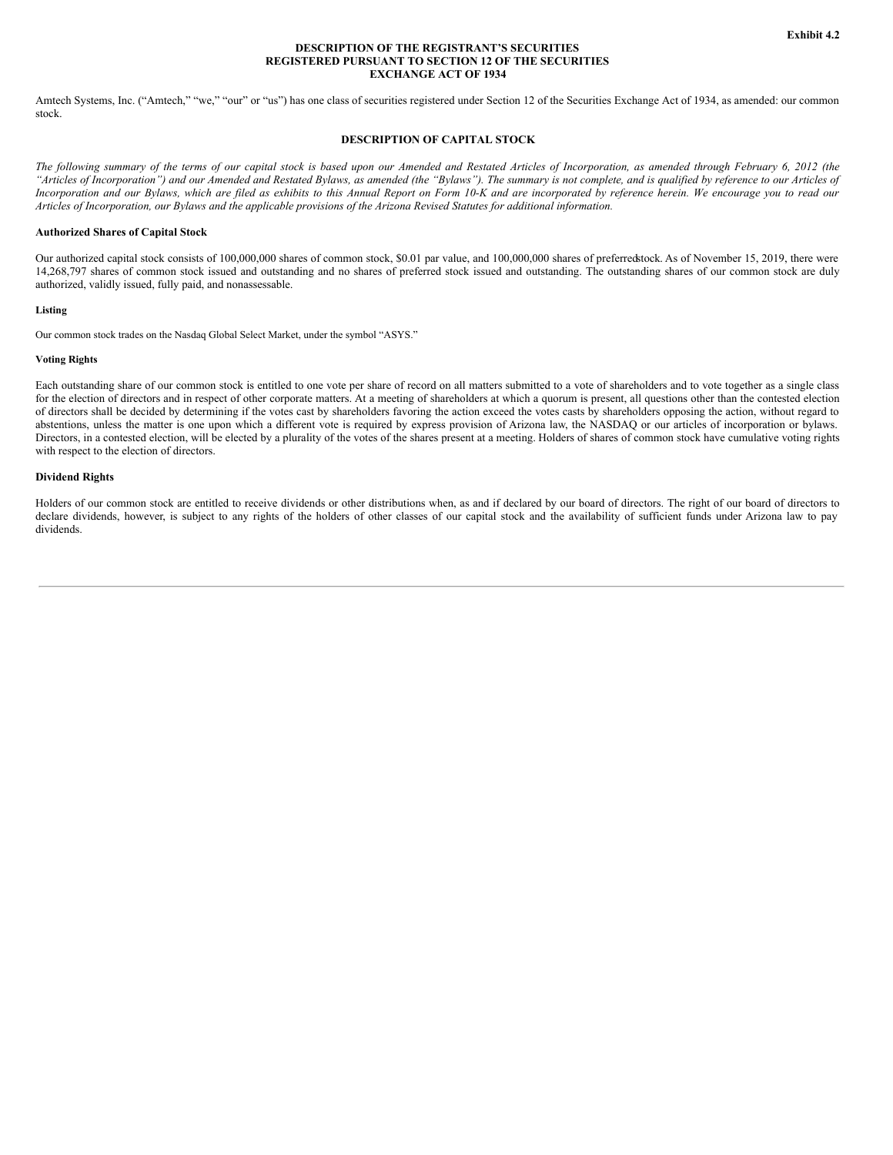#### **DESCRIPTION OF THE REGISTRANT'S SECURITIES REGISTERED PURSUANT TO SECTION 12 OF THE SECURITIES EXCHANGE ACT OF 1934**

Amtech Systems, Inc. ("Amtech," "we," "our" or "us") has one class of securities registered under Section 12 of the Securities Exchange Act of 1934, as amended: our common stock.

# **DESCRIPTION OF CAPITAL STOCK**

The following summary of the terms of our capital stock is based upon our Amended and Restated Articles of Incorporation, as amended through February 6, 2012 (the "Articles of Incorporation") and our Amended and Restated Bylaws, as amended (the "Bylaws"). The summary is not complete, and is qualified by reference to our Articles of Incorporation and our Bylaws, which are filed as exhibits to this Annual Report on Form 10-K and are incorporated by reference herein. We encourage you to read our Articles of Incorporation, our Bylaws and the applicable provisions of the Arizona Revised Statutes for additional information.

## **Authorized Shares of Capital Stock**

Our authorized capital stock consists of 100,000,000 shares of common stock, \$0.01 par value, and 100,000,000 shares of preferredstock. As of November 15, 2019, there were 14,268,797 shares of common stock issued and outstanding and no shares of preferred stock issued and outstanding. The outstanding shares of our common stock are duly authorized, validly issued, fully paid, and nonassessable.

#### **Listing**

Our common stock trades on the Nasdaq Global Select Market, under the symbol "ASYS."

#### **Voting Rights**

Each outstanding share of our common stock is entitled to one vote per share of record on all matters submitted to a vote of shareholders and to vote together as a single class for the election of directors and in respect of other corporate matters. At a meeting of shareholders at which a quorum is present, all questions other than the contested election of directors shall be decided by determining if the votes cast by shareholders favoring the action exceed the votes casts by shareholders opposing the action, without regard to abstentions, unless the matter is one upon which a different vote is required by express provision of Arizona law, the NASDAQ or our articles of incorporation or bylaws. Directors, in a contested election, will be elected by a plurality of the votes of the shares present at a meeting. Holders of shares of common stock have cumulative voting rights with respect to the election of directors.

## **Dividend Rights**

Holders of our common stock are entitled to receive dividends or other distributions when, as and if declared by our board of directors. The right of our board of directors to declare dividends, however, is subject to any rights of the holders of other classes of our capital stock and the availability of sufficient funds under Arizona law to pay dividends.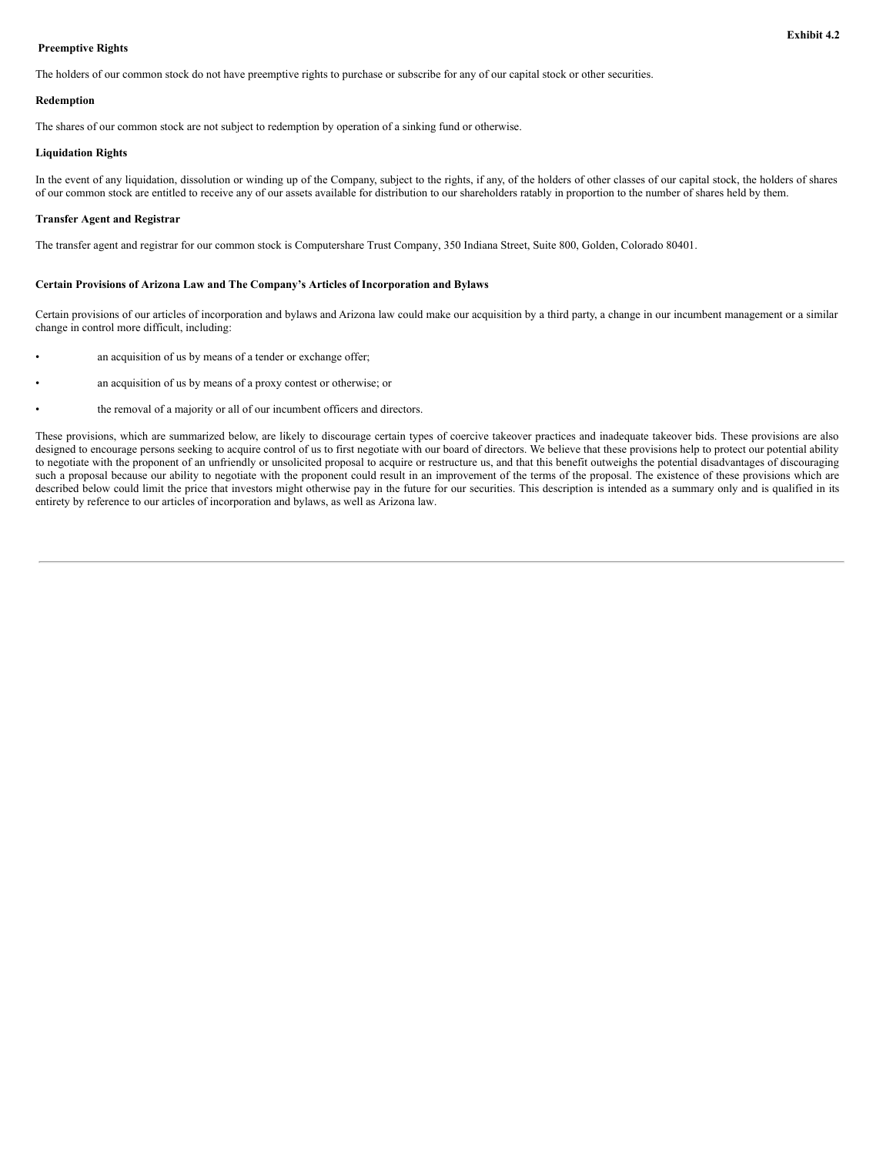## **Preemptive Rights**

#### **Redemption**

The shares of our common stock are not subject to redemption by operation of a sinking fund or otherwise.

#### **Liquidation Rights**

In the event of any liquidation, dissolution or winding up of the Company, subject to the rights, if any, of the holders of other classes of our capital stock, the holders of shares of our common stock are entitled to receive any of our assets available for distribution to our shareholders ratably in proportion to the number of shares held by them.

### **Transfer Agent and Registrar**

The transfer agent and registrar for our common stock is Computershare Trust Company, 350 Indiana Street, Suite 800, Golden, Colorado 80401.

## **Certain Provisions of Arizona Law and The Company's Articles of Incorporation and Bylaws**

Certain provisions of our articles of incorporation and bylaws and Arizona law could make our acquisition by a third party, a change in our incumbent management or a similar change in control more difficult, including:

- an acquisition of us by means of a tender or exchange offer;
- an acquisition of us by means of a proxy contest or otherwise; or
- the removal of a majority or all of our incumbent officers and directors.

These provisions, which are summarized below, are likely to discourage certain types of coercive takeover practices and inadequate takeover bids. These provisions are also designed to encourage persons seeking to acquire control of us to first negotiate with our board of directors. We believe that these provisions help to protect our potential ability to negotiate with the proponent of an unfriendly or unsolicited proposal to acquire or restructure us, and that this benefit outweighs the potential disadvantages of discouraging such a proposal because our ability to negotiate with the proponent could result in an improvement of the terms of the proposal. The existence of these provisions which are described below could limit the price that investors might otherwise pay in the future for our securities. This description is intended as a summary only and is qualified in its entirety by reference to our articles of incorporation and bylaws, as well as Arizona law.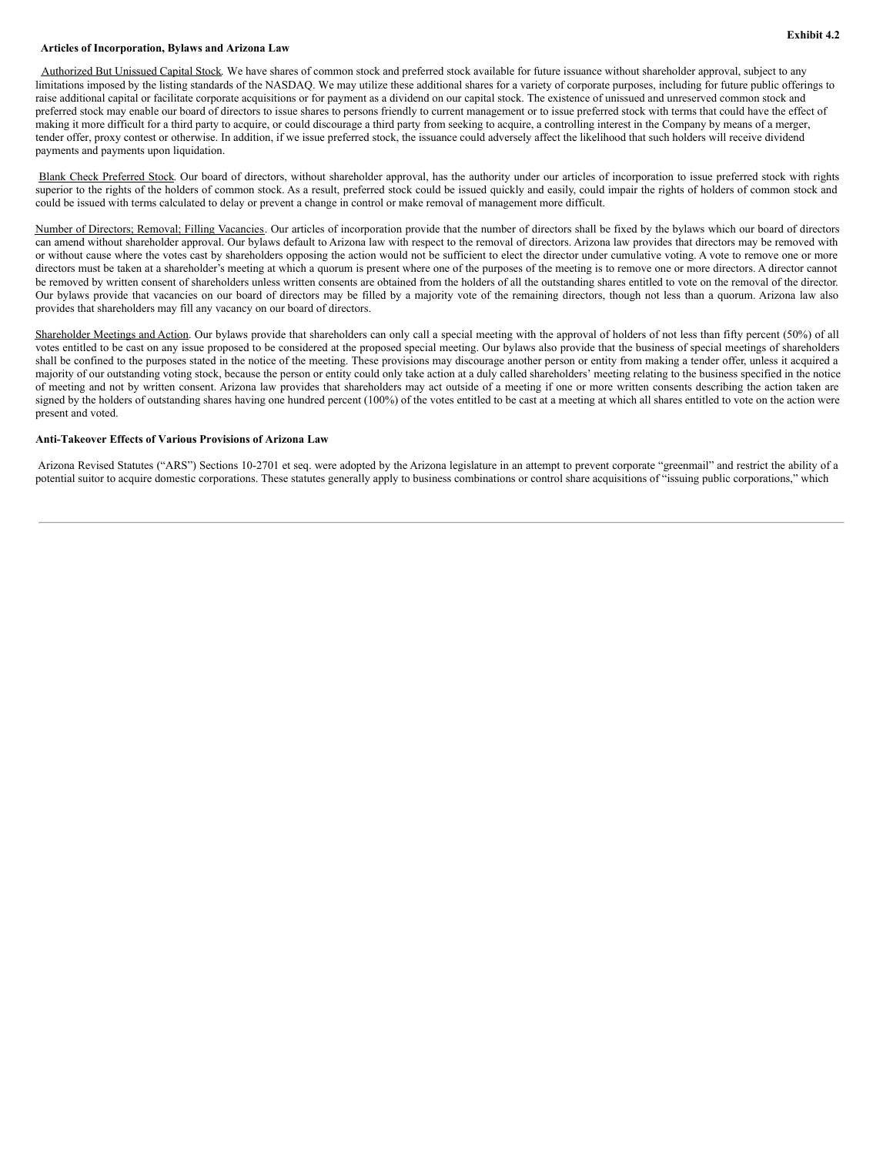### <span id="page-96-0"></span>**Articles of Incorporation, Bylaws and Arizona Law**

Authorized But Unissued Capital Stock. We have shares of common stock and preferred stock available for future issuance without shareholder approval, subject to any limitations imposed by the listing standards of the NASDAQ. We may utilize these additional shares for a variety of corporate purposes, including for future public offerings to raise additional capital or facilitate corporate acquisitions or for payment as a dividend on our capital stock. The existence of unissued and unreserved common stock and preferred stock may enable our board of directors to issue shares to persons friendly to current management or to issue preferred stock with terms that could have the effect of making it more difficult for a third party to acquire, or could discourage a third party from seeking to acquire, a controlling interest in the Company by means of a merger, tender offer, proxy contest or otherwise. In addition, if we issue preferred stock, the issuance could adversely affect the likelihood that such holders will receive dividend payments and payments upon liquidation.

Blank Check Preferred Stock. Our board of directors, without shareholder approval, has the authority under our articles of incorporation to issue preferred stock with rights superior to the rights of the holders of common stock. As a result, preferred stock could be issued quickly and easily, could impair the rights of holders of common stock and could be issued with terms calculated to delay or prevent a change in control or make removal of management more difficult.

Number of Directors; Removal; Filling Vacancies. Our articles of incorporation provide that the number of directors shall be fixed by the bylaws which our board of directors can amend without shareholder approval. Our bylaws default to Arizona law with respect to the removal of directors. Arizona law provides that directors may be removed with or without cause where the votes cast by shareholders opposing the action would not be sufficient to elect the director under cumulative voting. A vote to remove one or more directors must be taken at a shareholder's meeting at which a quorum is present where one of the purposes of the meeting is to remove one or more directors. A director cannot be removed by written consent of shareholders unless written consents are obtained from the holders of all the outstanding shares entitled to vote on the removal of the director. Our bylaws provide that vacancies on our board of directors may be filled by a majority vote of the remaining directors, though not less than a quorum. Arizona law also provides that shareholders may fill any vacancy on our board of directors.

Shareholder Meetings and Action. Our bylaws provide that shareholders can only call a special meeting with the approval of holders of not less than fifty percent (50%) of all votes entitled to be cast on any issue proposed to be considered at the proposed special meeting. Our bylaws also provide that the business of special meetings of shareholders shall be confined to the purposes stated in the notice of the meeting. These provisions may discourage another person or entity from making a tender offer, unless it acquired a majority of our outstanding voting stock, because the person or entity could only take action at a duly called shareholders' meeting relating to the business specified in the notice of meeting and not by written consent. Arizona law provides that shareholders may act outside of a meeting if one or more written consents describing the action taken are signed by the holders of outstanding shares having one hundred percent (100%) of the votes entitled to be cast at a meeting at which all shares entitled to vote on the action were present and voted.

## **Anti-Takeover Effects of Various Provisions of Arizona Law**

Arizona Revised Statutes ("ARS") Sections 10-2701 et seq. were adopted by the Arizona legislature in an attempt to prevent corporate "greenmail" and restrict the ability of a potential suitor to acquire domestic corporations. These statutes generally apply to business combinations or control share acquisitions of "issuing public corporations," which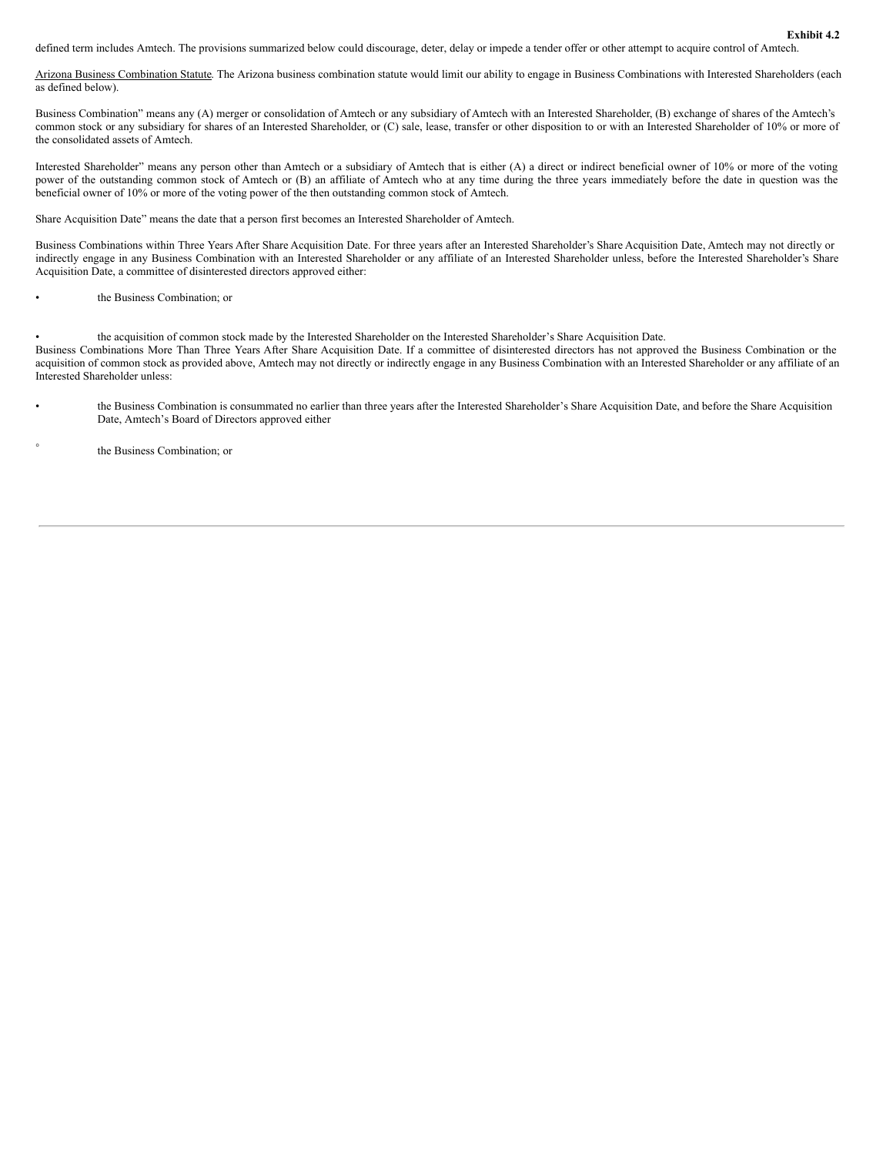defined term includes Amtech. The provisions summarized below could discourage, deter, delay or impede a tender offer or other attempt to acquire control of Amtech.

Arizona Business Combination Statute. The Arizona business combination statute would limit our ability to engage in Business Combinations with Interested Shareholders (each as defined below).

Business Combination" means any (A) merger or consolidation of Amtech or any subsidiary of Amtech with an Interested Shareholder, (B) exchange of shares of the Amtech's common stock or any subsidiary for shares of an Interested Shareholder, or (C) sale, lease, transfer or other disposition to or with an Interested Shareholder of 10% or more of the consolidated assets of Amtech.

Interested Shareholder" means any person other than Amtech or a subsidiary of Amtech that is either (A) a direct or indirect beneficial owner of 10% or more of the voting power of the outstanding common stock of Amtech or (B) an affiliate of Amtech who at any time during the three years immediately before the date in question was the beneficial owner of 10% or more of the voting power of the then outstanding common stock of Amtech.

Share Acquisition Date" means the date that a person first becomes an Interested Shareholder of Amtech.

Business Combinations within Three Years After Share Acquisition Date. For three years after an Interested Shareholder's Share Acquisition Date, Amtech may not directly or indirectly engage in any Business Combination with an Interested Shareholder or any affiliate of an Interested Shareholder unless, before the Interested Shareholder's Share Acquisition Date, a committee of disinterested directors approved either:

the Business Combination; or

the acquisition of common stock made by the Interested Shareholder on the Interested Shareholder's Share Acquisition Date. Business Combinations More Than Three Years After Share Acquisition Date. If a committee of disinterested directors has not approved the Business Combination or the acquisition of common stock as provided above, Amtech may not directly or indirectly engage in any Business Combination with an Interested Shareholder or any affiliate of an Interested Shareholder unless:

- the Business Combination is consummated no earlier than three years after the Interested Shareholder's Share Acquisition Date, and before the Share Acquisition Date, Amtech's Board of Directors approved either
- the Business Combination; or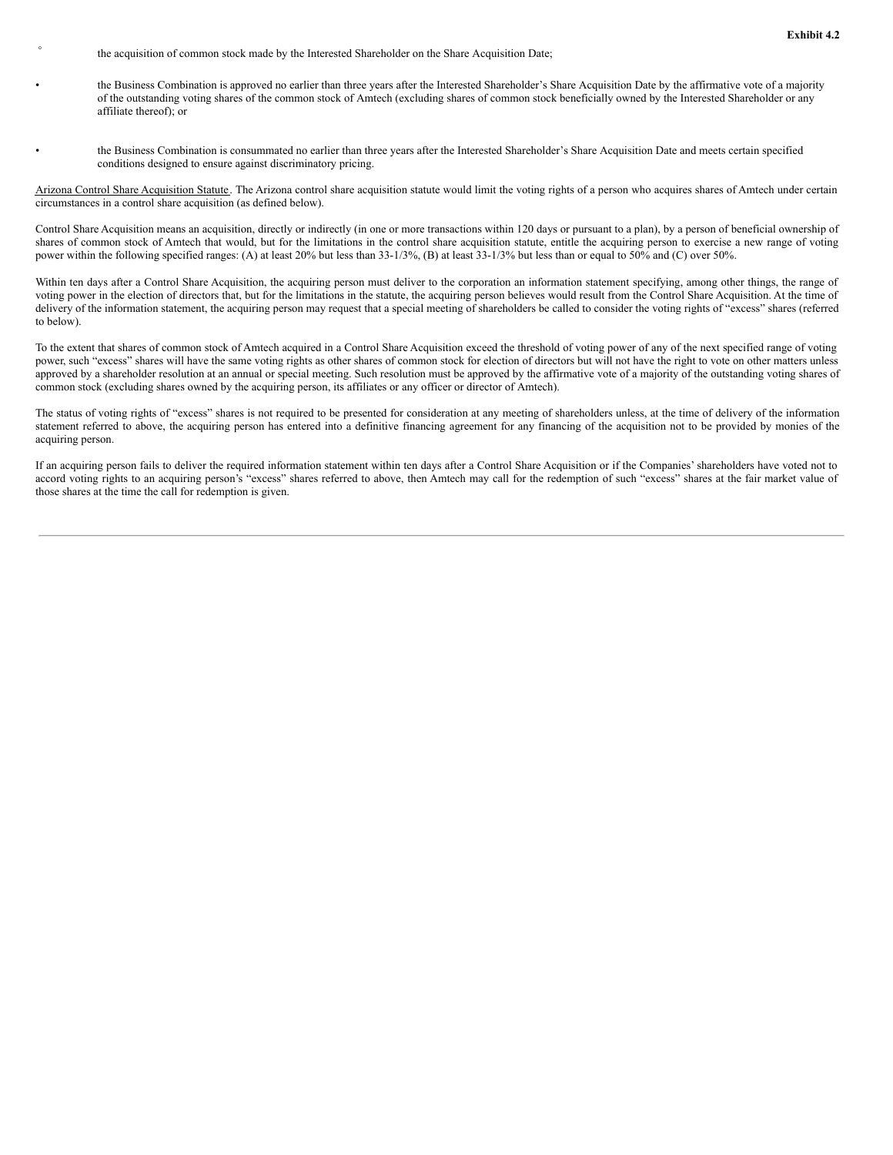- the acquisition of common stock made by the Interested Shareholder on the Share Acquisition Date;
- the Business Combination is approved no earlier than three years after the Interested Shareholder's Share Acquisition Date by the affirmative vote of a majority of the outstanding voting shares of the common stock of Amtech (excluding shares of common stock beneficially owned by the Interested Shareholder or any affiliate thereof); or
- the Business Combination is consummated no earlier than three years after the Interested Shareholder's Share Acquisition Date and meets certain specified conditions designed to ensure against discriminatory pricing.

Arizona Control Share Acquisition Statute. The Arizona control share acquisition statute would limit the voting rights of a person who acquires shares of Amtech under certain circumstances in a control share acquisition (as defined below).

Control Share Acquisition means an acquisition, directly or indirectly (in one or more transactions within 120 days or pursuant to a plan), by a person of beneficial ownership of shares of common stock of Amtech that would, but for the limitations in the control share acquisition statute, entitle the acquiring person to exercise a new range of voting power within the following specified ranges: (A) at least 20% but less than 33-1/3%, (B) at least 33-1/3% but less than or equal to 50% and (C) over 50%.

Within ten days after a Control Share Acquisition, the acquiring person must deliver to the corporation an information statement specifying, among other things, the range of voting power in the election of directors that, but for the limitations in the statute, the acquiring person believes would result from the Control Share Acquisition. At the time of delivery of the information statement, the acquiring person may request that a special meeting of shareholders be called to consider the voting rights of "excess" shares (referred to below).

To the extent that shares of common stock of Amtech acquired in a Control Share Acquisition exceed the threshold of voting power of any of the next specified range of voting power, such "excess" shares will have the same voting rights as other shares of common stock for election of directors but will not have the right to vote on other matters unless approved by a shareholder resolution at an annual or special meeting. Such resolution must be approved by the affirmative vote of a majority of the outstanding voting shares of common stock (excluding shares owned by the acquiring person, its affiliates or any officer or director of Amtech).

The status of voting rights of "excess" shares is not required to be presented for consideration at any meeting of shareholders unless, at the time of delivery of the information statement referred to above, the acquiring person has entered into a definitive financing agreement for any financing of the acquisition not to be provided by monies of the acquiring person.

If an acquiring person fails to deliver the required information statement within ten days after a Control Share Acquisition or if the Companies' shareholders have voted not to accord voting rights to an acquiring person's "excess" shares referred to above, then Amtech may call for the redemption of such "excess" shares at the fair market value of those shares at the time the call for redemption is given.